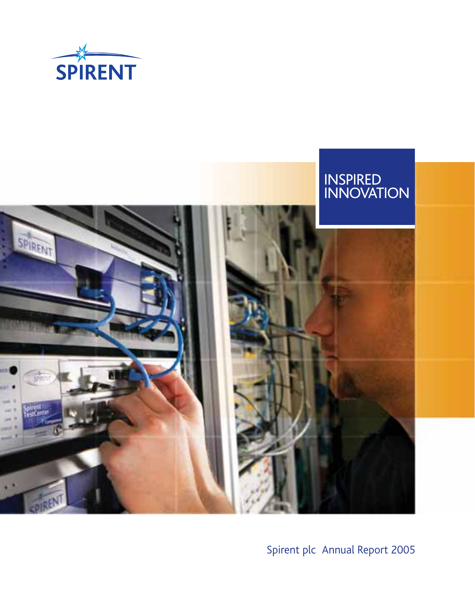



Spirent plc Annual Report 2005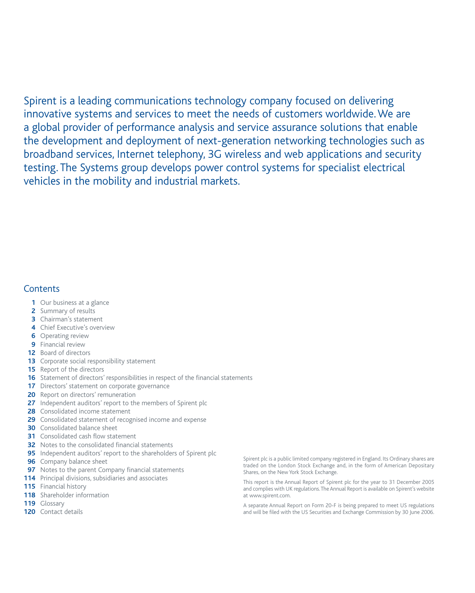Spirent is a leading communications technology company focused on delivering innovative systems and services to meet the needs of customers worldwide. We are a global provider of performance analysis and service assurance solutions that enable the development and deployment of next-generation networking technologies such as broadband services, Internet telephony, 3G wireless and web applications and security testing. The Systems group develops power control systems for specialist electrical vehicles in the mobility and industrial markets.

# **Contents**

- Our business at a glance
- Summary of results
- Chairman's statement
- Chief Executive's overview
- Operating review
- Financial review
- Board of directors
- Corporate social responsibility statement
- Report of the directors
- Statement of directors' responsibilities in respect of the financial statements
- Directors' statement on corporate governance
- Report on directors' remuneration
- Independent auditors' report to the members of Spirent plc
- Consolidated income statement
- Consolidated statement of recognised income and expense
- Consolidated balance sheet
- Consolidated cash flow statement
- Notes to the consolidated financial statements
- Independent auditors' report to the shareholders of Spirent plc
- Company balance sheet
- Notes to the parent Company financial statements
- Principal divisions, subsidiaries and associates
- Financial history
- Shareholder information
- Glossary
- Contact details

Spirent plc is a public limited company registered in England. Its Ordinary shares are traded on the London Stock Exchange and, in the form of American Depositary Shares, on the New York Stock Exchange.

This report is the Annual Report of Spirent plc for the year to 31 December 2005 and complies with UK regulations.The Annual Report is available on Spirent's website at www.spirent.com.

A separate Annual Report on Form 20-F is being prepared to meet US regulations and will be filed with the US Securities and Exchange Commission by 30 June 2006.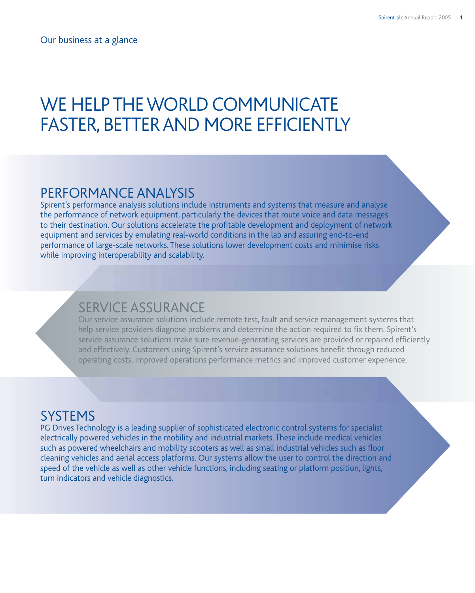# WE HELP THE WORLD COMMUNICATE FASTER, BETTER AND MORE EFFICIENTLY

# PERFORMANCE ANALYSIS

Spirent's performance analysis solutions include instruments and systems that measure and analyse the performance of network equipment, particularly the devices that route voice and data messages to their destination. Our solutions accelerate the profitable development and deployment of network equipment and services by emulating real-world conditions in the lab and assuring end-to-end performance of large-scale networks. These solutions lower development costs and minimise risks while improving interoperability and scalability.

# SERVICE ASSURANCE

Our service assurance solutions include remote test, fault and service management systems that help service providers diagnose problems and determine the action required to fix them. Spirent's service assurance solutions make sure revenue-generating services are provided or repaired efficiently and effectively. Customers using Spirent's service assurance solutions benefit through reduced operating costs, improved operations performance metrics and improved customer experience.

# **SYSTEMS**

PG Drives Technology is a leading supplier of sophisticated electronic control systems for specialist electrically powered vehicles in the mobility and industrial markets. These include medical vehicles such as powered wheelchairs and mobility scooters as well as small industrial vehicles such as floor cleaning vehicles and aerial access platforms. Our systems allow the user to control the direction and speed of the vehicle as well as other vehicle functions, including seating or platform position, lights, turn indicators and vehicle diagnostics.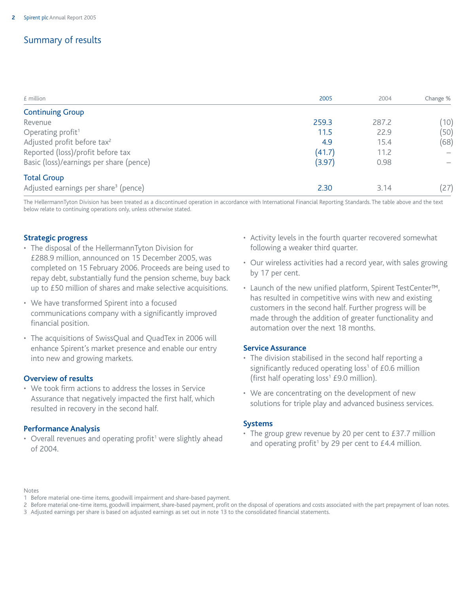# Summary of results

| £ million                                                              | 2005   | 2004  | Change % |
|------------------------------------------------------------------------|--------|-------|----------|
| <b>Continuing Group</b>                                                |        |       |          |
| Revenue                                                                | 259.3  | 287.2 | (10)     |
| Operating profit <sup>1</sup>                                          | 11.5   | 22.9  | (50)     |
| Adjusted profit before tax <sup>2</sup>                                | 4.9    | 15.4  | (68)     |
| Reported (loss)/profit before tax                                      | (41.7) | 11.2  |          |
| Basic (loss)/earnings per share (pence)                                | (3.97) | 0.98  |          |
| <b>Total Group</b><br>Adjusted earnings per share <sup>3</sup> (pence) | 2.30   | 3.14  | (27)     |
|                                                                        |        |       |          |

The HellermannTyton Division has been treated as a discontinued operation in accordance with International Financial Reporting Standards. The table above and the text below relate to continuing operations only, unless otherwise stated.

# **Strategic progress**

- The disposal of the HellermannTyton Division for £288.9 million, announced on 15 December 2005, was completed on 15 February 2006. Proceeds are being used to repay debt, substantially fund the pension scheme, buy back up to £50 million of shares and make selective acquisitions.
- We have transformed Spirent into a focused communications company with a significantly improved financial position.
- The acquisitions of SwissQual and QuadTex in 2006 will enhance Spirent's market presence and enable our entry into new and growing markets.

# **Overview of results**

• We took firm actions to address the losses in Service Assurance that negatively impacted the first half, which resulted in recovery in the second half.

# **Performance Analysis**

• Overall revenues and operating profit<sup>1</sup> were slightly ahead of 2004.

- Activity levels in the fourth quarter recovered somewhat following a weaker third quarter.
- Our wireless activities had a record year, with sales growing by 17 per cent.
- Launch of the new unified platform, Spirent TestCenter™, has resulted in competitive wins with new and existing customers in the second half. Further progress will be made through the addition of greater functionality and automation over the next 18 months.

## **Service Assurance**

- The division stabilised in the second half reporting a significantly reduced operating loss<sup>1</sup> of  $£0.6$  million (first half operating  $loss<sup>1</sup>$  £9.0 million).
- We are concentrating on the development of new solutions for triple play and advanced business services.

## **Systems**

• The group grew revenue by 20 per cent to £37.7 million and operating profit<sup>1</sup> by 29 per cent to  $£4.4$  million.

#### Notes

<sup>1</sup> Before material one-time items, goodwill impairment and share-based payment.

<sup>2</sup> Before material one-time items, goodwill impairment, share-based payment, profit on the disposal of operations and costs associated with the part prepayment of loan notes.

<sup>3</sup> Adjusted earnings per share is based on adjusted earnings as set out in note 13 to the consolidated financial statements.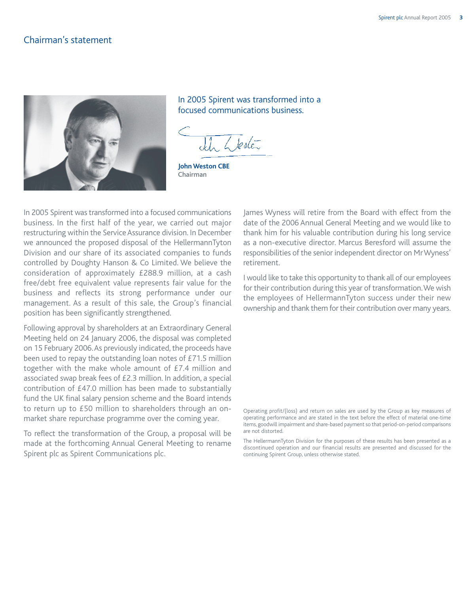# Chairman's statement



In 2005 Spirent was transformed into a focused communications business.

L ksler

**John Weston CBE** Chairman

In 2005 Spirent was transformed into a focused communications business. In the first half of the year, we carried out major restructuring within the Service Assurance division. In December we announced the proposed disposal of the HellermannTyton Division and our share of its associated companies to funds controlled by Doughty Hanson & Co Limited. We believe the consideration of approximately £288.9 million, at a cash free/debt free equivalent value represents fair value for the business and reflects its strong performance under our management. As a result of this sale, the Group's financial position has been significantly strengthened.

Following approval by shareholders at an Extraordinary General Meeting held on 24 January 2006, the disposal was completed on 15 February 2006.As previously indicated, the proceeds have been used to repay the outstanding loan notes of £71.5 million together with the make whole amount of £7.4 million and associated swap break fees of £2.3 million. In addition, a special contribution of £47.0 million has been made to substantially fund the UK final salary pension scheme and the Board intends to return up to £50 million to shareholders through an onmarket share repurchase programme over the coming year.

To reflect the transformation of the Group, a proposal will be made at the forthcoming Annual General Meeting to rename Spirent plc as Spirent Communications plc.

James Wyness will retire from the Board with effect from the date of the 2006 Annual General Meeting and we would like to thank him for his valuable contribution during his long service as a non-executive director. Marcus Beresford will assume the responsibilities of the senior independent director on Mr Wyness' retirement.

I would like to take this opportunity to thank all of our employees for their contribution during this year of transformation.We wish the employees of HellermannTyton success under their new ownership and thank them for their contribution over many years.

Operating profit/(loss) and return on sales are used by the Group as key measures of operating performance and are stated in the text before the effect of material one-time items, goodwill impairment and share-based payment so that period-on-period comparisons are not distorted.

The HellermannTyton Division for the purposes of these results has been presented as a discontinued operation and our financial results are presented and discussed for the continuing Spirent Group, unless otherwise stated.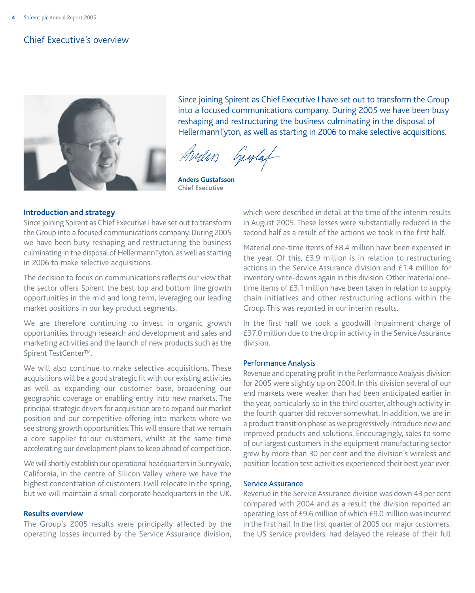# Chief Executive's overview



Since joining Spirent as Chief Executive I have set out to transform the Group into a focused communications company. During 2005 we have been busy reshaping and restructuring the business culminating in the disposal of HellermannTyton, as well as starting in 2006 to make selective acquisitions.

Arilins Ginlaf

**Anders Gustafsson** Chief Executive

## **Introduction and strategy**

Since joining Spirent as Chief Executive I have set out to transform the Group into a focused communications company. During 2005 we have been busy reshaping and restructuring the business culminating in the disposal of HellermannTyton, as well as starting in 2006 to make selective acquisitions.

The decision to focus on communications reflects our view that the sector offers Spirent the best top and bottom line growth opportunities in the mid and long term, leveraging our leading market positions in our key product segments.

We are therefore continuing to invest in organic growth opportunities through research and development and sales and marketing activities and the launch of new products such as the Spirent TestCenter™.

We will also continue to make selective acquisitions. These acquisitions will be a good strategic fit with our existing activities as well as expanding our customer base, broadening our geographic coverage or enabling entry into new markets. The principal strategic drivers for acquisition are to expand our market position and our competitive offering into markets where we see strong growth opportunities.This will ensure that we remain a core supplier to our customers, whilst at the same time accelerating our development plans to keep ahead of competition.

We will shortly establish our operational headquarters in Sunnyvale, California, in the centre of Silicon Valley where we have the highest concentration of customers. I will relocate in the spring, but we will maintain a small corporate headquarters in the UK.

# **Results overview**

The Group's 2005 results were principally affected by the operating losses incurred by the Service Assurance division, which were described in detail at the time of the interim results in August 2005. These losses were substantially reduced in the second half as a result of the actions we took in the first half.

Material one-time items of £8.4 million have been expensed in the year. Of this, £3.9 million is in relation to restructuring actions in the Service Assurance division and £1.4 million for inventory write-downs again in this division. Other material onetime items of £3.1 million have been taken in relation to supply chain initiatives and other restructuring actions within the Group. This was reported in our interim results.

In the first half we took a goodwill impairment charge of £37.0 million due to the drop in activity in the Service Assurance division.

## Performance Analysis

Revenue and operating profit in the Performance Analysis division for 2005 were slightly up on 2004. In this division several of our end markets were weaker than had been anticipated earlier in the year, particularly so in the third quarter, although activity in the fourth quarter did recover somewhat. In addition, we are in a product transition phase as we progressively introduce new and improved products and solutions. Encouragingly, sales to some of our largest customers in the equipment manufacturing sector grew by more than 30 per cent and the division's wireless and position location test activities experienced their best year ever.

# Service Assurance

Revenue in the Service Assurance division was down 43 per cent compared with 2004 and as a result the division reported an operating loss of £9.6 million of which £9.0 million was incurred in the first half. In the first quarter of 2005 our major customers, the US service providers, had delayed the release of their full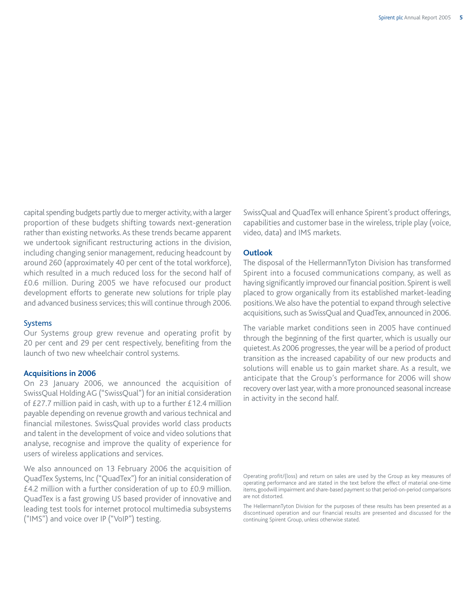capital spending budgets partly due to merger activity, with a larger proportion of these budgets shifting towards next-generation rather than existing networks. As these trends became apparent we undertook significant restructuring actions in the division, including changing senior management, reducing headcount by around 260 (approximately 40 per cent of the total workforce), which resulted in a much reduced loss for the second half of £0.6 million. During 2005 we have refocused our product development efforts to generate new solutions for triple play and advanced business services; this will continue through 2006.

# Systems

Our Systems group grew revenue and operating profit by 20 per cent and 29 per cent respectively, benefiting from the launch of two new wheelchair control systems.

## **Acquisitions in 2006**

On 23 January 2006, we announced the acquisition of SwissQual Holding AG ("SwissQual") for an initial consideration of £27.7 million paid in cash, with up to a further £12.4 million payable depending on revenue growth and various technical and financial milestones. SwissQual provides world class products and talent in the development of voice and video solutions that analyse, recognise and improve the quality of experience for users of wireless applications and services.

We also announced on 13 February 2006 the acquisition of QuadTex Systems, Inc ("QuadTex") for an initial consideration of £4.2 million with a further consideration of up to £0.9 million. QuadTex is a fast growing US based provider of innovative and leading test tools for internet protocol multimedia subsystems ("IMS") and voice over IP ("VoIP") testing.

SwissQual and QuadTex will enhance Spirent's product offerings, capabilities and customer base in the wireless, triple play (voice, video, data) and IMS markets.

## **Outlook**

The disposal of the HellermannTyton Division has transformed Spirent into a focused communications company, as well as having significantly improved our financial position. Spirent is well placed to grow organically from its established market-leading positions.We also have the potential to expand through selective acquisitions, such as SwissQual and QuadTex, announced in 2006.

The variable market conditions seen in 2005 have continued through the beginning of the first quarter, which is usually our quietest.As 2006 progresses, the year will be a period of product transition as the increased capability of our new products and solutions will enable us to gain market share. As a result, we anticipate that the Group's performance for 2006 will show recovery over last year, with a more pronounced seasonal increase in activity in the second half.

Operating profit/(loss) and return on sales are used by the Group as key measures of operating performance and are stated in the text before the effect of material one-time items, goodwill impairment and share-based payment so that period-on-period comparisons are not distorted.

The HellermannTyton Division for the purposes of these results has been presented as a discontinued operation and our financial results are presented and discussed for the continuing Spirent Group, unless otherwise stated.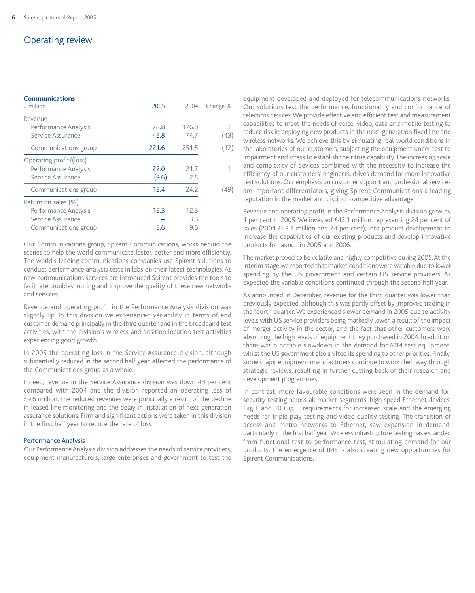# Operating review

## **Communications**

| $E$ million                                                                              | 2005          | 2004               | Change % |  |
|------------------------------------------------------------------------------------------|---------------|--------------------|----------|--|
| Revenue<br>Performance Analysis                                                          | 178.8         | 176.8              |          |  |
| Service Assurance                                                                        | 42.8          | 74.7               | (43)     |  |
| Communications group                                                                     | 221.6         | 251.5              | (12)     |  |
| Operating profit/(loss)<br>Performance Analysis<br>Service Assurance                     | 22.0<br>(9.6) | 21.7<br>2.5        |          |  |
| Communications group                                                                     | 12.4          | 24.2               | (49)     |  |
| Return on sales (%)<br>Performance Analysis<br>Service Assurance<br>Communications group | 12.3<br>5.6   | 12.3<br>3.3<br>9.6 |          |  |

Our Communications group, Spirent Communications, works behind the scenes to help the world communicate faster, better and more efficiently. The world's leading communications companies use Spirent solutions to conduct performance analysis tests in labs on their latest technologies. As new communications services are introduced Spirent provides the tools to facilitate troubleshooting and improve the quality of these new networks and services.

Revenue and operating profit in the Performance Analysis division was slightly up. In this division we experienced variability in terms of end customer demand principally in the third quarter and in the broadband test activities, with the division's wireless and position location test activities experiencing good growth.

In 2005 the operating loss in the Service Assurance division, although substantially reduced in the second half year, affected the performance of the Communications group as a whole.

Indeed, revenue in the Service Assurance division was down 43 per cent compared with 2004 and the division reported an operating loss of £9.6 million. The reduced revenues were principally a result of the decline in leased line monitoring and the delay in installation of next-generation assurance solutions. Firm and significant actions were taken in this division in the first half year to reduce the rate of loss.

#### Performance Analysis

Our Performance Analysis division addresses the needs of service providers, equipment manufacturers, large enterprises and government to test the

equipment developed and deployed for telecommunications networks. Our solutions test the performance, functionality and conformance of telecoms devices.We provide effective and efficient test and measurement capabilities to meet the needs of voice, video, data and mobile testing to reduce risk in deploying new products in the next-generation fixed line and wireless networks. We achieve this by simulating real-world conditions in the laboratories of our customers, subjecting the equipment under test to impairment and stress to establish their true capability.The increasing scale and complexity of devices combined with the necessity to increase the efficiency of our customers' engineers, drives demand for more innovative test solutions. Our emphasis on customer support and professional services are important differentiators, giving Spirent Communications a leading reputation in the market and distinct competitive advantage.

Revenue and operating profit in the Performance Analysis division grew by 1 per cent in 2005. We invested £42.1 million, representing 24 per cent of sales (2004 £43.2 million and 24 per cent), into product development to increase the capabilities of our existing products and develop innovative products for launch in 2005 and 2006.

The market proved to be volatile and highly competitive during 2005.At the interim stage we reported that market conditions were variable due to lower spending by the US government and certain US service providers. As expected the variable conditions continued through the second half year.

As announced in December, revenue for the third quarter was lower than previously expected, although this was partly offset by improved trading in the fourth quarter.We experienced slower demand in 2005 due to activity levels with US service providers being markedly lower, a result of the impact of merger activity in the sector, and the fact that other customers were absorbing the high levels of equipment they purchased in 2004. In addition there was a notable slowdown in the demand for ATM test equipment, whilst the US government also shifted its spending to other priorities. Finally, some major equipment manufacturers continue to work their way through strategic reviews, resulting in further cutting back of their research and development programmes.

In contrast, more favourable conditions were seen in the demand for: security testing across all market segments, high speed Ethernet devices, Gig E and 10 Gig E, requirements for increased scale and the emerging needs for triple play testing and video quality testing. The transition of access and metro networks to Ethernet, saw expansion in demand, particularly in the first half year.Wireless infrastructure testing has expanded from functional test to performance test, stimulating demand for our products. The emergence of IMS is also creating new opportunities for Spirent Communications.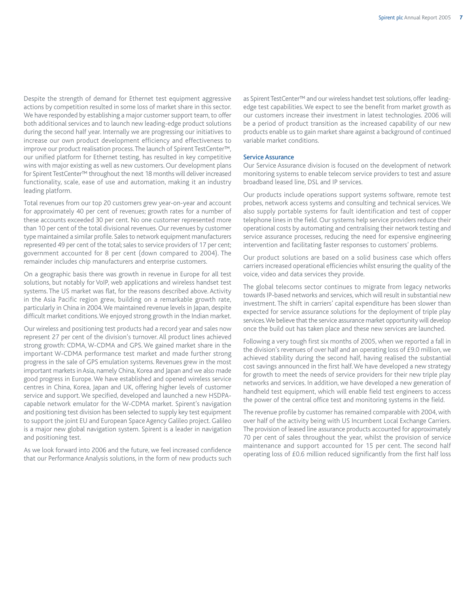Despite the strength of demand for Ethernet test equipment aggressive actions by competition resulted in some loss of market share in this sector. We have responded by establishing a major customer support team, to offer both additional services and to launch new leading-edge product solutions during the second half year. Internally we are progressing our initiatives to increase our own product development efficiency and effectiveness to improve our product realisation process.The launch of Spirent TestCenter™, our unified platform for Ethernet testing, has resulted in key competitive wins with major existing as well as new customers. Our development plans for Spirent TestCenter™ throughout the next 18 months will deliver increased functionality, scale, ease of use and automation, making it an industry leading platform.

Total revenues from our top 20 customers grew year-on-year and account for approximately 40 per cent of revenues; growth rates for a number of these accounts exceeded 30 per cent. No one customer represented more than 10 per cent of the total divisional revenues. Our revenues by customer type maintained a similar profile. Sales to network equipment manufacturers represented 49 per cent of the total; sales to service providers of 17 per cent; government accounted for 8 per cent (down compared to 2004). The remainder includes chip manufacturers and enterprise customers.

On a geographic basis there was growth in revenue in Europe for all test solutions, but notably for VoIP, web applications and wireless handset test systems. The US market was flat, for the reasons described above. Activity in the Asia Pacific region grew, building on a remarkable growth rate, particularly in China in 2004.We maintained revenue levels in Japan, despite difficult market conditions.We enjoyed strong growth in the Indian market.

Our wireless and positioning test products had a record year and sales now represent 27 per cent of the division's turnover. All product lines achieved strong growth: CDMA, W-CDMA and GPS. We gained market share in the important W-CDMA performance test market and made further strong progress in the sale of GPS emulation systems. Revenues grew in the most important markets in Asia, namely China, Korea and Japan and we also made good progress in Europe. We have established and opened wireless service centres in China, Korea, Japan and UK, offering higher levels of customer service and support. We specified, developed and launched a new HSDPAcapable network emulator for the W-CDMA market. Spirent's navigation and positioning test division has been selected to supply key test equipment to support the joint EU and European Space Agency Galileo project. Galileo is a major new global navigation system. Spirent is a leader in navigation and positioning test.

As we look forward into 2006 and the future, we feel increased confidence that our Performance Analysis solutions, in the form of new products such

as Spirent TestCenter™ and our wireless handset test solutions, offer leadingedge test capabilities.We expect to see the benefit from market growth as our customers increase their investment in latest technologies. 2006 will be a period of product transition as the increased capability of our new products enable us to gain market share against a background of continued variable market conditions.

### Service Assurance

Our Service Assurance division is focused on the development of network monitoring systems to enable telecom service providers to test and assure broadband leased line, DSL and IP services.

Our products include operations support systems software, remote test probes, network access systems and consulting and technical services. We also supply portable systems for fault identification and test of copper telephone lines in the field. Our systems help service providers reduce their operational costs by automating and centralising their network testing and service assurance processes, reducing the need for expensive engineering intervention and facilitating faster responses to customers' problems.

Our product solutions are based on a solid business case which offers carriers increased operational efficiencies whilst ensuring the quality of the voice, video and data services they provide.

The global telecoms sector continues to migrate from legacy networks towards IP-based networks and services, which will result in substantial new investment. The shift in carriers' capital expenditure has been slower than expected for service assurance solutions for the deployment of triple play services.We believe that the service assurance market opportunity will develop once the build out has taken place and these new services are launched.

Following a very tough first six months of 2005, when we reported a fall in the division's revenues of over half and an operating loss of £9.0 million, we achieved stability during the second half, having realised the substantial cost savings announced in the first half.We have developed a new strategy for growth to meet the needs of service providers for their new triple play networks and services. In addition, we have developed a new generation of handheld test equipment, which will enable field test engineers to access the power of the central office test and monitoring systems in the field.

The revenue profile by customer has remained comparable with 2004, with over half of the activity being with US Incumbent Local Exchange Carriers. The provision of leased line assurance products accounted for approximately 70 per cent of sales throughout the year, whilst the provision of service maintenance and support accounted for 15 per cent. The second half operating loss of £0.6 million reduced significantly from the first half loss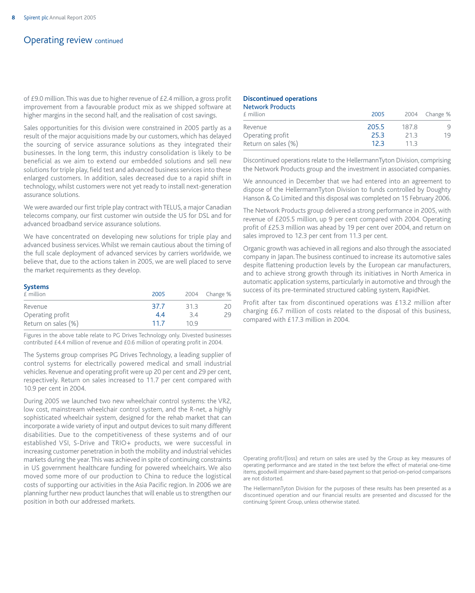# Operating review continued

of £9.0 million.This was due to higher revenue of £2.4 million, a gross profit improvement from a favourable product mix as we shipped software at higher margins in the second half, and the realisation of cost savings.

Sales opportunities for this division were constrained in 2005 partly as a result of the major acquisitions made by our customers, which has delayed the sourcing of service assurance solutions as they integrated their businesses. In the long term, this industry consolidation is likely to be beneficial as we aim to extend our embedded solutions and sell new solutions for triple play, field test and advanced business services into these enlarged customers. In addition, sales decreased due to a rapid shift in technology, whilst customers were not yet ready to install next-generation assurance solutions.

We were awarded our first triple play contract with TELUS, a major Canadian telecoms company, our first customer win outside the US for DSL and for advanced broadband service assurance solutions.

We have concentrated on developing new solutions for triple play and advanced business services.Whilst we remain cautious about the timing of the full scale deployment of advanced services by carriers worldwide, we believe that, due to the actions taken in 2005, we are well placed to serve the market requirements as they develop.

#### **Systems**

| £ million           | 2005 |      | 2004 Change % |
|---------------------|------|------|---------------|
| Revenue             | 37.7 | 31.3 | 20            |
| Operating profit    | 4.4  | 3.4  | 29            |
| Return on sales (%) | 11.7 | 109  |               |

Figures in the above table relate to PG Drives Technology only. Divested businesses contributed £4.4 million of revenue and £0.6 million of operating profit in 2004.

The Systems group comprises PG Drives Technology, a leading supplier of control systems for electrically powered medical and small industrial vehicles. Revenue and operating profit were up 20 per cent and 29 per cent, respectively. Return on sales increased to 11.7 per cent compared with 10.9 per cent in 2004.

During 2005 we launched two new wheelchair control systems: the VR2, low cost, mainstream wheelchair control system, and the R-net, a highly sophisticated wheelchair system, designed for the rehab market that can incorporate a wide variety of input and output devices to suit many different disabilities. Due to the competitiveness of these systems and of our established VSI, S-Drive and TRIO+ products, we were successful in increasing customer penetration in both the mobility and industrial vehicles markets during the year.This was achieved in spite of continuing constraints in US government healthcare funding for powered wheelchairs. We also moved some more of our production to China to reduce the logistical costs of supporting our activities in the Asia Pacific region. In 2006 we are planning further new product launches that will enable us to strengthen our position in both our addressed markets.

#### **Discontinued operations** Network Products

| Network Products<br>£ million | 2005  |       | 2004 Change % |
|-------------------------------|-------|-------|---------------|
| Revenue                       | 205.5 | 187.8 |               |
| Operating profit              | 25.3  | 21.3  | 19            |
| Return on sales (%)           | 12.3  | 113   |               |

Discontinued operations relate to the HellermannTyton Division, comprising the Network Products group and the investment in associated companies.

We announced in December that we had entered into an agreement to dispose of the HellermannTyton Division to funds controlled by Doughty Hanson & Co Limited and this disposal was completed on 15 February 2006.

The Network Products group delivered a strong performance in 2005, with revenue of £205.5 million, up 9 per cent compared with 2004. Operating profit of £25.3 million was ahead by 19 per cent over 2004, and return on sales improved to 12.3 per cent from 11.3 per cent.

Organic growth was achieved in all regions and also through the associated company in Japan.The business continued to increase its automotive sales despite flattening production levels by the European car manufacturers, and to achieve strong growth through its initiatives in North America in automatic application systems, particularly in automotive and through the success of its pre-terminated structured cabling system, RapidNet.

Profit after tax from discontinued operations was £13.2 million after charging £6.7 million of costs related to the disposal of this business, compared with £17.3 million in 2004.

Operating profit/(loss) and return on sales are used by the Group as key measures of operating performance and are stated in the text before the effect of material one-time items, goodwill impairment and share-based payment so that period-on-period comparisons are not distorted.

The HellermannTyton Division for the purposes of these results has been presented as a discontinued operation and our financial results are presented and discussed for the continuing Spirent Group, unless otherwise stated.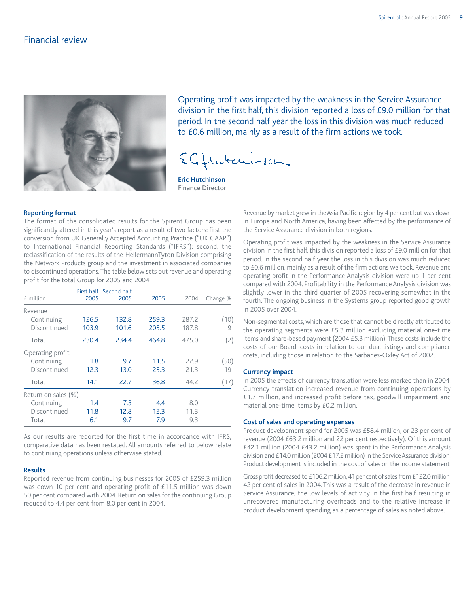

Operating profit was impacted by the weakness in the Service Assurance division in the first half, this division reported a loss of £9.0 million for that period. In the second half year the loss in this division was much reduced to £0.6 million, mainly as a result of the firm actions we took.

EGflutaringon

**Eric Hutchinson** Finance Director

#### **Reporting format**

The format of the consolidated results for the Spirent Group has been significantly altered in this year's report as a result of two factors: first the conversion from UK Generally Accepted Accounting Practice ("UK GAAP") to International Financial Reporting Standards ("IFRS"); second, the reclassification of the results of the HellermannTyton Division comprising the Network Products group and the investment in associated companies to discontinued operations.The table below sets out revenue and operating profit for the total Group for 2005 and 2004.

| £ million           | 2005  | First half Second half<br>2005 | 2005  | 2004  | Change % |
|---------------------|-------|--------------------------------|-------|-------|----------|
| Revenue             |       |                                |       |       |          |
| Continuing          | 126.5 | 132.8                          | 259.3 | 287.2 | (10)     |
| Discontinued        | 103.9 | 101.6                          | 205.5 | 187.8 | 9        |
| Total               | 230.4 | 234.4                          | 464.8 | 475.0 | (2)      |
| Operating profit    |       |                                |       |       |          |
| Continuing          | 1.8   | 9.7                            | 11.5  | 22.9  | (50)     |
| Discontinued        | 12.3  | 13.0                           | 25.3  | 21.3  | 19       |
| Total               | 14.1  | 22.7                           | 36.8  | 44.2  | (17)     |
| Return on sales (%) |       |                                |       |       |          |
| Continuing          | 1.4   | 7.3                            | 4.4   | 8.0   |          |
| Discontinued        | 11.8  | 12.8                           | 12.3  | 11.3  |          |
| Total               | 6.1   | 9.7                            | 7.9   | 9.3   |          |

As our results are reported for the first time in accordance with IFRS, comparative data has been restated. All amounts referred to below relate to continuing operations unless otherwise stated.

#### **Results**

Reported revenue from continuing businesses for 2005 of £259.3 million was down 10 per cent and operating profit of £11.5 million was down 50 per cent compared with 2004. Return on sales for the continuing Group reduced to 4.4 per cent from 8.0 per cent in 2004.

Revenue by market grew in the Asia Pacific region by 4 per cent but was down in Europe and North America, having been affected by the performance of the Service Assurance division in both regions.

Operating profit was impacted by the weakness in the Service Assurance division in the first half, this division reported a loss of £9.0 million for that period. In the second half year the loss in this division was much reduced to £0.6 million, mainly as a result of the firm actions we took. Revenue and operating profit in the Performance Analysis division were up 1 per cent compared with 2004. Profitability in the Performance Analysis division was slightly lower in the third quarter of 2005 recovering somewhat in the fourth. The ongoing business in the Systems group reported good growth in 2005 over 2004.

Non-segmental costs, which are those that cannot be directly attributed to the operating segments were £5.3 million excluding material one-time items and share-based payment (2004 £5.3 million).These costs include the costs of our Board, costs in relation to our dual listings and compliance costs, including those in relation to the Sarbanes-Oxley Act of 2002.

#### **Currency impact**

In 2005 the effects of currency translation were less marked than in 2004. Currency translation increased revenue from continuing operations by £1.7 million, and increased profit before tax, goodwill impairment and material one-time items by £0.2 million.

#### **Cost of sales and operating expenses**

Product development spend for 2005 was £58.4 million, or 23 per cent of revenue (2004 £63.2 million and 22 per cent respectively). Of this amount £42.1 million (2004 £43.2 million) was spent in the Performance Analysis division and £14.0 million (2004 £17.2 million) in the Service Assurance division. Product development is included in the cost of sales on the income statement.

Gross profit decreased to £106.2 million, 41 per cent of sales from £122.0 million, 42 per cent of sales in 2004.This was a result of the decrease in revenue in Service Assurance, the low levels of activity in the first half resulting in unrecovered manufacturing overheads and to the relative increase in product development spending as a percentage of sales as noted above.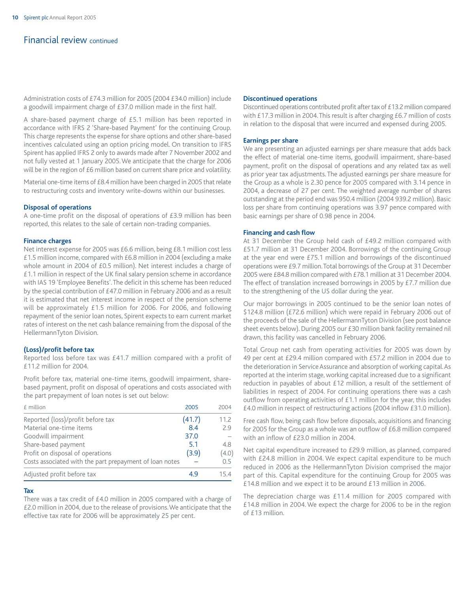# Financial review continued

Administration costs of £74.3 million for 2005 (2004 £34.0 million) include a goodwill impairment charge of £37.0 million made in the first half.

A share-based payment charge of £5.1 million has been reported in accordance with IFRS 2 'Share-based Payment' for the continuing Group. This charge represents the expense for share options and other share-based incentives calculated using an option pricing model. On transition to IFRS Spirent has applied IFRS 2 only to awards made after 7 November 2002 and not fully vested at 1 January 2005.We anticipate that the charge for 2006 will be in the region of £6 million based on current share price and volatility.

Material one-time items of £8.4 million have been charged in 2005 that relate to restructuring costs and inventory write-downs within our businesses.

#### **Disposal of operations**

A one-time profit on the disposal of operations of £3.9 million has been reported, this relates to the sale of certain non-trading companies.

#### **Finance charges**

Net interest expense for 2005 was £6.6 million, being £8.1 million cost less £1.5 million income, compared with £6.8 million in 2004 (excluding a make whole amount in 2004 of £0.5 million). Net interest includes a charge of £1.1 million in respect of the UK final salary pension scheme in accordance with IAS 19 'Employee Benefits'.The deficit in this scheme has been reduced by the special contribution of £47.0 million in February 2006 and as a result it is estimated that net interest income in respect of the pension scheme will be approximately £1.5 million for 2006. For 2006, and following repayment of the senior loan notes, Spirent expects to earn current market rates of interest on the net cash balance remaining from the disposal of the HellermannTyton Division.

#### **(Loss)/profit before tax**

Reported loss before tax was £41.7 million compared with a profit of £11.2 million for 2004.

Profit before tax, material one-time items, goodwill impairment, sharebased payment, profit on disposal of operations and costs associated with the part prepayment of loan notes is set out below:

| £ million                                               | 2005   | 2004  |
|---------------------------------------------------------|--------|-------|
| Reported (loss)/profit before tax                       | (41.7) | 11.2  |
| Material one-time items                                 | 8.4    | 2.9   |
| Goodwill impairment                                     | 37.0   |       |
| Share-based payment                                     | 5.1    | 4.8   |
| Profit on disposal of operations                        | (3.9)  | (4.0) |
| Costs associated with the part prepayment of loan notes |        | 0.5   |
| Adjusted profit before tax                              | 49     | 154   |

#### **Tax**

There was a tax credit of £4.0 million in 2005 compared with a charge of £2.0 million in 2004, due to the release of provisions.We anticipate that the effective tax rate for 2006 will be approximately 25 per cent.

#### **Discontinued operations**

Discontinued operations contributed profit after tax of £13.2 million compared with £17.3 million in 2004.This result is after charging £6.7 million of costs in relation to the disposal that were incurred and expensed during 2005.

#### **Earnings per share**

We are presenting an adjusted earnings per share measure that adds back the effect of material one-time items, goodwill impairment, share-based payment, profit on the disposal of operations and any related tax as well as prior year tax adjustments. The adjusted earnings per share measure for the Group as a whole is 2.30 pence for 2005 compared with 3.14 pence in 2004, a decrease of 27 per cent. The weighted average number of shares outstanding at the period end was 950.4 million (2004 939.2 million). Basic loss per share from continuing operations was 3.97 pence compared with basic earnings per share of 0.98 pence in 2004.

#### **Financing and cash flow**

At 31 December the Group held cash of £49.2 million compared with £51.7 million at 31 December 2004. Borrowings of the continuing Group at the year end were £75.1 million and borrowings of the discontinued operations were £9.7 million.Total borrowings of the Group at 31 December 2005 were £84.8 million compared with £78.1 million at 31 December 2004. The effect of translation increased borrowings in 2005 by £7.7 million due to the strengthening of the US dollar during the year.

Our major borrowings in 2005 continued to be the senior loan notes of \$124.8 million (£72.6 million) which were repaid in February 2006 out of the proceeds of the sale of the HellermannTyton Division (see post balance sheet events below). During 2005 our £30 million bank facility remained nil drawn, this facility was cancelled in February 2006.

Total Group net cash from operating activities for 2005 was down by 49 per cent at £29.4 million compared with £57.2 million in 2004 due to the deterioration in Service Assurance and absorption of working capital.As reported at the interim stage, working capital increased due to a significant reduction in payables of about £12 million, a result of the settlement of liabilities in respect of 2004. For continuing operations there was a cash outflow from operating activities of £1.1 million for the year, this includes £4.0 million in respect of restructuring actions (2004 inflow £31.0 million).

Free cash flow, being cash flow before disposals, acquisitions and financing for 2005 for the Group as a whole was an outflow of £6.8 million compared with an inflow of £23.0 million in 2004.

Net capital expenditure increased to £29.9 million, as planned, compared with £24.8 million in 2004. We expect capital expenditure to be much reduced in 2006 as the HellermannTyton Division comprised the major part of this. Capital expenditure for the continuing Group for 2005 was £14.8 million and we expect it to be around £13 million in 2006.

The depreciation charge was £11.4 million for 2005 compared with £14.8 million in 2004. We expect the charge for 2006 to be in the region of £13 million.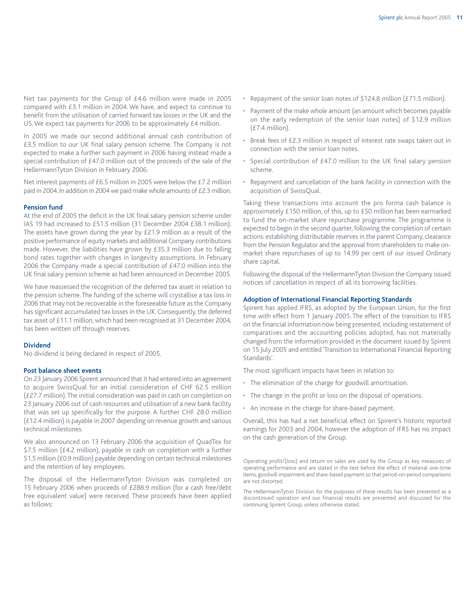Net tax payments for the Group of £4.6 million were made in 2005 compared with £3.1 million in 2004. We have, and expect to continue to benefit from the utilisation of carried forward tax losses in the UK and the US. We expect tax payments for 2006 to be approximately £4 million.

In 2005 we made our second additional annual cash contribution of £3.5 million to our UK final salary pension scheme. The Company is not expected to make a further such payment in 2006 having instead made a special contribution of £47.0 million out of the proceeds of the sale of the HellermannTyton Division in February 2006.

Net interest payments of £6.5 million in 2005 were below the £7.2 million paid in 2004. In addition in 2004 we paid make whole amounts of £2.3 million.

#### **Pension fund**

At the end of 2005 the deficit in the UK final salary pension scheme under IAS 19 had increased to £51.5 million (31 December 2004 £38.1 million). The assets have grown during the year by £21.9 million as a result of the positive performance of equity markets and additional Company contributions made. However, the liabilities have grown by £35.3 million due to falling bond rates together with changes in longevity assumptions. In February 2006 the Company made a special contribution of £47.0 million into the UK final salary pension scheme as had been announced in December 2005.

We have reassessed the recognition of the deferred tax asset in relation to the pension scheme.The funding of the scheme will crystallise a tax loss in 2006 that may not be recoverable in the foreseeable future as the Company has significant accumulated tax losses in the UK. Consequently, the deferred tax asset of £11.1 million, which had been recognised at 31 December 2004, has been written off through reserves.

#### **Dividend**

No dividend is being declared in respect of 2005.

#### **Post balance sheet events**

On 23 January 2006 Spirent announced that it had entered into an agreement to acquire SwissQual for an initial consideration of CHF 62.5 million (£27.7 million).The initial consideration was paid in cash on completion on 23 January 2006 out of cash resources and utilisation of a new bank facility that was set up specifically for the purpose. A further CHF 28.0 million (£12.4 million) is payable in 2007 depending on revenue growth and various technical milestones.

We also announced on 13 February 2006 the acquisition of QuadTex for \$7.5 million (£4.2 million), payable in cash on completion with a further \$1.5 million (£0.9 million) payable depending on certain technical milestones and the retention of key employees.

The disposal of the HellermannTyton Division was completed on 15 February 2006 when proceeds of £288.9 million (for a cash free/debt free equivalent value) were received. These proceeds have been applied as follows:

- Repayment of the senior loan notes of \$124.8 million (£71.5 million).
- Payment of the make whole amount (an amount which becomes payable on the early redemption of the senior loan notes) of \$12.9 million (£7.4 million).
- Break fees of £2.3 million in respect of interest rate swaps taken out in connection with the senior loan notes.
- Special contribution of £47.0 million to the UK final salary pension scheme.
- Repayment and cancellation of the bank facility in connection with the acquisition of SwissQual.

Taking these transactions into account the pro forma cash balance is approximately £150 million, of this, up to £50 million has been earmarked to fund the on-market share repurchase programme. The programme is expected to begin in the second quarter, following the completion of certain actions: establishing distributable reserves in the parent Company, clearance from the Pension Regulator and the approval from shareholders to make onmarket share repurchases of up to 14.99 per cent of our issued Ordinary share capital.

Following the disposal of the HellermannTyton Division the Company issued notices of cancellation in respect of all its borrowing facilities.

#### **Adoption of International Financial Reporting Standards**

Spirent has applied IFRS, as adopted by the European Union, for the first time with effect from 1 January 2005. The effect of the transition to IFRS on the financial information now being presented, including restatement of comparatives and the accounting policies adopted, has not materially changed from the information provided in the document issued by Spirent on 15 July 2005 and entitled 'Transition to International Financial Reporting Standards'.

The most significant impacts have been in relation to:

- The elimination of the charge for goodwill amortisation.
- The change in the profit or loss on the disposal of operations.
- An increase in the charge for share-based payment.

Overall, this has had a net beneficial effect on Spirent's historic reported earnings for 2003 and 2004, however the adoption of IFRS has no impact on the cash generation of the Group.

Operating profit/(loss) and return on sales are used by the Group as key measures of operating performance and are stated in the text before the effect of material one-time items, goodwill impairment and share-based payment so that period-on-period comparisons are not distorted.

The HellermannTyton Division for the purposes of these results has been presented as a discontinued operation and our financial results are presented and discussed for the continuing Spirent Group, unless otherwise stated.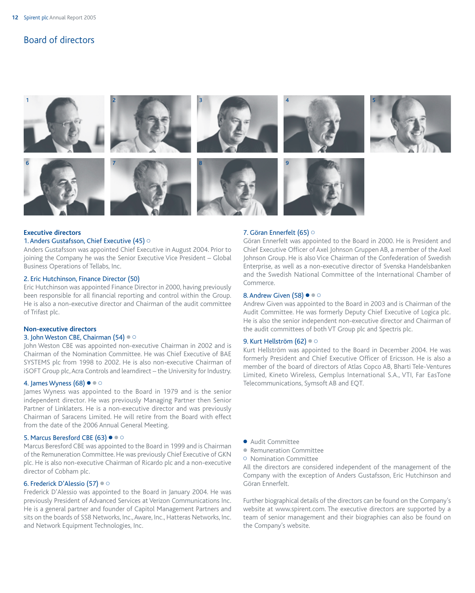# Board of directors



### **Executive directors**

#### 1. Anders Gustafsson, Chief Executive (45)  $\circ$

Anders Gustafsson was appointed Chief Executive in August 2004. Prior to joining the Company he was the Senior Executive Vice President – Global Business Operations of Tellabs, Inc.

#### 2. Eric Hutchinson, Finance Director (50)

Eric Hutchinson was appointed Finance Director in 2000, having previously been responsible for all financial reporting and control within the Group. He is also a non-executive director and Chairman of the audit committee of Trifast plc.

# **Non-executive directors**

## 3. John Weston CBE, Chairman (54)  $\bullet$   $\circ$

John Weston CBE was appointed non-executive Chairman in 2002 and is Chairman of the Nomination Committee. He was Chief Executive of BAE SYSTEMS plc from 1998 to 2002. He is also non-executive Chairman of iSOFT Group plc,Acra Controls and learndirect – the University for Industry.

#### 4. James Wyness (68)  $\bullet \circ \circ$

James Wyness was appointed to the Board in 1979 and is the senior independent director. He was previously Managing Partner then Senior Partner of Linklaters. He is a non-executive director and was previously Chairman of Saracens Limited. He will retire from the Board with effect from the date of the 2006 Annual General Meeting.

#### 5. Marcus Beresford CBE (63) ● ● ○

Marcus Beresford CBE was appointed to the Board in 1999 and is Chairman of the Remuneration Committee. He was previously Chief Executive of GKN plc. He is also non-executive Chairman of Ricardo plc and a non-executive director of Cobham plc.

#### 6. Frederick D'Alessio (57) ● ○

Frederick D'Alessio was appointed to the Board in January 2004. He was previously President of Advanced Services at Verizon Communications Inc. .<br>He is a general partner and founder of Capitol Management Partners and sits on the boards of SS8 Networks, Inc.,Aware, Inc., Hatteras Networks, Inc. and Network Equipment Technologies, Inc.

#### 7. Göran Ennerfelt (65)  $\circ$

Göran Ennerfelt was appointed to the Board in 2000. He is President and Chief Executive Officer of Axel Johnson Gruppen AB, a member of the Axel Johnson Group. He is also Vice Chairman of the Confederation of Swedish Enterprise, as well as a non-executive director of Svenska Handelsbanken and the Swedish National Committee of the International Chamber of Commerce.

#### 8. Andrew Given (58) ● ● ○

Andrew Given was appointed to the Board in 2003 and is Chairman of the Audit Committee. He was formerly Deputy Chief Executive of Logica plc. He is also the senior independent non-executive director and Chairman of the audit committees of both VT Group plc and Spectris plc.

#### 9. Kurt Hellström (62)  $\circ$  o

Kurt Hellström was appointed to the Board in December 2004. He was formerly President and Chief Executive Officer of Ericsson. He is also a member of the board of directors of Atlas Copco AB, Bharti Tele-Ventures Limited, Kineto Wireless, Gemplus International S.A., VTI, Far EasTone Telecommunications, Symsoft AB and EQT.

- Audit Committee
- Remuneration Committee
- Nomination Committee

All the directors are considered independent of the management of the Company with the exception of Anders Gustafsson, Eric Hutchinson and Göran Ennerfelt.

Further biographical details of the directors can be found on the Company's website at www.spirent.com. The executive directors are supported by a team of senior management and their biographies can also be found on the Company's website.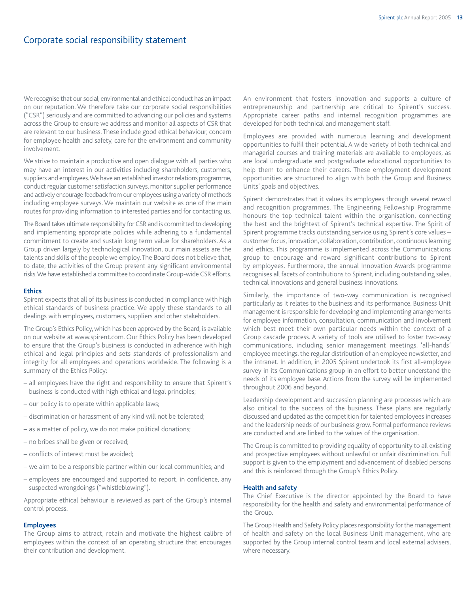# Corporate social responsibility statement

We recognise that our social, environmental and ethical conduct has an impact on our reputation. We therefore take our corporate social responsibilities ("CSR") seriously and are committed to advancing our policies and systems across the Group to ensure we address and monitor all aspects of CSR that are relevant to our business.These include good ethical behaviour, concern for employee health and safety, care for the environment and community involvement.

We strive to maintain a productive and open dialogue with all parties who may have an interest in our activities including shareholders, customers, suppliers and employees.We have an established investor relations programme, conduct regular customer satisfaction surveys, monitor supplier performance and actively encourage feedback from our employees using a variety of methods including employee surveys. We maintain our website as one of the main routes for providing information to interested parties and for contacting us.

The Board takes ultimate responsibility for CSR and is committed to developing and implementing appropriate policies while adhering to a fundamental commitment to create and sustain long term value for shareholders. As a Group driven largely by technological innovation, our main assets are the talents and skills of the people we employ.The Board does not believe that, to date, the activities of the Group present any significant environmental risks.We have established a committee to coordinate Group-wide CSR efforts.

#### **Ethics**

Spirent expects that all of its business is conducted in compliance with high ethical standards of business practice. We apply these standards to all dealings with employees, customers, suppliers and other stakeholders.

The Group's Ethics Policy, which has been approved by the Board, is available on our website at www.spirent.com. Our Ethics Policy has been developed to ensure that the Group's business is conducted in adherence with high ethical and legal principles and sets standards of professionalism and integrity for all employees and operations worldwide. The following is a summary of the Ethics Policy:

- all employees have the right and responsibility to ensure that Spirent's business is conducted with high ethical and legal principles;
- our policy is to operate within applicable laws;
- discrimination or harassment of any kind will not be tolerated;
- as a matter of policy, we do not make political donations;
- no bribes shall be given or received;
- conflicts of interest must be avoided;
- we aim to be a responsible partner within our local communities; and
- employees are encouraged and supported to report, in confidence, any suspected wrongdoings ("whistleblowing").

Appropriate ethical behaviour is reviewed as part of the Group's internal control process.

#### **Employees**

The Group aims to attract, retain and motivate the highest calibre of employees within the context of an operating structure that encourages their contribution and development.

An environment that fosters innovation and supports a culture of entrepreneurship and partnership are critical to Spirent's success. Appropriate career paths and internal recognition programmes are developed for both technical and management staff.

Employees are provided with numerous learning and development opportunities to fulfil their potential. A wide variety of both technical and managerial courses and training materials are available to employees, as are local undergraduate and postgraduate educational opportunities to help them to enhance their careers. These employment development opportunities are structured to align with both the Group and Business Units' goals and objectives.

Spirent demonstrates that it values its employees through several reward and recognition programmes. The Engineering Fellowship Programme honours the top technical talent within the organisation, connecting the best and the brightest of Spirent's technical expertise. The Spirit of Spirent programme tracks outstanding service using Spirent's core values – customer focus, innovation, collaboration, contribution, continuous learning and ethics. This programme is implemented across the Communications group to encourage and reward significant contributions to Spirent by employees. Furthermore, the annual Innovation Awards programme recognises all facets of contributions to Spirent, including outstanding sales, technical innovations and general business innovations.

Similarly, the importance of two-way communication is recognised particularly as it relates to the business and its performance. Business Unit management is responsible for developing and implementing arrangements for employee information, consultation, communication and involvement which best meet their own particular needs within the context of a Group cascade process. A variety of tools are utilised to foster two-way communications, including senior management meetings, 'all-hands' employee meetings, the regular distribution of an employee newsletter, and the intranet. In addition, in 2005 Spirent undertook its first all-employee survey in its Communications group in an effort to better understand the needs of its employee base. Actions from the survey will be implemented throughout 2006 and beyond.

Leadership development and succession planning are processes which are also critical to the success of the business. These plans are regularly discussed and updated as the competition for talented employees increases and the leadership needs of our business grow. Formal performance reviews are conducted and are linked to the values of the organisation.

The Group is committed to providing equality of opportunity to all existing and prospective employees without unlawful or unfair discrimination. Full support is given to the employment and advancement of disabled persons and this is reinforced through the Group's Ethics Policy.

#### **Health and safety**

The Chief Executive is the director appointed by the Board to have responsibility for the health and safety and environmental performance of the Group.

The Group Health and Safety Policy places responsibility for the management of health and safety on the local Business Unit management, who are supported by the Group internal control team and local external advisers, where necessary.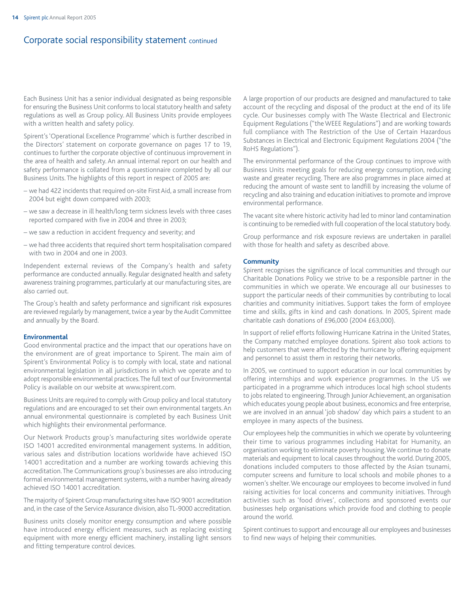# Corporate social responsibility statement continued

Each Business Unit has a senior individual designated as being responsible for ensuring the Business Unit conforms to local statutory health and safety regulations as well as Group policy. All Business Units provide employees with a written health and safety policy.

Spirent's 'Operational Excellence Programme' which is further described in the Directors' statement on corporate governance on pages 17 to 19, continues to further the corporate objective of continuous improvement in the area of health and safety. An annual internal report on our health and safety performance is collated from a questionnaire completed by all our Business Units. The highlights of this report in respect of 2005 are:

- we had 422 incidents that required on-site First Aid, a small increase from 2004 but eight down compared with 2003;
- we saw a decrease in ill health/long term sickness levels with three cases reported compared with five in 2004 and three in 2003;
- we saw a reduction in accident frequency and severity; and
- we had three accidents that required short term hospitalisation compared with two in 2004 and one in 2003.

Independent external reviews of the Company's health and safety performance are conducted annually. Regular designated health and safety awareness training programmes, particularly at our manufacturing sites, are also carried out.

The Group's health and safety performance and significant risk exposures are reviewed regularly by management, twice a year by the Audit Committee and annually by the Board.

#### **Environmental**

Good environmental practice and the impact that our operations have on the environment are of great importance to Spirent. The main aim of Spirent's Environmental Policy is to comply with local, state and national environmental legislation in all jurisdictions in which we operate and to adopt responsible environmental practices.The full text of our Environmental Policy is available on our website at www.spirent.com.

Business Units are required to comply with Group policy and local statutory regulations and are encouraged to set their own environmental targets. An annual environmental questionnaire is completed by each Business Unit which highlights their environmental performance.

Our Network Products group's manufacturing sites worldwide operate ISO 14001 accredited environmental management systems. In addition, various sales and distribution locations worldwide have achieved ISO 14001 accreditation and a number are working towards achieving this accreditation.The Communications group's businesses are also introducing formal environmental management systems, with a number having already achieved ISO 14001 accreditation.

The majority of Spirent Group manufacturing sites have ISO 9001 accreditation and, in the case of the Service Assurance division, also TL-9000 accreditation.

Business units closely monitor energy consumption and where possible have introduced energy efficient measures, such as replacing existing equipment with more energy efficient machinery, installing light sensors and fitting temperature control devices.

A large proportion of our products are designed and manufactured to take account of the recycling and disposal of the product at the end of its life cycle. Our businesses comply with The Waste Electrical and Electronic Equipment Regulations ("the WEEE Regulations") and are working towards full compliance with The Restriction of the Use of Certain Hazardous Substances in Electrical and Electronic Equipment Regulations 2004 ("the RoHS Regulations").

The environmental performance of the Group continues to improve with Business Units meeting goals for reducing energy consumption, reducing waste and greater recycling. There are also programmes in place aimed at reducing the amount of waste sent to landfill by increasing the volume of recycling and also training and education initiatives to promote and improve environmental performance.

The vacant site where historic activity had led to minor land contamination is continuing to be remedied with full cooperation of the local statutory body.

Group performance and risk exposure reviews are undertaken in parallel with those for health and safety as described above.

#### **Community**

Spirent recognises the significance of local communities and through our Charitable Donations Policy we strive to be a responsible partner in the communities in which we operate. We encourage all our businesses to support the particular needs of their communities by contributing to local charities and community initiatives. Support takes the form of employee time and skills, gifts in kind and cash donations. In 2005, Spirent made charitable cash donations of £96,000 (2004 £63,000).

In support of relief efforts following Hurricane Katrina in the United States, the Company matched employee donations. Spirent also took actions to help customers that were affected by the hurricane by offering equipment and personnel to assist them in restoring their networks.

In 2005, we continued to support education in our local communities by offering internships and work experience programmes. In the US we participated in a programme which introduces local high school students to jobs related to engineering.Through Junior Achievement, an organisation which educates young people about business, economics and free enterprise, we are involved in an annual 'job shadow' day which pairs a student to an employee in many aspects of the business.

Our employees help the communities in which we operate by volunteering their time to various programmes including Habitat for Humanity, an organisation working to eliminate poverty housing.We continue to donate materials and equipment to local causes throughout the world. During 2005, donations included computers to those affected by the Asian tsunami, computer screens and furniture to local schools and mobile phones to a women's shelter.We encourage our employees to become involved in fund raising activities for local concerns and community initiatives. Through activities such as 'food drives', collections and sponsored events our businesses help organisations which provide food and clothing to people around the world.

Spirent continues to support and encourage all our employees and businesses to find new ways of helping their communities.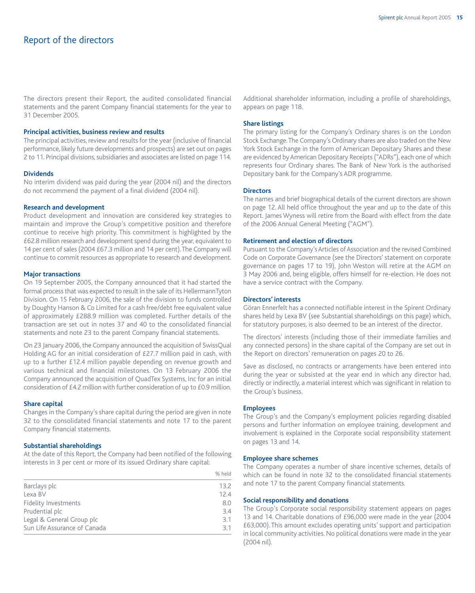The directors present their Report, the audited consolidated financial statements and the parent Company financial statements for the year to 31 December 2005.

#### **Principal activities, business review and results**

The principal activities, review and results for the year (inclusive of financial performance, likely future developments and prospects) are set out on pages 2 to 11. Principal divisions, subsidiaries and associates are listed on page 114.

#### **Dividends**

No interim dividend was paid during the year (2004 nil) and the directors do not recommend the payment of a final dividend (2004 nil).

#### **Research and development**

Product development and innovation are considered key strategies to maintain and improve the Group's competitive position and therefore continue to receive high priority. This commitment is highlighted by the £62.8 million research and development spend during the year, equivalent to 14 per cent of sales (2004 £67.3 million and 14 per cent).The Company will continue to commit resources as appropriate to research and development.

#### **Major transactions**

On 19 September 2005, the Company announced that it had started the formal process that was expected to result in the sale of its HellermannTyton Division. On 15 February 2006, the sale of the division to funds controlled by Doughty Hanson & Co Limited for a cash free/debt free equivalent value of approximately £288.9 million was completed. Further details of the transaction are set out in notes 37 and 40 to the consolidated financial statements and note 23 to the parent Company financial statements.

On 23 January 2006, the Company announced the acquisition of SwissQual Holding AG for an initial consideration of £27.7 million paid in cash, with up to a further £12.4 million payable depending on revenue growth and various technical and financial milestones. On 13 February 2006 the Company announced the acquisition of QuadTex Systems, Inc for an initial consideration of £4.2 million with further consideration of up to £0.9 million.

#### **Share capital**

Changes in the Company's share capital during the period are given in note 32 to the consolidated financial statements and note 17 to the parent Company financial statements.

#### **Substantial shareholdings**

At the date of this Report, the Company had been notified of the following interests in 3 per cent or more of its issued Ordinary share capital:

|                              | % held |
|------------------------------|--------|
| Barclays plc                 | 13.2   |
| Lexa BV                      | 12.4   |
| Fidelity Investments         | 8.0    |
| Prudential plc               | 3.4    |
| Legal & General Group plc    | 3.1    |
| Sun Life Assurance of Canada | 3.1    |

Additional shareholder information, including a profile of shareholdings, appears on page 118.

#### **Share listings**

The primary listing for the Company's Ordinary shares is on the London Stock Exchange.The Company's Ordinary shares are also traded on the New York Stock Exchange in the form of American Depositary Shares and these are evidenced by American Depositary Receipts ("ADRs"), each one of which represents four Ordinary shares. The Bank of New York is the authorised Depositary bank for the Company's ADR programme.

#### **Directors**

The names and brief biographical details of the current directors are shown on page 12. All held office throughout the year and up to the date of this Report. James Wyness will retire from the Board with effect from the date of the 2006 Annual General Meeting ("AGM").

#### **Retirement and election of directors**

Pursuant to the Company's Articles of Association and the revised Combined Code on Corporate Governance (see the Directors' statement on corporate governance on pages 17 to 19), John Weston will retire at the AGM on 3 May 2006 and, being eligible, offers himself for re-election. He does not have a service contract with the Company.

#### **Directors' interests**

Göran Ennerfelt has a connected notifiable interest in the Spirent Ordinary shares held by Lexa BV (see Substantial shareholdings on this page) which, for statutory purposes, is also deemed to be an interest of the director.

The directors' interests (including those of their immediate families and any connected persons) in the share capital of the Company are set out in the Report on directors' remuneration on pages 20 to 26.

Save as disclosed, no contracts or arrangements have been entered into during the year or subsisted at the year end in which any director had, directly or indirectly, a material interest which was significant in relation to the Group's business.

#### **Employees**

The Group's and the Company's employment policies regarding disabled persons and further information on employee training, development and involvement is explained in the Corporate social responsibility statement on pages 13 and 14.

#### **Employee share schemes**

The Company operates a number of share incentive schemes, details of which can be found in note 32 to the consolidated financial statements and note 17 to the parent Company financial statements.

#### **Social responsibility and donations**

The Group's Corporate social responsibility statement appears on pages 13 and 14. Charitable donations of £96,000 were made in the year (2004 £63,000). This amount excludes operating units' support and participation in local community activities. No political donations were made in the year (2004 nil).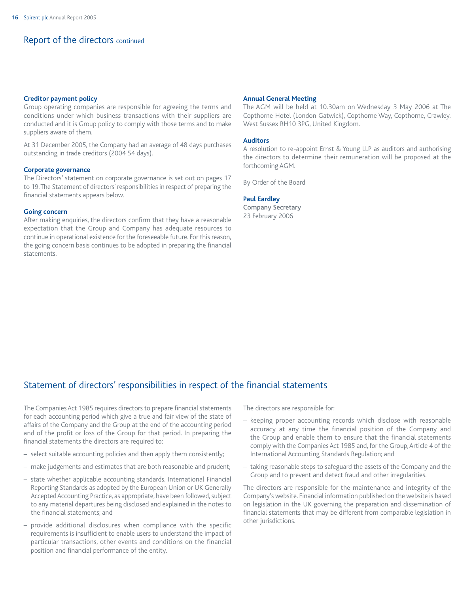# Report of the directors continued

#### **Creditor payment policy**

Group operating companies are responsible for agreeing the terms and conditions under which business transactions with their suppliers are conducted and it is Group policy to comply with those terms and to make suppliers aware of them.

At 31 December 2005, the Company had an average of 48 days purchases outstanding in trade creditors (2004 54 days).

#### **Corporate governance**

The Directors' statement on corporate governance is set out on pages 17 to 19.The Statement of directors' responsibilities in respect of preparing the financial statements appears below.

#### **Going concern**

After making enquiries, the directors confirm that they have a reasonable expectation that the Group and Company has adequate resources to continue in operational existence for the foreseeable future. For this reason, the going concern basis continues to be adopted in preparing the financial statements.

#### **Annual General Meeting**

The AGM will be held at 10.30am on Wednesday 3 May 2006 at The Copthorne Hotel (London Gatwick), Copthorne Way, Copthorne, Crawley, West Sussex RH10 3PG, United Kingdom.

#### **Auditors**

A resolution to re-appoint Ernst & Young LLP as auditors and authorising the directors to determine their remuneration will be proposed at the forthcoming AGM.

By Order of the Board

## **Paul Eardley**

Company Secretary 23 February 2006

# Statement of directors' responsibilities in respect of the financial statements

The Companies Act 1985 requires directors to prepare financial statements for each accounting period which give a true and fair view of the state of affairs of the Company and the Group at the end of the accounting period and of the profit or loss of the Group for that period. In preparing the financial statements the directors are required to:

- select suitable accounting policies and then apply them consistently;
- make judgements and estimates that are both reasonable and prudent;
- state whether applicable accounting standards, International Financial Reporting Standards as adopted by the European Union or UK Generally Accepted Accounting Practice, as appropriate, have been followed, subject to any material departures being disclosed and explained in the notes to the financial statements; and
- provide additional disclosures when compliance with the specific requirements is insufficient to enable users to understand the impact of particular transactions, other events and conditions on the financial position and financial performance of the entity.

The directors are responsible for:

- keeping proper accounting records which disclose with reasonable accuracy at any time the financial position of the Company and the Group and enable them to ensure that the financial statements comply with the Companies Act 1985 and, for the Group,Article 4 of the International Accounting Standards Regulation; and
- taking reasonable steps to safeguard the assets of the Company and the Group and to prevent and detect fraud and other irregularities.

The directors are responsible for the maintenance and integrity of the Company's website. Financial information published on the website is based on legislation in the UK governing the preparation and dissemination of financial statements that may be different from comparable legislation in other jurisdictions.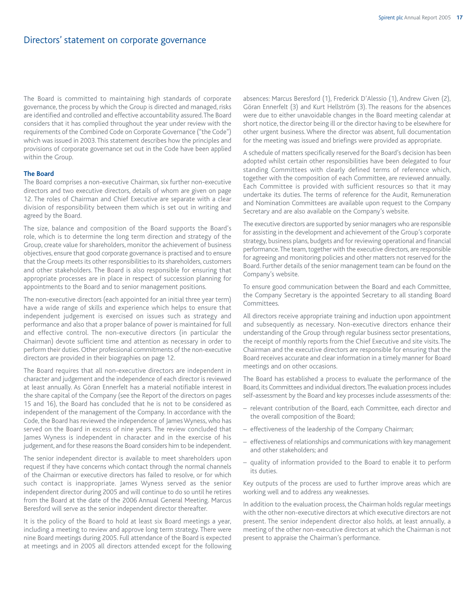The Board is committed to maintaining high standards of corporate governance, the process by which the Group is directed and managed, risks are identified and controlled and effective accountability assured.The Board considers that it has complied throughout the year under review with the requirements of the Combined Code on Corporate Governance ("the Code") which was issued in 2003.This statement describes how the principles and provisions of corporate governance set out in the Code have been applied within the Group.

#### **The Board**

The Board comprises a non-executive Chairman, six further non-executive directors and two executive directors, details of whom are given on page 12. The roles of Chairman and Chief Executive are separate with a clear division of responsibility between them which is set out in writing and agreed by the Board.

The size, balance and composition of the Board supports the Board's role, which is to determine the long term direction and strategy of the Group, create value for shareholders, monitor the achievement of business objectives, ensure that good corporate governance is practised and to ensure that the Group meets its other responsibilities to its shareholders, customers and other stakeholders. The Board is also responsible for ensuring that appropriate processes are in place in respect of succession planning for appointments to the Board and to senior management positions.

The non-executive directors (each appointed for an initial three year term) have a wide range of skills and experience which helps to ensure that independent judgement is exercised on issues such as strategy and performance and also that a proper balance of power is maintained for full and effective control. The non-executive directors (in particular the Chairman) devote sufficient time and attention as necessary in order to perform their duties. Other professional commitments of the non-executive directors are provided in their biographies on page 12.

The Board requires that all non-executive directors are independent in character and judgement and the independence of each director is reviewed at least annually. As Göran Ennerfelt has a material notifiable interest in the share capital of the Company (see the Report of the directors on pages 15 and 16), the Board has concluded that he is not to be considered as independent of the management of the Company. In accordance with the Code, the Board has reviewed the independence of James Wyness, who has served on the Board in excess of nine years. The review concluded that James Wyness is independent in character and in the exercise of his judgement, and for these reasons the Board considers him to be independent.

The senior independent director is available to meet shareholders upon request if they have concerns which contact through the normal channels of the Chairman or executive directors has failed to resolve, or for which such contact is inappropriate. James Wyness served as the senior independent director during 2005 and will continue to do so until he retires from the Board at the date of the 2006 Annual General Meeting. Marcus Beresford will serve as the senior independent director thereafter.

It is the policy of the Board to hold at least six Board meetings a year, including a meeting to review and approve long term strategy. There were nine Board meetings during 2005. Full attendance of the Board is expected at meetings and in 2005 all directors attended except for the following

absences: Marcus Beresford (1), Frederick D'Alessio (1), Andrew Given (2), Göran Ennerfelt (3) and Kurt Hellström (3). The reasons for the absences were due to either unavoidable changes in the Board meeting calendar at short notice, the director being ill or the director having to be elsewhere for other urgent business. Where the director was absent, full documentation for the meeting was issued and briefings were provided as appropriate.

A schedule of matters specifically reserved for the Board's decision has been adopted whilst certain other responsibilities have been delegated to four standing Committees with clearly defined terms of reference which, together with the composition of each Committee, are reviewed annually. Each Committee is provided with sufficient resources so that it may undertake its duties. The terms of reference for the Audit, Remuneration and Nomination Committees are available upon request to the Company Secretary and are also available on the Company's website.

The executive directors are supported by senior managers who are responsible for assisting in the development and achievement of the Group's corporate strategy, business plans, budgets and for reviewing operational and financial performance.The team, together with the executive directors, are responsible for agreeing and monitoring policies and other matters not reserved for the Board. Further details of the senior management team can be found on the Company's website.

To ensure good communication between the Board and each Committee, the Company Secretary is the appointed Secretary to all standing Board Committees.

All directors receive appropriate training and induction upon appointment and subsequently as necessary. Non-executive directors enhance their understanding of the Group through regular business sector presentations, the receipt of monthly reports from the Chief Executive and site visits.The Chairman and the executive directors are responsible for ensuring that the Board receives accurate and clear information in a timely manner for Board meetings and on other occasions.

The Board has established a process to evaluate the performance of the Board, its Committees and individual directors.The evaluation process includes self-assessment by the Board and key processes include assessments of the:

- relevant contribution of the Board, each Committee, each director and the overall composition of the Board;
- effectiveness of the leadership of the Company Chairman;
- effectiveness of relationships and communications with key management and other stakeholders; and
- quality of information provided to the Board to enable it to perform its duties.

Key outputs of the process are used to further improve areas which are working well and to address any weaknesses.

In addition to the evaluation process, the Chairman holds regular meetings with the other non-executive directors at which executive directors are not present. The senior independent director also holds, at least annually, a meeting of the other non-executive directors at which the Chairman is not present to appraise the Chairman's performance.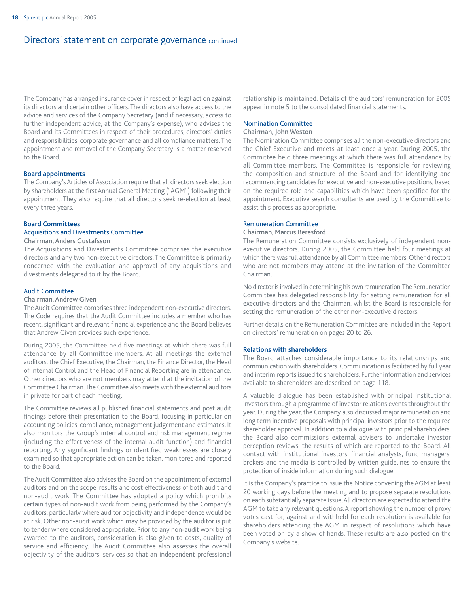# Directors' statement on corporate governance continued

The Company has arranged insurance cover in respect of legal action against its directors and certain other officers.The directors also have access to the advice and services of the Company Secretary (and if necessary, access to further independent advice, at the Company's expense), who advises the Board and its Committees in respect of their procedures, directors' duties and responsibilities, corporate governance and all compliance matters. The appointment and removal of the Company Secretary is a matter reserved to the Board.

#### **Board appointments**

The Company's Articles of Association require that all directors seek election by shareholders at the first Annual General Meeting ("AGM") following their appointment. They also require that all directors seek re-election at least every three years.

### **Board Committees**

#### Acquisitions and Divestments Committee

#### Chairman, Anders Gustafsson

The Acquisitions and Divestments Committee comprises the executive directors and any two non-executive directors. The Committee is primarily concerned with the evaluation and approval of any acquisitions and divestments delegated to it by the Board.

#### Audit Committee

## Chairman, Andrew Given

The Audit Committee comprises three independent non-executive directors. The Code requires that the Audit Committee includes a member who has recent, significant and relevant financial experience and the Board believes that Andrew Given provides such experience.

During 2005, the Committee held five meetings at which there was full attendance by all Committee members. At all meetings the external auditors, the Chief Executive, the Chairman, the Finance Director, the Head of Internal Control and the Head of Financial Reporting are in attendance. Other directors who are not members may attend at the invitation of the Committee Chairman.The Committee also meets with the external auditors in private for part of each meeting.

The Committee reviews all published financial statements and post audit findings before their presentation to the Board, focusing in particular on accounting policies, compliance, management judgement and estimates. It also monitors the Group's internal control and risk management regime (including the effectiveness of the internal audit function) and financial reporting. Any significant findings or identified weaknesses are closely examined so that appropriate action can be taken, monitored and reported to the Board.

The Audit Committee also advises the Board on the appointment of external auditors and on the scope, results and cost effectiveness of both audit and non-audit work. The Committee has adopted a policy which prohibits certain types of non-audit work from being performed by the Company's auditors, particularly where auditor objectivity and independence would be at risk. Other non-audit work which may be provided by the auditor is put to tender where considered appropriate. Prior to any non-audit work being awarded to the auditors, consideration is also given to costs, quality of service and efficiency. The Audit Committee also assesses the overall objectivity of the auditors' services so that an independent professional

relationship is maintained. Details of the auditors' remuneration for 2005 appear in note 5 to the consolidated financial statements.

#### Nomination Committee

### Chairman, John Weston

The Nomination Committee comprises all the non-executive directors and the Chief Executive and meets at least once a year. During 2005, the Committee held three meetings at which there was full attendance by all Committee members. The Committee is responsible for reviewing the composition and structure of the Board and for identifying and recommending candidates for executive and non-executive positions, based on the required role and capabilities which have been specified for the appointment. Executive search consultants are used by the Committee to assist this process as appropriate.

### Remuneration Committee

# Chairman, Marcus Beresford

The Remuneration Committee consists exclusively of independent nonexecutive directors. During 2005, the Committee held four meetings at which there was full attendance by all Committee members. Other directors who are not members may attend at the invitation of the Committee Chairman.

No director is involved in determining his own remuneration.The Remuneration Committee has delegated responsibility for setting remuneration for all executive directors and the Chairman, whilst the Board is responsible for setting the remuneration of the other non-executive directors.

Further details on the Remuneration Committee are included in the Report on directors' remuneration on pages 20 to 26.

#### **Relations with shareholders**

The Board attaches considerable importance to its relationships and communication with shareholders. Communication is facilitated by full year and interim reports issued to shareholders. Further information and services available to shareholders are described on page 118.

A valuable dialogue has been established with principal institutional investors through a programme of investor relations events throughout the year. During the year, the Company also discussed major remuneration and long term incentive proposals with principal investors prior to the required shareholder approval. In addition to a dialogue with principal shareholders, the Board also commissions external advisers to undertake investor perception reviews, the results of which are reported to the Board. All contact with institutional investors, financial analysts, fund managers, brokers and the media is controlled by written guidelines to ensure the protection of inside information during such dialogue.

It is the Company's practice to issue the Notice convening the AGM at least 20 working days before the meeting and to propose separate resolutions on each substantially separate issue.All directors are expected to attend the AGM to take any relevant questions.A report showing the number of proxy votes cast for, against and withheld for each resolution is available for shareholders attending the AGM in respect of resolutions which have been voted on by a show of hands. These results are also posted on the Company's website.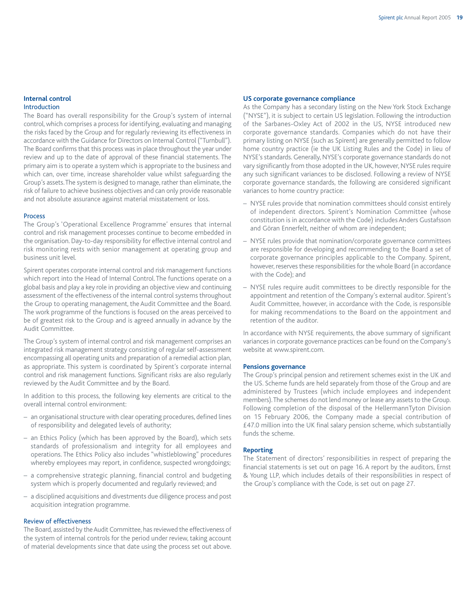## **Internal control Introduction**

The Board has overall responsibility for the Group's system of internal control, which comprises a process for identifying, evaluating and managing the risks faced by the Group and for regularly reviewing its effectiveness in accordance with the Guidance for Directors on Internal Control ("Turnbull"). The Board confirms that this process was in place throughout the year under review and up to the date of approval of these financial statements. The primary aim is to operate a system which is appropriate to the business and which can, over time, increase shareholder value whilst safeguarding the Group's assets.The system is designed to manage, rather than eliminate, the risk of failure to achieve business objectives and can only provide reasonable and not absolute assurance against material misstatement or loss.

#### Process

The Group's 'Operational Excellence Programme' ensures that internal control and risk management processes continue to become embedded in the organisation. Day-to-day responsibility for effective internal control and risk monitoring rests with senior management at operating group and business unit level.

Spirent operates corporate internal control and risk management functions which report into the Head of Internal Control. The functions operate on a global basis and play a key role in providing an objective view and continuing assessment of the effectiveness of the internal control systems throughout the Group to operating management, the Audit Committee and the Board. The work programme of the functions is focused on the areas perceived to be of greatest risk to the Group and is agreed annually in advance by the Audit Committee.

The Group's system of internal control and risk management comprises an integrated risk management strategy consisting of regular self-assessment encompassing all operating units and preparation of a remedial action plan, as appropriate. This system is coordinated by Spirent's corporate internal control and risk management functions. Significant risks are also regularly reviewed by the Audit Committee and by the Board.

In addition to this process, the following key elements are critical to the overall internal control environment:

- an organisational structure with clear operating procedures, defined lines of responsibility and delegated levels of authority;
- an Ethics Policy (which has been approved by the Board), which sets standards of professionalism and integrity for all employees and operations. The Ethics Policy also includes "whistleblowing" procedures whereby employees may report, in confidence, suspected wrongdoings;
- a comprehensive strategic planning, financial control and budgeting system which is properly documented and regularly reviewed; and
- a disciplined acquisitions and divestments due diligence process and post acquisition integration programme.

#### Review of effectiveness

The Board, assisted by the Audit Committee, has reviewed the effectiveness of the system of internal controls for the period under review, taking account of material developments since that date using the process set out above.

#### **US corporate governance compliance**

As the Company has a secondary listing on the New York Stock Exchange ("NYSE"), it is subject to certain US legislation. Following the introduction of the Sarbanes-Oxley Act of 2002 in the US, NYSE introduced new corporate governance standards. Companies which do not have their primary listing on NYSE (such as Spirent) are generally permitted to follow home country practice (ie the UK Listing Rules and the Code) in lieu of NYSE's standards. Generally, NYSE's corporate governance standards do not vary significantly from those adopted in the UK, however, NYSE rules require any such significant variances to be disclosed. Following a review of NYSE corporate governance standards, the following are considered significant variances to home country practice:

- NYSE rules provide that nomination committees should consist entirely of independent directors. Spirent's Nomination Committee (whose constitution is in accordance with the Code) includes Anders Gustafsson and Göran Ennerfelt, neither of whom are independent;
- NYSE rules provide that nomination/corporate governance committees are responsible for developing and recommending to the Board a set of corporate governance principles applicable to the Company. Spirent, however, reserves these responsibilities for the whole Board (in accordance with the Code); and
- NYSE rules require audit committees to be directly responsible for the appointment and retention of the Company's external auditor. Spirent's Audit Committee, however, in accordance with the Code, is responsible for making recommendations to the Board on the appointment and retention of the auditor.

In accordance with NYSE requirements, the above summary of significant variances in corporate governance practices can be found on the Company's website at www.spirent.com.

#### **Pensions governance**

The Group's principal pension and retirement schemes exist in the UK and the US. Scheme funds are held separately from those of the Group and are administered by Trustees (which include employees and independent members).The schemes do not lend money or lease any assets to the Group. Following completion of the disposal of the HellermannTyton Division on 15 February 2006, the Company made a special contribution of £47.0 million into the UK final salary pension scheme, which substantially funds the scheme.

#### **Reporting**

The Statement of directors' responsibilities in respect of preparing the financial statements is set out on page 16. A report by the auditors, Ernst & Young LLP, which includes details of their responsibilities in respect of the Group's compliance with the Code, is set out on page 27.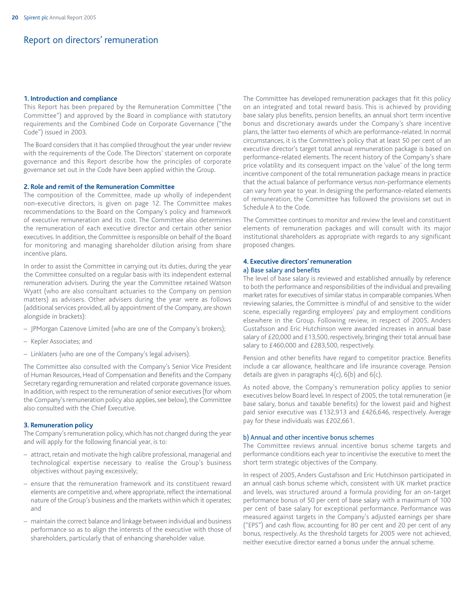# Report on directors' remuneration

#### **1. Introduction and compliance**

This Report has been prepared by the Remuneration Committee ("the Committee") and approved by the Board in compliance with statutory requirements and the Combined Code on Corporate Governance ("the Code") issued in 2003.

The Board considers that it has complied throughout the year under review with the requirements of the Code. The Directors' statement on corporate governance and this Report describe how the principles of corporate governance set out in the Code have been applied within the Group.

#### **2. Role and remit of the Remuneration Committee**

The composition of the Committee, made up wholly of independent non-executive directors, is given on page 12. The Committee makes recommendations to the Board on the Company's policy and framework of executive remuneration and its cost. The Committee also determines the remuneration of each executive director and certain other senior executives. In addition, the Committee is responsible on behalf of the Board for monitoring and managing shareholder dilution arising from share incentive plans.

In order to assist the Committee in carrying out its duties, during the year the Committee consulted on a regular basis with its independent external remuneration advisers. During the year the Committee retained Watson Wyatt (who are also consultant actuaries to the Company on pension matters) as advisers. Other advisers during the year were as follows (additional services provided, all by appointment of the Company, are shown alongside in brackets):

- JPMorgan Cazenove Limited (who are one of the Company's brokers);
- Kepler Associates; and
- Linklaters (who are one of the Company's legal advisers).

The Committee also consulted with the Company's Senior Vice President of Human Resources, Head of Compensation and Benefits and the Company Secretary regarding remuneration and related corporate governance issues. In addition, with respect to the remuneration of senior executives (for whom the Company's remuneration policy also applies, see below), the Committee also consulted with the Chief Executive.

#### **3. Remuneration policy**

The Company's remuneration policy, which has not changed during the year and will apply for the following financial year, is to:

- attract, retain and motivate the high calibre professional, managerial and technological expertise necessary to realise the Group's business objectives without paying excessively;
- ensure that the remuneration framework and its constituent reward elements are competitive and, where appropriate, reflect the international nature of the Group's business and the markets within which it operates; and
- maintain the correct balance and linkage between individual and business performance so as to align the interests of the executive with those of shareholders, particularly that of enhancing shareholder value.

The Committee has developed remuneration packages that fit this policy on an integrated and total reward basis. This is achieved by providing base salary plus benefits, pension benefits, an annual short term incentive bonus and discretionary awards under the Company's share incentive plans, the latter two elements of which are performance-related. In normal circumstances, it is the Committee's policy that at least 50 per cent of an executive director's target total annual remuneration package is based on performance-related elements. The recent history of the Company's share price volatility and its consequent impact on the 'value' of the long term incentive component of the total remuneration package means in practice that the actual balance of performance versus non-performance elements can vary from year to year. In designing the performance-related elements of remuneration, the Committee has followed the provisions set out in Schedule A to the Code.

The Committee continues to monitor and review the level and constituent elements of remuneration packages and will consult with its major institutional shareholders as appropriate with regards to any significant proposed changes.

### **4. Executive directors' remuneration**  a) Base salary and benefits

The level of base salary is reviewed and established annually by reference to both the performance and responsibilities of the individual and prevailing market rates for executives of similar status in comparable companies.When reviewing salaries, the Committee is mindful of and sensitive to the wider scene, especially regarding employees' pay and employment conditions elsewhere in the Group. Following review, in respect of 2005, Anders Gustafsson and Eric Hutchinson were awarded increases in annual base salary of £20,000 and £13,500, respectively, bringing their total annual base salary to £460,000 and £283,500, respectively.

Pension and other benefits have regard to competitor practice. Benefits include a car allowance, healthcare and life insurance coverage. Pension details are given in paragraphs  $4(c)$ ,  $6(b)$  and  $6(c)$ .

As noted above, the Company's remuneration policy applies to senior executives below Board level. In respect of 2005, the total remuneration (ie base salary, bonus and taxable benefits) for the lowest paid and highest paid senior executive was £132,913 and £426,646, respectively. Average pay for these individuals was £202,661.

#### b) Annual and other incentive bonus schemes

The Committee reviews annual incentive bonus scheme targets and performance conditions each year to incentivise the executive to meet the short term strategic objectives of the Company.

In respect of 2005, Anders Gustafsson and Eric Hutchinson participated in an annual cash bonus scheme which, consistent with UK market practice and levels, was structured around a formula providing for an on-target performance bonus of 50 per cent of base salary with a maximum of 100 per cent of base salary for exceptional performance. Performance was measured against targets in the Company's adjusted earnings per share ("EPS") and cash flow, accounting for 80 per cent and 20 per cent of any bonus, respectively. As the threshold targets for 2005 were not achieved, neither executive director earned a bonus under the annual scheme.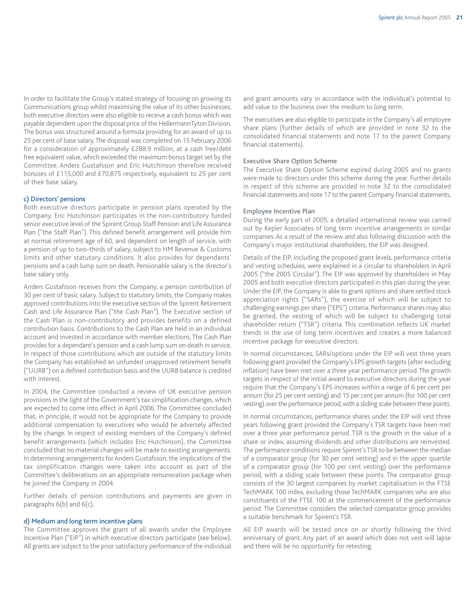In order to facilitate the Group's stated strategy of focusing on growing its Communications group whilst maximising the value of its other businesses, both executive directors were also eligible to receive a cash bonus which was payable dependent upon the disposal price of the HellermannTyton Division. The bonus was structured around a formula providing for an award of up to 25 per cent of base salary.The disposal was completed on 15 February 2006 for a consideration of approximately £288.9 million, at a cash free/debt free equivalent value, which exceeded the maximum bonus target set by the Committee. Anders Gustafsson and Eric Hutchinson therefore received bonuses of £115,000 and £70,875 respectively, equivalent to 25 per cent of their base salary.

#### c) Directors' pensions

Both executive directors participate in pension plans operated by the Company. Eric Hutchinson participates in the non-contributory funded senior executive level of the Spirent Group Staff Pension and Life Assurance Plan ("the Staff Plan"). This defined benefit arrangement will provide him at normal retirement age of 60, and dependent on length of service, with a pension of up to two-thirds of salary, subject to HM Revenue & Customs limits and other statutory conditions. It also provides for dependants' pensions and a cash lump sum on death. Pensionable salary is the director's base salary only.

Anders Gustafsson receives from the Company, a pension contribution of 30 per cent of basic salary. Subject to statutory limits, the Company makes approved contributions into the executive section of the Spirent Retirement Cash and Life Assurance Plan ("the Cash Plan"). The Executive section of the Cash Plan is non-contributory and provides benefits on a defined contribution basis. Contributions to the Cash Plan are held in an individual account and invested in accordance with member elections. The Cash Plan provides for a dependant's pension and a cash lump sum on death in service. In respect of those contributions which are outside of the statutory limits the Company has established an unfunded unapproved retirement benefit ("UURB") on a defined contribution basis and the UURB balance is credited with interest.

In 2004, the Committee conducted a review of UK executive pension provisions in the light of the Government's tax simplification changes, which are expected to come into effect in April 2006. The Committee concluded that, in principle, it would not be appropriate for the Company to provide additional compensation to executives who would be adversely affected by the change. In respect of existing members of the Company's defined benefit arrangements (which includes Eric Hutchinson), the Committee concluded that no material changes will be made to existing arrangements. In determining arrangements for Anders Gustafsson, the implications of the tax simplification changes were taken into account as part of the Committee's deliberations on an appropriate remuneration package when he joined the Company in 2004.

Further details of pension contributions and payments are given in paragraphs 6(b) and 6(c).

#### d) Medium and long term incentive plans

The Committee approves the grant of all awards under the Employee Incentive Plan ("EIP") in which executive directors participate (see below). All grants are subject to the prior satisfactory performance of the individual

and grant amounts vary in accordance with the individual's potential to add value to the business over the medium to long term.

The executives are also eligible to participate in the Company's all employee share plans (further details of which are provided in note 32 to the consolidated financial statements and note 17 to the parent Company financial statements).

#### Executive Share Option Scheme

The Executive Share Option Scheme expired during 2005 and no grants were made to directors under this scheme during the year. Further details in respect of this scheme are provided in note 32 to the consolidated financial statements and note 17 to the parent Company financial statements.

#### Employee Incentive Plan

During the early part of 2005, a detailed international review was carried out by Kepler Associates of long term incentive arrangements in similar companies.As a result of the review and also following discussion with the Company's major institutional shareholders, the EIP was designed.

Details of the EIP, including the proposed grant levels, performance criteria and vesting schedules, were explained in a circular to shareholders in April 2005 ("the 2005 Circular"). The EIP was approved by shareholders in May 2005 and both executive directors participated in this plan during the year. Under the EIP, the Company is able to grant options and share settled stock appreciation rights ("SARs"), the exercise of which will be subject to challenging earnings per share ("EPS") criteria. Performance shares may also be granted, the vesting of which will be subject to challenging total shareholder return ("TSR") criteria. This combination reflects UK market trends in the use of long term incentives and creates a more balanced incentive package for executive directors.

In normal circumstances, SARs/options under the EIP will vest three years following grant provided the Company's EPS growth targets (after excluding inflation) have been met over a three year performance period.The growth targets in respect of the initial award to executive directors during the year require that the Company's EPS increases within a range of 6 per cent per annum (for 25 per cent vesting) and 15 per cent per annum (for 100 per cent vesting) over the performance period, with a sliding scale between these points.

In normal circumstances, performance shares under the EIP will vest three years following grant provided the Company's TSR targets have been met over a three year performance period. TSR is the growth in the value of a share or index, assuming dividends and other distributions are reinvested. The performance conditions require Spirent's TSR to be between the median of a comparator group (for 30 per cent vesting) and in the upper quartile of a comparator group (for 100 per cent vesting) over the performance period, with a sliding scale between these points. The comparator group consists of the 30 largest companies by market capitalisation in the FTSE TechMARK 100 index, excluding those TechMARK companies who are also constituents of the FTSE 100 at the commencement of the performance period. The Committee considers the selected comparator group provides a suitable benchmark for Spirent's TSR.

All EIP awards will be tested once on or shortly following the third anniversary of grant. Any part of an award which does not vest will lapse and there will be no opportunity for retesting.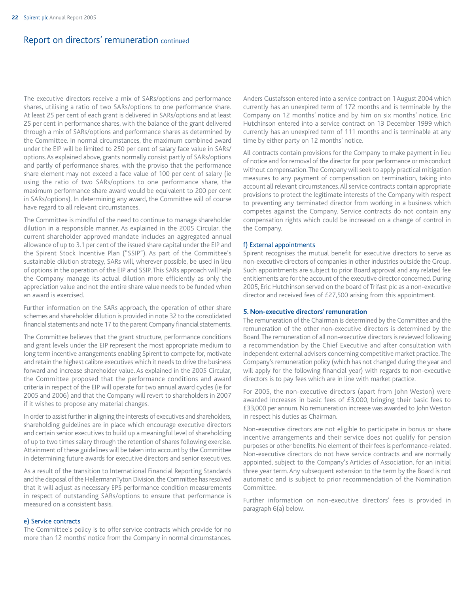# Report on directors' remuneration continued

The executive directors receive a mix of SARs/options and performance shares, utilising a ratio of two SARs/options to one performance share. At least 25 per cent of each grant is delivered in SARs/options and at least 25 per cent in performance shares, with the balance of the grant delivered through a mix of SARs/options and performance shares as determined by the Committee. In normal circumstances, the maximum combined award under the EIP will be limited to 250 per cent of salary face value in SARs/ options.As explained above, grants normally consist partly of SARs/options and partly of performance shares, with the proviso that the performance share element may not exceed a face value of 100 per cent of salary (ie using the ratio of two SARs/options to one performance share, the maximum performance share award would be equivalent to 200 per cent in SARs/options). In determining any award, the Committee will of course have regard to all relevant circumstances.

The Committee is mindful of the need to continue to manage shareholder dilution in a responsible manner. As explained in the 2005 Circular, the current shareholder approved mandate includes an aggregated annual allowance of up to 3.1 per cent of the issued share capital under the EIP and the Spirent Stock Incentive Plan ("SSIP"). As part of the Committee's sustainable dilution strategy, SARs will, wherever possible, be used in lieu of options in the operation of the EIP and SSIP.This SARs approach will help the Company manage its actual dilution more efficiently as only the appreciation value and not the entire share value needs to be funded when an award is exercised.

Further information on the SARs approach, the operation of other share schemes and shareholder dilution is provided in note 32 to the consolidated financial statements and note 17 to the parent Company financial statements.

The Committee believes that the grant structure, performance conditions and grant levels under the EIP represent the most appropriate medium to long term incentive arrangements enabling Spirent to compete for, motivate and retain the highest calibre executives which it needs to drive the business forward and increase shareholder value. As explained in the 2005 Circular, the Committee proposed that the performance conditions and award criteria in respect of the EIP will operate for two annual award cycles (ie for 2005 and 2006) and that the Company will revert to shareholders in 2007 if it wishes to propose any material changes.

In order to assist further in aligning the interests of executives and shareholders, shareholding guidelines are in place which encourage executive directors and certain senior executives to build up a meaningful level of shareholding of up to two times salary through the retention of shares following exercise. Attainment of these guidelines will be taken into account by the Committee in determining future awards for executive directors and senior executives.

As a result of the transition to International Financial Reporting Standards and the disposal of the HellermannTyton Division, the Committee has resolved that it will adjust as necessary EPS performance condition measurements in respect of outstanding SARs/options to ensure that performance is measured on a consistent basis.

## e) Service contracts

The Committee's policy is to offer service contracts which provide for no more than 12 months' notice from the Company in normal circumstances. Anders Gustafsson entered into a service contract on 1 August 2004 which currently has an unexpired term of 172 months and is terminable by the Company on 12 months' notice and by him on six months' notice. Eric Hutchinson entered into a service contract on 13 December 1999 which currently has an unexpired term of 111 months and is terminable at any time by either party on 12 months' notice.

All contracts contain provisions for the Company to make payment in lieu of notice and for removal of the director for poor performance or misconduct without compensation.The Company will seek to apply practical mitigation measures to any payment of compensation on termination, taking into account all relevant circumstances.All service contracts contain appropriate provisions to protect the legitimate interests of the Company with respect to preventing any terminated director from working in a business which competes against the Company. Service contracts do not contain any compensation rights which could be increased on a change of control in the Company.

#### f) External appointments

Spirent recognises the mutual benefit for executive directors to serve as non-executive directors of companies in other industries outside the Group. Such appointments are subject to prior Board approval and any related fee entitlements are for the account of the executive director concerned. During 2005, Eric Hutchinson served on the board of Trifast plc as a non-executive director and received fees of £27,500 arising from this appointment.

#### **5. Non-executive directors' remuneration**

The remuneration of the Chairman is determined by the Committee and the remuneration of the other non-executive directors is determined by the Board.The remuneration of all non-executive directors is reviewed following a recommendation by the Chief Executive and after consultation with independent external advisers concerning competitive market practice.The Company's remuneration policy (which has not changed during the year and will apply for the following financial year) with regards to non-executive directors is to pay fees which are in line with market practice.

For 2005, the non-executive directors (apart from John Weston) were awarded increases in basic fees of £3,000, bringing their basic fees to £33,000 per annum. No remuneration increase was awarded to John Weston in respect his duties as Chairman.

Non-executive directors are not eligible to participate in bonus or share incentive arrangements and their service does not qualify for pension purposes or other benefits. No element of their fees is performance-related. Non-executive directors do not have service contracts and are normally appointed, subject to the Company's Articles of Association, for an initial three year term.Any subsequent extension to the term by the Board is not automatic and is subject to prior recommendation of the Nomination Committee.

Further information on non-executive directors' fees is provided in paragraph 6(a) below.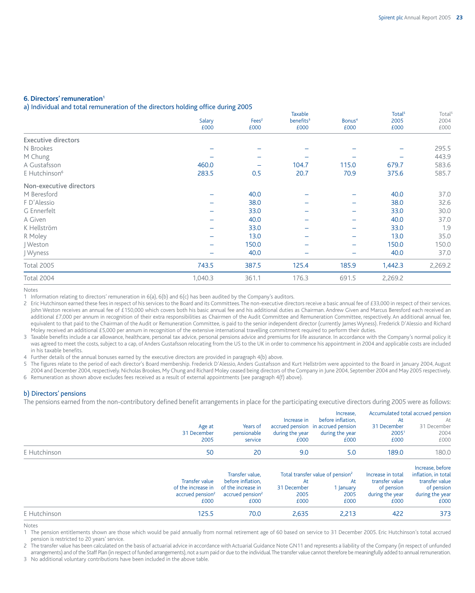#### **6. Directors' remuneration1**

a) Individual and total remuneration of the directors holding office during 2005

|                            |         |                          | Taxable                  |                    | Total <sup>5</sup><br>2005 | Total<br>2004 |
|----------------------------|---------|--------------------------|--------------------------|--------------------|----------------------------|---------------|
|                            | Salary  | Fees <sup>2</sup>        | benefits <sup>3</sup>    | Bonus <sup>4</sup> |                            |               |
|                            | £000    | £000                     | £000                     | £000               | £000                       | £000          |
| <b>Executive directors</b> |         |                          |                          |                    |                            |               |
| N Brookes                  |         |                          |                          |                    |                            | 295.5         |
| M Chung                    |         | $\overline{\phantom{0}}$ |                          |                    |                            | 443.9         |
| A Gustafsson               | 460.0   |                          | 104.7                    | 115.0              | 679.7                      | 583.6         |
| E Hutchinson <sup>6</sup>  | 283.5   | 0.5                      | 20.7                     | 70.9               | 375.6                      | 585.7         |
| Non-executive directors    |         |                          |                          |                    |                            |               |
| M Beresford                |         | 40.0                     |                          |                    | 40.0                       | 37.0          |
| F D'Alessio                |         | 38.0                     | $\overline{\phantom{0}}$ |                    | 38.0                       | 32.6          |
| G Ennerfelt                |         | 33.0                     | $\overline{\phantom{0}}$ |                    | 33.0                       | 30.0          |
| A Given                    |         | 40.0                     | $\overline{\phantom{0}}$ |                    | 40.0                       | 37.0          |
| K Hellström                |         | 33.0                     | $\overline{\phantom{0}}$ |                    | 33.0                       | 1.9           |
| R Moley                    |         | 13.0                     |                          |                    | 13.0                       | 35.0          |
| Weston                     |         | 150.0                    | $\overline{\phantom{0}}$ |                    | 150.0                      | 150.0         |
| J Wyness                   |         | 40.0                     |                          |                    | 40.0                       | 37.0          |
| <b>Total 2005</b>          | 743.5   | 387.5                    | 125.4                    | 185.9              | 1,442.3                    | 2,269.2       |
| <b>Total 2004</b>          | 1,040.3 | 361.1                    | 176.3                    | 691.5              | 2,269.2                    |               |
|                            |         |                          |                          |                    |                            |               |

Notes

1 Information relating to directors' remuneration in  $6(a)$ ,  $6(b)$  and  $6(c)$  has been audited by the Company's auditors.

2 Eric Hutchinson earned these fees in respect of his services to the Board and its Committees. The non-executive directors receive a basic annual fee of £33,000 in respect of their services. John Weston receives an annual fee of £150,000 which covers both his basic annual fee and his additional duties as Chairman. Andrew Given and Marcus Beresford each received an additional £7,000 per annum in recognition of their extra responsibilities as Chairmen of the Audit Committee and Remuneration Committee, respectively. An additional annual fee, equivalent to that paid to the Chairman of the Audit or Remuneration Committee, is paid to the senior independent director (currently James Wyness). Frederick D'Alessio and Richard Moley received an additional £5,000 per annum in recognition of the extensive international travelling commitment required to perform their duties.

3 Taxable benefits include a car allowance, healthcare, personal tax advice, personal pensions advice and premiums for life assurance. In accordance with the Company's normal policy it was agreed to meet the costs, subject to a cap, of Anders Gustafsson relocating from the US to the UK in order to commence his appointment in 2004 and applicable costs are included in his taxable benefits.

4 Further details of the annual bonuses earned by the executive directors are provided in paragraph 4(b) above.

5 The figures relate to the period of each director's Board membership. Frederick D'Alessio, Anders Gustafsson and Kurt Hellström were appointed to the Board in January 2004, August

2004 and December 2004, respectively. Nicholas Brookes, My Chung and Richard Moley ceased being directors of the Company in June 2004, September 2004 and May 2005 respectively. 6 Remuneration as shown above excludes fees received as a result of external appointments (see paragraph 4(f) above).

#### b) Directors' pensions

The pensions earned from the non-contributory defined benefit arrangements in place for the participating executive directors during 2005 were as follows:

|              |                              |                              |                 | Increase.                                    |                   | Accumulated total accrued pension |
|--------------|------------------------------|------------------------------|-----------------|----------------------------------------------|-------------------|-----------------------------------|
|              |                              |                              | Increase in     | before inflation,                            | At                | At                                |
|              | Age at                       | Years of                     |                 | accrued pension in accrued pension           | 31 December       | 31 December                       |
|              | 31 December                  | pensionable                  | during the year | during the year                              | 20051             | 2004                              |
|              | 2005                         | service                      | £000            | £000                                         | £000              | £000                              |
| E Hutchinson | 50                           | 20                           | 9.0             | 5.0                                          | 189.0             | 180.0                             |
|              |                              |                              |                 |                                              |                   | Increase, before                  |
|              |                              | Transfer value,              |                 | Total transfer value of pension <sup>2</sup> | Increase in total | inflation, in total               |
|              | <b>Transfer value</b>        | before inflation.            | At              | At.                                          | transfer value    | transfer value                    |
|              | of the increase in           | of the increase in           | 31 December     | l January                                    | of pension        | of pension                        |
|              | accrued pension <sup>2</sup> | accrued pension <sup>2</sup> | 2005            | 2005                                         | during the year   | during the year                   |
|              | £000                         | £000                         | £000            | £000                                         | £000              | £000                              |
| E Hutchinson | 125.5                        | 70.0                         | 2,635           | 2,213                                        | 422               | 373                               |

Notes

1 The pension entitlements shown are those which would be paid annually from normal retirement age of 60 based on service to 31 December 2005. Eric Hutchinson's total accrued pension is restricted to 20 years' service.

2 The transfer value has been calculated on the basis of actuarial advice in accordance with Actuarial Guidance Note GN11 and represents a liability of the Company (in respect of unfunded arrangements) and of the Staff Plan (in respect of funded arrangements), not a sum paid or due to the individual. The transfer value cannot therefore be meaningfully added to annual remuneration.

3 No additional voluntary contributions have been included in the above table.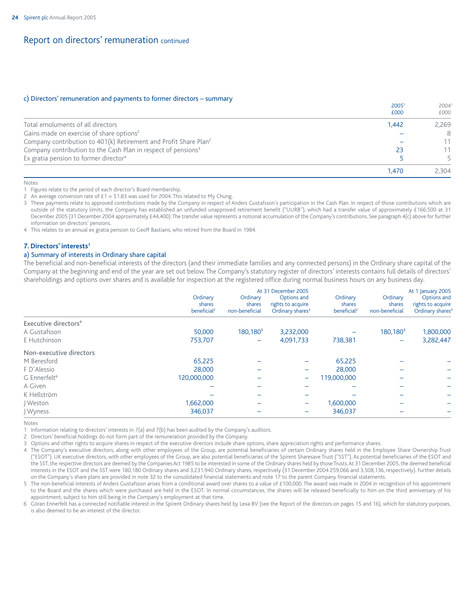# Report on directors' remuneration continued

#### c) Directors' remuneration and payments to former directors – summary

|                                                                              | 2005  | 2004 <sup>1</sup> |
|------------------------------------------------------------------------------|-------|-------------------|
|                                                                              | £000  | £000              |
| Total emoluments of all directors                                            | 1.442 | 2.269             |
| Gains made on exercise of share options <sup>2</sup>                         |       | 8                 |
| Company contribution to 401(k) Retirement and Profit Share Plan <sup>2</sup> |       |                   |
| Company contribution to the Cash Plan in respect of pensions <sup>3</sup>    | 23    |                   |
| Ex gratia pension to former director <sup>4</sup>                            |       |                   |
|                                                                              | 1.470 | 2.304             |

Notes

1 Figures relate to the period of each director's Board membership.

2 An average conversion rate of  $£1 = $1.83$  was used for 2004. This related to My Chung.

3 These payments relate to approved contributions made by the Company in respect of Anders Gustafsson's participation in the Cash Plan. In respect of those contributions which are outside of the statutory limits, the Company has established an unfunded unapproved retirement benefit ("UURB"), which had a transfer value of approximately £166,500 at 31 December 2005 (31 December 2004 approximately £44,400).The transfer value represents a notional accumulation of the Company's contributions. See paragraph 4(c) above for further information on directors' pensions.

4 This relates to an annual ex gratia pension to Geoff Bastians, who retired from the Board in 1984.

#### **7. Directors' interests<sup>1</sup>**

#### a) Summary of interests in Ordinary share capital

The beneficial and non-beneficial interests of the directors (and their immediate families and any connected persons) in the Ordinary share capital of the Company at the beginning and end of the year are set out below.The Company's statutory register of directors' interests contains full details of directors' shareholdings and options over shares and is available for inspection at the registered office during normal business hours on any business day.

|                                  | At 31 December 2005<br>At 1 January 2005      |                                      |                                                                  |                                               |                                      |                                                                  |  |
|----------------------------------|-----------------------------------------------|--------------------------------------|------------------------------------------------------------------|-----------------------------------------------|--------------------------------------|------------------------------------------------------------------|--|
|                                  | Ordinary<br>shares<br>beneficial <sup>2</sup> | Ordinary<br>shares<br>non-beneficial | Options and<br>rights to acquire<br>Ordinary shares <sup>3</sup> | Ordinary<br>shares<br>beneficial <sup>2</sup> | Ordinary<br>shares<br>non-beneficial | Options and<br>rights to acquire<br>Ordinary shares <sup>3</sup> |  |
| Executive directors <sup>4</sup> |                                               |                                      |                                                                  |                                               |                                      |                                                                  |  |
| A Gustafsson                     | 50,000                                        | 180,180 <sup>5</sup>                 | 3,232,000                                                        |                                               | 180,180 <sup>5</sup>                 | 1,800,000                                                        |  |
| E Hutchinson                     | 753.707                                       | $\overline{\phantom{m}}$             | 4.091.733                                                        | 738,381                                       | -                                    | 3,282,447                                                        |  |
| Non-executive directors          |                                               |                                      |                                                                  |                                               |                                      |                                                                  |  |
| M Beresford                      | 65,225                                        |                                      |                                                                  | 65,225                                        |                                      |                                                                  |  |
| F D'Alessio                      | 28,000                                        |                                      |                                                                  | 28,000                                        |                                      |                                                                  |  |
| G Ennerfelt <sup>6</sup>         | 120,000,000                                   |                                      | -                                                                | 119,000,000                                   |                                      |                                                                  |  |
| A Given                          |                                               |                                      |                                                                  |                                               |                                      |                                                                  |  |
| K Hellström                      |                                               |                                      |                                                                  |                                               |                                      |                                                                  |  |
| Weston                           | 1,662,000                                     |                                      | $\overline{\phantom{0}}$                                         | 1,600,000                                     |                                      |                                                                  |  |
| Wyness                           | 346,037                                       |                                      |                                                                  | 346,037                                       |                                      |                                                                  |  |

Notes

1 Information relating to directors' interests in 7(a) and 7(b) has been audited by the Company's auditors.

2 Directors' beneficial holdings do not form part of the remuneration provided by the Company.

3 Options and other rights to acquire shares in respect of the executive directors include share options, share appreciation rights and performance shares.

4 The Company's executive directors, along with other employees of the Group, are potential beneficiaries of certain Ordinary shares held in the Employee Share Ownership Trust ("ESOT"). UK executive directors, with other employees of the Group, are also potential beneficiaries of the Spirent Sharesave Trust ("SST"). As potential beneficiaries of the ESOT and the SST, the respective directors are deemed by the Companies Act 1985 to be interested in some of the Ordinary shares held by those Trusts.At 31 December 2005, the deemed beneficial interests in the ESOT and the SST were 180,180 Ordinary shares and 3,231,940 Ordinary shares, respectively (31 December 2004 259,066 and 3,508,136, respectively). Further details on the Company's share plans are provided in note 32 to the consolidated financial statements and note 17 to the parent Company financial statements.

5 The non-beneficial interests of Anders Gustafsson arises from a conditional award over shares to a value of £100,000. The award was made in 2004 in recognition of his appointment to the Board and the shares which were purchased are held in the ESOT. In normal circumstances, the shares will be released beneficially to him on the third anniversary of his appointment, subject to him still being in the Company's employment at that time.

6 Göran Ennerfelt has a connected notifiable interest in the Spirent Ordinary shares held by Lexa BV (see the Report of the directors on pages 15 and 16), which for statutory purposes, is also deemed to be an interest of the director.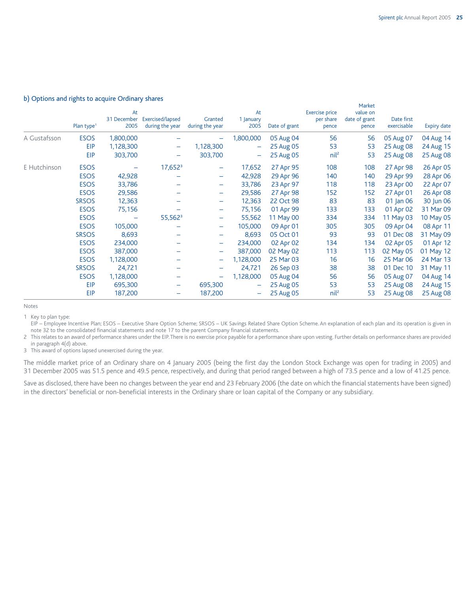|              | Plan type <sup>1</sup> | At<br>31 December<br>2005 | Exercised/lapsed<br>during the year | Granted<br>during the year     | At<br>1 January<br>2005  | Date of grant | <b>Exercise price</b><br>per share<br>pence | Market<br>value on<br>date of grant<br>pence | Date first<br>exercisable | Expiry date |
|--------------|------------------------|---------------------------|-------------------------------------|--------------------------------|--------------------------|---------------|---------------------------------------------|----------------------------------------------|---------------------------|-------------|
| A Gustafsson | <b>ESOS</b>            | 1,800,000                 |                                     | -                              | 1,800,000                | 05 Aug 04     | 56                                          | 56                                           | 05 Aug 07                 | 04 Aug 14   |
|              | <b>EIP</b>             | 1,128,300                 | $\qquad \qquad \longleftarrow$      | 1,128,300                      | $\overline{\phantom{0}}$ | 25 Aug 05     | 53                                          | 53                                           | 25 Aug 08                 | 24 Aug 15   |
|              | <b>EIP</b>             | 303,700                   | $\overline{\phantom{m}}$            | 303,700                        |                          | 25 Aug 05     | ni <sup>2</sup>                             | 53                                           | 25 Aug 08                 | 25 Aug 08   |
| E Hutchinson | <b>ESOS</b>            |                           | $17,652^3$                          | $\overline{\phantom{m}}$       | 17,652                   | 27 Apr 95     | 108                                         | 108                                          | 27 Apr 98                 | 26 Apr 05   |
|              | <b>ESOS</b>            | 42,928                    |                                     | $\overline{\phantom{m}}$       | 42,928                   | 29 Apr 96     | 140                                         | 140                                          | 29 Apr 99                 | 28 Apr 06   |
|              | <b>ESOS</b>            | 33,786                    |                                     | -                              | 33,786                   | 23 Apr 97     | 118                                         | 118                                          | 23 Apr 00                 | 22 Apr 07   |
|              | <b>ESOS</b>            | 29,586                    |                                     |                                | 29,586                   | 27 Apr 98     | 152                                         | 152                                          | 27 Apr 01                 | 26 Apr 08   |
|              | <b>SRSOS</b>           | 12,363                    |                                     | -                              | 12,363                   | 22 Oct 98     | 83                                          | 83                                           | 01 Jan 06                 | 30 Jun 06   |
|              | <b>ESOS</b>            | 75,156                    |                                     | -                              | 75,156                   | 01 Apr 99     | 133                                         | 133                                          | 01 Apr 02                 | 31 Mar 09   |
|              | <b>ESOS</b>            |                           | $55,562^3$                          | -                              | 55,562                   | 11 May 00     | 334                                         | 334                                          | 11 May 03                 | 10 May 05   |
|              | <b>ESOS</b>            | 105,000                   |                                     | -                              | 105,000                  | 09 Apr 01     | 305                                         | 305                                          | 09 Apr 04                 | 08 Apr 11   |
|              | <b>SRSOS</b>           | 8,693                     |                                     |                                | 8,693                    | 05 Oct 01     | 93                                          | 93                                           | 01 Dec 08                 | 31 May 09   |
|              | <b>ESOS</b>            | 234,000                   |                                     | -                              | 234,000                  | 02 Apr 02     | 134                                         | 134                                          | 02 Apr 05                 | 01 Apr 12   |
|              | <b>ESOS</b>            | 387,000                   |                                     |                                | 387,000                  | 02 May 02     | 113                                         | 113                                          | 02 May 05                 | 01 May 12   |
|              | <b>ESOS</b>            | 1,128,000                 |                                     | $\overline{\phantom{0}}$       | 1,128,000                | 25 Mar 03     | 16                                          | 16                                           | 25 Mar 06                 | 24 Mar 13   |
|              | <b>SRSOS</b>           | 24,721                    |                                     | $\qquad \qquad \longleftarrow$ | 24,721                   | 26 Sep 03     | 38                                          | 38                                           | 01 Dec 10                 | 31 May 11   |
|              | <b>ESOS</b>            | 1,128,000                 |                                     | -                              | 1,128,000                | 05 Aug 04     | 56                                          | 56                                           | 05 Aug 07                 | 04 Aug 14   |
|              | EIP                    | 695,300                   |                                     | 695,300                        |                          | 25 Aug 05     | 53                                          | 53                                           | 25 Aug 08                 | 24 Aug 15   |
|              | <b>EIP</b>             | 187,200                   |                                     | 187,200                        |                          | 25 Aug 05     | nil <sup>2</sup>                            | 53                                           | 25 Aug 08                 | 25 Aug 08   |
|              |                        |                           |                                     |                                |                          |               |                                             |                                              |                           |             |

## b) Options and rights to acquire Ordinary shares

Notes

1 Key to plan type:

EIP – Employee Incentive Plan; ESOS – Executive Share Option Scheme; SRSOS – UK Savings Related Share Option Scheme. An explanation of each plan and its operation is given in note 32 to the consolidated financial statements and note 17 to the parent Company financial statements.

2 This relates to an award of performance shares under the EIP. There is no exercise price payable for a performance share upon vesting. Further details on performance shares are provided in paragraph 4(d) above.

3 This award of options lapsed unexercised during the year.

The middle market price of an Ordinary share on 4 January 2005 (being the first day the London Stock Exchange was open for trading in 2005) and 31 December 2005 was 51.5 pence and 49.5 pence, respectively, and during that period ranged between a high of 73.5 pence and a low of 41.25 pence.

Save as disclosed, there have been no changes between the year end and 23 February 2006 (the date on which the financial statements have been signed) in the directors' beneficial or non-beneficial interests in the Ordinary share or loan capital of the Company or any subsidiary.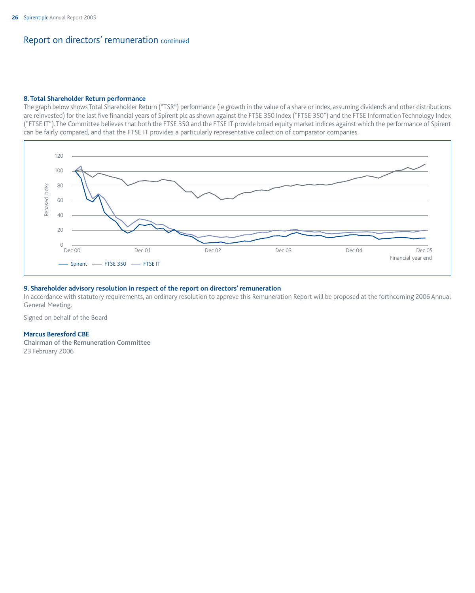# Report on directors' remuneration continued

## **8. Total Shareholder Return performance**

The graph below shows Total Shareholder Return ("TSR") performance (ie growth in the value of a share or index, assuming dividends and other distributions are reinvested) for the last five financial years of Spirent plc as shown against the FTSE 350 Index ("FTSE 350") and the FTSE Information Technology Index ("FTSE IT").The Committee believes that both the FTSE 350 and the FTSE IT provide broad equity market indices against which the performance of Spirent can be fairly compared, and that the FTSE IT provides a particularly representative collection of comparator companies.



#### **9. Shareholder advisory resolution in respect of the report on directors' remuneration**

In accordance with statutory requirements, an ordinary resolution to approve this Remuneration Report will be proposed at the forthcoming 2006 Annual General Meeting.

Signed on behalf of the Board

#### **Marcus Beresford CBE**

Chairman of the Remuneration Committee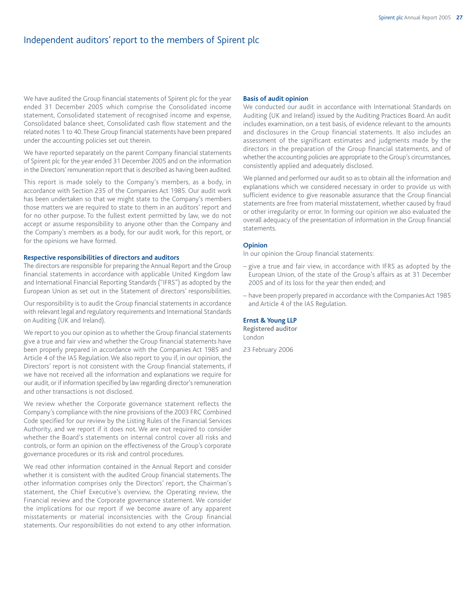# Independent auditors' report to the members of Spirent plc

We have audited the Group financial statements of Spirent plc for the year ended 31 December 2005 which comprise the Consolidated income statement, Consolidated statement of recognised income and expense, Consolidated balance sheet, Consolidated cash flow statement and the related notes 1 to 40.These Group financial statements have been prepared under the accounting policies set out therein.

We have reported separately on the parent Company financial statements of Spirent plc for the year ended 31 December 2005 and on the information in the Directors' remuneration report that is described as having been audited.

This report is made solely to the Company's members, as a body, in accordance with Section 235 of the Companies Act 1985. Our audit work has been undertaken so that we might state to the Company's members those matters we are required to state to them in an auditors' report and for no other purpose. To the fullest extent permitted by law, we do not accept or assume responsibility to anyone other than the Company and the Company's members as a body, for our audit work, for this report, or for the opinions we have formed.

#### **Respective responsibilities of directors and auditors**

The directors are responsible for preparing the Annual Report and the Group financial statements in accordance with applicable United Kingdom law and International Financial Reporting Standards ("IFRS") as adopted by the European Union as set out in the Statement of directors' responsibilities.

Our responsibility is to audit the Group financial statements in accordance with relevant legal and regulatory requirements and International Standards on Auditing (UK and Ireland).

We report to you our opinion as to whether the Group financial statements give a true and fair view and whether the Group financial statements have been properly prepared in accordance with the Companies Act 1985 and Article 4 of the IAS Regulation.We also report to you if, in our opinion, the Directors' report is not consistent with the Group financial statements, if we have not received all the information and explanations we require for our audit, or if information specified by law regarding director's remuneration and other transactions is not disclosed.

We review whether the Corporate governance statement reflects the Company's compliance with the nine provisions of the 2003 FRC Combined Code specified for our review by the Listing Rules of the Financial Services Authority, and we report if it does not. We are not required to consider whether the Board's statements on internal control cover all risks and controls, or form an opinion on the effectiveness of the Group's corporate governance procedures or its risk and control procedures.

We read other information contained in the Annual Report and consider whether it is consistent with the audited Group financial statements. The other information comprises only the Directors' report, the Chairman's statement, the Chief Executive's overview, the Operating review, the Financial review and the Corporate governance statement. We consider the implications for our report if we become aware of any apparent misstatements or material inconsistencies with the Group financial statements. Our responsibilities do not extend to any other information.

#### **Basis of audit opinion**

We conducted our audit in accordance with International Standards on Auditing (UK and Ireland) issued by the Auditing Practices Board. An audit includes examination, on a test basis, of evidence relevant to the amounts and disclosures in the Group financial statements. It also includes an assessment of the significant estimates and judgments made by the directors in the preparation of the Group financial statements, and of whether the accounting policies are appropriate to the Group's circumstances, consistently applied and adequately disclosed.

We planned and performed our audit so as to obtain all the information and explanations which we considered necessary in order to provide us with sufficient evidence to give reasonable assurance that the Group financial statements are free from material misstatement, whether caused by fraud or other irregularity or error. In forming our opinion we also evaluated the overall adequacy of the presentation of information in the Group financial statements.

#### **Opinion**

In our opinion the Group financial statements:

- give a true and fair view, in accordance with IFRS as adopted by the European Union, of the state of the Group's affairs as at 31 December 2005 and of its loss for the year then ended; and
- have been properly prepared in accordance with the Companies Act 1985 and Article 4 of the IAS Regulation.

## **Ernst & Young LLP**

Registered auditor London

23 February 2006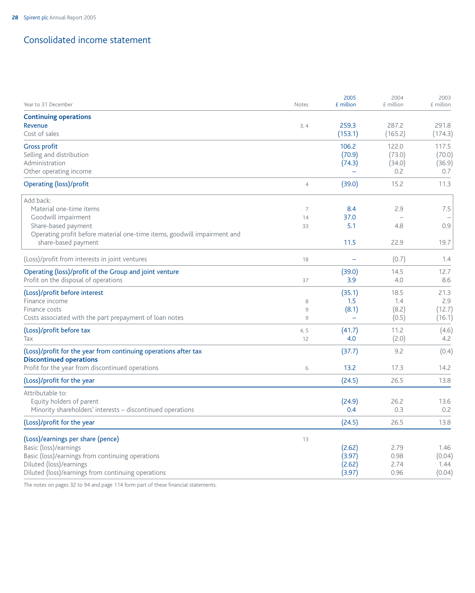# Consolidated income statement

| Year to 31 December                                                                               | Notes          | 2005<br>£ million | 2004<br>£ million | 2003<br>£ million |
|---------------------------------------------------------------------------------------------------|----------------|-------------------|-------------------|-------------------|
| <b>Continuing operations</b>                                                                      |                |                   |                   |                   |
| Revenue                                                                                           | 3, 4           | 259.3             | 287.2             | 291.8             |
| Cost of sales                                                                                     |                | (153.1)           | (165.2)           | (174.3)           |
| <b>Gross profit</b>                                                                               |                | 106.2             | 122.0             | 117.5             |
| Selling and distribution                                                                          |                | (70.9)            | (73.0)            | (70.0)            |
| Administration                                                                                    |                | (74.3)            | (34.0)            | (36.9)            |
| Other operating income                                                                            |                |                   | 0.2               | 0.7               |
| <b>Operating (loss)/profit</b>                                                                    | $\overline{4}$ | (39.0)            | 15.2              | 11.3              |
| Add back:                                                                                         |                |                   |                   |                   |
| Material one-time items                                                                           | $\overline{7}$ | 8.4               | 2.9               | 7.5               |
| Goodwill impairment                                                                               | 14             | 37.0              |                   |                   |
| Share-based payment                                                                               | 33             | 5.1               | 4.8               | 0.9               |
| Operating profit before material one-time items, goodwill impairment and                          |                |                   |                   |                   |
| share-based payment                                                                               |                | 11.5              | 22.9              | 19.7              |
| (Loss)/profit from interests in joint ventures                                                    | 18             |                   | (0.7)             | 1.4               |
| Operating (loss)/profit of the Group and joint venture                                            |                | (39.0)            | 14.5              | 12.7              |
| Profit on the disposal of operations                                                              | 37             | 3.9               | 4.0               | 8.6               |
| (Loss)/profit before interest                                                                     |                | (35.1)            | 18.5              | 21.3              |
| Finance income                                                                                    | 8              | 1.5               | 1.4               | 2.9               |
| Finance costs                                                                                     | 9              | (8.1)             | (8.2)             | (12.7)            |
| Costs associated with the part prepayment of loan notes                                           | 9              | $\equiv$          | (0.5)             | (16.1)            |
| (Loss)/profit before tax                                                                          | 4, 5           | (41.7)            | 11.2              | (4.6)             |
| Tax                                                                                               | 12             | 4.0               | (2.0)             | 4.2               |
| (Loss)/profit for the year from continuing operations after tax<br><b>Discontinued operations</b> |                | (37.7)            | 9.2               | (0.4)             |
| Profit for the year from discontinued operations                                                  | 6              | 13.2              | 17.3              | 14.2              |
| (Loss)/profit for the year                                                                        |                | (24.5)            | 26.5              | 13.8              |
| Attributable to:                                                                                  |                |                   |                   |                   |
| Equity holders of parent                                                                          |                | (24.9)            | 26.2              | 13.6              |
| Minority shareholders' interests - discontinued operations                                        |                | 0.4               | 0.3               | 0.2               |
| (Loss)/profit for the year                                                                        |                | (24.5)            | 26.5              | 13.8              |
| (Loss)/earnings per share (pence)                                                                 | 13             |                   |                   |                   |
| Basic (loss)/earnings                                                                             |                | (2.62)            | 2.79              | 1.46              |
| Basic (loss)/earnings from continuing operations                                                  |                | (3.97)            | 0.98              | (0.04)            |
| Diluted (loss)/earnings                                                                           |                | (2.62)            | 2.74              | 1.44              |
| Diluted (loss)/earnings from continuing operations                                                |                | (3.97)            | 0.96              | (0.04)            |
|                                                                                                   |                |                   |                   |                   |

The notes on pages 32 to 94 and page 114 form part of these financial statements.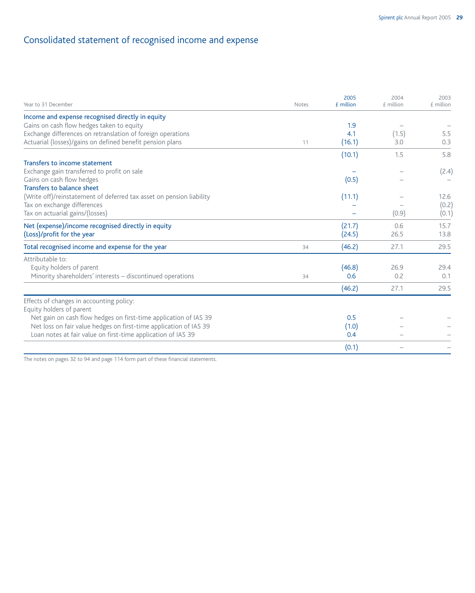# Consolidated statement of recognised income and expense

| Year to 31 December                                                  | Notes | 2005<br>$E$ million | 2004<br>£ million | 2003<br>£ million |
|----------------------------------------------------------------------|-------|---------------------|-------------------|-------------------|
| Income and expense recognised directly in equity                     |       |                     |                   |                   |
| Gains on cash flow hedges taken to equity                            |       | 1.9                 |                   |                   |
| Exchange differences on retranslation of foreign operations          |       | 4.1                 | (1.5)             | 5.5               |
| Actuarial (losses)/gains on defined benefit pension plans            | 11    | (16.1)              | 3.0               | 0.3               |
|                                                                      |       | (10.1)              | 1.5               | 5.8               |
| Transfers to income statement                                        |       |                     |                   |                   |
| Exchange gain transferred to profit on sale                          |       |                     |                   | (2.4)             |
| Gains on cash flow hedges                                            |       | (0.5)               |                   |                   |
| <b>Transfers to balance sheet</b>                                    |       |                     |                   |                   |
| (Write off)/reinstatement of deferred tax asset on pension liability |       | (11.1)              |                   | 12.6              |
| Tax on exchange differences                                          |       |                     |                   | (0.2)             |
| Tax on actuarial gains/(losses)                                      |       |                     | (0.9)             | (0.1)             |
| Net (expense)/income recognised directly in equity                   |       | (21.7)              | 0.6               | 15.7              |
| (Loss)/profit for the year                                           |       | (24.5)              | 26.5              | 13.8              |
| Total recognised income and expense for the year                     | 34    | (46.2)              | 27.1              | 29.5              |
| Attributable to:                                                     |       |                     |                   |                   |
| Equity holders of parent                                             |       | (46.8)              | 26.9              | 29.4              |
| Minority shareholders' interests - discontinued operations           | 34    | 0.6                 | 0.2               | 0.1               |
|                                                                      |       | (46.2)              | 27.1              | 29.5              |
| Effects of changes in accounting policy:                             |       |                     |                   |                   |
| Equity holders of parent                                             |       |                     |                   |                   |
| Net gain on cash flow hedges on first-time application of IAS 39     |       | 0.5                 |                   |                   |
| Net loss on fair value hedges on first-time application of IAS 39    |       | (1.0)               |                   |                   |
| Loan notes at fair value on first-time application of IAS 39         |       | 0.4                 |                   |                   |
|                                                                      |       | (0.1)               |                   |                   |
|                                                                      |       |                     |                   |                   |

The notes on pages 32 to 94 and page 114 form part of these financial statements.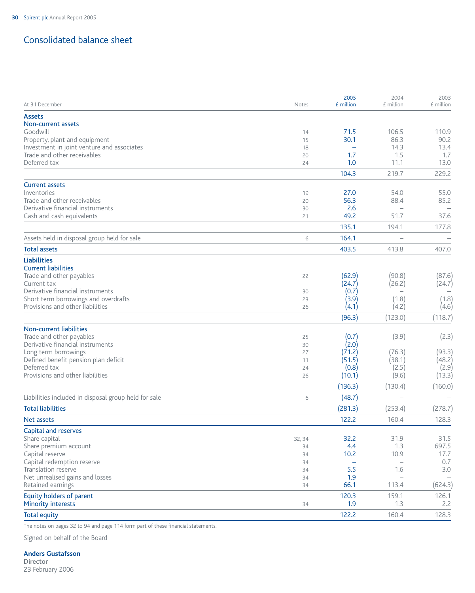# Consolidated balance sheet

| <b>Assets</b><br>Non-current assets<br>Goodwill<br>71.5<br>106.5<br>110.9<br>14<br>86.3<br>90.2<br>Property, plant and equipment<br>30.1<br>15<br>Investment in joint venture and associates<br>14.3<br>13.4<br>18<br>$\equiv$<br>Trade and other receivables<br>1.7<br>1.5<br>1.7<br>20<br>Deferred tax<br>1.0<br>11.1<br>13.0<br>24<br>104.3<br>219.7<br>229.2<br><b>Current assets</b><br>55.0<br>Inventories<br>27.0<br>54.0<br>19<br>Trade and other receivables<br>56.3<br>88.4<br>85.2<br>20<br>Derivative financial instruments<br>2.6<br>30<br>51.7<br>37.6<br>Cash and cash equivalents<br>49.2<br>21<br>177.8<br>135.1<br>194.1<br>164.1<br>Assets held in disposal group held for sale<br>6<br><b>Total assets</b><br>403.5<br>413.8<br>407.0<br><b>Liabilities</b><br><b>Current liabilities</b><br>(62.9)<br>(87.6)<br>Trade and other payables<br>(90.8)<br>22<br>(24.7)<br>(26.2)<br>(24.7)<br>Current tax<br>Derivative financial instruments<br>(0.7)<br>30<br>(1.8)<br>Short term borrowings and overdrafts<br>(3.9)<br>(1.8)<br>23<br>Provisions and other liabilities<br>(4.1)<br>(4.2)<br>(4.6)<br>26<br>(96.3)<br>(123.0)<br>Non-current liabilities<br>Trade and other payables<br>(0.7)<br>(3.9)<br>(2.3)<br>25<br>(2.0)<br>Derivative financial instruments<br>30<br>(76.3)<br>Long term borrowings<br>(71.2)<br>27<br>(51.5)<br>Defined benefit pension plan deficit<br>(38.1)<br>11<br>Deferred tax<br>(2.5)<br>(2.9)<br>(0.8)<br>24<br>Provisions and other liabilities<br>(10.1)<br>(9.6)<br>(13.3)<br>26<br>(136.3)<br>(160.0)<br>(130.4)<br>(48.7)<br>Liabilities included in disposal group held for sale<br>6<br><b>Total liabilities</b><br>(281.3)<br>(253.4)<br>(278.7)<br>122.2<br>160.4<br>128.3<br><b>Net assets</b><br>Capital and reserves<br>32.2<br>Share capital<br>31.9<br>31.5<br>32, 34<br>Share premium account<br>4.4<br>1.3<br>697.5<br>34<br>17.7<br>Capital reserve<br>10.2<br>10.9<br>34<br>Capital redemption reserve<br>0.7<br>34<br>$\sim$<br>$\overline{\phantom{a}}$<br>5.5<br>3.0<br>Translation reserve<br>1.6<br>34<br>1.9<br>Net unrealised gains and losses<br>34<br>113.4<br>66.1<br>Retained earnings<br>34<br>Equity holders of parent<br>120.3<br>159.1<br>126.1<br>1.9<br>1.3<br>2.2<br><b>Minority interests</b><br>34<br>122.2<br>160.4<br>128.3<br><b>Total equity</b> | At 31 December | Notes | 2005<br>£ million | 2004<br>£ million | 2003<br>£ million |
|------------------------------------------------------------------------------------------------------------------------------------------------------------------------------------------------------------------------------------------------------------------------------------------------------------------------------------------------------------------------------------------------------------------------------------------------------------------------------------------------------------------------------------------------------------------------------------------------------------------------------------------------------------------------------------------------------------------------------------------------------------------------------------------------------------------------------------------------------------------------------------------------------------------------------------------------------------------------------------------------------------------------------------------------------------------------------------------------------------------------------------------------------------------------------------------------------------------------------------------------------------------------------------------------------------------------------------------------------------------------------------------------------------------------------------------------------------------------------------------------------------------------------------------------------------------------------------------------------------------------------------------------------------------------------------------------------------------------------------------------------------------------------------------------------------------------------------------------------------------------------------------------------------------------------------------------------------------------------------------------------------------------------------------------------------------------------------------------------------------------------------------------------------------------------------------------------------------------------------------------------------------------------------------------------------------------------------------------|----------------|-------|-------------------|-------------------|-------------------|
|                                                                                                                                                                                                                                                                                                                                                                                                                                                                                                                                                                                                                                                                                                                                                                                                                                                                                                                                                                                                                                                                                                                                                                                                                                                                                                                                                                                                                                                                                                                                                                                                                                                                                                                                                                                                                                                                                                                                                                                                                                                                                                                                                                                                                                                                                                                                                |                |       |                   |                   |                   |
|                                                                                                                                                                                                                                                                                                                                                                                                                                                                                                                                                                                                                                                                                                                                                                                                                                                                                                                                                                                                                                                                                                                                                                                                                                                                                                                                                                                                                                                                                                                                                                                                                                                                                                                                                                                                                                                                                                                                                                                                                                                                                                                                                                                                                                                                                                                                                |                |       |                   |                   |                   |
|                                                                                                                                                                                                                                                                                                                                                                                                                                                                                                                                                                                                                                                                                                                                                                                                                                                                                                                                                                                                                                                                                                                                                                                                                                                                                                                                                                                                                                                                                                                                                                                                                                                                                                                                                                                                                                                                                                                                                                                                                                                                                                                                                                                                                                                                                                                                                |                |       |                   |                   |                   |
|                                                                                                                                                                                                                                                                                                                                                                                                                                                                                                                                                                                                                                                                                                                                                                                                                                                                                                                                                                                                                                                                                                                                                                                                                                                                                                                                                                                                                                                                                                                                                                                                                                                                                                                                                                                                                                                                                                                                                                                                                                                                                                                                                                                                                                                                                                                                                |                |       |                   |                   |                   |
|                                                                                                                                                                                                                                                                                                                                                                                                                                                                                                                                                                                                                                                                                                                                                                                                                                                                                                                                                                                                                                                                                                                                                                                                                                                                                                                                                                                                                                                                                                                                                                                                                                                                                                                                                                                                                                                                                                                                                                                                                                                                                                                                                                                                                                                                                                                                                |                |       |                   |                   |                   |
|                                                                                                                                                                                                                                                                                                                                                                                                                                                                                                                                                                                                                                                                                                                                                                                                                                                                                                                                                                                                                                                                                                                                                                                                                                                                                                                                                                                                                                                                                                                                                                                                                                                                                                                                                                                                                                                                                                                                                                                                                                                                                                                                                                                                                                                                                                                                                |                |       |                   |                   |                   |
|                                                                                                                                                                                                                                                                                                                                                                                                                                                                                                                                                                                                                                                                                                                                                                                                                                                                                                                                                                                                                                                                                                                                                                                                                                                                                                                                                                                                                                                                                                                                                                                                                                                                                                                                                                                                                                                                                                                                                                                                                                                                                                                                                                                                                                                                                                                                                |                |       |                   |                   |                   |
|                                                                                                                                                                                                                                                                                                                                                                                                                                                                                                                                                                                                                                                                                                                                                                                                                                                                                                                                                                                                                                                                                                                                                                                                                                                                                                                                                                                                                                                                                                                                                                                                                                                                                                                                                                                                                                                                                                                                                                                                                                                                                                                                                                                                                                                                                                                                                |                |       |                   |                   |                   |
|                                                                                                                                                                                                                                                                                                                                                                                                                                                                                                                                                                                                                                                                                                                                                                                                                                                                                                                                                                                                                                                                                                                                                                                                                                                                                                                                                                                                                                                                                                                                                                                                                                                                                                                                                                                                                                                                                                                                                                                                                                                                                                                                                                                                                                                                                                                                                |                |       |                   |                   |                   |
|                                                                                                                                                                                                                                                                                                                                                                                                                                                                                                                                                                                                                                                                                                                                                                                                                                                                                                                                                                                                                                                                                                                                                                                                                                                                                                                                                                                                                                                                                                                                                                                                                                                                                                                                                                                                                                                                                                                                                                                                                                                                                                                                                                                                                                                                                                                                                |                |       |                   |                   |                   |
|                                                                                                                                                                                                                                                                                                                                                                                                                                                                                                                                                                                                                                                                                                                                                                                                                                                                                                                                                                                                                                                                                                                                                                                                                                                                                                                                                                                                                                                                                                                                                                                                                                                                                                                                                                                                                                                                                                                                                                                                                                                                                                                                                                                                                                                                                                                                                |                |       |                   |                   |                   |
|                                                                                                                                                                                                                                                                                                                                                                                                                                                                                                                                                                                                                                                                                                                                                                                                                                                                                                                                                                                                                                                                                                                                                                                                                                                                                                                                                                                                                                                                                                                                                                                                                                                                                                                                                                                                                                                                                                                                                                                                                                                                                                                                                                                                                                                                                                                                                |                |       |                   |                   |                   |
|                                                                                                                                                                                                                                                                                                                                                                                                                                                                                                                                                                                                                                                                                                                                                                                                                                                                                                                                                                                                                                                                                                                                                                                                                                                                                                                                                                                                                                                                                                                                                                                                                                                                                                                                                                                                                                                                                                                                                                                                                                                                                                                                                                                                                                                                                                                                                |                |       |                   |                   |                   |
|                                                                                                                                                                                                                                                                                                                                                                                                                                                                                                                                                                                                                                                                                                                                                                                                                                                                                                                                                                                                                                                                                                                                                                                                                                                                                                                                                                                                                                                                                                                                                                                                                                                                                                                                                                                                                                                                                                                                                                                                                                                                                                                                                                                                                                                                                                                                                |                |       |                   |                   |                   |
|                                                                                                                                                                                                                                                                                                                                                                                                                                                                                                                                                                                                                                                                                                                                                                                                                                                                                                                                                                                                                                                                                                                                                                                                                                                                                                                                                                                                                                                                                                                                                                                                                                                                                                                                                                                                                                                                                                                                                                                                                                                                                                                                                                                                                                                                                                                                                |                |       |                   |                   |                   |
|                                                                                                                                                                                                                                                                                                                                                                                                                                                                                                                                                                                                                                                                                                                                                                                                                                                                                                                                                                                                                                                                                                                                                                                                                                                                                                                                                                                                                                                                                                                                                                                                                                                                                                                                                                                                                                                                                                                                                                                                                                                                                                                                                                                                                                                                                                                                                |                |       |                   |                   |                   |
|                                                                                                                                                                                                                                                                                                                                                                                                                                                                                                                                                                                                                                                                                                                                                                                                                                                                                                                                                                                                                                                                                                                                                                                                                                                                                                                                                                                                                                                                                                                                                                                                                                                                                                                                                                                                                                                                                                                                                                                                                                                                                                                                                                                                                                                                                                                                                |                |       |                   |                   |                   |
|                                                                                                                                                                                                                                                                                                                                                                                                                                                                                                                                                                                                                                                                                                                                                                                                                                                                                                                                                                                                                                                                                                                                                                                                                                                                                                                                                                                                                                                                                                                                                                                                                                                                                                                                                                                                                                                                                                                                                                                                                                                                                                                                                                                                                                                                                                                                                |                |       |                   |                   |                   |
|                                                                                                                                                                                                                                                                                                                                                                                                                                                                                                                                                                                                                                                                                                                                                                                                                                                                                                                                                                                                                                                                                                                                                                                                                                                                                                                                                                                                                                                                                                                                                                                                                                                                                                                                                                                                                                                                                                                                                                                                                                                                                                                                                                                                                                                                                                                                                |                |       |                   |                   |                   |
|                                                                                                                                                                                                                                                                                                                                                                                                                                                                                                                                                                                                                                                                                                                                                                                                                                                                                                                                                                                                                                                                                                                                                                                                                                                                                                                                                                                                                                                                                                                                                                                                                                                                                                                                                                                                                                                                                                                                                                                                                                                                                                                                                                                                                                                                                                                                                |                |       |                   |                   |                   |
|                                                                                                                                                                                                                                                                                                                                                                                                                                                                                                                                                                                                                                                                                                                                                                                                                                                                                                                                                                                                                                                                                                                                                                                                                                                                                                                                                                                                                                                                                                                                                                                                                                                                                                                                                                                                                                                                                                                                                                                                                                                                                                                                                                                                                                                                                                                                                |                |       |                   |                   |                   |
|                                                                                                                                                                                                                                                                                                                                                                                                                                                                                                                                                                                                                                                                                                                                                                                                                                                                                                                                                                                                                                                                                                                                                                                                                                                                                                                                                                                                                                                                                                                                                                                                                                                                                                                                                                                                                                                                                                                                                                                                                                                                                                                                                                                                                                                                                                                                                |                |       |                   |                   | (118.7)           |
|                                                                                                                                                                                                                                                                                                                                                                                                                                                                                                                                                                                                                                                                                                                                                                                                                                                                                                                                                                                                                                                                                                                                                                                                                                                                                                                                                                                                                                                                                                                                                                                                                                                                                                                                                                                                                                                                                                                                                                                                                                                                                                                                                                                                                                                                                                                                                |                |       |                   |                   |                   |
|                                                                                                                                                                                                                                                                                                                                                                                                                                                                                                                                                                                                                                                                                                                                                                                                                                                                                                                                                                                                                                                                                                                                                                                                                                                                                                                                                                                                                                                                                                                                                                                                                                                                                                                                                                                                                                                                                                                                                                                                                                                                                                                                                                                                                                                                                                                                                |                |       |                   |                   |                   |
|                                                                                                                                                                                                                                                                                                                                                                                                                                                                                                                                                                                                                                                                                                                                                                                                                                                                                                                                                                                                                                                                                                                                                                                                                                                                                                                                                                                                                                                                                                                                                                                                                                                                                                                                                                                                                                                                                                                                                                                                                                                                                                                                                                                                                                                                                                                                                |                |       |                   |                   |                   |
|                                                                                                                                                                                                                                                                                                                                                                                                                                                                                                                                                                                                                                                                                                                                                                                                                                                                                                                                                                                                                                                                                                                                                                                                                                                                                                                                                                                                                                                                                                                                                                                                                                                                                                                                                                                                                                                                                                                                                                                                                                                                                                                                                                                                                                                                                                                                                |                |       |                   |                   | (93.3)            |
|                                                                                                                                                                                                                                                                                                                                                                                                                                                                                                                                                                                                                                                                                                                                                                                                                                                                                                                                                                                                                                                                                                                                                                                                                                                                                                                                                                                                                                                                                                                                                                                                                                                                                                                                                                                                                                                                                                                                                                                                                                                                                                                                                                                                                                                                                                                                                |                |       |                   |                   | (48.2)            |
|                                                                                                                                                                                                                                                                                                                                                                                                                                                                                                                                                                                                                                                                                                                                                                                                                                                                                                                                                                                                                                                                                                                                                                                                                                                                                                                                                                                                                                                                                                                                                                                                                                                                                                                                                                                                                                                                                                                                                                                                                                                                                                                                                                                                                                                                                                                                                |                |       |                   |                   |                   |
|                                                                                                                                                                                                                                                                                                                                                                                                                                                                                                                                                                                                                                                                                                                                                                                                                                                                                                                                                                                                                                                                                                                                                                                                                                                                                                                                                                                                                                                                                                                                                                                                                                                                                                                                                                                                                                                                                                                                                                                                                                                                                                                                                                                                                                                                                                                                                |                |       |                   |                   |                   |
|                                                                                                                                                                                                                                                                                                                                                                                                                                                                                                                                                                                                                                                                                                                                                                                                                                                                                                                                                                                                                                                                                                                                                                                                                                                                                                                                                                                                                                                                                                                                                                                                                                                                                                                                                                                                                                                                                                                                                                                                                                                                                                                                                                                                                                                                                                                                                |                |       |                   |                   |                   |
|                                                                                                                                                                                                                                                                                                                                                                                                                                                                                                                                                                                                                                                                                                                                                                                                                                                                                                                                                                                                                                                                                                                                                                                                                                                                                                                                                                                                                                                                                                                                                                                                                                                                                                                                                                                                                                                                                                                                                                                                                                                                                                                                                                                                                                                                                                                                                |                |       |                   |                   |                   |
|                                                                                                                                                                                                                                                                                                                                                                                                                                                                                                                                                                                                                                                                                                                                                                                                                                                                                                                                                                                                                                                                                                                                                                                                                                                                                                                                                                                                                                                                                                                                                                                                                                                                                                                                                                                                                                                                                                                                                                                                                                                                                                                                                                                                                                                                                                                                                |                |       |                   |                   |                   |
|                                                                                                                                                                                                                                                                                                                                                                                                                                                                                                                                                                                                                                                                                                                                                                                                                                                                                                                                                                                                                                                                                                                                                                                                                                                                                                                                                                                                                                                                                                                                                                                                                                                                                                                                                                                                                                                                                                                                                                                                                                                                                                                                                                                                                                                                                                                                                |                |       |                   |                   |                   |
|                                                                                                                                                                                                                                                                                                                                                                                                                                                                                                                                                                                                                                                                                                                                                                                                                                                                                                                                                                                                                                                                                                                                                                                                                                                                                                                                                                                                                                                                                                                                                                                                                                                                                                                                                                                                                                                                                                                                                                                                                                                                                                                                                                                                                                                                                                                                                |                |       |                   |                   |                   |
|                                                                                                                                                                                                                                                                                                                                                                                                                                                                                                                                                                                                                                                                                                                                                                                                                                                                                                                                                                                                                                                                                                                                                                                                                                                                                                                                                                                                                                                                                                                                                                                                                                                                                                                                                                                                                                                                                                                                                                                                                                                                                                                                                                                                                                                                                                                                                |                |       |                   |                   |                   |
|                                                                                                                                                                                                                                                                                                                                                                                                                                                                                                                                                                                                                                                                                                                                                                                                                                                                                                                                                                                                                                                                                                                                                                                                                                                                                                                                                                                                                                                                                                                                                                                                                                                                                                                                                                                                                                                                                                                                                                                                                                                                                                                                                                                                                                                                                                                                                |                |       |                   |                   |                   |
|                                                                                                                                                                                                                                                                                                                                                                                                                                                                                                                                                                                                                                                                                                                                                                                                                                                                                                                                                                                                                                                                                                                                                                                                                                                                                                                                                                                                                                                                                                                                                                                                                                                                                                                                                                                                                                                                                                                                                                                                                                                                                                                                                                                                                                                                                                                                                |                |       |                   |                   |                   |
|                                                                                                                                                                                                                                                                                                                                                                                                                                                                                                                                                                                                                                                                                                                                                                                                                                                                                                                                                                                                                                                                                                                                                                                                                                                                                                                                                                                                                                                                                                                                                                                                                                                                                                                                                                                                                                                                                                                                                                                                                                                                                                                                                                                                                                                                                                                                                |                |       |                   |                   |                   |
|                                                                                                                                                                                                                                                                                                                                                                                                                                                                                                                                                                                                                                                                                                                                                                                                                                                                                                                                                                                                                                                                                                                                                                                                                                                                                                                                                                                                                                                                                                                                                                                                                                                                                                                                                                                                                                                                                                                                                                                                                                                                                                                                                                                                                                                                                                                                                |                |       |                   |                   |                   |
|                                                                                                                                                                                                                                                                                                                                                                                                                                                                                                                                                                                                                                                                                                                                                                                                                                                                                                                                                                                                                                                                                                                                                                                                                                                                                                                                                                                                                                                                                                                                                                                                                                                                                                                                                                                                                                                                                                                                                                                                                                                                                                                                                                                                                                                                                                                                                |                |       |                   |                   | (624.3)           |
|                                                                                                                                                                                                                                                                                                                                                                                                                                                                                                                                                                                                                                                                                                                                                                                                                                                                                                                                                                                                                                                                                                                                                                                                                                                                                                                                                                                                                                                                                                                                                                                                                                                                                                                                                                                                                                                                                                                                                                                                                                                                                                                                                                                                                                                                                                                                                |                |       |                   |                   |                   |
|                                                                                                                                                                                                                                                                                                                                                                                                                                                                                                                                                                                                                                                                                                                                                                                                                                                                                                                                                                                                                                                                                                                                                                                                                                                                                                                                                                                                                                                                                                                                                                                                                                                                                                                                                                                                                                                                                                                                                                                                                                                                                                                                                                                                                                                                                                                                                |                |       |                   |                   |                   |
|                                                                                                                                                                                                                                                                                                                                                                                                                                                                                                                                                                                                                                                                                                                                                                                                                                                                                                                                                                                                                                                                                                                                                                                                                                                                                                                                                                                                                                                                                                                                                                                                                                                                                                                                                                                                                                                                                                                                                                                                                                                                                                                                                                                                                                                                                                                                                |                |       |                   |                   |                   |

The notes on pages 32 to 94 and page 114 form part of these financial statements.

Signed on behalf of the Board

# **Anders Gustafsson**

Director 23 February 2006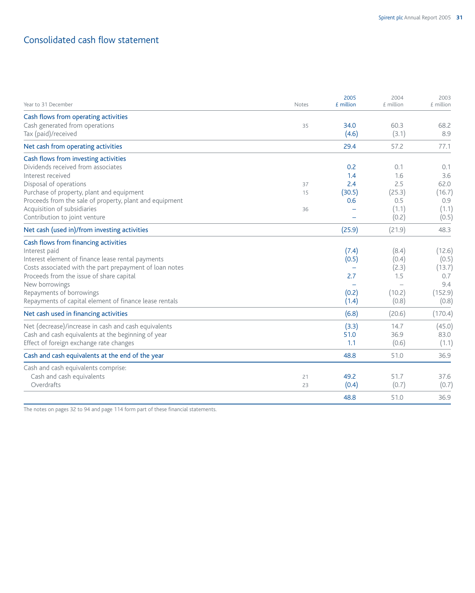# Consolidated cash flow statement

| Year to 31 December                                     | <b>Notes</b> | 2005<br>$E$ million      | 2004<br>£ million | 2003<br>£ million |
|---------------------------------------------------------|--------------|--------------------------|-------------------|-------------------|
| Cash flows from operating activities                    |              |                          |                   |                   |
| Cash generated from operations                          | 35           | 34.0                     | 60.3              | 68.2              |
| Tax (paid)/received                                     |              | (4.6)                    | (3.1)             | 8.9               |
| Net cash from operating activities                      |              | 29.4                     | 57.2              | 77.1              |
| Cash flows from investing activities                    |              |                          |                   |                   |
| Dividends received from associates                      |              | 0.2                      | 0.1               | 0.1               |
| Interest received                                       |              | 1.4                      | 1.6               | 3.6               |
| Disposal of operations                                  | 37           | 2.4                      | 2.5               | 62.0              |
| Purchase of property, plant and equipment               | 15           | (30.5)                   | (25.3)            | (16.7)            |
| Proceeds from the sale of property, plant and equipment |              | 0.6                      | 0.5               | 0.9               |
| Acquisition of subsidiaries                             | 36           |                          | (1.1)             | (1.1)             |
| Contribution to joint venture                           |              |                          | (0.2)             | (0.5)             |
| Net cash (used in)/from investing activities            |              | (25.9)                   | (21.9)            | 48.3              |
| Cash flows from financing activities                    |              |                          |                   |                   |
| Interest paid                                           |              | (7.4)                    | (8.4)             | (12.6)            |
| Interest element of finance lease rental payments       |              | (0.5)                    | (0.4)             | (0.5)             |
| Costs associated with the part prepayment of loan notes |              | $\overline{\phantom{m}}$ | (2.3)             | (13.7)            |
| Proceeds from the issue of share capital                |              | 2.7                      | 1.5               | 0.7               |
| New borrowings                                          |              |                          |                   | 9.4               |
| Repayments of borrowings                                |              | (0.2)                    | (10.2)            | (152.9)           |
| Repayments of capital element of finance lease rentals  |              | (1.4)                    | (0.8)             | (0.8)             |
| Net cash used in financing activities                   |              | (6.8)                    | (20.6)            | (170.4)           |
| Net (decrease)/increase in cash and cash equivalents    |              | (3.3)                    | 14.7              | (45.0)            |
| Cash and cash equivalents at the beginning of year      |              | 51.0                     | 36.9              | 83.0              |
| Effect of foreign exchange rate changes                 |              | 1.1                      | (0.6)             | (1.1)             |
| Cash and cash equivalents at the end of the year        |              | 48.8                     | 51.0              | 36.9              |
| Cash and cash equivalents comprise:                     |              |                          |                   |                   |
| Cash and cash equivalents                               | 21           | 49.2                     | 51.7              | 37.6              |
| Overdrafts                                              | 23           | (0.4)                    | (0.7)             | (0.7)             |
|                                                         |              | 48.8                     | 51.0              | 36.9              |

The notes on pages 32 to 94 and page 114 form part of these financial statements.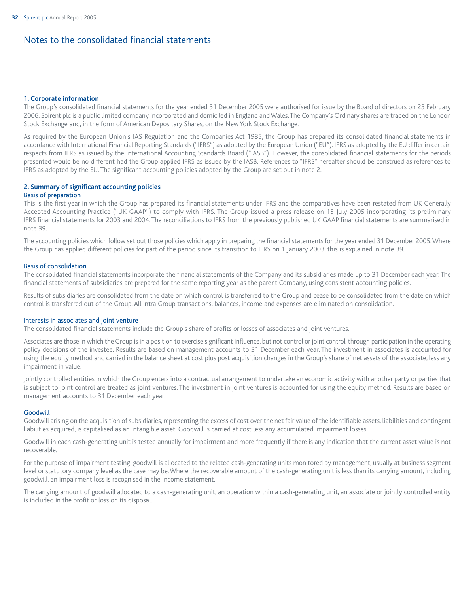# Notes to the consolidated financial statements

#### **1. Corporate information**

The Group's consolidated financial statements for the year ended 31 December 2005 were authorised for issue by the Board of directors on 23 February 2006. Spirent plc is a public limited company incorporated and domiciled in England and Wales.The Company's Ordinary shares are traded on the London Stock Exchange and, in the form of American Depositary Shares, on the New York Stock Exchange.

As required by the European Union's IAS Regulation and the Companies Act 1985, the Group has prepared its consolidated financial statements in accordance with International Financial Reporting Standards ("IFRS") as adopted by the European Union ("EU"). IFRS as adopted by the EU differ in certain respects from IFRS as issued by the International Accounting Standards Board ("IASB"). However, the consolidated financial statements for the periods presented would be no different had the Group applied IFRS as issued by the IASB. References to "IFRS" hereafter should be construed as references to IFRS as adopted by the EU. The significant accounting policies adopted by the Group are set out in note 2.

#### **2. Summary of significant accounting policies**

#### Basis of preparation

This is the first year in which the Group has prepared its financial statements under IFRS and the comparatives have been restated from UK Generally Accepted Accounting Practice ("UK GAAP") to comply with IFRS. The Group issued a press release on 15 July 2005 incorporating its preliminary IFRS financial statements for 2003 and 2004. The reconciliations to IFRS from the previously published UK GAAP financial statements are summarised in note 39.

The accounting policies which follow set out those policies which apply in preparing the financial statements for the year ended 31 December 2005.Where the Group has applied different policies for part of the period since its transition to IFRS on 1 January 2003, this is explained in note 39.

### Basis of consolidation

The consolidated financial statements incorporate the financial statements of the Company and its subsidiaries made up to 31 December each year. The financial statements of subsidiaries are prepared for the same reporting year as the parent Company, using consistent accounting policies.

Results of subsidiaries are consolidated from the date on which control is transferred to the Group and cease to be consolidated from the date on which control is transferred out of the Group. All intra Group transactions, balances, income and expenses are eliminated on consolidation.

#### Interests in associates and joint venture

The consolidated financial statements include the Group's share of profits or losses of associates and joint ventures.

Associates are those in which the Group is in a position to exercise significant influence, but not control or joint control, through participation in the operating policy decisions of the investee. Results are based on management accounts to 31 December each year. The investment in associates is accounted for using the equity method and carried in the balance sheet at cost plus post acquisition changes in the Group's share of net assets of the associate, less any impairment in value.

Jointly controlled entities in which the Group enters into a contractual arrangement to undertake an economic activity with another party or parties that is subject to joint control are treated as joint ventures. The investment in joint ventures is accounted for using the equity method. Results are based on management accounts to 31 December each year.

#### Goodwill

Goodwill arising on the acquisition of subsidiaries, representing the excess of cost over the net fair value of the identifiable assets, liabilities and contingent liabilities acquired, is capitalised as an intangible asset. Goodwill is carried at cost less any accumulated impairment losses.

Goodwill in each cash-generating unit is tested annually for impairment and more frequently if there is any indication that the current asset value is not recoverable.

For the purpose of impairment testing, goodwill is allocated to the related cash-generating units monitored by management, usually at business segment level or statutory company level as the case may be.Where the recoverable amount of the cash-generating unit is less than its carrying amount, including goodwill, an impairment loss is recognised in the income statement.

The carrying amount of goodwill allocated to a cash-generating unit, an operation within a cash-generating unit, an associate or jointly controlled entity is included in the profit or loss on its disposal.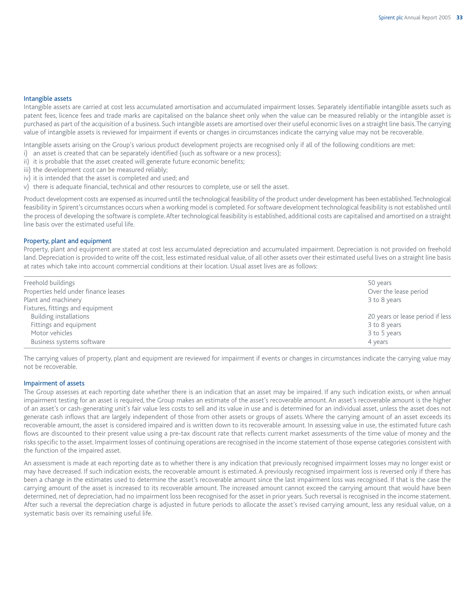#### Intangible assets

Intangible assets are carried at cost less accumulated amortisation and accumulated impairment losses. Separately identifiable intangible assets such as patent fees, licence fees and trade marks are capitalised on the balance sheet only when the value can be measured reliably or the intangible asset is purchased as part of the acquisition of a business. Such intangible assets are amortised over their useful economic lives on a straight line basis.The carrying value of intangible assets is reviewed for impairment if events or changes in circumstances indicate the carrying value may not be recoverable.

Intangible assets arising on the Group's various product development projects are recognised only if all of the following conditions are met:

- i) an asset is created that can be separately identified (such as software or a new process);
- ii) it is probable that the asset created will generate future economic benefits;
- iii) the development cost can be measured reliably;
- iv) it is intended that the asset is completed and used; and
- v) there is adequate financial, technical and other resources to complete, use or sell the asset.

Product development costs are expensed as incurred until the technological feasibility of the product under development has been established.Technological feasibility in Spirent's circumstances occurs when a working model is completed. For software development technological feasibility is not established until the process of developing the software is complete.After technological feasibility is established, additional costs are capitalised and amortised on a straight line basis over the estimated useful life.

#### Property, plant and equipment

Property, plant and equipment are stated at cost less accumulated depreciation and accumulated impairment. Depreciation is not provided on freehold land. Depreciation is provided to write off the cost, less estimated residual value, of all other assets over their estimated useful lives on a straight line basis at rates which take into account commercial conditions at their location. Usual asset lives are as follows:

| Freehold buildings                   | 50 years                         |
|--------------------------------------|----------------------------------|
| Properties held under finance leases | Over the lease period            |
| Plant and machinery                  | 3 to 8 years                     |
| Fixtures, fittings and equipment     |                                  |
| <b>Building installations</b>        | 20 years or lease period if less |
| Fittings and equipment               | 3 to 8 years                     |
| Motor vehicles                       | 3 to 5 years                     |
| Business systems software            | 4 years                          |

The carrying values of property, plant and equipment are reviewed for impairment if events or changes in circumstances indicate the carrying value may not be recoverable.

#### Impairment of assets

The Group assesses at each reporting date whether there is an indication that an asset may be impaired. If any such indication exists, or when annual impairment testing for an asset is required, the Group makes an estimate of the asset's recoverable amount. An asset's recoverable amount is the higher of an asset's or cash-generating unit's fair value less costs to sell and its value in use and is determined for an individual asset, unless the asset does not generate cash inflows that are largely independent of those from other assets or groups of assets. Where the carrying amount of an asset exceeds its recoverable amount, the asset is considered impaired and is written down to its recoverable amount. In assessing value in use, the estimated future cash flows are discounted to their present value using a pre-tax discount rate that reflects current market assessments of the time value of money and the risks specific to the asset. Impairment losses of continuing operations are recognised in the income statement of those expense categories consistent with the function of the impaired asset.

An assessment is made at each reporting date as to whether there is any indication that previously recognised impairment losses may no longer exist or may have decreased. If such indication exists, the recoverable amount is estimated. A previously recognised impairment loss is reversed only if there has been a change in the estimates used to determine the asset's recoverable amount since the last impairment loss was recognised. If that is the case the carrying amount of the asset is increased to its recoverable amount. The increased amount cannot exceed the carrying amount that would have been determined, net of depreciation, had no impairment loss been recognised for the asset in prior years. Such reversal is recognised in the income statement. After such a reversal the depreciation charge is adjusted in future periods to allocate the asset's revised carrying amount, less any residual value, on a systematic basis over its remaining useful life.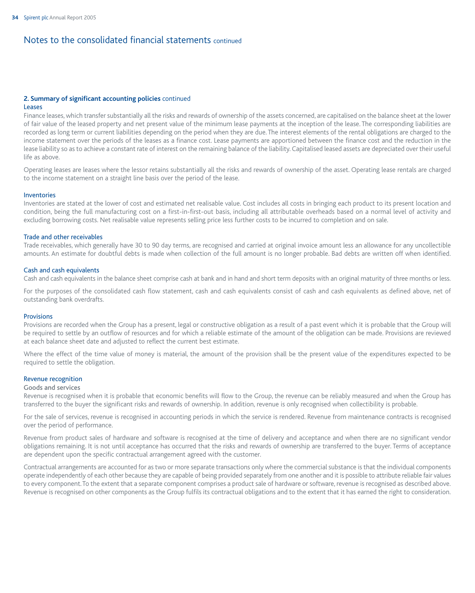# Notes to the consolidated financial statements continued

# **2. Summary of significant accounting policies** continued

#### Leases

Finance leases, which transfer substantially all the risks and rewards of ownership of the assets concerned, are capitalised on the balance sheet at the lower of fair value of the leased property and net present value of the minimum lease payments at the inception of the lease. The corresponding liabilities are recorded as long term or current liabilities depending on the period when they are due. The interest elements of the rental obligations are charged to the income statement over the periods of the leases as a finance cost. Lease payments are apportioned between the finance cost and the reduction in the lease liability so as to achieve a constant rate of interest on the remaining balance of the liability. Capitalised leased assets are depreciated over their useful life as above.

Operating leases are leases where the lessor retains substantially all the risks and rewards of ownership of the asset. Operating lease rentals are charged to the income statement on a straight line basis over the period of the lease.

#### Inventories

Inventories are stated at the lower of cost and estimated net realisable value. Cost includes all costs in bringing each product to its present location and condition, being the full manufacturing cost on a first-in-first-out basis, including all attributable overheads based on a normal level of activity and excluding borrowing costs. Net realisable value represents selling price less further costs to be incurred to completion and on sale.

#### Trade and other receivables

Trade receivables, which generally have 30 to 90 day terms, are recognised and carried at original invoice amount less an allowance for any uncollectible amounts. An estimate for doubtful debts is made when collection of the full amount is no longer probable. Bad debts are written off when identified.

#### Cash and cash equivalents

Cash and cash equivalents in the balance sheet comprise cash at bank and in hand and short term deposits with an original maturity of three months or less.

For the purposes of the consolidated cash flow statement, cash and cash equivalents consist of cash and cash equivalents as defined above, net of outstanding bank overdrafts.

#### **Provisions**

Provisions are recorded when the Group has a present, legal or constructive obligation as a result of a past event which it is probable that the Group will be required to settle by an outflow of resources and for which a reliable estimate of the amount of the obligation can be made. Provisions are reviewed at each balance sheet date and adjusted to reflect the current best estimate.

Where the effect of the time value of money is material, the amount of the provision shall be the present value of the expenditures expected to be required to settle the obligation.

#### Revenue recognition

#### Goods and services

Revenue is recognised when it is probable that economic benefits will flow to the Group, the revenue can be reliably measured and when the Group has transferred to the buyer the significant risks and rewards of ownership. In addition, revenue is only recognised when collectibility is probable.

For the sale of services, revenue is recognised in accounting periods in which the service is rendered. Revenue from maintenance contracts is recognised over the period of performance.

Revenue from product sales of hardware and software is recognised at the time of delivery and acceptance and when there are no significant vendor obligations remaining. It is not until acceptance has occurred that the risks and rewards of ownership are transferred to the buyer. Terms of acceptance are dependent upon the specific contractual arrangement agreed with the customer.

Contractual arrangements are accounted for as two or more separate transactions only where the commercial substance is that the individual components operate independently of each other because they are capable of being provided separately from one another and it is possible to attribute reliable fair values to every component.To the extent that a separate component comprises a product sale of hardware or software, revenue is recognised as described above. Revenue is recognised on other components as the Group fulfils its contractual obligations and to the extent that it has earned the right to consideration.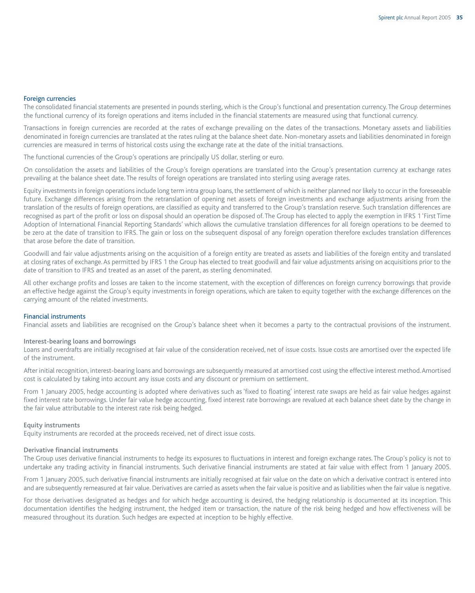#### Foreign currencies

The consolidated financial statements are presented in pounds sterling, which is the Group's functional and presentation currency.The Group determines the functional currency of its foreign operations and items included in the financial statements are measured using that functional currency.

Transactions in foreign currencies are recorded at the rates of exchange prevailing on the dates of the transactions. Monetary assets and liabilities denominated in foreign currencies are translated at the rates ruling at the balance sheet date. Non-monetary assets and liabilities denominated in foreign currencies are measured in terms of historical costs using the exchange rate at the date of the initial transactions.

The functional currencies of the Group's operations are principally US dollar, sterling or euro.

On consolidation the assets and liabilities of the Group's foreign operations are translated into the Group's presentation currency at exchange rates prevailing at the balance sheet date. The results of foreign operations are translated into sterling using average rates.

Equity investments in foreign operations include long term intra group loans, the settlement of which is neither planned nor likely to occur in the foreseeable future. Exchange differences arising from the retranslation of opening net assets of foreign investments and exchange adjustments arising from the translation of the results of foreign operations, are classified as equity and transferred to the Group's translation reserve. Such translation differences are recognised as part of the profit or loss on disposal should an operation be disposed of. The Group has elected to apply the exemption in IFRS 1 'First Time Adoption of International Financial Reporting Standards' which allows the cumulative translation differences for all foreign operations to be deemed to be zero at the date of transition to IFRS. The gain or loss on the subsequent disposal of any foreign operation therefore excludes translation differences that arose before the date of transition.

Goodwill and fair value adjustments arising on the acquisition of a foreign entity are treated as assets and liabilities of the foreign entity and translated at closing rates of exchange. As permitted by IFRS 1 the Group has elected to treat goodwill and fair value adjustments arising on acquisitions prior to the date of transition to IFRS and treated as an asset of the parent, as sterling denominated.

All other exchange profits and losses are taken to the income statement, with the exception of differences on foreign currency borrowings that provide an effective hedge against the Group's equity investments in foreign operations, which are taken to equity together with the exchange differences on the carrying amount of the related investments.

#### Financial instruments

Financial assets and liabilities are recognised on the Group's balance sheet when it becomes a party to the contractual provisions of the instrument.

#### Interest-bearing loans and borrowings

Loans and overdrafts are initially recognised at fair value of the consideration received, net of issue costs. Issue costs are amortised over the expected life of the instrument.

After initial recognition, interest-bearing loans and borrowings are subsequently measured at amortised cost using the effective interest method.Amortised cost is calculated by taking into account any issue costs and any discount or premium on settlement.

From 1 January 2005, hedge accounting is adopted where derivatives such as 'fixed to floating' interest rate swaps are held as fair value hedges against fixed interest rate borrowings. Under fair value hedge accounting, fixed interest rate borrowings are revalued at each balance sheet date by the change in the fair value attributable to the interest rate risk being hedged.

#### Equity instruments

Equity instruments are recorded at the proceeds received, net of direct issue costs.

#### Derivative financial instruments

The Group uses derivative financial instruments to hedge its exposures to fluctuations in interest and foreign exchange rates. The Group's policy is not to undertake any trading activity in financial instruments. Such derivative financial instruments are stated at fair value with effect from 1 January 2005.

From 1 January 2005, such derivative financial instruments are initially recognised at fair value on the date on which a derivative contract is entered into and are subsequently remeasured at fair value. Derivatives are carried as assets when the fair value is positive and as liabilities when the fair value is negative.

For those derivatives designated as hedges and for which hedge accounting is desired, the hedging relationship is documented at its inception. This documentation identifies the hedging instrument, the hedged item or transaction, the nature of the risk being hedged and how effectiveness will be measured throughout its duration. Such hedges are expected at inception to be highly effective.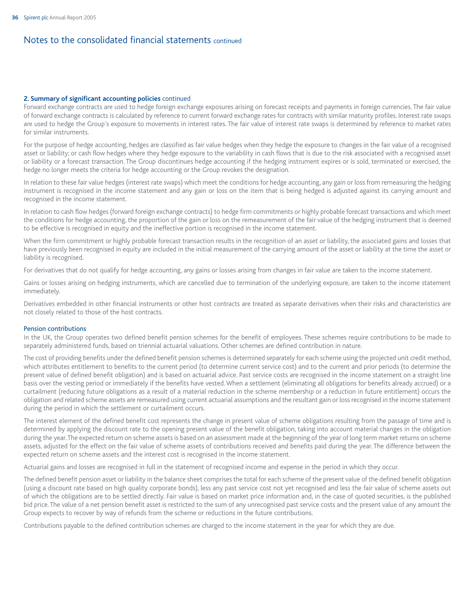### **2. Summary of significant accounting policies** continued

Forward exchange contracts are used to hedge foreign exchange exposures arising on forecast receipts and payments in foreign currencies. The fair value of forward exchange contracts is calculated by reference to current forward exchange rates for contracts with similar maturity profiles. Interest rate swaps are used to hedge the Group's exposure to movements in interest rates. The fair value of interest rate swaps is determined by reference to market rates for similar instruments.

For the purpose of hedge accounting, hedges are classified as fair value hedges when they hedge the exposure to changes in the fair value of a recognised asset or liability; or cash flow hedges where they hedge exposure to the variability in cash flows that is due to the risk associated with a recognised asset or liability or a forecast transaction. The Group discontinues hedge accounting if the hedging instrument expires or is sold, terminated or exercised, the hedge no longer meets the criteria for hedge accounting or the Group revokes the designation.

In relation to these fair value hedges (interest rate swaps) which meet the conditions for hedge accounting, any gain or loss from remeasuring the hedging instrument is recognised in the income statement and any gain or loss on the item that is being hedged is adjusted against its carrying amount and recognised in the income statement.

In relation to cash flow hedges (forward foreign exchange contracts) to hedge firm commitments or highly probable forecast transactions and which meet the conditions for hedge accounting, the proportion of the gain or loss on the remeasurement of the fair value of the hedging instrument that is deemed to be effective is recognised in equity and the ineffective portion is recognised in the income statement.

When the firm commitment or highly probable forecast transaction results in the recognition of an asset or liability, the associated gains and losses that have previously been recognised in equity are included in the initial measurement of the carrying amount of the asset or liability at the time the asset or liability is recognised.

For derivatives that do not qualify for hedge accounting, any gains or losses arising from changes in fair value are taken to the income statement.

Gains or losses arising on hedging instruments, which are cancelled due to termination of the underlying exposure, are taken to the income statement immediately.

Derivatives embedded in other financial instruments or other host contracts are treated as separate derivatives when their risks and characteristics are not closely related to those of the host contracts.

#### Pension contributions

In the UK, the Group operates two defined benefit pension schemes for the benefit of employees. These schemes require contributions to be made to separately administered funds, based on triennial actuarial valuations. Other schemes are defined contribution in nature.

The cost of providing benefits under the defined benefit pension schemes is determined separately for each scheme using the projected unit credit method, which attributes entitlement to benefits to the current period (to determine current service cost) and to the current and prior periods (to determine the present value of defined benefit obligation) and is based on actuarial advice. Past service costs are recognised in the income statement on a straight line basis over the vesting period or immediately if the benefits have vested.When a settlement (eliminating all obligations for benefits already accrued) or a curtailment (reducing future obligations as a result of a material reduction in the scheme membership or a reduction in future entitlement) occurs the obligation and related scheme assets are remeasured using current actuarial assumptions and the resultant gain or loss recognised in the income statement during the period in which the settlement or curtailment occurs.

The interest element of the defined benefit cost represents the change in present value of scheme obligations resulting from the passage of time and is determined by applying the discount rate to the opening present value of the benefit obligation, taking into account material changes in the obligation during the year.The expected return on scheme assets is based on an assessment made at the beginning of the year of long term market returns on scheme assets, adjusted for the effect on the fair value of scheme assets of contributions received and benefits paid during the year. The difference between the expected return on scheme assets and the interest cost is recognised in the income statement.

Actuarial gains and losses are recognised in full in the statement of recognised income and expense in the period in which they occur.

The defined benefit pension asset or liability in the balance sheet comprises the total for each scheme of the present value of the defined benefit obligation (using a discount rate based on high quality corporate bonds), less any past service cost not yet recognised and less the fair value of scheme assets out of which the obligations are to be settled directly. Fair value is based on market price information and, in the case of quoted securities, is the published bid price. The value of a net pension benefit asset is restricted to the sum of any unrecognised past service costs and the present value of any amount the Group expects to recover by way of refunds from the scheme or reductions in the future contributions.

Contributions payable to the defined contribution schemes are charged to the income statement in the year for which they are due.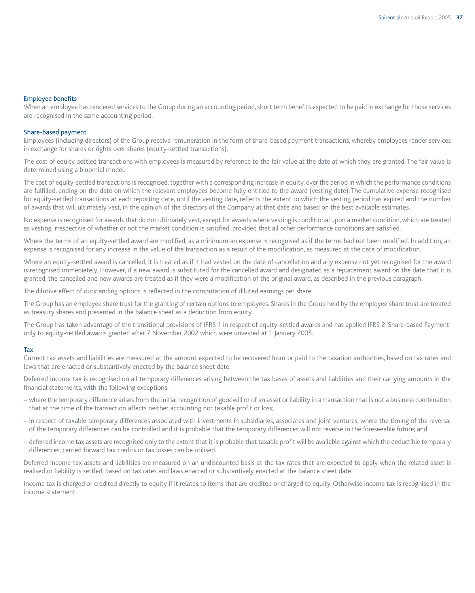#### Employee benefits

When an employee has rendered services to the Group during an accounting period, short term benefits expected to be paid in exchange for those services are recognised in the same accounting period.

#### Share-based payment

Employees (including directors) of the Group receive remuneration in the form of share-based payment transactions, whereby employees render services in exchange for shares or rights over shares (equity-settled transactions).

The cost of equity-settled transactions with employees is measured by reference to the fair value at the date at which they are granted. The fair value is determined using a binomial model.

The cost of equity-settled transactions is recognised, together with a corresponding increase in equity, over the period in which the performance conditions are fulfilled, ending on the date on which the relevant employees become fully entitled to the award (vesting date). The cumulative expense recognised for equity-settled transactions at each reporting date, until the vesting date, reflects the extent to which the vesting period has expired and the number of awards that will ultimately vest, in the opinion of the directors of the Company at that date and based on the best available estimates.

No expense is recognised for awards that do not ultimately vest, except for awards where vesting is conditional upon a market condition, which are treated as vesting irrespective of whether or not the market condition is satisfied, provided that all other performance conditions are satisfied.

Where the terms of an equity-settled award are modified, as a minimum an expense is recognised as if the terms had not been modified. In addition, an expense is recognised for any increase in the value of the transaction as a result of the modification, as measured at the date of modification.

Where an equity-settled award is cancelled, it is treated as if it had vested on the date of cancellation and any expense not yet recognised for the award is recognised immediately. However, if a new award is substituted for the cancelled award and designated as a replacement award on the date that it is granted, the cancelled and new awards are treated as if they were a modification of the original award, as described in the previous paragraph.

The dilutive effect of outstanding options is reflected in the computation of diluted earnings per share.

The Group has an employee share trust for the granting of certain options to employees. Shares in the Group held by the employee share trust are treated as treasury shares and presented in the balance sheet as a deduction from equity.

The Group has taken advantage of the transitional provisions of IFRS 1 in respect of equity-settled awards and has applied IFRS 2 'Share-based Payment' only to equity-settled awards granted after 7 November 2002 which were unvested at 1 January 2005.

#### Tax

Current tax assets and liabilities are measured at the amount expected to be recovered from or paid to the taxation authorities, based on tax rates and laws that are enacted or substantively enacted by the balance sheet date.

Deferred income tax is recognised on all temporary differences arising between the tax bases of assets and liabilities and their carrying amounts in the financial statements, with the following exceptions:

- where the temporary difference arises from the initial recognition of goodwill or of an asset or liability in a transaction that is not a business combination that at the time of the transaction affects neither accounting nor taxable profit or loss;
- in respect of taxable temporary differences associated with investments in subsidiaries, associates and joint ventures, where the timing of the reversal of the temporary differences can be controlled and it is probable that the temporary differences will not reverse in the foreseeable future; and
- deferred income tax assets are recognised only to the extent that it is probable that taxable profit will be available against which the deductible temporary differences, carried forward tax credits or tax losses can be utilised.

Deferred income tax assets and liabilities are measured on an undiscounted basis at the tax rates that are expected to apply when the related asset is realised or liability is settled, based on tax rates and laws enacted or substantively enacted at the balance sheet date.

Income tax is charged or credited directly to equity if it relates to items that are credited or charged to equity. Otherwise income tax is recognised in the income statement.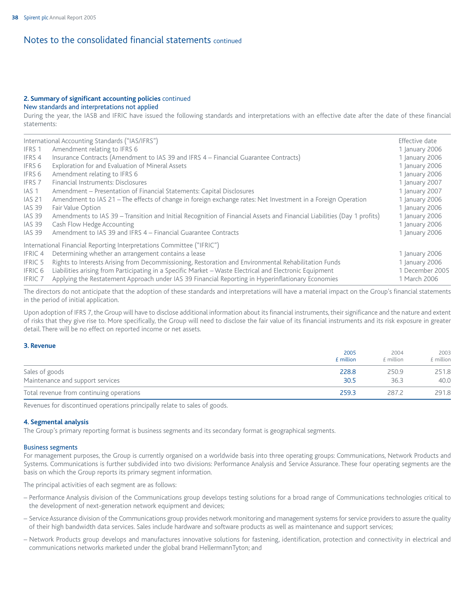#### **2. Summary of significant accounting policies** continued New standards and interpretations not applied

During the year, the IASB and IFRIC have issued the following standards and interpretations with an effective date after the date of these financial statements:

|                   | International Accounting Standards ("IAS/IFRS")                                                                         | Effective date  |
|-------------------|-------------------------------------------------------------------------------------------------------------------------|-----------------|
| IFRS 1            | Amendment relating to IFRS 6                                                                                            | 1 January 2006  |
| IFRS 4            | Insurance Contracts (Amendment to IAS 39 and IFRS 4 – Financial Guarantee Contracts)                                    | 1 January 2006  |
| IFRS <sub>6</sub> | Exploration for and Evaluation of Mineral Assets                                                                        | 1 January 2006  |
| IFRS 6            | Amendment relating to IFRS 6                                                                                            | 1 January 2006  |
| IFRS 7            | Financial Instruments: Disclosures                                                                                      | 1 January 2007  |
| IAS 1             | Amendment – Presentation of Financial Statements: Capital Disclosures                                                   | 1 January 2007  |
| <b>IAS 21</b>     | Amendment to IAS 21 - The effects of change in foreign exchange rates: Net Investment in a Foreign Operation            | 1 January 2006  |
| <b>IAS 39</b>     | Fair Value Option                                                                                                       | 1 January 2006  |
| <b>IAS 39</b>     | Amendments to IAS 39 - Transition and Initial Recognition of Financial Assets and Financial Liabilities (Day 1 profits) | 1 January 2006  |
| <b>IAS 39</b>     | Cash Flow Hedge Accounting                                                                                              | 1 January 2006  |
| <b>IAS 39</b>     | Amendment to IAS 39 and IFRS 4 – Financial Guarantee Contracts                                                          | 1 January 2006  |
|                   | International Financial Reporting Interpretations Committee ("IFRIC")                                                   |                 |
| <b>IFRIC 4</b>    | Determining whether an arrangement contains a lease                                                                     | 1 January 2006  |
| <b>IFRIC 5</b>    | Rights to Interests Arising from Decommissioning, Restoration and Environmental Rehabilitation Funds                    | 1 January 2006  |
| <b>IFRIC 6</b>    | Liabilities arising from Participating in a Specific Market - Waste Electrical and Electronic Equipment                 | 1 December 2005 |
| <b>IFRIC 7</b>    | Applying the Restatement Approach under IAS 39 Financial Reporting in Hyperinflationary Economies                       | 1 March 2006    |

The directors do not anticipate that the adoption of these standards and interpretations will have a material impact on the Group's financial statements in the period of initial application.

Upon adoption of IFRS 7, the Group will have to disclose additional information about its financial instruments, their significance and the nature and extent of risks that they give rise to. More specifically, the Group will need to disclose the fair value of its financial instruments and its risk exposure in greater detail. There will be no effect on reported income or net assets.

#### **3. Revenue**

|                                          | 2005<br>£ million | 2004<br>£ million | 2003<br>£ million |
|------------------------------------------|-------------------|-------------------|-------------------|
| Sales of goods                           | 228.8             | 250.9             | 251.8             |
| Maintenance and support services         | 30.5              | 36.3              | 40.0              |
| Total revenue from continuing operations | 259.3             | 287.2             | 291.8             |

Revenues for discontinued operations principally relate to sales of goods.

#### **4. Segmental analysis**

The Group's primary reporting format is business segments and its secondary format is geographical segments.

#### Business segments

For management purposes, the Group is currently organised on a worldwide basis into three operating groups: Communications, Network Products and Systems. Communications is further subdivided into two divisions: Performance Analysis and Service Assurance. These four operating segments are the basis on which the Group reports its primary segment information.

The principal activities of each segment are as follows:

- Performance Analysis division of the Communications group develops testing solutions for a broad range of Communications technologies critical to the development of next-generation network equipment and devices;
- Service Assurance division of the Communications group provides network monitoring and management systems for service providers to assure the quality of their high bandwidth data services. Sales include hardware and software products as well as maintenance and support services;
- Network Products group develops and manufactures innovative solutions for fastening, identification, protection and connectivity in electrical and communications networks marketed under the global brand HellermannTyton; and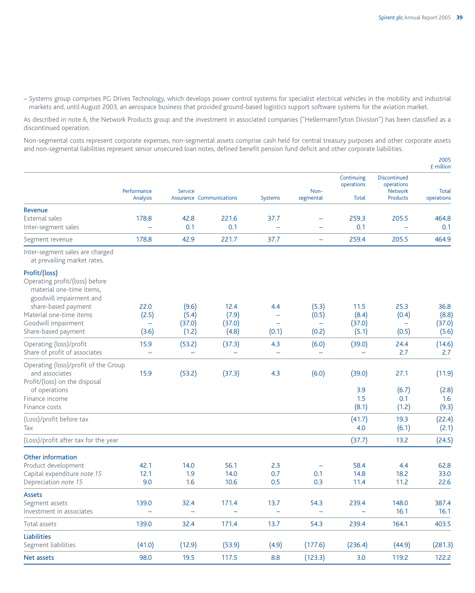2005

– Systems group comprises PG Drives Technology, which develops power control systems for specialist electrical vehicles in the mobility and industrial markets and, until August 2003, an aerospace business that provided ground-based logistics support software systems for the aviation market.

As described in note 6, the Network Products group and the investment in associated companies ("HellermannTyton Division") has been classified as a discontinued operation.

Non-segmental costs represent corporate expenses, non-segmental assets comprise cash held for central treasury purposes and other corporate assets and non-segmental liabilities represent senior unsecured loan notes, defined benefit pension fund deficit and other corporate liabilities.

|                                                                                                                                                                                                        |                         |                                            |                                  |                                                      |                         |                                          |                                                          | £ million                        |
|--------------------------------------------------------------------------------------------------------------------------------------------------------------------------------------------------------|-------------------------|--------------------------------------------|----------------------------------|------------------------------------------------------|-------------------------|------------------------------------------|----------------------------------------------------------|----------------------------------|
|                                                                                                                                                                                                        | Performance<br>Analysis | Service<br><b>Assurance Communications</b> |                                  | Systems                                              | Non-<br>segmental       | Continuing<br>operations<br><b>Total</b> | Discontinued<br>operations<br><b>Network</b><br>Products | <b>Total</b><br>operations       |
| Revenue                                                                                                                                                                                                |                         |                                            |                                  |                                                      |                         |                                          |                                                          |                                  |
| <b>External sales</b>                                                                                                                                                                                  | 178.8                   | 42.8                                       | 221.6                            | 37.7                                                 | ÷                       | 259.3                                    | 205.5                                                    | 464.8                            |
| Inter-segment sales                                                                                                                                                                                    |                         | 0.1                                        | 0.1                              |                                                      |                         | 0.1                                      |                                                          | 0.1                              |
| Segment revenue                                                                                                                                                                                        | 178.8                   | 42.9                                       | 221.7                            | 37.7                                                 | $\overline{a}$          | 259.4                                    | 205.5                                                    | 464.9                            |
| Inter-segment sales are charged<br>at prevailing market rates.                                                                                                                                         |                         |                                            |                                  |                                                      |                         |                                          |                                                          |                                  |
| Profit/(loss)<br>Operating profit/(loss) before<br>material one-time items,<br>goodwill impairment and<br>share-based payment<br>Material one-time items<br>Goodwill impairment<br>Share-based payment | 22.0<br>(2.5)<br>(3.6)  | (9.6)<br>(5.4)<br>(37.0)<br>(1.2)          | 12.4<br>(7.9)<br>(37.0)<br>(4.8) | 4.4<br>$\equiv$<br>$\overline{\phantom{0}}$<br>(0.1) | (5.3)<br>(0.5)<br>(0.2) | 11.5<br>(8.4)<br>(37.0)<br>(5.1)         | 25.3<br>(0.4)<br>(0.5)                                   | 36.8<br>(8.8)<br>(37.0)<br>(5.6) |
|                                                                                                                                                                                                        |                         |                                            |                                  |                                                      |                         |                                          |                                                          |                                  |
| Operating (loss)/profit<br>Share of profit of associates                                                                                                                                               | 15.9<br>÷,              | (53.2)<br>÷,                               | (37.3)                           | 4.3<br>$\equiv$                                      | (6.0)<br>÷              | (39.0)                                   | 24.4<br>2.7                                              | (14.6)<br>2.7                    |
| Operating (loss)/profit of the Group<br>and associates<br>Profit/(loss) on the disposal<br>of operations<br>Finance income<br>Finance costs                                                            | 15.9                    | (53.2)                                     | (37.3)                           | 4.3                                                  | (6.0)                   | (39.0)<br>3.9<br>1.5<br>(8.1)            | 27.1<br>(6.7)<br>0.1<br>(1.2)                            | (11.9)<br>(2.8)<br>1.6<br>(9.3)  |
| (Loss)/profit before tax<br>Tax                                                                                                                                                                        |                         |                                            |                                  |                                                      |                         | (41.7)<br>4.0                            | 19.3<br>(6.1)                                            | (22.4)<br>(2.1)                  |
| (Loss)/profit after tax for the year                                                                                                                                                                   |                         |                                            |                                  |                                                      |                         | (37.7)                                   | 13.2                                                     | (24.5)                           |
| <b>Other information</b><br>Product development<br>Capital expenditure note 15<br>Depreciation note 15                                                                                                 | 42.1<br>12.1<br>9.0     | 14.0<br>1.9<br>1.6                         | 56.1<br>14.0<br>10.6             | 2.3<br>0.7<br>0.5                                    | $\equiv$<br>0.1<br>0.3  | 58.4<br>14.8<br>11.4                     | 4.4<br>18.2<br>11.2                                      | 62.8<br>33.0<br>22.6             |
| <b>Assets</b>                                                                                                                                                                                          |                         |                                            |                                  |                                                      |                         |                                          |                                                          |                                  |
| Segment assets<br>Investment in associates                                                                                                                                                             | 139.0                   | 32.4<br>÷                                  | 171.4                            | 13.7                                                 | 54.3                    | 239.4                                    | 148.0<br>16.1                                            | 387.4<br>16.1                    |
| Total assets                                                                                                                                                                                           | 139.0                   | 32.4                                       | 171.4                            | 13.7                                                 | 54.3                    | 239.4                                    | 164.1                                                    | 403.5                            |
| <b>Liabilities</b><br>Segment liabilities                                                                                                                                                              | (41.0)                  | (12.9)                                     | (53.9)                           | (4.9)                                                | (177.6)                 | (236.4)                                  | (44.9)                                                   | (281.3)                          |
|                                                                                                                                                                                                        |                         |                                            |                                  |                                                      |                         |                                          |                                                          |                                  |
| <b>Net assets</b>                                                                                                                                                                                      | 98.0                    | 19.5                                       | 117.5                            | 8.8                                                  | (123.3)                 | 3.0                                      | 119.2                                                    | 122.2                            |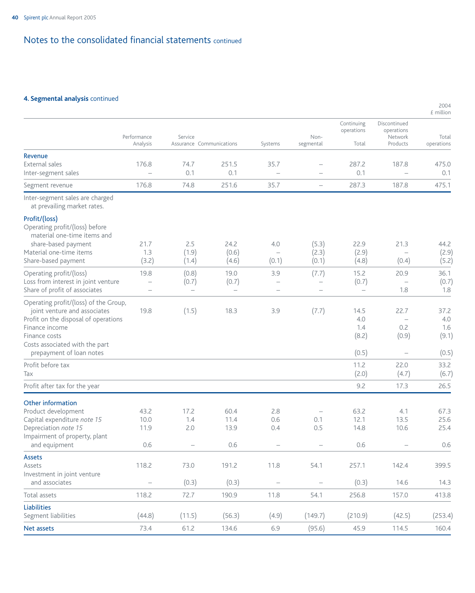## **4. Segmental analysis** continued

2004

|                                                                                                                                                                                                                |                                                              |                                     |                             |                                                             |                                                               |                                      |                                                   | £ million                            |
|----------------------------------------------------------------------------------------------------------------------------------------------------------------------------------------------------------------|--------------------------------------------------------------|-------------------------------------|-----------------------------|-------------------------------------------------------------|---------------------------------------------------------------|--------------------------------------|---------------------------------------------------|--------------------------------------|
|                                                                                                                                                                                                                | Performance<br>Analysis                                      | Service<br>Assurance Communications |                             | Systems                                                     | Non-<br>segmental                                             | Continuing<br>operations<br>Total    | Discontinued<br>operations<br>Network<br>Products | Total<br>operations                  |
| Revenue<br>External sales<br>Inter-segment sales                                                                                                                                                               | 176.8                                                        | 74.7<br>0.1                         | 251.5<br>0.1                | 35.7                                                        |                                                               | 287.2<br>0.1                         | 187.8                                             | 475.0<br>0.1                         |
| Segment revenue                                                                                                                                                                                                | 176.8                                                        | 74.8                                | 251.6                       | 35.7                                                        | $\overline{\phantom{0}}$                                      | 287.3                                | 187.8                                             | 475.1                                |
| Inter-segment sales are charged<br>at prevailing market rates.                                                                                                                                                 |                                                              |                                     |                             |                                                             |                                                               |                                      |                                                   |                                      |
| Profit/(loss)<br>Operating profit/(loss) before<br>material one-time items and<br>share-based payment<br>Material one-time items<br>Share-based payment                                                        | 21.7<br>1.3<br>(3.2)                                         | 2.5<br>(1.9)<br>(1.4)               | 24.2<br>(0.6)<br>(4.6)      | 4.0<br>$\overline{\phantom{0}}$<br>(0.1)                    | (5.3)<br>(2.3)<br>(0.1)                                       | 22.9<br>(2.9)<br>(4.8)               | 21.3<br>(0.4)                                     | 44.2<br>(2.9)<br>(5.2)               |
| Operating profit/(loss)<br>Loss from interest in joint venture<br>Share of profit of associates                                                                                                                | 19.8<br>$\overline{\phantom{0}}$<br>$\overline{\phantom{0}}$ | (0.8)<br>(0.7)                      | 19.0<br>(0.7)               | 3.9<br>$\overline{\phantom{0}}$<br>$\overline{\phantom{0}}$ | (7.7)<br>$\overline{\phantom{0}}$<br>$\overline{\phantom{0}}$ | 15.2<br>(0.7)<br>$\frac{1}{2}$       | 20.9<br>$\overline{\phantom{0}}$<br>1.8           | 36.1<br>(0.7)<br>1.8                 |
| Operating profit/(loss) of the Group,<br>joint venture and associates<br>Profit on the disposal of operations<br>Finance income<br>Finance costs<br>Costs associated with the part<br>prepayment of loan notes | 19.8                                                         | (1.5)                               | 18.3                        | 3.9                                                         | (7.7)                                                         | 14.5<br>4.0<br>1.4<br>(8.2)<br>(0.5) | 22.7<br>0.2<br>(0.9)                              | 37.2<br>4.0<br>1.6<br>(9.1)<br>(0.5) |
| Profit before tax<br>Tax                                                                                                                                                                                       |                                                              |                                     |                             |                                                             |                                                               | 11.2<br>(2.0)                        | 22.0<br>(4.7)                                     | 33.2<br>(6.7)                        |
| Profit after tax for the year                                                                                                                                                                                  |                                                              |                                     |                             |                                                             |                                                               | 9.2                                  | 17.3                                              | 26.5                                 |
| Other information<br>Product development<br>Capital expenditure note 15<br>Depreciation note 15<br>Impairment of property, plant<br>and equipment                                                              | 43.2<br>10.0<br>11.9<br>0.6                                  | 17.2<br>1.4<br>2.0                  | 60.4<br>11.4<br>13.9<br>0.6 | 2.8<br>0.6<br>0.4                                           | 0.1<br>0.5                                                    | 63.2<br>12.1<br>14.8<br>0.6          | 4.1<br>13.5<br>10.6                               | 67.3<br>25.6<br>25.4<br>0.6          |
| <b>Assets</b><br>Assets<br>Investment in joint venture<br>and associates                                                                                                                                       | 118.2                                                        | 73.0<br>(0.3)                       | 191.2<br>(0.3)              | 11.8                                                        | 54.1<br>$\overline{\phantom{0}}$                              | 257.1<br>(0.3)                       | 142.4<br>14.6                                     | 399.5<br>14.3                        |
| Total assets                                                                                                                                                                                                   | 118.2                                                        | 72.7                                | 190.9                       | 11.8                                                        | 54.1                                                          | 256.8                                | 157.0                                             | 413.8                                |
| <b>Liabilities</b><br>Segment liabilities                                                                                                                                                                      | (44.8)                                                       | (11.5)                              | (56.3)                      | (4.9)                                                       | (149.7)                                                       | (210.9)                              | (42.5)                                            | (253.4)                              |
| Net assets                                                                                                                                                                                                     | 73.4                                                         | 61.2                                | 134.6                       | 6.9                                                         | (95.6)                                                        | 45.9                                 | 114.5                                             | 160.4                                |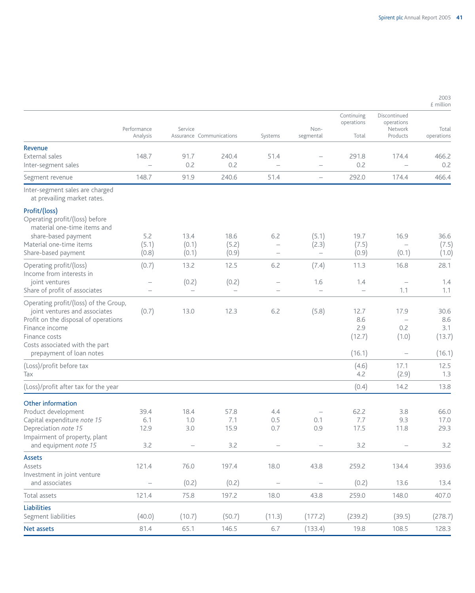|                                                                                                                                                   |                         |         |                          |                          |                          |                                   |                                                   | £ million                    |
|---------------------------------------------------------------------------------------------------------------------------------------------------|-------------------------|---------|--------------------------|--------------------------|--------------------------|-----------------------------------|---------------------------------------------------|------------------------------|
|                                                                                                                                                   | Performance<br>Analysis | Service | Assurance Communications | Systems                  | Non-<br>segmental        | Continuing<br>operations<br>Total | Discontinued<br>operations<br>Network<br>Products | Total<br>operations          |
| Revenue<br>External sales                                                                                                                         | 148.7                   | 91.7    | 240.4                    | 51.4                     |                          | 291.8                             | 174.4                                             | 466.2                        |
| Inter-segment sales                                                                                                                               |                         | 0.2     | 0.2                      |                          |                          | 0.2                               |                                                   | 0.2                          |
| Segment revenue                                                                                                                                   | 148.7                   | 91.9    | 240.6                    | 51.4                     |                          | 292.0                             | 174.4                                             | 466.4                        |
| Inter-segment sales are charged<br>at prevailing market rates.                                                                                    |                         |         |                          |                          |                          |                                   |                                                   |                              |
| Profit/(loss)<br>Operating profit/(loss) before<br>material one-time items and<br>share-based payment                                             | 5.2                     | 13.4    | 18.6                     | 6.2                      | (5.1)                    | 19.7                              | 16.9                                              | 36.6                         |
| Material one-time items                                                                                                                           | (5.1)                   | (0.1)   | (5.2)                    | $\overline{\phantom{0}}$ | (2.3)                    | (7.5)                             |                                                   | (7.5)                        |
| Share-based payment                                                                                                                               | (0.8)                   | (0.1)   | (0.9)                    | $\overline{\phantom{0}}$ |                          | (0.9)                             | (0.1)                                             | (1.0)                        |
| Operating profit/(loss)<br>Income from interests in                                                                                               | (0.7)                   | 13.2    | 12.5                     | 6.2                      | (7.4)                    | 11.3                              | 16.8                                              | 28.1                         |
| joint ventures                                                                                                                                    |                         | (0.2)   | (0.2)                    | $\overline{\phantom{0}}$ | 1.6                      | 1.4                               | $\overline{\phantom{0}}$                          | 1.4                          |
| Share of profit of associates                                                                                                                     |                         |         |                          |                          |                          |                                   | 1.1                                               | 1.1                          |
| Operating profit/(loss) of the Group,<br>joint ventures and associates<br>Profit on the disposal of operations<br>Finance income<br>Finance costs | (0.7)                   | 13.0    | 12.3                     | 6.2                      | (5.8)                    | 12.7<br>8.6<br>2.9<br>(12.7)      | 17.9<br>$\overline{\phantom{a}}$<br>0.2<br>(1.0)  | 30.6<br>8.6<br>3.1<br>(13.7) |
| Costs associated with the part<br>prepayment of loan notes                                                                                        |                         |         |                          |                          |                          | (16.1)                            | $\overline{\phantom{a}}$                          | (16.1)                       |
| (Loss)/profit before tax<br>Tax                                                                                                                   |                         |         |                          |                          |                          | (4.6)<br>4.2                      | 17.1<br>(2.9)                                     | 12.5<br>1.3                  |
| (Loss)/profit after tax for the year                                                                                                              |                         |         |                          |                          |                          | (0.4)                             | 14.2                                              | 13.8                         |
| Other information                                                                                                                                 |                         |         |                          |                          |                          |                                   |                                                   |                              |
| Product development                                                                                                                               | 39.4                    | 18.4    | 57.8                     | 4.4                      |                          | 62.2                              | 3.8                                               | 66.0                         |
| Capital expenditure note 15                                                                                                                       | 6.1                     | 1.0     | 7.1                      | 0.5                      | 0.1                      | 7.7                               | 9.3                                               | 17.0                         |
| Depreciation note 15                                                                                                                              | 12.9                    | 3.0     | 15.9                     | 0.7                      | 0.9                      | 17.5                              | 11.8                                              | 29.3                         |
| Impairment of property, plant<br>and equipment note 15                                                                                            | 3.2                     |         | 3.2                      | $\qquad \qquad -$        | $\overline{\phantom{0}}$ | 3.2                               |                                                   | 3.2                          |
| Assets                                                                                                                                            |                         |         |                          |                          |                          |                                   |                                                   |                              |
| Assets<br>Investment in joint venture                                                                                                             | 121.4                   | 76.0    | 197.4                    | 18.0                     | 43.8                     | 259.2                             | 134.4                                             | 393.6                        |
| and associates                                                                                                                                    |                         | (0.2)   | (0.2)                    |                          |                          | (0.2)                             | 13.6                                              | 13.4                         |
| Total assets                                                                                                                                      | 121.4                   | 75.8    | 197.2                    | 18.0                     | 43.8                     | 259.0                             | 148.0                                             | 407.0                        |
| <b>Liabilities</b><br>Segment liabilities                                                                                                         | (40.0)                  | (10.7)  | (50.7)                   | (11.3)                   | (177.2)                  | (239.2)                           | (39.5)                                            | (278.7)                      |
| Net assets                                                                                                                                        | 81.4                    | 65.1    | 146.5                    | 6.7                      | (133.4)                  | 19.8                              | 108.5                                             | 128.3                        |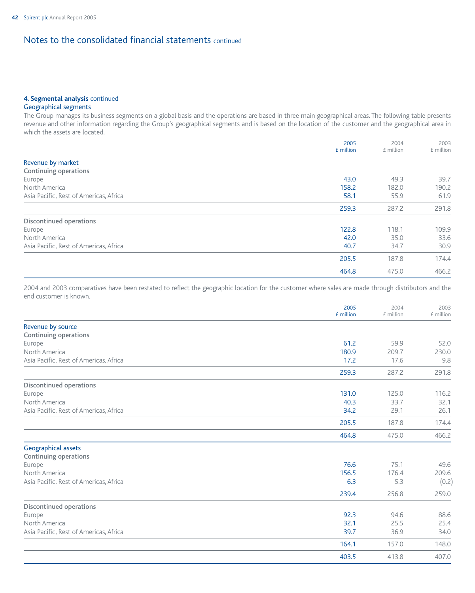#### **4. Segmental analysis** continued Geographical segments

The Group manages its business segments on a global basis and the operations are based in three main geographical areas. The following table presents revenue and other information regarding the Group's geographical segments and is based on the location of the customer and the geographical area in which the assets are located.

| 2005<br>£ million                                                        | 2004<br>£ million | 2003<br>£ million |
|--------------------------------------------------------------------------|-------------------|-------------------|
|                                                                          |                   |                   |
|                                                                          |                   |                   |
| 43.0                                                                     | 49.3              | 39.7              |
| 158.2                                                                    | 182.0             | 190.2             |
| Asia Pacific, Rest of Americas, Africa<br>58.1<br>55.9<br>259.3<br>287.2 | 61.9              |                   |
|                                                                          |                   | 291.8             |
|                                                                          |                   |                   |
| 122.8                                                                    | 118.1             | 109.9             |
| 42.0                                                                     | 35.0              | 33.6              |
| 40.7                                                                     | 34.7              | 30.9              |
| 187.8<br>205.5                                                           | 174.4             |                   |
| 464.8                                                                    | 475.0             | 466.2             |
|                                                                          |                   |                   |

2004 and 2003 comparatives have been restated to reflect the geographic location for the customer where sales are made through distributors and the end customer is known.

|                                        | 2005<br>£ million | 2004<br>£ million | 2003<br>£ million |
|----------------------------------------|-------------------|-------------------|-------------------|
| Revenue by source                      |                   |                   |                   |
| Continuing operations                  |                   |                   |                   |
| Europe                                 | 61.2              | 59.9              | 52.0              |
| North America                          | 180.9             | 209.7             | 230.0             |
| Asia Pacific, Rest of Americas, Africa | 17.2              | 17.6              | 9.8               |
|                                        | 259.3             | 287.2             | 291.8             |
| Discontinued operations                |                   |                   |                   |
| Europe                                 | 131.0             | 125.0             | 116.2             |
| North America                          | 40.3              | 33.7              | 32.1              |
| Asia Pacific, Rest of Americas, Africa | 34.2              | 29.1              | 26.1              |
|                                        | 205.5             | 187.8             | 174.4             |
|                                        | 464.8             | 475.0             | 466.2             |
| <b>Geographical assets</b>             |                   |                   |                   |
| Continuing operations                  |                   |                   |                   |
| Europe                                 | 76.6              | 75.1              | 49.6              |
| North America                          | 156.5             | 176.4             | 209.6             |
| Asia Pacific, Rest of Americas, Africa | 6.3               | 5.3               | (0.2)             |
|                                        | 239.4             | 256.8             | 259.0             |
| Discontinued operations                |                   |                   |                   |
| Europe                                 | 92.3              | 94.6              | 88.6              |
| North America                          | 32.1              | 25.5              | 25.4              |
| Asia Pacific, Rest of Americas, Africa | 39.7              | 36.9              | 34.0              |
|                                        | 164.1             | 157.0             | 148.0             |
|                                        | 403.5             | 413.8             | 407.0             |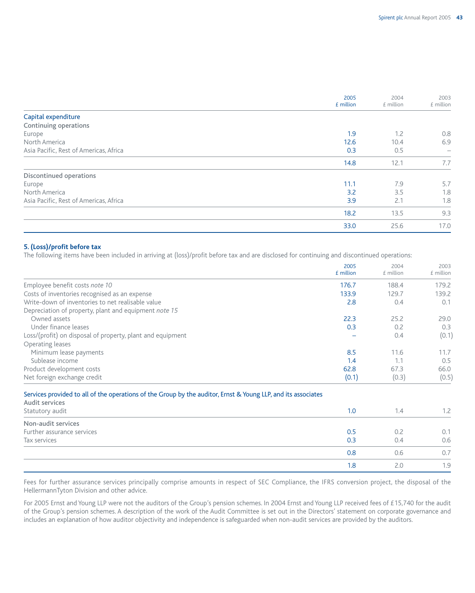|                                        | 2005      | 2004      | 2003      |
|----------------------------------------|-----------|-----------|-----------|
|                                        | £ million | £ million | £ million |
| Capital expenditure                    |           |           |           |
| Continuing operations                  |           |           |           |
| Europe                                 | 1.9       | 1.2       | 0.8       |
| North America                          | 12.6      | 10.4      | 6.9       |
| Asia Pacific, Rest of Americas, Africa | 0.3       | 0.5       |           |
|                                        | 14.8      | 12.1      | 7.7       |
| Discontinued operations                |           |           |           |
| Europe                                 | 11.1      | 7.9       | 5.7       |
| North America                          | 3.2       | 3.5       | 1.8       |
| Asia Pacific, Rest of Americas, Africa | 3.9       | 2.1       | 1.8       |
|                                        | 18.2      | 13.5      | 9.3       |
|                                        | 33.0      | 25.6      | 17.0      |

### **5. (Loss)/profit before tax**

The following items have been included in arriving at (loss)/profit before tax and are disclosed for continuing and discontinued operations:

|                                                            | 2005        | 2004      | 2003      |
|------------------------------------------------------------|-------------|-----------|-----------|
|                                                            | $E$ million | £ million | £ million |
| Employee benefit costs note 10                             | 176.7       | 188.4     | 179.2     |
| Costs of inventories recognised as an expense              | 133.9       | 129.7     | 139.2     |
| Write-down of inventories to net realisable value          | 2.8         | 0.4       | 0.1       |
| Depreciation of property, plant and equipment note 15      |             |           |           |
| Owned assets                                               | 22.3        | 25.2      | 29.0      |
| Under finance leases                                       | 0.3         | 0.2       | 0.3       |
| Loss/(profit) on disposal of property, plant and equipment |             | 0.4       | (0.1)     |
| Operating leases                                           |             |           |           |
| Minimum lease payments                                     | 8.5         | 11.6      | 11.7      |
| Sublease income                                            | 1.4         | 1.1       | 0.5       |
| Product development costs                                  | 62.8        | 67.3      | 66.0      |
| Net foreign exchange credit                                | (0.1)       | (0.3)     | (0.5)     |

## Services provided to all of the operations of the Group by the auditor, Ernst & Young LLP, and its associates

| Audit services<br>Statutory audit | 1.0 | 1.4 |     |
|-----------------------------------|-----|-----|-----|
| Non-audit services                |     |     |     |
| Further assurance services        | 0.5 | 0.2 | 0.1 |
| Tax services                      | 0.3 | 0.4 | 0.6 |
|                                   | 0.8 | 0.6 | 0.7 |
|                                   | 1.8 | 2.0 | 1.9 |

Fees for further assurance services principally comprise amounts in respect of SEC Compliance, the IFRS conversion project, the disposal of the HellermannTyton Division and other advice.

For 2005 Ernst and Young LLP were not the auditors of the Group's pension schemes. In 2004 Ernst and Young LLP received fees of £15,740 for the audit of the Group's pension schemes. A description of the work of the Audit Committee is set out in the Directors' statement on corporate governance and includes an explanation of how auditor objectivity and independence is safeguarded when non-audit services are provided by the auditors.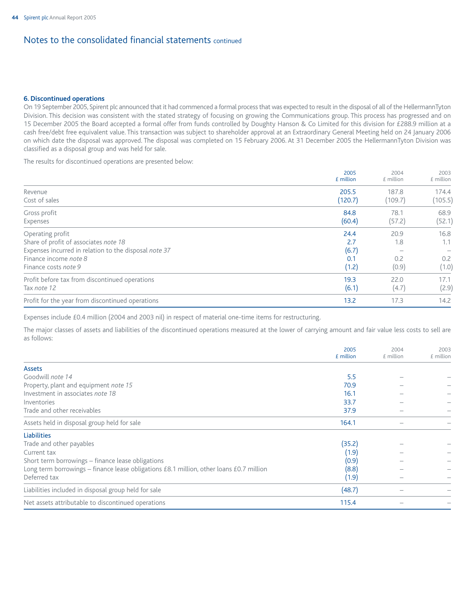#### **6. Discontinued operations**

On 19 September 2005, Spirent plc announced that it had commenced a formal process that was expected to result in the disposal of all of the HellermannTyton Division. This decision was consistent with the stated strategy of focusing on growing the Communications group. This process has progressed and on 15 December 2005 the Board accepted a formal offer from funds controlled by Doughty Hanson & Co Limited for this division for £288.9 million at a cash free/debt free equivalent value. This transaction was subject to shareholder approval at an Extraordinary General Meeting held on 24 January 2006 on which date the disposal was approved. The disposal was completed on 15 February 2006. At 31 December 2005 the HellermannTyton Division was classified as a disposal group and was held for sale.

The results for discontinued operations are presented below:

|                                                       | 2005<br>£ million | 2004<br>£ million | 2003<br>£ million |
|-------------------------------------------------------|-------------------|-------------------|-------------------|
| Revenue                                               | 205.5             | 187.8             | 174.4             |
| Cost of sales                                         | (120.7)           | (109.7)           | (105.5)           |
| Gross profit                                          | 84.8              | 78.1              | 68.9              |
| Expenses                                              | (60.4)            | (57.2)            | (52.1)            |
| Operating profit                                      | 24.4              | 20.9              | 16.8              |
| Share of profit of associates note 18                 | 2.7               | 1.8               | 1.1               |
| Expenses incurred in relation to the disposal note 37 | (6.7)             |                   |                   |
| Finance income note 8                                 | 0.1               | 0.2               | 0.2               |
| Finance costs note 9                                  | (1.2)             | (0.9)             | (1.0)             |
| Profit before tax from discontinued operations        | 19.3              | 22.0              | 17.1              |
| Tax note 12                                           | (6.1)             | (4.7)             | (2.9)             |
| Profit for the year from discontinued operations      | 13.2              | 17.3              | 14.2              |

Expenses include £0.4 million (2004 and 2003 nil) in respect of material one-time items for restructuring.

The major classes of assets and liabilities of the discontinued operations measured at the lower of carrying amount and fair value less costs to sell are as follows:

|                                                                                         | 2005<br>£ million | 2004<br>£ million | 2003<br>£ million |
|-----------------------------------------------------------------------------------------|-------------------|-------------------|-------------------|
| <b>Assets</b>                                                                           |                   |                   |                   |
| Goodwill note 14                                                                        | 5.5               |                   |                   |
| Property, plant and equipment note 15                                                   | 70.9              |                   |                   |
| Investment in associates note 18                                                        | 16.1              |                   |                   |
| Inventories                                                                             | 33.7              |                   |                   |
| Trade and other receivables                                                             | 37.9              |                   |                   |
| Assets held in disposal group held for sale                                             | 164.1             |                   |                   |
| <b>Liabilities</b>                                                                      |                   |                   |                   |
| Trade and other payables                                                                | (35.2)            |                   |                   |
| Current tax                                                                             | (1.9)             |                   |                   |
| Short term borrowings – finance lease obligations                                       | (0.9)             |                   |                   |
| Long term borrowings – finance lease obligations £8.1 million, other loans £0.7 million | (8.8)             |                   |                   |
| Deferred tax                                                                            | (1.9)             |                   |                   |
| Liabilities included in disposal group held for sale                                    | (48.7)            |                   |                   |
| Net assets attributable to discontinued operations                                      | 115.4             |                   |                   |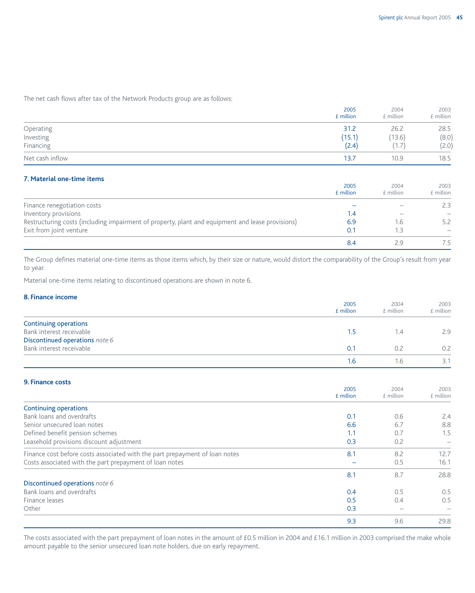The net cash flows after tax of the Network Products group are as follows:

|                 | 2005<br>£ million | 2004<br>£ million | 2003<br>£ million |
|-----------------|-------------------|-------------------|-------------------|
| Operating       | 31.2              | 26.2              | 28.5              |
| Investing       | (15.1)            | (13.6)            | (8.0)             |
| Financing       | (2.4)             | 1.7)              | (2.0)             |
| Net cash inflow | 13.7              | 10.9              | 18.5              |

## **7. Material one-time items**

|                                                                                                  | 2005<br>£ million | 2004<br>£ million | 2003<br>£ million |
|--------------------------------------------------------------------------------------------------|-------------------|-------------------|-------------------|
| Finance renegotiation costs                                                                      |                   |                   | 2.3               |
| Inventory provisions                                                                             | 1.4               |                   |                   |
| Restructuring costs (including impairment of property, plant and equipment and lease provisions) | 6.9               | 1.6               | 5.2               |
| Exit from joint venture                                                                          | 0.1               |                   |                   |
|                                                                                                  | 8.4               |                   |                   |

The Group defines material one-time items as those items which, by their size or nature, would distort the comparability of the Group's result from year to year.

Material one-time items relating to discontinued operations are shown in note 6.

## **8. Finance income**

|                                                                             | 2005<br>£ million | 2004<br>£ million | 2003<br>£ million        |
|-----------------------------------------------------------------------------|-------------------|-------------------|--------------------------|
| <b>Continuing operations</b>                                                |                   |                   |                          |
| Bank interest receivable                                                    | 1.5               | 1.4               | 2.9                      |
|                                                                             |                   |                   |                          |
| Discontinued operations note 6                                              |                   |                   |                          |
| Bank interest receivable                                                    | 0.1               | 0.2               | 0.2                      |
|                                                                             | 1.6               | 1.6               | 3.1                      |
| 9. Finance costs                                                            |                   |                   |                          |
|                                                                             | 2005              | 2004              | 2003                     |
|                                                                             | $E$ million       | £ million         | £ million                |
| <b>Continuing operations</b>                                                |                   |                   |                          |
| Bank loans and overdrafts                                                   | 0.1               | 0.6               | 2.4                      |
| Senior unsecured loan notes                                                 | 6.6               | 6.7               | 8.8                      |
| Defined benefit pension schemes                                             | 1.1               | 0.7               | 1.5                      |
| Leasehold provisions discount adjustment                                    | 0.3               | 0.2               |                          |
| Finance cost before costs associated with the part prepayment of loan notes | 8.1               | 8.2               | 12.7                     |
| Costs associated with the part prepayment of loan notes                     |                   | 0.5               | 16.1                     |
|                                                                             | 8.1               | 8.7               | 28.8                     |
| Discontinued operations note 6                                              |                   |                   |                          |
| Bank loans and overdrafts                                                   | 0.4               | 0.5               | 0.5                      |
| Finance leases                                                              | 0.5               | 0.4               | 0.5                      |
| Other                                                                       | 0.3               |                   | $\overline{\phantom{0}}$ |
|                                                                             | 9.3               | 9.6               | 29.8                     |

The costs associated with the part prepayment of loan notes in the amount of £0.5 million in 2004 and £16.1 million in 2003 comprised the make whole amount payable to the senior unsecured loan note holders, due on early repayment.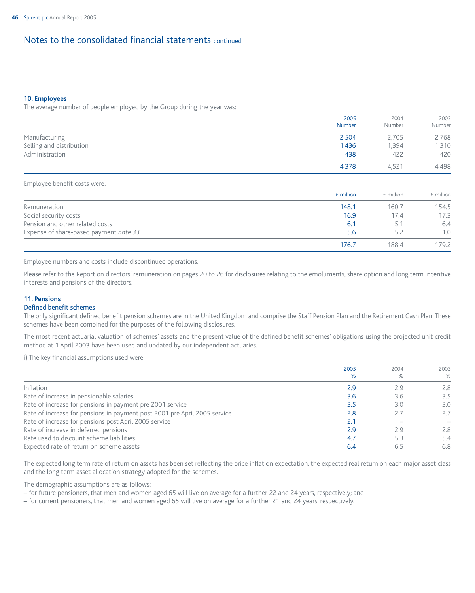#### **10. Employees**

The average number of people employed by the Group during the year was:

|                          | 2005<br><b>Number</b> | 2004<br>Number | 2003<br>Number |
|--------------------------|-----------------------|----------------|----------------|
| Manufacturing            | 2,504                 | 2.705          | 2,768          |
| Selling and distribution | 1,436                 | 1.394          | 1,310          |
| Administration           | 438                   | 422            | 420            |
|                          | 4.378                 | 4.521          | 4,498          |

Employee benefit costs were:

|                                        | £ million | $f$ million | £ million |
|----------------------------------------|-----------|-------------|-----------|
| Remuneration                           | 148.1     | 160.7       | 154.5     |
| Social security costs                  | 16.9      | 17.4        | 17.3      |
| Pension and other related costs        | 6.1       |             | 6.4       |
| Expense of share-based payment note 33 | 5.6       |             | 1.0       |
|                                        | 176.7     | 188.4       | 179.2     |

Employee numbers and costs include discontinued operations.

Please refer to the Report on directors' remuneration on pages 20 to 26 for disclosures relating to the emoluments, share option and long term incentive interests and pensions of the directors.

## **11. Pensions**

#### Defined benefit schemes

The only significant defined benefit pension schemes are in the United Kingdom and comprise the Staff Pension Plan and the Retirement Cash Plan.These schemes have been combined for the purposes of the following disclosures.

The most recent actuarial valuation of schemes' assets and the present value of the defined benefit schemes' obligations using the projected unit credit method at 1 April 2003 have been used and updated by our independent actuaries.

i) The key financial assumptions used were:

|                                                                           | 2005<br>% | 2004<br>% | 2003<br>$\%$ |
|---------------------------------------------------------------------------|-----------|-----------|--------------|
| Inflation                                                                 | 2.9       | 2.9       | 2.8          |
| Rate of increase in pensionable salaries                                  | 3.6       | 3.6       | 3.5          |
| Rate of increase for pensions in payment pre 2001 service                 | 3.5       | 3.0       | 3.0          |
| Rate of increase for pensions in payment post 2001 pre April 2005 service | 2.8       |           | 2.7          |
| Rate of increase for pensions post April 2005 service                     | 2.1       |           |              |
| Rate of increase in deferred pensions                                     | 2.9       | 2.9       | 2.8          |
| Rate used to discount scheme liabilities                                  | 4.7       | 5.3       | 5.4          |
| Expected rate of return on scheme assets                                  | 6.4       | 6.5       | 6.8          |

The expected long term rate of return on assets has been set reflecting the price inflation expectation, the expected real return on each major asset class and the long term asset allocation strategy adopted for the schemes.

The demographic assumptions are as follows:

– for future pensioners, that men and women aged 65 will live on average for a further 22 and 24 years, respectively; and

– for current pensioners, that men and women aged 65 will live on average for a further 21 and 24 years, respectively.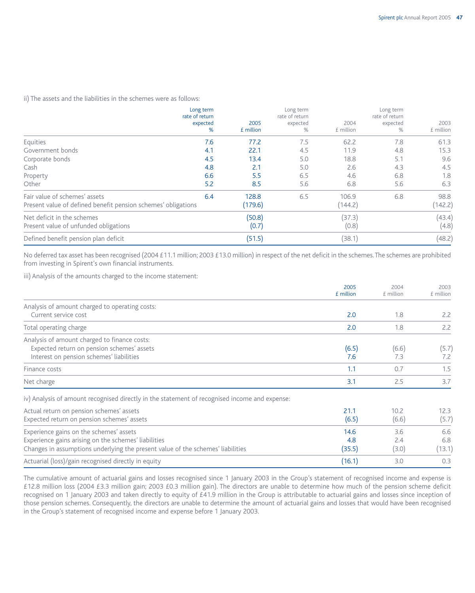ii) The assets and the liabilities in the schemes were as follows:

|                                                               | Long term<br>rate of return |                   | Long term<br>rate of return |                   | Long term<br>rate of return |                   |
|---------------------------------------------------------------|-----------------------------|-------------------|-----------------------------|-------------------|-----------------------------|-------------------|
|                                                               | expected<br>%               | 2005<br>£ million | expected<br>%               | 2004<br>£ million | expected<br>%               | 2003<br>£ million |
| Equities                                                      | 7.6                         | 77.2              | 7.5                         | 62.2              | 7.8                         | 61.3              |
| Government bonds                                              | 4.1                         | 22.1              | 4.5                         | 11.9              | 4.8                         | 15.3              |
| Corporate bonds                                               | 4.5                         | 13.4              | 5.0                         | 18.8              | 5.1                         | 9.6               |
| Cash                                                          | 4.8                         | 2.1               | 5.0                         | 2.6               | 4.3                         | 4.5               |
| Property                                                      | 6.6                         | 5.5               | 6.5                         | 4.6               | 6.8                         | 1.8               |
| Other                                                         | 5.2                         | 8.5               | 5.6                         | 6.8               | 5.6                         | 6.3               |
| Fair value of schemes' assets                                 | 6.4                         | 128.8             | 6.5                         | 106.9             | 6.8                         | 98.8              |
| Present value of defined benefit pension schemes' obligations |                             | (179.6)           |                             | (144.2)           |                             | (142.2)           |
| Net deficit in the schemes                                    |                             | (50.8)            |                             | (37.3)            |                             | (43.4)            |
| Present value of unfunded obligations                         |                             | (0.7)             |                             | (0.8)             |                             | (4.8)             |
| Defined benefit pension plan deficit                          |                             | (51.5)            |                             | (38.1)            |                             | (48.2)            |

No deferred tax asset has been recognised (2004 £11.1 million; 2003 £13.0 million) in respect of the net deficit in the schemes.The schemes are prohibited from investing in Spirent's own financial instruments.

iii) Analysis of the amounts charged to the income statement:

|                                                                                                                                                                                    | 2005<br>£ million     | 2004<br>£ million   | 2003<br>£ million    |
|------------------------------------------------------------------------------------------------------------------------------------------------------------------------------------|-----------------------|---------------------|----------------------|
| Analysis of amount charged to operating costs:                                                                                                                                     |                       |                     |                      |
| Current service cost                                                                                                                                                               | 2.0                   | 1.8                 | 2.2                  |
| Total operating charge                                                                                                                                                             | 2.0                   | 1.8                 | 2.2                  |
| Analysis of amount charged to finance costs:<br>Expected return on pension schemes' assets<br>Interest on pension schemes' liabilities                                             | (6.5)<br>7.6          | (6.6)<br>7.3        | (5.7)<br>7.2         |
| Finance costs                                                                                                                                                                      | 1.1                   | 0.7                 | 1.5                  |
| Net charge                                                                                                                                                                         | 3.1                   | 2.5                 | 3.7                  |
| iv) Analysis of amount recognised directly in the statement of recognised income and expense:                                                                                      |                       |                     |                      |
| Actual return on pension schemes' assets<br>Expected return on pension schemes' assets                                                                                             | 21.1<br>(6.5)         | 10.2<br>(6.6)       | 12.3<br>(5.7)        |
| Experience gains on the schemes' assets<br>Experience gains arising on the schemes' liabilities<br>Changes in assumptions underlying the present value of the schemes' liabilities | 14.6<br>4.8<br>(35.5) | 3.6<br>2.4<br>(3.0) | 6.6<br>6.8<br>(13.1) |
| Actuarial (loss)/gain recognised directly in equity                                                                                                                                | (16.1)                | 3.0                 | 0.3                  |

The cumulative amount of actuarial gains and losses recognised since 1 January 2003 in the Group's statement of recognised income and expense is £12.8 million loss (2004 £3.3 million gain; 2003 £0.3 million gain). The directors are unable to determine how much of the pension scheme deficit recognised on 1 January 2003 and taken directly to equity of £41.9 million in the Group is attributable to actuarial gains and losses since inception of those pension schemes. Consequently, the directors are unable to determine the amount of actuarial gains and losses that would have been recognised in the Group's statement of recognised income and expense before 1 January 2003.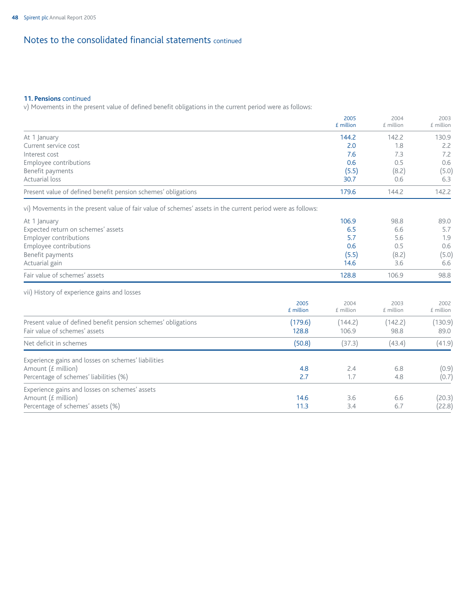## **11. Pensions** continued

v) Movements in the present value of defined benefit obligations in the current period were as follows:

|                                                                                                            |                   | 2005<br>$E$ million | 2004<br>£ million | 2003<br>£ million |
|------------------------------------------------------------------------------------------------------------|-------------------|---------------------|-------------------|-------------------|
| At 1 January                                                                                               |                   | 144.2               | 142.2             | 130.9             |
| Current service cost                                                                                       |                   | 2.0                 | 1.8               | 2.2               |
| Interest cost                                                                                              |                   | 7.6                 | 7.3               | 7.2               |
| Employee contributions                                                                                     |                   | 0.6                 | 0.5               | 0.6               |
| Benefit payments                                                                                           |                   | (5.5)               | (8.2)             | (5.0)             |
| Actuarial loss                                                                                             |                   | 30.7                | 0.6               | 6.3               |
| Present value of defined benefit pension schemes' obligations                                              |                   | 179.6               | 144.2             | 142.2             |
| vi) Movements in the present value of fair value of schemes' assets in the current period were as follows: |                   |                     |                   |                   |
| At 1 January                                                                                               |                   | 106.9               | 98.8              | 89.0              |
| Expected return on schemes' assets                                                                         |                   | 6.5                 | 6.6               | 5.7               |
| Employer contributions                                                                                     |                   | 5.7                 | 5.6               | 1.9               |
| Employee contributions                                                                                     |                   | 0.6                 | 0.5               | 0.6               |
| Benefit payments                                                                                           |                   | (5.5)               | (8.2)             | (5.0)             |
| Actuarial gain                                                                                             |                   | 14.6                | 3.6               | 6.6               |
| Fair value of schemes' assets                                                                              |                   | 128.8               | 106.9             | 98.8              |
| vii) History of experience gains and losses                                                                |                   |                     |                   |                   |
|                                                                                                            | 2005<br>£ million | 2004<br>£ million   | 2003<br>£ million | 2002<br>£ million |
| Present value of defined benefit pension schemes' obligations                                              | (179.6)           | (144.2)             | (142.2)           | (130.9)           |
| Fair value of schemes' assets                                                                              | 128.8             | 106.9               | 98.8              | 89.0              |
| Net deficit in schemes                                                                                     | (50.8)            | (37.3)              | (43.4)            | (41.9)            |
| Experience gains and losses on schemes' liabilities                                                        |                   |                     |                   |                   |
| Amount (£ million)                                                                                         | 4.8               | 2.4                 | 6.8               | (0.9)             |
| Percentage of schemes' liabilities (%)                                                                     | 2.7               | 1.7                 | 4.8               | (0.7)             |
| Experience gains and losses on schemes' assets                                                             |                   |                     |                   |                   |
| Amount (£ million)                                                                                         | 14.6              | 3.6                 | 6.6               | (20.3)            |
| Percentage of schemes' assets (%)                                                                          | 11.3              | 3.4                 | 6.7               | (22.8)            |
|                                                                                                            |                   |                     |                   |                   |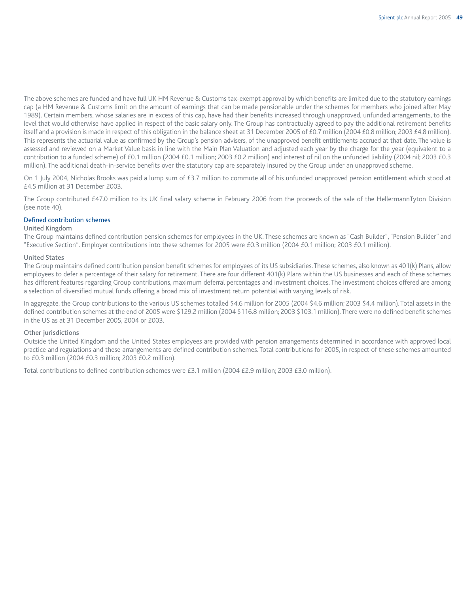The above schemes are funded and have full UK HM Revenue & Customs tax-exempt approval by which benefits are limited due to the statutory earnings cap (a HM Revenue & Customs limit on the amount of earnings that can be made pensionable under the schemes for members who joined after May 1989). Certain members, whose salaries are in excess of this cap, have had their benefits increased through unapproved, unfunded arrangements, to the level that would otherwise have applied in respect of the basic salary only. The Group has contractually agreed to pay the additional retirement benefits itself and a provision is made in respect of this obligation in the balance sheet at 31 December 2005 of £0.7 million (2004 £0.8 million; 2003 £4.8 million). This represents the actuarial value as confirmed by the Group's pension advisers, of the unapproved benefit entitlements accrued at that date. The value is assessed and reviewed on a Market Value basis in line with the Main Plan Valuation and adjusted each year by the charge for the year (equivalent to a contribution to a funded scheme) of £0.1 million (2004 £0.1 million; 2003 £0.2 million) and interest of nil on the unfunded liability (2004 nil; 2003 £0.3 million). The additional death-in-service benefits over the statutory cap are separately insured by the Group under an unapproved scheme.

On 1 July 2004, Nicholas Brooks was paid a lump sum of £3.7 million to commute all of his unfunded unapproved pension entitlement which stood at £4.5 million at 31 December 2003.

The Group contributed £47.0 million to its UK final salary scheme in February 2006 from the proceeds of the sale of the HellermannTyton Division (see note 40).

### Defined contribution schemes

#### United Kingdom

The Group maintains defined contribution pension schemes for employees in the UK. These schemes are known as "Cash Builder", "Pension Builder" and "Executive Section". Employer contributions into these schemes for 2005 were £0.3 million (2004 £0.1 million; 2003 £0.1 million).

## United States

The Group maintains defined contribution pension benefit schemes for employees of its US subsidiaries. These schemes, also known as 401(k) Plans, allow employees to defer a percentage of their salary for retirement. There are four different 401(k) Plans within the US businesses and each of these schemes has different features regarding Group contributions, maximum deferral percentages and investment choices. The investment choices offered are among a selection of diversified mutual funds offering a broad mix of investment return potential with varying levels of risk.

In aggregate, the Group contributions to the various US schemes totalled \$4.6 million for 2005 (2004 \$4.6 million; 2003 \$4.4 million). Total assets in the defined contribution schemes at the end of 2005 were \$129.2 million (2004 \$116.8 million; 2003 \$103.1 million).There were no defined benefit schemes in the US as at 31 December 2005, 2004 or 2003.

#### Other jurisdictions

Outside the United Kingdom and the United States employees are provided with pension arrangements determined in accordance with approved local practice and regulations and these arrangements are defined contribution schemes. Total contributions for 2005, in respect of these schemes amounted to £0.3 million (2004 £0.3 million; 2003 £0.2 million).

Total contributions to defined contribution schemes were £3.1 million (2004 £2.9 million; 2003 £3.0 million).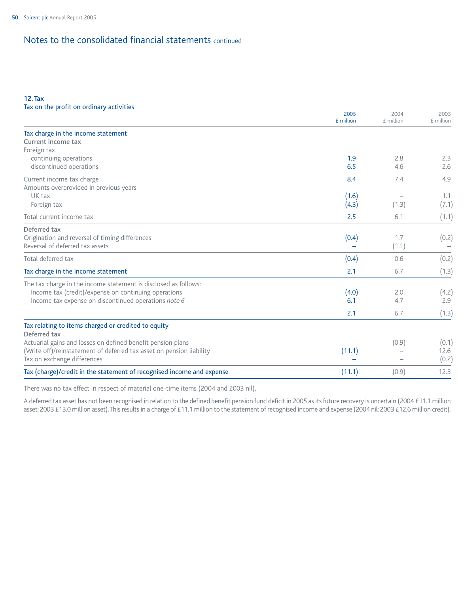#### **12. Tax** Tax on the profit on ordinary activities

|                                                                       | 2005<br>£ million | 2004<br>£ million | 2003<br>£ million |
|-----------------------------------------------------------------------|-------------------|-------------------|-------------------|
| Tax charge in the income statement<br>Current income tax              |                   |                   |                   |
| Foreign tax                                                           |                   |                   |                   |
| continuing operations                                                 | 1.9               | 2.8               | 2.3               |
| discontinued operations                                               | 6.5               | 4.6               | 2.6               |
| Current income tax charge                                             | 8.4               | 7.4               | 4.9               |
| Amounts overprovided in previous years                                |                   |                   |                   |
| UK tax                                                                | (1.6)             |                   | 1.1               |
| Foreign tax                                                           | (4.3)             | (1.3)             | (7.1)             |
| Total current income tax                                              | 2.5               | 6.1               | (1.1)             |
| Deferred tax                                                          |                   |                   |                   |
| Origination and reversal of timing differences                        | (0.4)             | 1.7               | (0.2)             |
| Reversal of deferred tax assets                                       |                   | (1.1)             |                   |
| Total deferred tax                                                    | (0.4)             | 0.6               | (0.2)             |
| Tax charge in the income statement                                    | 2.1               | 6.7               | (1.3)             |
| The tax charge in the income statement is disclosed as follows:       |                   |                   |                   |
| Income tax (credit)/expense on continuing operations                  | (4.0)             | 2.0               | (4.2)             |
| Income tax expense on discontinued operations note 6                  | 6.1               | 4.7               | 2.9               |
|                                                                       | 2.1               | 6.7               | (1.3)             |
| Tax relating to items charged or credited to equity                   |                   |                   |                   |
| Deferred tax                                                          |                   |                   |                   |
| Actuarial gains and losses on defined benefit pension plans           |                   | (0.9)             | (0.1)             |
| (Write off)/reinstatement of deferred tax asset on pension liability  | (11.1)            |                   | 12.6              |
| Tax on exchange differences                                           |                   |                   | (0.2)             |
| Tax (charge)/credit in the statement of recognised income and expense | (11.1)            | (0.9)             | 12.3              |

There was no tax effect in respect of material one-time items (2004 and 2003 nil).

A deferred tax asset has not been recognised in relation to the defined benefit pension fund deficit in 2005 as its future recovery is uncertain (2004 £11.1 million asset; 2003 £13.0 million asset).This results in a charge of £11.1 million to the statement of recognised income and expense (2004 nil; 2003 £12.6 million credit).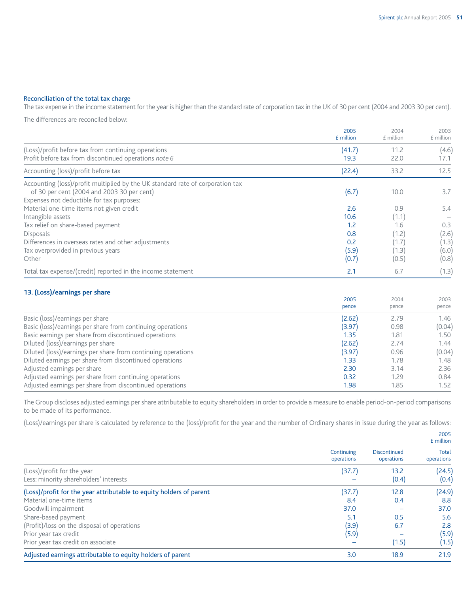2005

### Reconciliation of the total tax charge

The tax expense in the income statement for the year is higher than the standard rate of corporation tax in the UK of 30 per cent (2004 and 2003 30 per cent).

The differences are reconciled below:

|                                                                                | 2005<br>£ million | 2004<br>£ million | 2003<br>$E$ million |
|--------------------------------------------------------------------------------|-------------------|-------------------|---------------------|
| (Loss)/profit before tax from continuing operations                            | (41.7)            | 11.2              | (4.6)               |
| Profit before tax from discontinued operations note 6                          | 19.3              | 22.0              | 17.1                |
| Accounting (loss)/profit before tax                                            | (22.4)            | 33.2              | 12.5                |
| Accounting (loss)/profit multiplied by the UK standard rate of corporation tax |                   |                   |                     |
| of 30 per cent (2004 and 2003 30 per cent)                                     | (6.7)             | 10.0              | 3.7                 |
| Expenses not deductible for tax purposes:                                      |                   |                   |                     |
| Material one-time items not given credit                                       | 2.6               | 0.9               | 5.4                 |
| Intangible assets                                                              | 10.6              | (1.1)             |                     |
| Tax relief on share-based payment                                              | 1.2               | 1.6               | 0.3                 |
| <b>Disposals</b>                                                               | 0.8               | (1.2)             | (2.6)               |
| Differences in overseas rates and other adjustments                            | 0.2               | (1.7)             | (1.3)               |
| Tax overprovided in previous years                                             | (5.9)             | (1.3)             | (6.0)               |
| Other                                                                          | (0.7)             | (0.5)             | (0.8)               |
| Total tax expense/(credit) reported in the income statement                    | 2.1               | 6.7               | (1.3)               |

## **13. (Loss)/earnings per share**

|                                                              | 2005   | 2004  | 2003   |
|--------------------------------------------------------------|--------|-------|--------|
|                                                              | pence  | pence | pence  |
| Basic (loss)/earnings per share                              | (2.62) | 2.79  | 1.46   |
| Basic (loss)/earnings per share from continuing operations   | (3.97) | 0.98  | (0.04) |
| Basic earnings per share from discontinued operations        | 1.35   | 1.81  | 1.50   |
| Diluted (loss)/earnings per share                            | (2.62) | 2.74  | 1.44   |
| Diluted (loss)/earnings per share from continuing operations | (3.97) | 0.96  | (0.04) |
| Diluted earnings per share from discontinued operations      | 1.33   | 1.78  | 1.48   |
| Adjusted earnings per share                                  | 2.30   | 3.14  | 2.36   |
| Adjusted earnings per share from continuing operations       | 0.32   | 1.29  | 0.84   |
| Adjusted earnings per share from discontinued operations     | 1.98   | 1.85  | 1.52   |

The Group discloses adjusted earnings per share attributable to equity shareholders in order to provide a measure to enable period-on-period comparisons to be made of its performance.

(Loss)/earnings per share is calculated by reference to the (loss)/profit for the year and the number of Ordinary shares in issue during the year as follows:

|                                                                      |                          |                            | £ million           |
|----------------------------------------------------------------------|--------------------------|----------------------------|---------------------|
|                                                                      | Continuing<br>operations | Discontinued<br>operations | Total<br>operations |
| (Loss)/profit for the year<br>Less: minority shareholders' interests | (37.7)                   | 13.2<br>(0.4)              | (24.5)<br>(0.4)     |
| (Loss)/profit for the year attributable to equity holders of parent  | (37.7)                   | 12.8                       | (24.9)              |
| Material one-time items                                              | 8.4                      | 0.4                        | 8.8                 |
| Goodwill impairment                                                  | 37.0                     |                            | 37.0                |
| Share-based payment                                                  | 5.1                      | 0.5                        | 5.6                 |
| (Profit)/loss on the disposal of operations                          | (3.9)                    | 6.7                        | 2.8                 |
| Prior year tax credit                                                | (5.9)                    |                            | (5.9)               |
| Prior year tax credit on associate                                   |                          | (1.5)                      | (1.5)               |
| Adjusted earnings attributable to equity holders of parent           | 3.0                      | 18.9                       | 21.9                |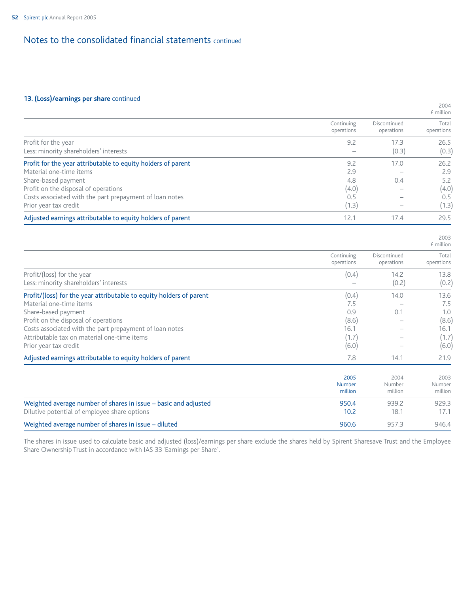## **13. (Loss)/earnings per share** continued

|                                                              |                          |                            | £ million           |
|--------------------------------------------------------------|--------------------------|----------------------------|---------------------|
|                                                              | Continuing<br>operations | Discontinued<br>operations | Total<br>operations |
| Profit for the year                                          | 9.2                      | 17.3                       | 26.5                |
| Less: minority shareholders' interests                       |                          | (0.3)                      | (0.3)               |
| Profit for the year attributable to equity holders of parent | 9.2                      | 17.0                       | 26.2                |
| Material one-time items                                      | 2.9                      |                            | 2.9                 |
| Share-based payment                                          | 4.8                      | 0.4                        | 5.2                 |
| Profit on the disposal of operations                         | (4.0)                    |                            | (4.0)               |
| Costs associated with the part prepayment of loan notes      | 0.5                      |                            | 0.5                 |
| Prior year tax credit                                        | (1.3)                    |                            | (1.3)               |
| Adjusted earnings attributable to equity holders of parent   | 12.1                     | 17.4                       |                     |
|                                                              |                          |                            | 29.5                |

2004

2003

|                                                                     |                           |                            | $E$ million               |
|---------------------------------------------------------------------|---------------------------|----------------------------|---------------------------|
|                                                                     | Continuing<br>operations  | Discontinued<br>operations | Total<br>operations       |
| Profit/(loss) for the year                                          | (0.4)                     | 14.2                       | 13.8                      |
| Less: minority shareholders' interests                              |                           | (0.2)                      | (0.2)                     |
| Profit/(loss) for the year attributable to equity holders of parent | (0.4)                     | 14.0                       | 13.6                      |
| Material one-time items                                             | 7.5                       |                            | 7.5                       |
| Share-based payment                                                 | 0.9                       | 0.1                        | 1.0                       |
| Profit on the disposal of operations                                | (8.6)                     |                            | (8.6)                     |
| Costs associated with the part prepayment of loan notes             | 16.1                      |                            | 16.1                      |
| Attributable tax on material one-time items                         | (1.7)                     |                            | (1.7)                     |
| Prior year tax credit                                               | (6.0)                     |                            | (6.0)                     |
| Adjusted earnings attributable to equity holders of parent          | 7.8                       | 14.1                       | 21.9                      |
|                                                                     | 2005<br>Number<br>million | 2004<br>Number<br>million  | 2003<br>Number<br>million |
| Weighted average number of shares in issue - basic and adjusted     | 950.4                     | 939.2                      | 929.3                     |
| Dilutive potential of employee share options                        | 10.2                      | 18.1                       | 17.1                      |
| Weighted average number of shares in issue - diluted                | 960.6                     | 957.3                      | 946.4                     |

The shares in issue used to calculate basic and adjusted (loss)/earnings per share exclude the shares held by Spirent Sharesave Trust and the Employee Share Ownership Trust in accordance with IAS 33 'Earnings per Share'.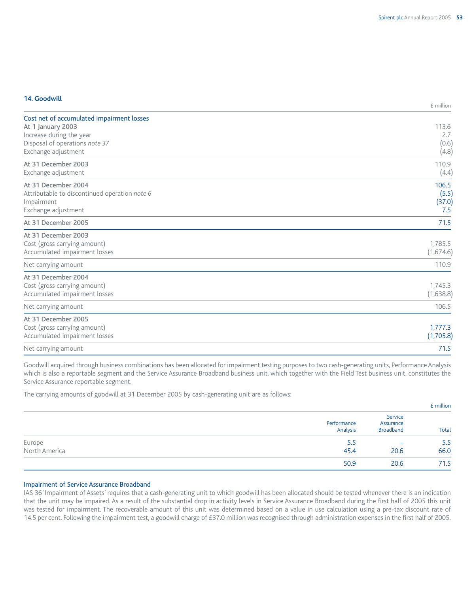## **14. Goodwill**

|                                                                                                                                                     | £ million                       |
|-----------------------------------------------------------------------------------------------------------------------------------------------------|---------------------------------|
| Cost net of accumulated impairment losses<br>At 1 January 2003<br>Increase during the year<br>Disposal of operations note 37<br>Exchange adjustment | 113.6<br>2.7<br>(0.6)<br>(4.8)  |
| At 31 December 2003<br>Exchange adjustment                                                                                                          | 110.9<br>(4.4)                  |
| At 31 December 2004<br>Attributable to discontinued operation note 6<br>Impairment<br>Exchange adjustment                                           | 106.5<br>(5.5)<br>(37.0)<br>7.5 |
| At 31 December 2005                                                                                                                                 | 71.5                            |
| At 31 December 2003<br>Cost (gross carrying amount)<br>Accumulated impairment losses                                                                | 1,785.5<br>(1,674.6)            |
| Net carrying amount                                                                                                                                 | 110.9                           |
| At 31 December 2004<br>Cost (gross carrying amount)<br>Accumulated impairment losses                                                                | 1,745.3<br>(1,638.8)            |
| Net carrying amount                                                                                                                                 | 106.5                           |
| At 31 December 2005<br>Cost (gross carrying amount)<br>Accumulated impairment losses                                                                | 1,777.3<br>(1,705.8)            |
| Net carrying amount                                                                                                                                 | 71.5                            |

Goodwill acquired through business combinations has been allocated for impairment testing purposes to two cash-generating units, Performance Analysis which is also a reportable segment and the Service Assurance Broadband business unit, which together with the Field Test business unit, constitutes the Service Assurance reportable segment.

The carrying amounts of goodwill at 31 December 2005 by cash-generating unit are as follows:

|                         |                         |                                   | £ million    |
|-------------------------|-------------------------|-----------------------------------|--------------|
|                         | Performance<br>Analysis | Service<br>Assurance<br>Broadband | <b>Total</b> |
|                         | 5.5                     |                                   | 5.5          |
| Europe<br>North America | 45.4                    | 20.6                              | 66.0         |
|                         | 50.9                    | 20.6                              | 71.5         |

### Impairment of Service Assurance Broadband

IAS 36 'Impairment of Assets' requires that a cash-generating unit to which goodwill has been allocated should be tested whenever there is an indication that the unit may be impaired. As a result of the substantial drop in activity levels in Service Assurance Broadband during the first half of 2005 this unit was tested for impairment. The recoverable amount of this unit was determined based on a value in use calculation using a pre-tax discount rate of 14.5 per cent. Following the impairment test, a goodwill charge of £37.0 million was recognised through administration expenses in the first half of 2005.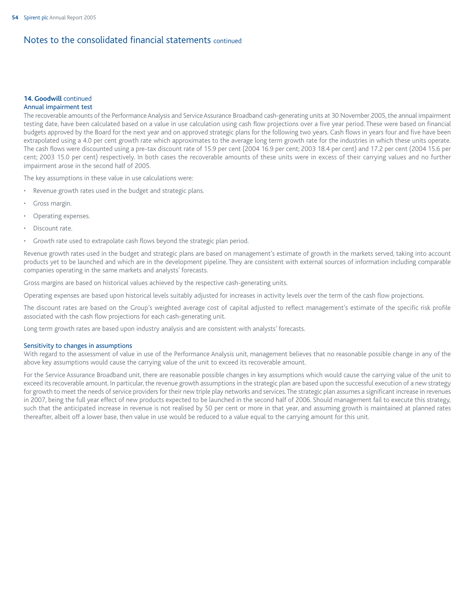## **14. Goodwill** continued Annual impairment test

The recoverable amounts of the Performance Analysis and Service Assurance Broadband cash-generating units at 30 November 2005, the annual impairment testing date, have been calculated based on a value in use calculation using cash flow projections over a five year period. These were based on financial budgets approved by the Board for the next year and on approved strategic plans for the following two years. Cash flows in years four and five have been extrapolated using a 4.0 per cent growth rate which approximates to the average long term growth rate for the industries in which these units operate. The cash flows were discounted using a pre-tax discount rate of 15.9 per cent (2004 16.9 per cent; 2003 18.4 per cent) and 17.2 per cent (2004 15.6 per cent; 2003 15.0 per cent) respectively. In both cases the recoverable amounts of these units were in excess of their carrying values and no further impairment arose in the second half of 2005.

The key assumptions in these value in use calculations were:

- Revenue growth rates used in the budget and strategic plans.
- Gross margin.
- Operating expenses.
- Discount rate.
- Growth rate used to extrapolate cash flows beyond the strategic plan period.

Revenue growth rates used in the budget and strategic plans are based on management's estimate of growth in the markets served, taking into account products yet to be launched and which are in the development pipeline. They are consistent with external sources of information including comparable companies operating in the same markets and analysts' forecasts.

Gross margins are based on historical values achieved by the respective cash-generating units.

Operating expenses are based upon historical levels suitably adjusted for increases in activity levels over the term of the cash flow projections.

The discount rates are based on the Group's weighted average cost of capital adjusted to reflect management's estimate of the specific risk profile associated with the cash flow projections for each cash-generating unit.

Long term growth rates are based upon industry analysis and are consistent with analysts' forecasts.

#### Sensitivity to changes in assumptions

With regard to the assessment of value in use of the Performance Analysis unit, management believes that no reasonable possible change in any of the above key assumptions would cause the carrying value of the unit to exceed its recoverable amount.

For the Service Assurance Broadband unit, there are reasonable possible changes in key assumptions which would cause the carrying value of the unit to exceed its recoverable amount. In particular, the revenue growth assumptions in the strategic plan are based upon the successful execution of a new strategy for growth to meet the needs of service providers for their new triple play networks and services.The strategic plan assumes a significant increase in revenues in 2007, being the full year effect of new products expected to be launched in the second half of 2006. Should management fail to execute this strategy, such that the anticipated increase in revenue is not realised by 50 per cent or more in that year, and assuming growth is maintained at planned rates thereafter, albeit off a lower base, then value in use would be reduced to a value equal to the carrying amount for this unit.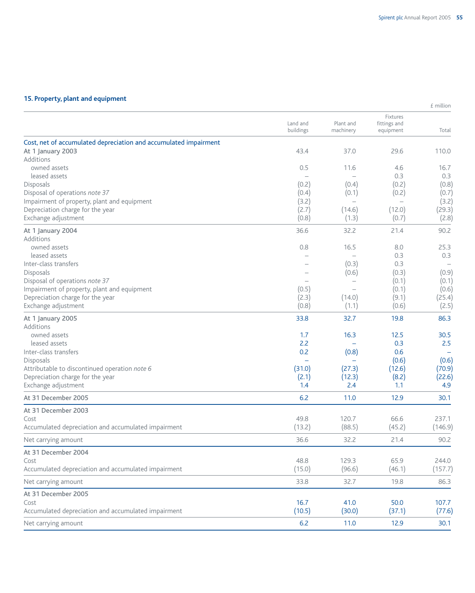## **15. Property, plant and equipment**

|                                                                  |                          |                          |                                       | £ million       |
|------------------------------------------------------------------|--------------------------|--------------------------|---------------------------------------|-----------------|
|                                                                  | Land and<br>buildings    | Plant and<br>machinery   | Fixtures<br>fittings and<br>equipment | Total           |
| Cost, net of accumulated depreciation and accumulated impairment |                          |                          |                                       |                 |
| At 1 January 2003                                                | 43.4                     | 37.0                     | 29.6                                  | 110.0           |
| Additions                                                        |                          |                          |                                       |                 |
| owned assets                                                     | 0.5                      | 11.6                     | 4.6                                   | 16.7            |
| leased assets                                                    | ÷.                       |                          | 0.3                                   | 0.3             |
| <b>Disposals</b>                                                 | (0.2)                    | (0.4)                    | (0.2)                                 | (0.8)           |
| Disposal of operations note 37                                   | (0.4)<br>(3.2)           | (0.1)                    | (0.2)                                 | (0.7)           |
| Impairment of property, plant and equipment                      | (2.7)                    | (14.6)                   | (12.0)                                | (3.2)<br>(29.3) |
| Depreciation charge for the year<br>Exchange adjustment          | (0.8)                    | (1.3)                    | (0.7)                                 | (2.8)           |
|                                                                  |                          |                          |                                       |                 |
| At 1 January 2004<br>Additions                                   | 36.6                     | 32.2                     | 21.4                                  | 90.2            |
| owned assets                                                     | 0.8                      | 16.5                     | 8.0                                   | 25.3            |
| leased assets                                                    |                          |                          | 0.3                                   | 0.3             |
| Inter-class transfers                                            |                          | (0.3)                    | 0.3                                   |                 |
| <b>Disposals</b>                                                 |                          | (0.6)                    | (0.3)                                 | (0.9)           |
| Disposal of operations note 37                                   | $\overline{\phantom{0}}$ |                          | (0.1)                                 | (0.1)           |
| Impairment of property, plant and equipment                      | (0.5)                    |                          | (0.1)                                 | (0.6)           |
| Depreciation charge for the year                                 | (2.3)                    | (14.0)                   | (9.1)                                 | (25.4)          |
| Exchange adjustment                                              | (0.8)                    | (1.1)                    | (0.6)                                 | (2.5)           |
| At 1 January 2005<br>Additions                                   | 33.8                     | 32.7                     | 19.8                                  | 86.3            |
| owned assets                                                     | 1.7                      | 16.3                     | 12.5                                  | 30.5            |
| leased assets                                                    | 2.2                      | $\overline{\phantom{a}}$ | 0.3                                   | 2.5             |
| Inter-class transfers                                            | 0.2                      | (0.8)                    | 0.6                                   |                 |
| <b>Disposals</b>                                                 | $\equiv$                 |                          | (0.6)                                 | (0.6)           |
| Attributable to discontinued operation note 6                    | (31.0)                   | (27.3)                   | (12.6)                                | (70.9)          |
| Depreciation charge for the year                                 | (2.1)                    | (12.3)                   | (8.2)                                 | (22.6)          |
| Exchange adjustment                                              | 1.4                      | 2.4                      | 1.1                                   | 4.9             |
| At 31 December 2005                                              | 6.2                      | 11.0                     | 12.9                                  | 30.1            |
| At 31 December 2003                                              |                          |                          |                                       |                 |
| Cost                                                             | 49.8                     | 120.7                    | 66.6                                  | 237.1           |
| Accumulated depreciation and accumulated impairment              | (13.2)                   | (88.5)                   | (45.2)                                | (146.9)         |
| Net carrying amount                                              | 36.6                     | 32.2                     | 21.4                                  | 90.2            |
| At 31 December 2004                                              |                          |                          |                                       |                 |
| Cost                                                             | 48.8                     | 129.3                    | 65.9                                  | 244.0           |
| Accumulated depreciation and accumulated impairment              | (15.0)                   | (96.6)                   | (46.1)                                | (157.7)         |
| Net carrying amount                                              | 33.8                     | 32.7                     | 19.8                                  | 86.3            |
| At 31 December 2005                                              |                          |                          |                                       |                 |
| Cost                                                             | 16.7                     | 41.0                     | 50.0                                  | 107.7           |
| Accumulated depreciation and accumulated impairment              | (10.5)                   | (30.0)                   | (37.1)                                | (77.6)          |
| Net carrying amount                                              | 6.2                      | 11.0                     | 12.9                                  | 30.1            |
|                                                                  |                          |                          |                                       |                 |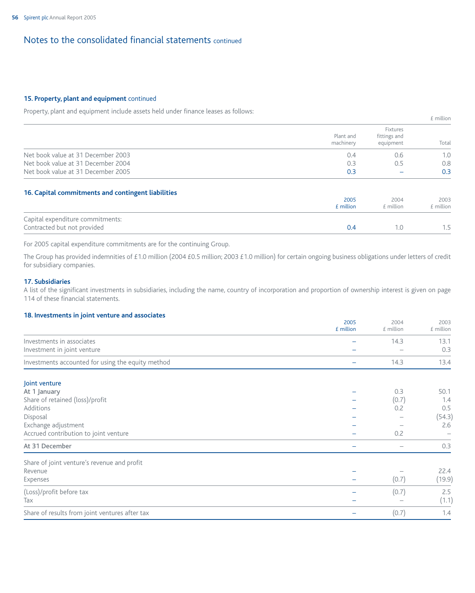## **15. Property, plant and equipment** continued

Property, plant and equipment include assets held under finance leases as follows:

|                                    | Plant and<br>machinery | Fixtures<br>fittings and<br>equipment | Total |
|------------------------------------|------------------------|---------------------------------------|-------|
| Net book value at 31 December 2003 | 0.4                    | 0.6                                   | 1.0   |
| Net book value at 31 December 2004 | 0.3                    | 0.5                                   | 0.8   |
| Net book value at 31 December 2005 | 0.3                    | -                                     | 0.3   |

£ million

## **16. Capital commitments and contingent liabilities**

|                                  | 2005<br>£ million | 2004<br>$f$ million | 2003<br>Emillion |
|----------------------------------|-------------------|---------------------|------------------|
| Capital expenditure commitments: |                   |                     |                  |
| Contracted but not provided      |                   |                     |                  |

For 2005 capital expenditure commitments are for the continuing Group.

The Group has provided indemnities of £1.0 million (2004 £0.5 million; 2003 £1.0 million) for certain ongoing business obligations under letters of credit for subsidiary companies.

#### **17. Subsidiaries**

A list of the significant investments in subsidiaries, including the name, country of incorporation and proportion of ownership interest is given on page 114 of these financial statements.

## **18. Investments in joint venture and associates**

|                                                   | 2005<br>£ million | 2004<br>£ million | 2003<br>£ million |
|---------------------------------------------------|-------------------|-------------------|-------------------|
| Investments in associates                         |                   | 14.3              | 13.1              |
| Investment in joint venture                       |                   |                   | 0.3               |
| Investments accounted for using the equity method |                   | 14.3              | 13.4              |
| Joint venture                                     |                   |                   |                   |
| At 1 January                                      |                   | 0.3               | 50.1              |
| Share of retained (loss)/profit                   |                   | (0.7)             | 1.4               |
| Additions                                         |                   | 0.2               | 0.5               |
| Disposal                                          |                   |                   | (54.3)            |
| Exchange adjustment                               |                   |                   | 2.6               |
| Accrued contribution to joint venture             |                   | 0.2               |                   |
| At 31 December                                    |                   |                   | 0.3               |
| Share of joint venture's revenue and profit       |                   |                   |                   |
| Revenue                                           |                   |                   | 22.4              |
| Expenses                                          |                   | (0.7)             | (19.9)            |
| (Loss)/profit before tax                          |                   | (0.7)             | 2.5               |
| Tax                                               |                   |                   | (1.1)             |
| Share of results from joint ventures after tax    |                   | (0.7)             | 1.4               |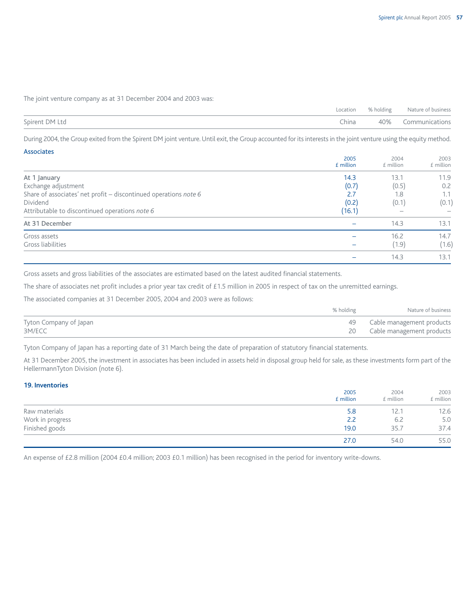The joint venture company as at 31 December 2004 and 2003 was:

|                |       | Location % holding Nature of business |
|----------------|-------|---------------------------------------|
| Spirent DM Ltd | China | 40% Communications                    |

During 2004, the Group exited from the Spirent DM joint venture. Until exit, the Group accounted for its interests in the joint venture using the equity method.

## Associates

|                                                                  | 2005<br>£ million | 2004<br>£ million | 2003<br>£ million |
|------------------------------------------------------------------|-------------------|-------------------|-------------------|
| At 1 January                                                     | 14.3              | 13.1              | 11.9              |
| Exchange adjustment                                              | (0.7)             | (0.5)             | 0.2               |
| Share of associates' net profit - discontinued operations note 6 | 2.7               | 1.8               | 1.1               |
| Dividend                                                         | (0.2)             | (0.1)             | (0.1)             |
| Attributable to discontinued operations note 6                   | (16.1)            |                   |                   |
| At 31 December                                                   |                   | 14.3              | 13.1              |
| Gross assets                                                     |                   | 16.2              | 14.7              |
| Gross liabilities                                                |                   | (1.9)             | (1.6)             |
|                                                                  |                   | 14.3              | 13.1              |

Gross assets and gross liabilities of the associates are estimated based on the latest audited financial statements.

The share of associates net profit includes a prior year tax credit of £1.5 million in 2005 in respect of tax on the unremitted earnings.

The associated companies at 31 December 2005, 2004 and 2003 were as follows:

|                                  | % holding | Nature of business                                           |
|----------------------------------|-----------|--------------------------------------------------------------|
| Tyton Company of Japan<br>3M/ECC |           | 49 Cable management products<br>20 Cable management products |

Tyton Company of Japan has a reporting date of 31 March being the date of preparation of statutory financial statements.

At 31 December 2005, the investment in associates has been included in assets held in disposal group held for sale, as these investments form part of the HellermannTyton Division (note 6).

## **19. Inventories** 2005 2004 2003  $E$  million  $E$  million  $E$  million Raw materials  $\sim$  12.6 12.1 12.6 12.1 12.6 12.1 12.5 12.1 12.6 12.1 12.5 12.1 12.1 12.6 Work in progress 2.2 6.2 5.0 Finished goods 19.0 35.7 37.4 27.0 54.0 55.0

An expense of £2.8 million (2004 £0.4 million; 2003 £0.1 million) has been recognised in the period for inventory write-downs.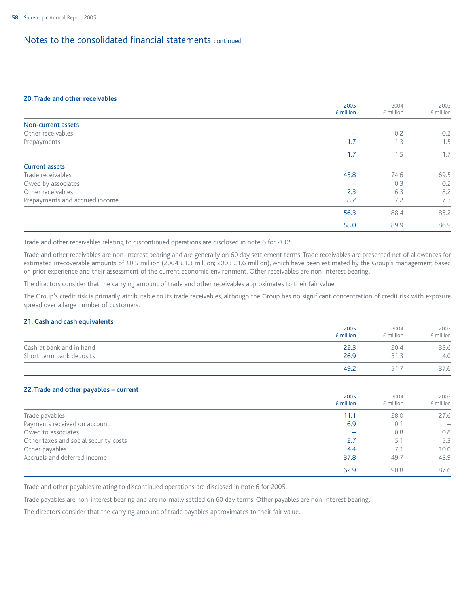### **20. Trade and other receivables**

|                                | 2005<br>£ million | 2004<br>£ million | 2003<br>£ million |
|--------------------------------|-------------------|-------------------|-------------------|
| Non-current assets             |                   |                   |                   |
| Other receivables              |                   | 0.2               | 0.2               |
| Prepayments                    | 1.7               | 1.3               | 1.5               |
|                                | 1.7               | 1.5               | 1.7               |
| <b>Current assets</b>          |                   |                   |                   |
| Trade receivables              | 45.8              | 74.6              | 69.5              |
| Owed by associates             |                   | 0.3               | 0.2               |
| Other receivables              | 2.3               | 6.3               | 8.2               |
| Prepayments and accrued income | 8.2               | 7.2               | 7.3               |
|                                | 56.3              | 88.4              | 85.2              |
|                                | 58.0              | 89.9              | 86.9              |

Trade and other receivables relating to discontinued operations are disclosed in note 6 for 2005.

Trade and other receivables are non-interest bearing and are generally on 60 day settlement terms. Trade receivables are presented net of allowances for estimated irrecoverable amounts of £0.5 million (2004 £1.3 million; 2003 £1.6 million), which have been estimated by the Group's management based on prior experience and their assessment of the current economic environment. Other receivables are non-interest bearing.

The directors consider that the carrying amount of trade and other receivables approximates to their fair value.

The Group's credit risk is primarily attributable to its trade receivables, although the Group has no significant concentration of credit risk with exposure spread over a large number of customers.

#### **21. Cash and cash equivalents**

|                          | 2005<br>£ million | 2004<br>£ million | 2003<br>million |
|--------------------------|-------------------|-------------------|-----------------|
| Cash at bank and in hand | 22.3              | 20.4              | 33.6            |
| Short term bank deposits | 26.9              |                   | 4.0             |
|                          | 49.2              |                   | 37.6            |

#### **22. Trade and other payables – current**

|                                       | 2005<br>£ million | 2004<br>£ million | 2003<br>£ million               |
|---------------------------------------|-------------------|-------------------|---------------------------------|
| Trade payables                        | 11.1              | 28.0              | 27.6                            |
| Payments received on account          | 6.9               | 0.1               | $\hspace{0.1mm}-\hspace{0.1mm}$ |
| Owed to associates                    |                   | 0.8               | 0.8                             |
| Other taxes and social security costs | 2.7               | 5.1               | 5.3                             |
| Other payables                        | 4.4               | 7.1               | 10.0                            |
| Accruals and deferred income          | 37.8              | 49.7              | 43.9                            |
|                                       | 62.9              | 90.8              | 87.6                            |

Trade and other payables relating to discontinued operations are disclosed in note 6 for 2005.

Trade payables are non-interest bearing and are normally settled on 60 day terms. Other payables are non-interest bearing.

The directors consider that the carrying amount of trade payables approximates to their fair value.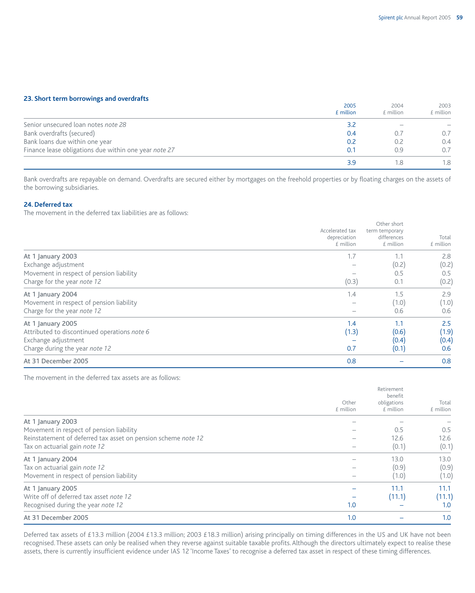## **23. Short term borrowings and overdrafts**

|                                                       | 2005<br>£ million | 2004<br>£ million | 2003<br>£ million |
|-------------------------------------------------------|-------------------|-------------------|-------------------|
| Senior unsecured loan notes note 28                   |                   |                   |                   |
| Bank overdrafts (secured)                             | 0.4               | 0.7               | 0.7               |
| Bank loans due within one year                        | 0.2               | 0.2               | 0.4               |
| Finance lease obligations due within one year note 27 | 0.1               | 0.9               | 0.7               |
|                                                       | 3.9               |                   | 1.8               |

Bank overdrafts are repayable on demand. Overdrafts are secured either by mortgages on the freehold properties or by floating charges on the assets of the borrowing subsidiaries.

#### **24. Deferred tax**

The movement in the deferred tax liabilities are as follows:

| At 31 December 2005                          | 0.8                                          |                                                           | 0.8                |
|----------------------------------------------|----------------------------------------------|-----------------------------------------------------------|--------------------|
| Charge during the year note 12               | 0.7                                          | (0.1)                                                     | 0.6                |
| Exchange adjustment                          |                                              | (0.4)                                                     | (0.4)              |
| Attributed to discontinued operations note 6 | (1.3)                                        | (0.6)                                                     | (1.9)              |
| At 1 January 2005                            | 1.4                                          | 1.1                                                       | 2.5                |
| Charge for the year note 12                  |                                              | 0.6                                                       | 0.6                |
| Movement in respect of pension liability     | $\overline{\phantom{m}}$                     | (1.0)                                                     | (1.0)              |
| At 1 January 2004                            | 1.4                                          | 1.5                                                       | 2.9                |
| Charge for the year note 12                  | (0.3)                                        | 0.1                                                       | (0.2)              |
| Movement in respect of pension liability     |                                              | 0.5                                                       | 0.5                |
| Exchange adjustment                          |                                              | (0.2)                                                     | (0.2)              |
| At 1 January 2003                            | 1.7                                          | 1.1                                                       | 2.8                |
|                                              | Accelerated tax<br>depreciation<br>£ million | Other short<br>term temporary<br>differences<br>£ million | Total<br>£ million |

The movement in the deferred tax assets are as follows:

|                                                               | Other<br>£ million | <b>Retirement</b><br>benefit<br>obligations<br>£ million | Total<br>£ million |
|---------------------------------------------------------------|--------------------|----------------------------------------------------------|--------------------|
| At 1 January 2003                                             |                    |                                                          |                    |
| Movement in respect of pension liability                      |                    | 0.5                                                      | 0.5                |
| Reinstatement of deferred tax asset on pension scheme note 12 |                    | 12.6                                                     | 12.6               |
| Tax on actuarial gain note 12                                 |                    | (0.1)                                                    | (0.1)              |
| At 1 January 2004                                             |                    | 13.0                                                     | 13.0               |
| Tax on actuarial gain note 12                                 |                    | (0.9)                                                    | (0.9)              |
| Movement in respect of pension liability                      |                    | (1.0)                                                    | (1.0)              |
| At 1 January 2005                                             |                    | 11.1                                                     | 11.1               |
| Write off of deferred tax asset note 12                       |                    | (11.1)                                                   | (11.1)             |
| Recognised during the year note 12                            | 1.0                |                                                          | 1.0                |
| At 31 December 2005                                           | 1.0                |                                                          | 1.0                |

Deferred tax assets of £13.3 million (2004 £13.3 million; 2003 £18.3 million) arising principally on timing differences in the US and UK have not been recognised. These assets can only be realised when they reverse against suitable taxable profits. Although the directors ultimately expect to realise these assets, there is currently insufficient evidence under IAS 12 'Income Taxes' to recognise a deferred tax asset in respect of these timing differences.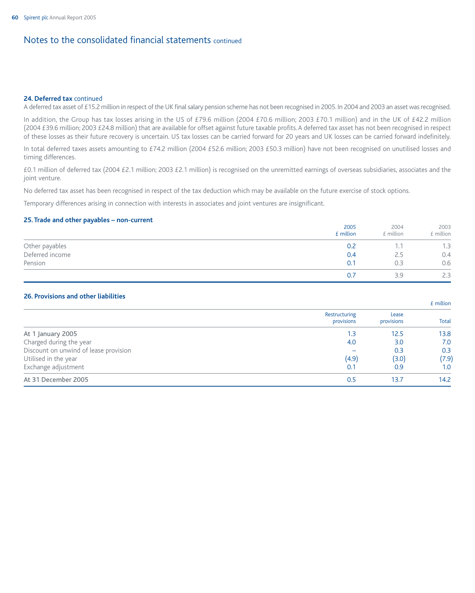### **24. Deferred tax** continued

A deferred tax asset of £15.2 million in respect of the UK final salary pension scheme has not been recognised in 2005. In 2004 and 2003 an asset was recognised.

In addition, the Group has tax losses arising in the US of £79.6 million (2004 £70.6 million; 2003 £70.1 million) and in the UK of £42.2 million (2004 £39.6 million; 2003 £24.8 million) that are available for offset against future taxable profits.A deferred tax asset has not been recognised in respect of these losses as their future recovery is uncertain. US tax losses can be carried forward for 20 years and UK losses can be carried forward indefinitely.

In total deferred taxes assets amounting to £74.2 million (2004 £52.6 million; 2003 £50.3 million) have not been recognised on unutilised losses and timing differences.

£0.1 million of deferred tax (2004 £2.1 million; 2003 £2.1 million) is recognised on the unremitted earnings of overseas subsidiaries, associates and the joint venture.

No deferred tax asset has been recognised in respect of the tax deduction which may be available on the future exercise of stock options.

Temporary differences arising in connection with interests in associates and joint ventures are insignificant.

#### **25. Trade and other payables – non-current**

|                                   | 2005<br>£ million | 2004<br>£ million | 2003<br>£ million |
|-----------------------------------|-------------------|-------------------|-------------------|
| Other payables<br>Deferred income |                   |                   | 1.3               |
|                                   | 0.4               | 2.5               | 0.4               |
| Pension                           | 0.1               | 0.3               | 0.6               |
|                                   |                   | 3 Q               | 2.3               |

## **26. Provisions and other liabilities**

|                                       |                             |                     | £ million |
|---------------------------------------|-----------------------------|---------------------|-----------|
|                                       | Restructuring<br>provisions | Lease<br>provisions | Total     |
| At 1 January 2005                     | 1.3                         | 12.5                | 13.8      |
| Charged during the year               | 4.0                         | 3.0                 | 7.0       |
| Discount on unwind of lease provision |                             | 0.3                 | 0.3       |
| Utilised in the year                  | (4.9)                       | (3.0)               | (7.9)     |
| Exchange adjustment                   | 0.1                         | 0.9                 | 1.0       |
| At 31 December 2005                   | 0.5                         | 13.7                | 14.2      |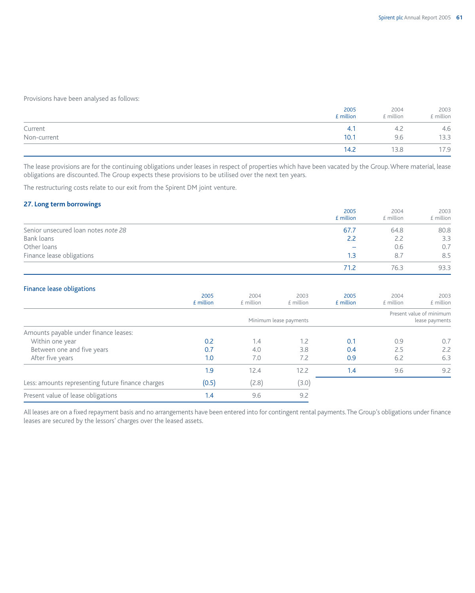Provisions have been analysed as follows:

|             | 2005<br>£ million | 2004<br>£ million | 2003<br>£ million |
|-------------|-------------------|-------------------|-------------------|
| Current     | 4.1               | 4.6               | 4.6               |
| Non-current | 10.1              | 9.6               | 13.3              |
|             | 14.2              | 13.8              | 17.9              |

The lease provisions are for the continuing obligations under leases in respect of properties which have been vacated by the Group.Where material, lease obligations are discounted. The Group expects these provisions to be utilised over the next ten years.

The restructuring costs relate to our exit from the Spirent DM joint venture.

## **27. Long term borrowings**

|                                     | 2005<br>£ million | 2004<br>£ million | 2003<br>£ million |
|-------------------------------------|-------------------|-------------------|-------------------|
| Senior unsecured loan notes note 28 | 67.7              | 64.8              | 80.8              |
| Bank loans                          | 2.2               | 2.2               | 3.3               |
| Other loans                         |                   | 0.6               | 0.7               |
| Finance lease obligations           | 1.3               | 8.7               | 8.5               |
|                                     | 71 2              | 76.3              | 93.3              |

## Finance lease obligations

|                                                   | 2005<br>£ million | 2004<br>£ million | 2003<br>£ million      | 2005<br>£ million | 2004<br>£ million | 2003<br>£ million                          |
|---------------------------------------------------|-------------------|-------------------|------------------------|-------------------|-------------------|--------------------------------------------|
|                                                   |                   |                   | Minimum lease payments |                   |                   | Present value of minimum<br>lease payments |
| Amounts payable under finance leases:             |                   |                   |                        |                   |                   |                                            |
| Within one year                                   | 0.2               | 1.4               | 1.2                    | 0.1               | 0.9               | 0.7                                        |
| Between one and five years                        | 0.7               | 4.0               | 3.8                    | 0.4               | 2.5               | 2.2                                        |
| After five years                                  | 1.0               | 7.0               | 7.2                    | 0.9               | 6.2               | 6.3                                        |
|                                                   | 1.9               | 12.4              | 12.2                   | 1.4               | 9.6               | 9.2                                        |
| Less: amounts representing future finance charges | (0.5)             | (2.8)             | (3.0)                  |                   |                   |                                            |
| Present value of lease obligations                | 1.4               | 9.6               | 9.2                    |                   |                   |                                            |

All leases are on a fixed repayment basis and no arrangements have been entered into for contingent rental payments.The Group's obligations under finance leases are secured by the lessors' charges over the leased assets.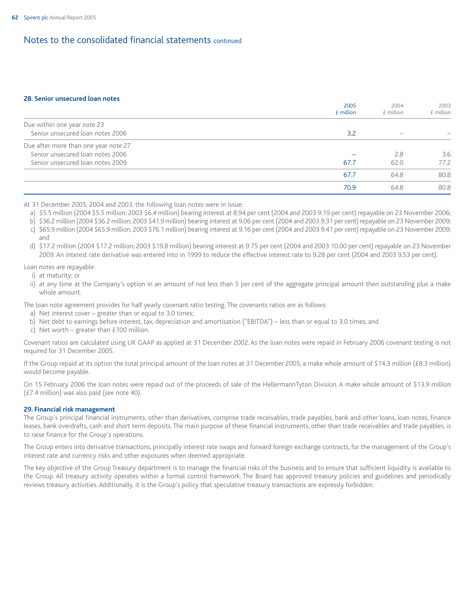## **28. Senior unsecured loan notes**

|                                                                 | 2005<br>£ million | 2004<br>$f$ million | 2003<br>£ million |
|-----------------------------------------------------------------|-------------------|---------------------|-------------------|
| Due within one year note 23<br>Senior unsecured loan notes 2006 | 3.2               |                     |                   |
| Due after more than one year note 27                            |                   |                     |                   |
| Senior unsecured loan notes 2006                                |                   | 2.8                 | 3.6               |
| Senior unsecured loan notes 2009                                | 67.7              | 62.0                | 77.2              |
|                                                                 | 67.7              | 64.8                | 80.8              |
|                                                                 | 70.9              | 64.8                | 80.8              |

At 31 December 2005, 2004 and 2003, the following loan notes were in issue:

a) \$5.5 million (2004 \$5.5 million; 2003 \$6.4 million) bearing interest at 8.94 per cent (2004 and 2003 9.19 per cent) repayable on 23 November 2006;

b) \$36.2 million (2004 \$36.2 million; 2003 \$41.9 million) bearing interest at 9.06 per cent (2004 and 2003 9.31 per cent) repayable on 23 November 2009;

c) \$65.9 million (2004 \$65.9 million; 2003 \$76.1 million) bearing interest at 9.16 per cent (2004 and 2003 9.41 per cent) repayable on 23 November 2009; and

d) \$17.2 million (2004 \$17.2 million; 2003 \$19.8 million) bearing interest at 9.75 per cent (2004 and 2003 10.00 per cent) repayable on 23 November 2009. An interest rate derivative was entered into in 1999 to reduce the effective interest rate to 9.28 per cent (2004 and 2003 9.53 per cent).

Loan notes are repayable:

i) at maturity; or

ii) at any time at the Company's option in an amount of not less than 5 per cent of the aggregate principal amount then outstanding plus a make whole amount.

The loan note agreement provides for half yearly covenant ratio testing. The covenants ratios are as follows:

- a) Net interest cover greater than or equal to 3.0 times;
- b) Net debt to earnings before interest, tax, depreciation and amortisation ("EBITDA") less than or equal to 3.0 times; and
- c) Net worth greater than  $£100$  million.

Covenant ratios are calculated using UK GAAP as applied at 31 December 2002. As the loan notes were repaid in February 2006 covenant testing is not required for 31 December 2005.

If the Group repaid at its option the total principal amount of the loan notes at 31 December 2005, a make whole amount of \$14.3 million (£8.3 million) would become payable.

On 15 February 2006 the loan notes were repaid out of the proceeds of sale of the HellermannTyton Division. A make whole amount of \$13.9 million (£7.4 million) was also paid (see note 40).

#### **29. Financial risk management**

The Group's principal financial instruments, other than derivatives, comprise trade receivables, trade payables, bank and other loans, loan notes, finance leases, bank overdrafts, cash and short term deposits. The main purpose of these financial instruments, other than trade receivables and trade payables, is to raise finance for the Group's operations.

The Group enters into derivative transactions, principally interest rate swaps and forward foreign exchange contracts, for the management of the Group's interest rate and currency risks and other exposures when deemed appropriate.

The key objective of the Group Treasury department is to manage the financial risks of the business and to ensure that sufficient liquidity is available to the Group. All treasury activity operates within a formal control framework. The Board has approved treasury policies and guidelines and periodically reviews treasury activities. Additionally, it is the Group's policy that speculative treasury transactions are expressly forbidden.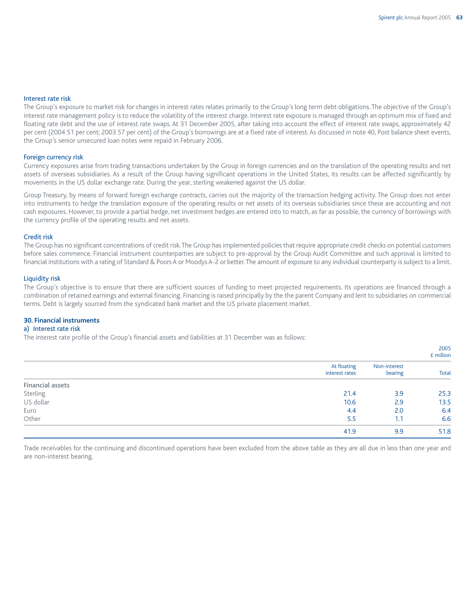#### Interest rate risk

The Group's exposure to market risk for changes in interest rates relates primarily to the Group's long term debt obligations. The objective of the Group's interest rate management policy is to reduce the volatility of the interest charge. Interest rate exposure is managed through an optimum mix of fixed and floating rate debt and the use of interest rate swaps. At 31 December 2005, after taking into account the effect of interest rate swaps, approximately 42 per cent (2004 51 per cent; 2003 57 per cent) of the Group's borrowings are at a fixed rate of interest.As discussed in note 40, Post balance sheet events, the Group's senior unsecured loan notes were repaid in February 2006.

#### Foreign currency risk

Currency exposures arise from trading transactions undertaken by the Group in foreign currencies and on the translation of the operating results and net assets of overseas subsidiaries. As a result of the Group having significant operations in the United States, its results can be affected significantly by movements in the US dollar exchange rate. During the year, sterling weakened against the US dollar.

Group Treasury, by means of forward foreign exchange contracts, carries out the majority of the transaction hedging activity. The Group does not enter into instruments to hedge the translation exposure of the operating results or net assets of its overseas subsidiaries since these are accounting and not cash exposures. However, to provide a partial hedge, net investment hedges are entered into to match, as far as possible, the currency of borrowings with the currency profile of the operating results and net assets.

#### Credit risk

The Group has no significant concentrations of credit risk.The Group has implemented policies that require appropriate credit checks on potential customers before sales commence. Financial instrument counterparties are subject to pre-approval by the Group Audit Committee and such approval is limited to financial institutions with a rating of Standard & Poors A or Moodys A-2 or better.The amount of exposure to any individual counterparty is subject to a limit.

#### Liquidity risk

The Group's objective is to ensure that there are sufficient sources of funding to meet projected requirements. Its operations are financed through a combination of retained earnings and external financing. Financing is raised principally by the the parent Company and lent to subsidiaries on commercial terms. Debt is largely sourced from the syndicated bank market and the US private placement market.

### **30. Financial instruments**

## a) Interest rate risk

The interest rate profile of the Group's financial assets and liabilities at 31 December was as follows:

|                         |                               |                         | 2005<br>£ million |
|-------------------------|-------------------------------|-------------------------|-------------------|
|                         | At floating<br>interest rates | Non-interest<br>bearing | <b>Total</b>      |
| <b>Financial assets</b> |                               |                         |                   |
| Sterling                | 21.4                          | 3.9                     | 25.3              |
| US dollar               | 10.6                          | 2.9                     | 13.5              |
| Euro                    | 4.4                           | 2.0                     | 6.4               |
| Other                   | 5.5                           | 1.1                     | 6.6               |
|                         | 41.9                          | 9.9                     | 51.8              |

Trade receivables for the continuing and discontinued operations have been excluded from the above table as they are all due in less than one year and are non-interest bearing.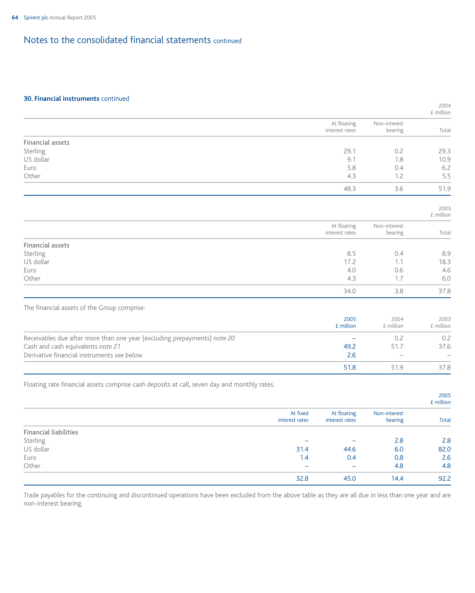## **30. Financial instruments** continued

|                                                                                 | £ million         |
|---------------------------------------------------------------------------------|-------------------|
| At floating<br>Non-interest<br>interest rates<br>bearing                        | Total             |
| <b>Financial assets</b>                                                         |                   |
| Sterling<br>29.1<br>0.2                                                         | 29.3              |
| US dollar<br>1.8<br>9.1                                                         | 10.9              |
| 5.8<br>0.4<br>Euro                                                              | 6.2               |
| Other<br>4.3<br>1.2                                                             | 5.5               |
| 48.3<br>3.6                                                                     | 51.9              |
|                                                                                 | 2003<br>£ million |
| At floating<br>Non-interest<br>interest rates<br>bearing                        | Total             |
| <b>Financial assets</b>                                                         |                   |
| Sterling<br>8.5<br>0.4                                                          | 8.9               |
| US dollar<br>17.2<br>1.1                                                        | 18.3              |
| Euro<br>4.0<br>0.6                                                              | 4.6               |
| Other<br>4.3<br>1.7                                                             | 6.0               |
| 34.0<br>3.8                                                                     | 37.8              |
| The financial assets of the Group comprise:                                     |                   |
| 2005<br>2004<br>£ million<br>£ million                                          | 2003<br>£ million |
| Receivables due after more than one year (excluding prepayments) note 20<br>0.2 | 0.2               |
| Cash and cash equivalents note 21<br>49.2<br>51.7                               | 37.6              |
| Derivative financial instruments see below<br>2.6                               |                   |
| 51.8<br>51.9                                                                    | 37.8              |

2004

Floating rate financial assets comprise cash deposits at call, seven day and monthly rates.

|                              |                            |                               |                         | 2005<br>£ million |
|------------------------------|----------------------------|-------------------------------|-------------------------|-------------------|
|                              | At fixed<br>interest rates | At floating<br>interest rates | Non-interest<br>bearing | <b>Total</b>      |
| <b>Financial liabilities</b> |                            |                               |                         |                   |
| Sterling                     |                            |                               | 2.8                     | 2.8               |
| US dollar                    | 31.4                       | 44.6                          | 6.0                     | 82.0              |
| Euro                         | 1.4                        | 0.4                           | 0.8                     | 2.6               |
| Other                        |                            |                               | 4.8                     | 4.8               |
|                              | 32.8                       | 45.0                          | 14.4                    | 92.2              |

Trade payables for the continuing and discontinued operations have been excluded from the above table as they are all due in less than one year and are non-interest bearing.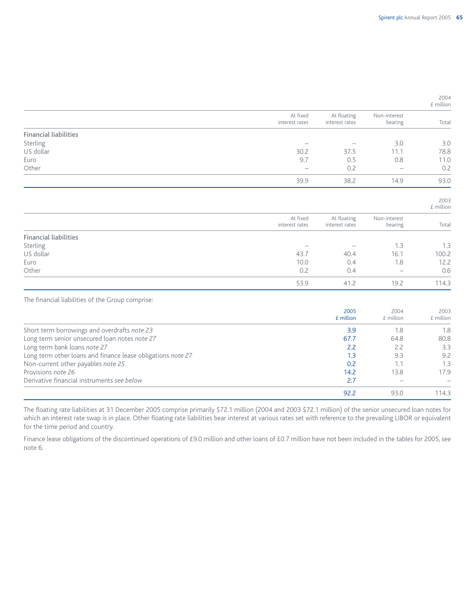53.9 41.2 19.2 114.3

| ____<br>M. |
|------------|
|            |

|                              |                            |                               |                         | $-$               |
|------------------------------|----------------------------|-------------------------------|-------------------------|-------------------|
|                              | At fixed<br>interest rates | At floating<br>interest rates | Non-interest<br>bearing | Total             |
| <b>Financial liabilities</b> |                            |                               |                         |                   |
| Sterling                     |                            |                               | 3.0                     | 3.0               |
| US dollar                    | 30.2                       | 37.5                          | 11.1                    | 78.8              |
| Euro                         | 9.7                        | 0.5                           | 0.8                     | 11.0              |
| Other                        |                            | 0.2                           |                         | 0.2               |
|                              | 39.9                       | 38.2                          | 14.9                    | 93.0              |
|                              |                            |                               |                         | 2003<br>£ million |
|                              | At fixed<br>interest rates | At floating<br>interest rates | Non-interest<br>bearing | Total             |
| <b>Financial liabilities</b> |                            |                               |                         |                   |
| Sterling                     |                            |                               | 1.3                     | 1.3               |
| US dollar                    | 43.7                       | 40.4                          | 16.1                    | 100.2             |

Euro 10.0 0.4 1.8 12.2 Other 0.2 0.4 – 0.6

The financial liabilities of the Group comprise:

|                                                             | 2005<br>£ million | 2004<br>$f$ million | 2003<br>£ million |
|-------------------------------------------------------------|-------------------|---------------------|-------------------|
| Short term borrowings and overdrafts note 23                | 3.9               | 1.8                 | 1.8               |
| Long term senior unsecured loan notes note 27               | 67.7              | 64.8                | 80.8              |
| Long term bank loans note 27                                | 2.2               | 2.2                 | 3.3               |
| Long term other loans and finance lease obligations note 27 | 1.3               | 9.3                 | 9.2               |
| Non-current other payables note 25                          | 0.2               | 1.1                 | 1.3               |
| Provisions note 26                                          | 14.2              | 13.8                | 17.9              |
| Derivative financial instruments see below                  | 2.7               |                     |                   |
|                                                             | 92.2              | 93.0                | 114.3             |

The floating rate liabilities at 31 December 2005 comprise primarily \$72.1 million (2004 and 2003 \$72.1 million) of the senior unsecured loan notes for which an interest rate swap is in place. Other floating rate liabilities bear interest at various rates set with reference to the prevailing LIBOR or equivalent for the time period and country.

Finance lease obligations of the discontinued operations of £9.0 million and other loans of £0.7 million have not been included in the tables for 2005, see note 6.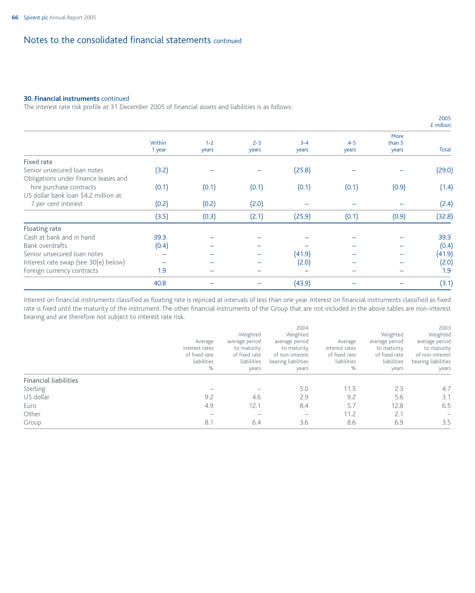#### **30. Financial instruments** continued

The interest rate risk profile at 31 December 2005 of financial assets and liabilities is as follows:

|                                                                                                         |                  |                  |                  |                  |                  |                         | 2005<br>£ million |
|---------------------------------------------------------------------------------------------------------|------------------|------------------|------------------|------------------|------------------|-------------------------|-------------------|
|                                                                                                         | Within<br>1 year | $1 - 2$<br>years | $2 - 3$<br>years | $3 - 4$<br>years | $4 - 5$<br>years | More<br>than 5<br>years | <b>Total</b>      |
| Fixed rate                                                                                              |                  |                  |                  |                  |                  |                         |                   |
| Senior unsecured loan notes                                                                             | (3.2)            |                  |                  | (25.8)           |                  |                         | (29.0)            |
| Obligations under finance leases and<br>hire purchase contracts<br>US dollar bank loan \$4.2 million at | (0.1)            | (0.1)            | (0.1)            | (0.1)            | (0.1)            | (0.9)                   | (1.4)             |
| 7 per cent interest                                                                                     | (0.2)            | (0.2)            | (2.0)            |                  |                  |                         | (2.4)             |
|                                                                                                         | (3.5)            | (0.3)            | (2.1)            | (25.9)           | (0.1)            | (0.9)                   | (32.8)            |
| <b>Floating rate</b>                                                                                    |                  |                  |                  |                  |                  |                         |                   |
| Cash at bank and in hand                                                                                | 39.3             |                  |                  |                  |                  |                         | 39.3              |
| <b>Bank overdrafts</b>                                                                                  | (0.4)            |                  |                  |                  |                  |                         | (0.4)             |
| Senior unsecured loan notes                                                                             |                  |                  |                  | (41.9)           |                  |                         | (41.9)            |
| Interest rate swap (see 30(e) below)                                                                    |                  |                  |                  | (2.0)            |                  |                         | (2.0)             |
| Foreign currency contracts                                                                              | 1.9              |                  |                  |                  |                  |                         | 1.9               |
|                                                                                                         | 40.8             |                  |                  | (43.9)           |                  |                         | (3.1)             |

Interest on financial instruments classified as floating rate is repriced at intervals of less than one year. Interest on financial instruments classified as fixed rate is fixed until the maturity of the instrument. The other financial instruments of the Group that are not included in the above tables are non-interest bearing and are therefore not subject to interest rate risk.

|                              |                                                     |                                                      | 2004                                                                                                    |                                             |                                                       | 2003           |
|------------------------------|-----------------------------------------------------|------------------------------------------------------|---------------------------------------------------------------------------------------------------------|---------------------------------------------|-------------------------------------------------------|----------------|
|                              |                                                     | Weighted                                             | Weighted                                                                                                |                                             | Weighted                                              | Weighted       |
|                              | Average                                             | average period                                       | average period                                                                                          | Average                                     | average period                                        | average period |
|                              | interest rates<br>of fixed rate<br>liabilities<br>% | to maturity<br>of fixed rate<br>liabilities<br>years | to maturity<br>interest rates<br>of fixed rate<br>of non-interest<br>liabilities<br>bearing liabilities | to maturity<br>of fixed rate<br>liabilities | to maturity<br>of non-interest<br>bearing liabilities |                |
|                              |                                                     |                                                      |                                                                                                         |                                             | years                                                 | %              |
| <b>Financial liabilities</b> |                                                     |                                                      |                                                                                                         |                                             |                                                       |                |
| Sterling                     |                                                     |                                                      | 5.0                                                                                                     | 11.5                                        | 2.3                                                   | 4.7            |
| US dollar                    | 9.2                                                 | 4.6                                                  | 2.9                                                                                                     | 9.2                                         | 5.6                                                   | 3.1            |
| Euro                         | 4.9                                                 | 12.1                                                 | 8.4                                                                                                     | 5.7                                         | 12.8                                                  | 6.5            |
| Other                        |                                                     |                                                      |                                                                                                         | 11.2                                        | 2.1                                                   |                |
| Group                        | 8.1                                                 | 6.4                                                  | 3.6                                                                                                     | 8.6                                         | 6.9                                                   | 3.5            |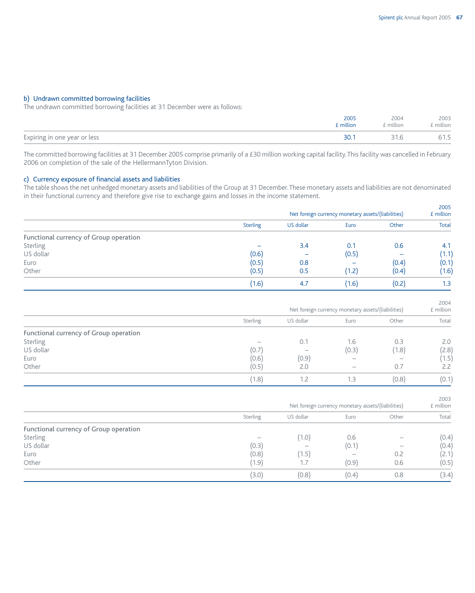## b) Undrawn committed borrowing facilities

The undrawn committed borrowing facilities at 31 December were as follows:

|                              | 2005      | 2004      | 2003    |
|------------------------------|-----------|-----------|---------|
|                              | £ million | £ million | million |
| Expiring in one year or less |           |           |         |

The committed borrowing facilities at 31 December 2005 comprise primarily of a £30 million working capital facility.This facility was cancelled in February 2006 on completion of the sale of the HellermannTyton Division.

### c) Currency exposure of financial assets and liabilities

The table shows the net unhedged monetary assets and liabilities of the Group at 31 December.These monetary assets and liabilities are not denominated in their functional currency and therefore give rise to exchange gains and losses in the income statement.

|                                        |                 |           | Net foreign currency monetary assets/(liabilities) |       | 2005<br>£ million |
|----------------------------------------|-----------------|-----------|----------------------------------------------------|-------|-------------------|
|                                        | <b>Sterling</b> | US dollar | Euro                                               | Other | <b>Total</b>      |
| Functional currency of Group operation |                 |           |                                                    |       |                   |
| Sterling                               |                 | 3.4       | 0.1                                                | 0.6   | 4.1               |
| US dollar                              | (0.6)           |           | (0.5)                                              |       | (1.1)             |
| Euro                                   | (0.5)           | 0.8       |                                                    | (0.4) | (0.1)             |
| Other                                  | (0.5)           | 0.5       | (1.2)                                              | (0.4) | (1.6)             |
|                                        | (1.6)           | 4.7       | (1.6)                                              | (0.2) | 1.3               |
|                                        |                 |           | Net foreign currency monetary assets/(liabilities) |       | 2004<br>£ million |
|                                        | Sterling        | US dollar | Euro                                               | Other | Total             |
| Functional currency of Group operation |                 |           |                                                    |       |                   |
| Sterling                               |                 | 0.1       | 1.6                                                | 0.3   | 2.0               |
| US dollar                              | (0.7)           |           | (0.3)                                              | (1.8) | (2.8)             |
| Euro                                   | (0.6)           | (0.9)     |                                                    |       | (1.5)             |
| Other                                  | (0.5)           | 2.0       |                                                    | 0.7   | 2.2               |
|                                        | (1.8)           | 1.2       | 1.3                                                | (0.8) | (0.1)             |

|                                        |          | 2003<br>£ million |       |       |       |
|----------------------------------------|----------|-------------------|-------|-------|-------|
|                                        | Sterling | US dollar         | Euro  | Other | Total |
| Functional currency of Group operation |          |                   |       |       |       |
| Sterling                               |          | (1.0)             | 0.6   |       | (0.4) |
| US dollar                              | (0.3)    |                   | (0.1) |       | (0.4) |
| Euro                                   | (0.8)    | (1.5)             |       | 0.2   | (2.1) |
| Other                                  | (1.9)    |                   | (0.9) | 0.6   | (0.5) |
|                                        | (3.0)    | (0.8)             | (0.4) | 0.8   | (3.4) |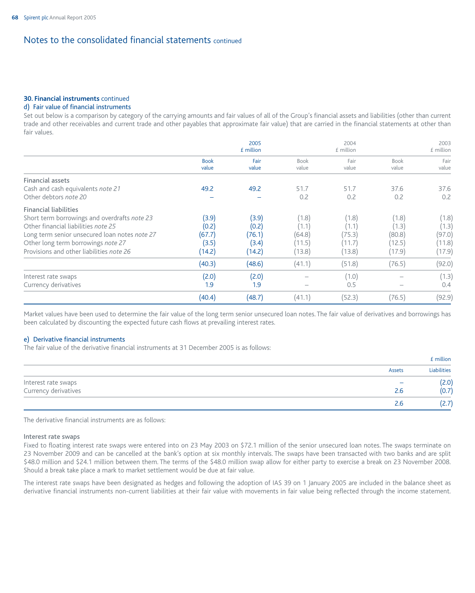## **30. Financial instruments** continued

#### d) Fair value of financial instruments

Set out below is a comparison by category of the carrying amounts and fair values of all of the Group's financial assets and liabilities (other than current trade and other receivables and current trade and other payables that approximate fair value) that are carried in the financial statements at other than fair values.

|                                               |                      | 2005<br>£ million |                      | 2004<br>£ million |                      | 2003<br>£ million |
|-----------------------------------------------|----------------------|-------------------|----------------------|-------------------|----------------------|-------------------|
|                                               | <b>Book</b><br>value | Fair<br>value     | <b>Book</b><br>value | Fair<br>value     | <b>Book</b><br>value | Fair<br>value     |
| <b>Financial assets</b>                       |                      |                   |                      |                   |                      |                   |
| Cash and cash equivalents note 21             | 49.2                 | 49.2              | 51.7                 | 51.7              | 37.6                 | 37.6              |
| Other debtors note 20                         |                      |                   | 0.2                  | 0.2               | 0.2                  | 0.2               |
| <b>Financial liabilities</b>                  |                      |                   |                      |                   |                      |                   |
| Short term borrowings and overdrafts note 23  | (3.9)                | (3.9)             | (1.8)                | (1.8)             | (1.8)                | (1.8)             |
| Other financial liabilities note 25           | (0.2)                | (0.2)             | (1.1)                | $^{\prime}$ 1.1   | (1.3)                | (1.3)             |
| Long term senior unsecured loan notes note 27 | (67.7)               | (76.1)            | (64.8)               | (75.3)            | (80.8)               | (97.0)            |
| Other long term borrowings note 27            | (3.5)                | (3.4)             | (11.5)               | (11.7)            | (12.5)               | (11.8)            |
| Provisions and other liabilities note 26      | (14.2)               | (14.2)            | (13.8)               | (13.8)            | (17.9)               | (17.9)            |
|                                               | (40.3)               | (48.6)            | (41.1)               | (51.8)            | (76.5)               | (92.0)            |
| Interest rate swaps                           | (2.0)                | (2.0)             |                      | (1.0)             |                      | (1.3)             |
| Currency derivatives                          | 1.9                  | 1.9               |                      | 0.5               |                      | 0.4               |
|                                               | (40.4)               | (48.7)            | (41.1)               | (52.3)            | (76.5)               | (92.9)            |

Market values have been used to determine the fair value of the long term senior unsecured loan notes. The fair value of derivatives and borrowings has been calculated by discounting the expected future cash flows at prevailing interest rates.

#### e) Derivative financial instruments

The fair value of the derivative financial instruments at 31 December 2005 is as follows:

|                      |        | £ million   |
|----------------------|--------|-------------|
|                      | Assets | Liabilities |
| Interest rate swaps  |        | (2.0)       |
| Currency derivatives | 2.6    | (0.7)       |
|                      | 2.6    | 2.7         |

The derivative financial instruments are as follows:

#### Interest rate swaps

Fixed to floating interest rate swaps were entered into on 23 May 2003 on \$72.1 million of the senior unsecured loan notes. The swaps terminate on 23 November 2009 and can be cancelled at the bank's option at six monthly intervals. The swaps have been transacted with two banks and are split \$48.0 million and \$24.1 million between them. The terms of the \$48.0 million swap allow for either party to exercise a break on 23 November 2008. Should a break take place a mark to market settlement would be due at fair value.

The interest rate swaps have been designated as hedges and following the adoption of IAS 39 on 1 January 2005 are included in the balance sheet as derivative financial instruments non-current liabilities at their fair value with movements in fair value being reflected through the income statement.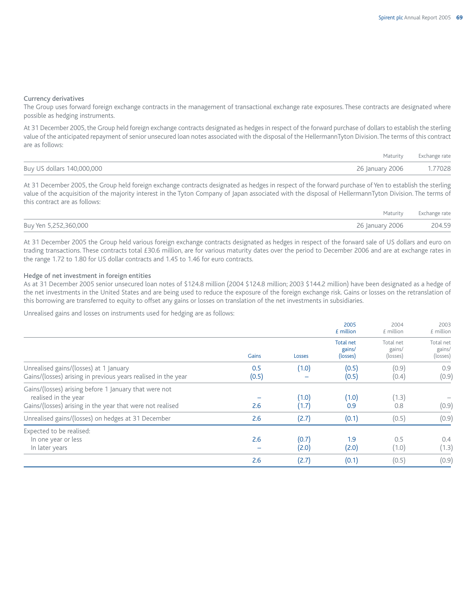#### Currency derivatives

The Group uses forward foreign exchange contracts in the management of transactional exchange rate exposures. These contracts are designated where possible as hedging instruments.

At 31 December 2005, the Group held foreign exchange contracts designated as hedges in respect of the forward purchase of dollars to establish the sterling value of the anticipated repayment of senior unsecured loan notes associated with the disposal of the HellermannTyton Division.The terms of this contract are as follows:

|                            | Maturity        | Exchange rate |
|----------------------------|-----------------|---------------|
| Buy US dollars 140,000,000 | 26 January 2006 | 1.77028       |

At 31 December 2005, the Group held foreign exchange contracts designated as hedges in respect of the forward purchase of Yen to establish the sterling value of the acquisition of the majority interest in the Tyton Company of Japan associated with the disposal of HellermannTyton Division. The terms of this contract are as follows:

|                       | Maturitv        | Exchange rate |
|-----------------------|-----------------|---------------|
| Buy Yen 5,252,360,000 | 26 January 2006 | 204.59        |

At 31 December 2005 the Group held various foreign exchange contracts designated as hedges in respect of the forward sale of US dollars and euro on trading transactions. These contracts total £30.6 million, are for various maturity dates over the period to December 2006 and are at exchange rates in the range 1.72 to 1.80 for US dollar contracts and 1.45 to 1.46 for euro contracts.

### Hedge of net investment in foreign entities

As at 31 December 2005 senior unsecured loan notes of \$124.8 million (2004 \$124.8 million; 2003 \$144.2 million) have been designated as a hedge of the net investments in the United States and are being used to reduce the exposure of the foreign exchange risk. Gains or losses on the retranslation of this borrowing are transferred to equity to offset any gains or losses on translation of the net investments in subsidiaries.

Unrealised gains and losses on instruments used for hedging are as follows:

|                                                                                                                                            |              |                | 2005<br>£ million                      | 2004<br>£ million               | 2003<br>£ million               |
|--------------------------------------------------------------------------------------------------------------------------------------------|--------------|----------------|----------------------------------------|---------------------------------|---------------------------------|
|                                                                                                                                            | Gains        | Losses         | <b>Total net</b><br>gains/<br>(losses) | Total net<br>gains/<br>(losses) | Total net<br>gains/<br>(losses) |
| Unrealised gains/(losses) at 1 January<br>Gains/(losses) arising in previous years realised in the year                                    | 0.5<br>(0.5) | (1.0)          | (0.5)<br>(0.5)                         | (0.9)<br>(0.4)                  | 0.9<br>(0.9)                    |
| Gains/(losses) arising before 1 January that were not<br>realised in the year<br>Gains/(losses) arising in the year that were not realised | 2.6          | (1.0)<br>(1.7) | (1.0)<br>0.9                           | (1.3)<br>0.8                    | (0.9)                           |
| Unrealised gains/(losses) on hedges at 31 December                                                                                         | 2.6          | (2.7)          | (0.1)                                  | (0.5)                           | (0.9)                           |
| Expected to be realised:<br>In one year or less<br>In later years                                                                          | 2.6          | (0.7)<br>(2.0) | 1.9<br>(2.0)                           | 0.5<br>(1.0)                    | 0.4<br>(1.3)                    |
|                                                                                                                                            | 2.6          | (2.7)          | (0.1)                                  | (0.5)                           | (0.9)                           |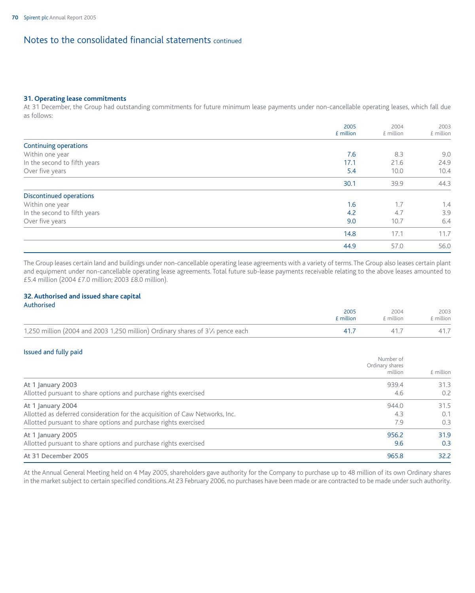#### **31. Operating lease commitments**

At 31 December, the Group had outstanding commitments for future minimum lease payments under non-cancellable operating leases, which fall due as follows:

|                                | 2005<br>$E$ million | 2004<br>£ million | 2003<br>£ million |
|--------------------------------|---------------------|-------------------|-------------------|
|                                |                     |                   |                   |
| Continuing operations          |                     |                   |                   |
| Within one year                | 7.6                 | 8.3               | 9.0               |
| In the second to fifth years   | 17.1                | 21.6              | 24.9              |
| Over five years                | 5.4                 | 10.0              | 10.4              |
|                                | 30.1                | 39.9              | 44.3              |
| <b>Discontinued operations</b> |                     |                   |                   |
| Within one year                | 1.6                 | 1.7               | 1.4               |
| In the second to fifth years   | 4.2                 | 4.7               | 3.9               |
| Over five years                | 9.0                 | 10.7              | 6.4               |
|                                | 14.8                | 17.1              | 11.7              |
|                                | 44.9                | 57.0              | 56.0              |

The Group leases certain land and buildings under non-cancellable operating lease agreements with a variety of terms.The Group also leases certain plant and equipment under non-cancellable operating lease agreements. Total future sub-lease payments receivable relating to the above leases amounted to £5.4 million (2004 £7.0 million; 2003 £8.0 million).

#### **32. Authorised and issued share capital** Authorised

| Authorised                                                                                              | 2005      | 2004      | 2003      |
|---------------------------------------------------------------------------------------------------------|-----------|-----------|-----------|
|                                                                                                         | £ million | £ million | £ million |
| 1,250 million (2004 and 2003 1,250 million) Ordinary shares of 3 <sup>1</sup> / <sub>3</sub> pence each | 41 7      | 417       |           |

### Issued and fully paid

|                                                                              | Number of<br>Ordinary shares<br>million | £ million |
|------------------------------------------------------------------------------|-----------------------------------------|-----------|
| At 1 January 2003                                                            | 939.4                                   | 31.3      |
| Allotted pursuant to share options and purchase rights exercised             | 4.6                                     | 0.2       |
| At 1 January 2004                                                            | 944.0                                   | 31.5      |
| Allotted as deferred consideration for the acquisition of Caw Networks, Inc. | 4.3                                     | 0.1       |
| Allotted pursuant to share options and purchase rights exercised             | 7.9                                     | 0.3       |
| At 1 January 2005                                                            | 956.2                                   | 31.9      |
| Allotted pursuant to share options and purchase rights exercised             | 9.6                                     | 0.3       |
| At 31 December 2005                                                          | 965.8                                   | 32.2      |

At the Annual General Meeting held on 4 May 2005, shareholders gave authority for the Company to purchase up to 48 million of its own Ordinary shares in the market subject to certain specified conditions.At 23 February 2006, no purchases have been made or are contracted to be made under such authority.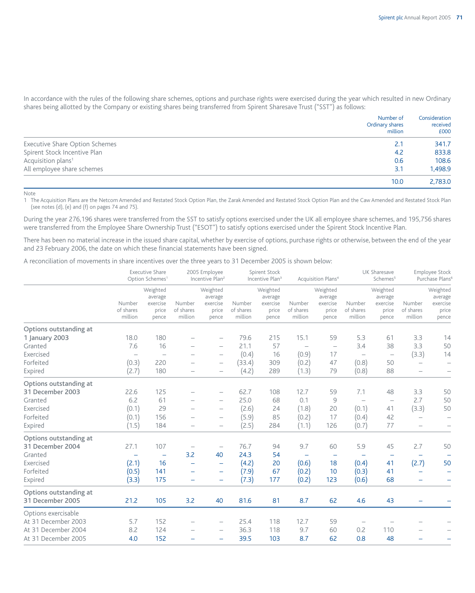In accordance with the rules of the following share schemes, options and purchase rights were exercised during the year which resulted in new Ordinary shares being allotted by the Company or existing shares being transferred from Spirent Sharesave Trust ("SST") as follows:

|                                | Number of<br>Ordinary shares<br>million | Consideration<br>received<br>£000 |
|--------------------------------|-----------------------------------------|-----------------------------------|
| Executive Share Option Schemes | 2.1                                     | 341.7                             |
| Spirent Stock Incentive Plan   | 4.2                                     | 833.8                             |
| Acquisition plans <sup>1</sup> | 0.6                                     | 108.6                             |
| All employee share schemes     | 3.1                                     | 1,498.9                           |
|                                | 10.0                                    | 2,783.0                           |

Note

1 The Acquisition Plans are the Netcom Amended and Restated Stock Option Plan, the Zarak Amended and Restated Stock Option Plan and the Caw Amended and Restated Stock Plan (see notes (d), (e) and (f) on pages 74 and 75).

During the year 276,196 shares were transferred from the SST to satisfy options exercised under the UK all employee share schemes, and 195,756 shares were transferred from the Employee Share Ownership Trust ("ESOT") to satisfy options exercised under the Spirent Stock Incentive Plan.

There has been no material increase in the issued share capital, whether by exercise of options, purchase rights or otherwise, between the end of the year and 23 February 2006, the date on which these financial statements have been signed.

A reconciliation of movements in share incentives over the three years to 31 December 2005 is shown below:

|                                                                                            |                                                           | <b>Executive Share</b><br>Option Schemes <sup>1</sup> |                                                   |                                                                                                                                          |                                          | 2005 Employee<br>Spirent Stock<br>Incentive Plan <sup>2</sup><br>Incentive Plan <sup>3</sup> |                                                            |                                                          | Acquisition Plans <sup>4</sup>                             |                                                   |                                                                             | UK Sharesave<br>Schemes <sup>5</sup>                                          |  | Employee Stock<br>Purchase Plans <sup>6</sup> |  |
|--------------------------------------------------------------------------------------------|-----------------------------------------------------------|-------------------------------------------------------|---------------------------------------------------|------------------------------------------------------------------------------------------------------------------------------------------|------------------------------------------|----------------------------------------------------------------------------------------------|------------------------------------------------------------|----------------------------------------------------------|------------------------------------------------------------|---------------------------------------------------|-----------------------------------------------------------------------------|-------------------------------------------------------------------------------|--|-----------------------------------------------|--|
|                                                                                            | Number<br>of shares<br>million                            | Weighted<br>average<br>exercise<br>price<br>pence     | Number<br>of shares<br>million                    | Weighted<br>average<br>exercise<br>price<br>pence                                                                                        | Number<br>of shares<br>million           | Weighted<br>average<br>exercise<br>price<br>pence                                            | Number<br>of shares<br>million                             | Weighted<br>average<br>exercise<br>price<br>pence        | Number<br>of shares<br>million                             | Weighted<br>average<br>exercise<br>price<br>pence | Number<br>of shares<br>million                                              | Weighted<br>average<br>exercise<br>price<br>pence                             |  |                                               |  |
| Options outstanding at<br>1 January 2003<br>Granted<br>Exercised<br>Forfeited<br>Expired   | 18.0<br>7.6<br>$\overline{\phantom{0}}$<br>(0.3)<br>(2.7) | 180<br>16<br>$\overline{\phantom{0}}$<br>220<br>180   |                                                   | $\overline{\phantom{m}}$<br>$\overline{\phantom{0}}$<br>$\overline{\phantom{m}}$                                                         | 79.6<br>21.1<br>(0.4)<br>(33.4)<br>(4.2) | 215<br>57<br>16<br>309<br>289                                                                | 15.1<br>(0.9)<br>(0.2)<br>(1.3)                            | 59<br>$\overbrace{\phantom{12322111}}$<br>17<br>47<br>79 | 5.3<br>3.4<br>$\overline{\phantom{0}}$<br>(0.8)<br>(0.8)   | 61<br>38<br>$\overline{\phantom{m}}$<br>50<br>88  | 3.3<br>3.3<br>(3.3)<br>$\overline{\phantom{0}}$<br>$\overline{\phantom{0}}$ | 14<br>50<br>14<br>$\overline{\phantom{0}}$<br>$\overbrace{\phantom{1232211}}$ |  |                                               |  |
| Options outstanding at<br>31 December 2003<br>Granted<br>Exercised<br>Forfeited<br>Expired | 22.6<br>6.2<br>(0.1)<br>(0.1)<br>(1.5)                    | 125<br>61<br>29<br>156<br>184                         |                                                   | $\overline{\phantom{m}}$<br>$\overline{\phantom{0}}$<br>$\overline{\phantom{m}}$<br>$\overline{\phantom{m}}$<br>$\overline{\phantom{m}}$ | 62.7<br>25.0<br>(2.6)<br>(5.9)<br>(2.5)  | 108<br>68<br>24<br>85<br>284                                                                 | 12.7<br>0.1<br>(1.8)<br>(0.2)<br>(1.1)                     | 59<br>9<br>20<br>17<br>126                               | 7.1<br>$\overline{\phantom{0}}$<br>(0.1)<br>(0.4)<br>(0.7) | 48<br>41<br>42<br>77                              | 3.3<br>2.7<br>(3.3)<br>$\overline{\phantom{0}}$<br>$\overline{\phantom{0}}$ | 50<br>50<br>50                                                                |  |                                               |  |
| Options outstanding at<br>31 December 2004<br>Granted<br>Exercised<br>Forfeited<br>Expired | 27.1<br>÷<br>(2.1)<br>(0.5)<br>(3.3)                      | 107<br>$\overline{\phantom{a}}$<br>16<br>141<br>175   | 3.2<br>$\overline{a}$<br>$\overline{\phantom{0}}$ | $\overline{\phantom{m}}$<br>40<br>$\overline{\phantom{0}}$<br>÷<br>$\overline{\phantom{m}}$                                              | 76.7<br>24.3<br>(4.2)<br>(7.9)<br>(7.3)  | 94<br>54<br>20<br>67<br>177                                                                  | 9.7<br>$\overline{\phantom{0}}$<br>(0.6)<br>(0.2)<br>(0.2) | 60<br>$\overline{\phantom{m}}$<br>18<br>10<br>123        | 5.9<br>$\overline{\phantom{m}}$<br>(0.4)<br>(0.3)<br>(0.6) | 45<br>$\overline{\phantom{0}}$<br>41<br>41<br>68  | 2.7<br>÷<br>(2.7)<br>÷<br>$\overline{\phantom{0}}$                          | 50<br>50                                                                      |  |                                               |  |
| Options outstanding at<br>31 December 2005                                                 | 21.2                                                      | 105                                                   | 3.2                                               | 40                                                                                                                                       | 81.6                                     | 81                                                                                           | 8.7                                                        | 62                                                       | 4.6                                                        | 43                                                |                                                                             |                                                                               |  |                                               |  |
| Options exercisable<br>At 31 December 2003<br>At 31 December 2004<br>At 31 December 2005   | 5.7<br>8.2<br>4.0                                         | 152<br>124<br>152                                     |                                                   | $\overline{\phantom{0}}$<br>$\overline{\phantom{0}}$<br>-                                                                                | 25.4<br>36.3<br>39.5                     | 118<br>118<br>103                                                                            | 12.7<br>9.7<br>8.7                                         | 59<br>60<br>62                                           | 0.2<br>0.8                                                 | 110<br>48                                         |                                                                             |                                                                               |  |                                               |  |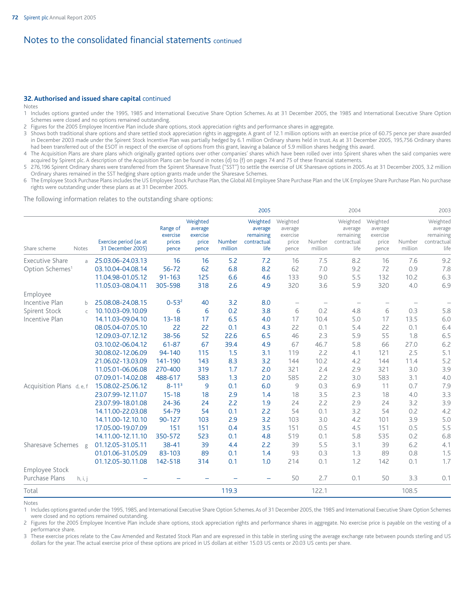#### **32. Authorised and issued share capital** continued

Notes

- 1 Includes options granted under the 1995, 1985 and International Executive Share Option Schemes. As at 31 December 2005, the 1985 and International Executive Share Option Schemes were closed and no options remained outstanding.
- 2 Figures for the 2005 Employee Incentive Plan include share options, stock appreciation rights and performance shares in aggregate.
- 3 Shows both traditional share options and share settled stock appreciation rights in aggregate. A grant of 12.1 million options with an exercise price of 60.75 pence per share awarded in December 2003 made under the Spirent Stock Incentive Plan was partially hedged by 6.1 million Ordinary shares held in trust. As at 31 December 2005, 195,756 Ordinary shares had been transferred out of the ESOT in respect of the exercise of options from this grant, leaving a balance of 5.9 million shares hedging this award.
- 4 The Acquisition Plans are share plans which originally granted options over other companies' shares which have been rolled over into Spirent shares when the said companies were acquired by Spirent plc. A description of the Acquisition Plans can be found in notes (d) to (f) on pages 74 and 75 of these financial statements.
- 5 276,196 Spirent Ordinary shares were transferred from the Spirent Sharesave Trust ("SST") to settle the exercise of UK Sharesave options in 2005.As at 31 December 2005, 3.2 million Ordinary shares remained in the SST hedging share option grants made under the Sharesave Schemes.
- 6 The Employee Stock Purchase Plans includes the US Employee Stock Purchase Plan, the Global All Employee Share Purchase Plan and the UK Employee Share Purchase Plan. No purchase rights were outstanding under these plans as at 31 December 2005.

The following information relates to the outstanding share options:

|                             |              |                                             |                                         |                                                   |                   | 2005                                                    |                                                   |                          | 2004                                                    |                                                   |                          | 2003                                                    |
|-----------------------------|--------------|---------------------------------------------|-----------------------------------------|---------------------------------------------------|-------------------|---------------------------------------------------------|---------------------------------------------------|--------------------------|---------------------------------------------------------|---------------------------------------------------|--------------------------|---------------------------------------------------------|
| Share scheme                | Notes        | Exercise period (as at<br>31 December 2005) | Range of<br>exercise<br>prices<br>pence | Weighted<br>average<br>exercise<br>price<br>pence | Number<br>million | Weighted<br>average<br>remaining<br>contractual<br>life | Weighted<br>average<br>exercise<br>price<br>pence | Number<br>million        | Weighted<br>average<br>remaining<br>contractual<br>life | Weighted<br>average<br>exercise<br>price<br>pence | Number<br>million        | Weighted<br>average<br>remaining<br>contractual<br>life |
| <b>Executive Share</b>      | a            | 25.03.06-24.03.13                           | 16                                      | 16                                                | 5.2               | 7.2                                                     | 16                                                | 7.5                      | 8.2                                                     | 16                                                | 7.6                      | 9.2                                                     |
| Option Schemes <sup>1</sup> |              | 03.10.04-04.08.14                           | $56 - 72$                               | 62                                                | 6.8               | 8.2                                                     | 62                                                | 7.0                      | 9.2                                                     | 72                                                | 0.9                      | 7.8                                                     |
|                             |              | 11.04.98-01.05.12                           | $91 - 163$                              | 125                                               | 6.6               | 4.6                                                     | 133                                               | 9.0                      | 5.5                                                     | 132                                               | 10.2                     | 6.3                                                     |
|                             |              | 11.05.03-08.04.11                           | 305-598                                 | 318                                               | 2.6               | 4.9                                                     | 320                                               | 3.6                      | 5.9                                                     | 320                                               | 4.0                      | 6.9                                                     |
| Employee                    |              |                                             |                                         |                                                   |                   |                                                         |                                                   |                          |                                                         |                                                   |                          |                                                         |
| Incentive Plan              | b.           | 25.08.08-24.08.15                           | $0 - 53^2$                              | 40                                                | 3.2               | 8.0                                                     |                                                   | $\overline{\phantom{a}}$ | $\overline{\phantom{0}}$                                | $\overline{\phantom{0}}$                          | $\overline{\phantom{0}}$ |                                                         |
| Spirent Stock               | $\mathsf{C}$ | 10.10.03-09.10.09                           | 6                                       | 6                                                 | 0.2               | 3.8                                                     | 6                                                 | 0.2                      | 4.8                                                     | 6                                                 | 0.3                      | 5.8                                                     |
| Incentive Plan              |              | 14.11.03-09.04.10                           | $13 - 18$                               | 17                                                | 6.5               | 4.0                                                     | 17                                                | 10.4                     | 5.0                                                     | 17                                                | 13.5                     | 6.0                                                     |
|                             |              | 08.05.04-07.05.10                           | 22                                      | 22                                                | 0.1               | 4.3                                                     | 22                                                | 0.1                      | 5.4                                                     | 22                                                | 0.1                      | 6.4                                                     |
|                             |              | 12.09.03-07.12.12                           | 38-56                                   | 52                                                | 22.6              | 6.5                                                     | 46                                                | 2.3                      | 5.9                                                     | 55                                                | 1.8                      | 6.5                                                     |
|                             |              | 03.10.02-06.04.12                           | 61-87                                   | 67                                                | 39.4              | 4.9                                                     | 67                                                | 46.7                     | 5.8                                                     | 66                                                | 27.0                     | 6.2                                                     |
|                             |              | 30.08.02-12.06.09                           | 94-140                                  | 115                                               | 1.5               | 3.1                                                     | 119                                               | 2.2                      | 4.1                                                     | 121                                               | 2.5                      | 5.1                                                     |
|                             |              | 21.06.02-13.03.09                           | 141-190                                 | 143                                               | 8.3               | 3.2                                                     | 144                                               | 10.2                     | 4.2                                                     | 144                                               | 11.4                     | 5.2                                                     |
|                             |              | 11.05.01-06.06.08                           | 270-400                                 | 319                                               | 1.7               | 2.0                                                     | 321                                               | 2.4                      | 2.9                                                     | 321                                               | 3.0                      | 3.9                                                     |
|                             |              | 07.09.01-14.02.08                           | 488-617                                 | 583                                               | 1.3               | 2.0                                                     | 585                                               | 2.2                      | 3.0                                                     | 583                                               | 3.1                      | 4.0                                                     |
| Acquisition Plans d, e, f   |              | 15.08.02-25.06.12                           | $8 - 113$                               | 9                                                 | 0.1               | 6.0                                                     | 9                                                 | 0.3                      | 6.9                                                     | 11                                                | 0.7                      | 7.9                                                     |
|                             |              | 23.07.99-12.11.07                           | $15 - 18$                               | 18                                                | 2.9               | 1.4                                                     | 18                                                | 3.5                      | 2.3                                                     | 18                                                | 4.0                      | 3.3                                                     |
|                             |              | 23.07.99-18.01.08                           | 24-36                                   | 24                                                | 2.2               | 1.9                                                     | 24                                                | 2.2                      | 2.9                                                     | 24                                                | 3.2                      | 3.9                                                     |
|                             |              | 14.11.00-22.03.08                           | 54-79                                   | 54                                                | 0.1               | 2.2                                                     | 54                                                | 0.1                      | 3.2                                                     | 54                                                | 0.2                      | 4.2                                                     |
|                             |              | 14.11.00-12.10.10                           | $90 - 127$                              | 103                                               | 2.9               | 3.2                                                     | 103                                               | 3.0                      | 4.2                                                     | 101                                               | 3.9                      | 5.0                                                     |
|                             |              | 17.05.00-19.07.09                           | 151                                     | 151                                               | 0.4               | 3.5                                                     | 151                                               | 0.5                      | 4.5                                                     | 151                                               | 0.5                      | 5.5                                                     |
|                             |              | 14.11.00-12.11.10                           | 350-572                                 | 523                                               | 0.1               | 4.8                                                     | 519                                               | 0.1                      | 5.8                                                     | 535                                               | 0.2                      | 6.8                                                     |
| Sharesave Schemes           | g            | 01.12.05-31.05.11                           | 38-41                                   | 39                                                | 4.4               | 2.2                                                     | 39                                                | 5.5                      | 3.1                                                     | 39                                                | 6.2                      | 4.1                                                     |
|                             |              | 01.01.06-31.05.09                           | 83-103                                  | 89                                                | 0.1               | 1.4                                                     | 93                                                | 0.3                      | 1.3                                                     | 89                                                | 0.8                      | 1.5                                                     |
|                             |              | 01.12.05-30.11.08                           | 142-518                                 | 314                                               | 0.1               | 1.0                                                     | 214                                               | 0.1                      | 1.2                                                     | 142                                               | 0.1                      | 1.7                                                     |
| Employee Stock              |              |                                             |                                         |                                                   |                   |                                                         |                                                   |                          |                                                         |                                                   |                          |                                                         |
| Purchase Plans              | h, i, j      |                                             |                                         |                                                   |                   |                                                         | 50                                                | 2.7                      | 0.1                                                     | 50                                                | 3.3                      | 0.1                                                     |
| Total                       |              |                                             |                                         |                                                   | 119.3             |                                                         |                                                   | 122.1                    |                                                         |                                                   | 108.5                    |                                                         |

Notes

1 Includes options granted under the 1995, 1985, and International Executive Share Option Schemes.As of 31 December 2005, the 1985 and International Executive Share Option Schemes were closed and no options remained outstanding.

2 Figures for the 2005 Employee Incentive Plan include share options, stock appreciation rights and performance shares in aggregate. No exercise price is payable on the vesting of a performance share.

3 These exercise prices relate to the Caw Amended and Restated Stock Plan and are expressed in this table in sterling using the average exchange rate between pounds sterling and US dollars for the year. The actual exercise price of these options are priced in US dollars at either 15.03 US cents or 20.03 US cents per share.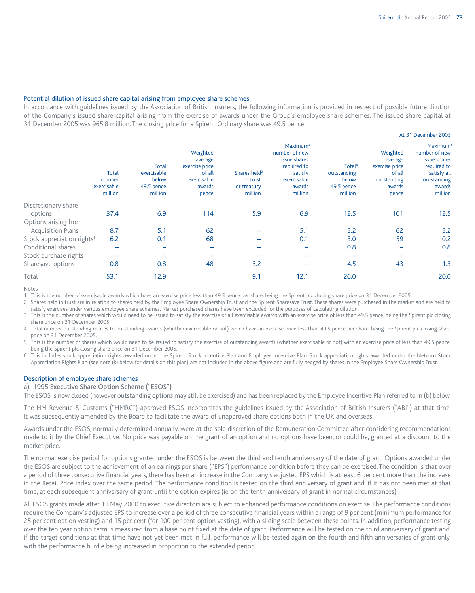$A + 31 B + 1 = 3005$ 

#### Potential dilution of issued share capital arising from employee share schemes

In accordance with guidelines issued by the Association of British Insurers, the following information is provided in respect of possible future dilution of the Company's issued share capital arising from the exercise of awards under the Group's employee share schemes. The issued share capital at 31 December 2005 was 965.8 million. The closing price for a Spirent Ordinary share was 49.5 pence.

|                                        |                                           |                                                                     |                                                                                   |                                                                |                                                                                                                     |                                                                     |                                                                                   | AL 31 DECEMBER 2003                                                                                                     |
|----------------------------------------|-------------------------------------------|---------------------------------------------------------------------|-----------------------------------------------------------------------------------|----------------------------------------------------------------|---------------------------------------------------------------------------------------------------------------------|---------------------------------------------------------------------|-----------------------------------------------------------------------------------|-------------------------------------------------------------------------------------------------------------------------|
|                                        | Total<br>number<br>exercisable<br>million | Total <sup>1</sup><br>exercisable<br>below<br>49.5 pence<br>million | Weighted<br>average<br>exercise price<br>of all<br>exercisable<br>awards<br>pence | Shares held <sup>2</sup><br>in trust<br>or treasury<br>million | Maximum <sup>3</sup><br>number of new<br>issue shares<br>required to<br>satisfy<br>exercisable<br>awards<br>million | Total <sup>4</sup><br>outstanding<br>below<br>49.5 pence<br>million | Weighted<br>average<br>exercise price<br>of all<br>outstanding<br>awards<br>pence | Maximum <sup>5</sup><br>number of new<br>issue shares<br>required to<br>satisfy all<br>outstanding<br>awards<br>million |
| Discretionary share                    |                                           |                                                                     |                                                                                   |                                                                |                                                                                                                     |                                                                     |                                                                                   |                                                                                                                         |
| options                                | 37.4                                      | 6.9                                                                 | 114                                                                               | 5.9                                                            | 6.9                                                                                                                 | 12.5                                                                | 101                                                                               | 12.5                                                                                                                    |
| Options arising from                   |                                           |                                                                     |                                                                                   |                                                                |                                                                                                                     |                                                                     |                                                                                   |                                                                                                                         |
| <b>Acquisition Plans</b>               | 8.7                                       | 5.1                                                                 | 62                                                                                |                                                                | 5.1                                                                                                                 | 5.2                                                                 | 62                                                                                | 5.2                                                                                                                     |
| Stock appreciation rights <sup>6</sup> | 6.2                                       | 0.1                                                                 | 68                                                                                |                                                                | 0.1                                                                                                                 | 3.0                                                                 | 59                                                                                | 0.2                                                                                                                     |
| Conditional shares                     |                                           |                                                                     |                                                                                   |                                                                |                                                                                                                     | 0.8                                                                 |                                                                                   | 0.8                                                                                                                     |
| Stock purchase rights                  |                                           |                                                                     |                                                                                   |                                                                |                                                                                                                     |                                                                     |                                                                                   |                                                                                                                         |
| Sharesave options                      | 0.8                                       | 0.8                                                                 | 48                                                                                | 3.2                                                            |                                                                                                                     | 4.5                                                                 | 43                                                                                | 1.3                                                                                                                     |
| Total                                  | 53.1                                      | 12.9                                                                |                                                                                   | 9.1                                                            | 12.1                                                                                                                | 26.0                                                                |                                                                                   | 20.0                                                                                                                    |

Notes

1 This is the number of exercisable awards which have an exercise price less than 49.5 pence per share, being the Spirent plc closing share price on 31 December 2005.

2 Shares held in trust are in relation to shares held by the Employee Share Ownership Trust and the Spirent Sharesave Trust. These shares were purchased in the market and are held to satisfy exercises under various employee share schemes. Market purchased shares have been excluded for the purposes of calculating dilution.

3 This is the number of shares which would need to be issued to satisfy the exercise of all exercisable awards with an exercise price of less than 49.5 pence, being the Spirent plc closing share price on 31 December 2005.

4 Total number outstanding relates to outstanding awards (whether exercisable or not) which have an exercise price less than 49.5 pence per share, being the Spirent plc closing share price on 31 December 2005.

5 This is the number of shares which would need to be issued to satisfy the exercise of outstanding awards (whether exercisable or not) with an exercise price of less than 49.5 pence, being the Spirent plc closing share price on 31 December 2005.

6 This includes stock appreciation rights awarded under the Spirent Stock Incentive Plan and Employee Incentive Plan. Stock appreciation rights awarded under the Netcom Stock Appreciation Rights Plan (see note (k) below for details on this plan) are not included in the above figure and are fully hedged by shares in the Employee Share Ownership Trust.

## Description of employee share schemes

#### a) 1995 Executive Share Option Scheme ("ESOS")

The ESOS is now closed (however outstanding options may still be exercised) and has been replaced by the Employee Incentive Plan referred to in (b) below.

The HM Revenue & Customs ("HMRC") approved ESOS incorporates the guidelines issued by the Association of British Insurers ("ABI") at that time. It was subsequently amended by the Board to facilitate the award of unapproved share options both in the UK and overseas.

Awards under the ESOS, normally determined annually, were at the sole discretion of the Remuneration Committee after considering recommendations made to it by the Chief Executive. No price was payable on the grant of an option and no options have been, or could be, granted at a discount to the market price.

The normal exercise period for options granted under the ESOS is between the third and tenth anniversary of the date of grant. Options awarded under the ESOS are subject to the achievement of an earnings per share ("EPS") performance condition before they can be exercised. The condition is that over a period of three consecutive financial years, there has been an increase in the Company's adjusted EPS which is at least 6 per cent more than the increase in the Retail Price Index over the same period. The performance condition is tested on the third anniversary of grant and, if it has not been met at that time, at each subsequent anniversary of grant until the option expires (ie on the tenth anniversary of grant in normal circumstances).

All ESOS grants made after 11 May 2000 to executive directors are subject to enhanced performance conditions on exercise.The performance conditions require the Company's adjusted EPS to increase over a period of three consecutive financial years within a range of 9 per cent (minimum performance for 25 per cent option vesting) and 15 per cent (for 100 per cent option vesting), with a sliding scale between these points. In addition, performance testing over the ten year option term is measured from a base point fixed at the date of grant. Performance will be tested on the third anniversary of grant and, if the target conditions at that time have not yet been met in full, performance will be tested again on the fourth and fifth anniversaries of grant only, with the performance hurdle being increased in proportion to the extended period.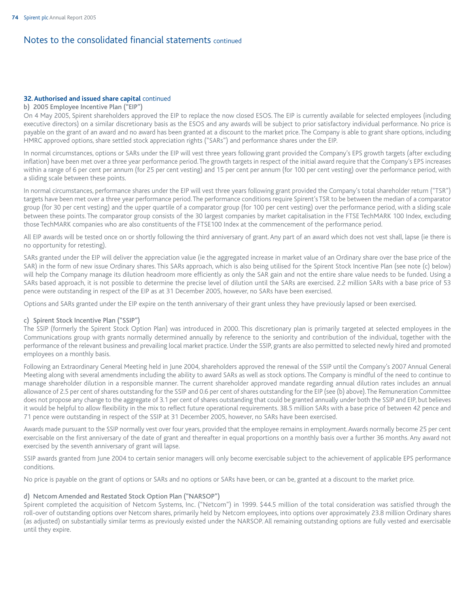## **32. Authorised and issued share capital** continued

## b) 2005 Employee Incentive Plan ("EIP")

On 4 May 2005, Spirent shareholders approved the EIP to replace the now closed ESOS. The EIP is currently available for selected employees (including executive directors) on a similar discretionary basis as the ESOS and any awards will be subject to prior satisfactory individual performance. No price is payable on the grant of an award and no award has been granted at a discount to the market price. The Company is able to grant share options, including HMRC approved options, share settled stock appreciation rights ("SARs") and performance shares under the EIP.

In normal circumstances, options or SARs under the EIP will vest three years following grant provided the Company's EPS growth targets (after excluding inflation) have been met over a three year performance period.The growth targets in respect of the initial award require that the Company's EPS increases within a range of 6 per cent per annum (for 25 per cent vesting) and 15 per cent per annum (for 100 per cent vesting) over the performance period, with a sliding scale between these points.

In normal circumstances, performance shares under the EIP will vest three years following grant provided the Company's total shareholder return ("TSR") targets have been met over a three year performance period.The performance conditions require Spirent's TSR to be between the median of a comparator group (for 30 per cent vesting) and the upper quartile of a comparator group (for 100 per cent vesting) over the performance period, with a sliding scale between these points. The comparator group consists of the 30 largest companies by market capitalisation in the FTSE TechMARK 100 Index, excluding those TechMARK companies who are also constituents of the FTSE100 Index at the commencement of the performance period.

All EIP awards will be tested once on or shortly following the third anniversary of grant. Any part of an award which does not vest shall, lapse (ie there is no opportunity for retesting).

SARs granted under the EIP will deliver the appreciation value (ie the aggregated increase in market value of an Ordinary share over the base price of the SAR) in the form of new issue Ordinary shares. This SARs approach, which is also being utilised for the Spirent Stock Incentive Plan (see note (c) below) will help the Company manage its dilution headroom more efficiently as only the SAR gain and not the entire share value needs to be funded. Using a SARs based approach, it is not possible to determine the precise level of dilution until the SARs are exercised. 2.2 million SARs with a base price of 53 pence were outstanding in respect of the EIP as at 31 December 2005, however, no SARs have been exercised.

Options and SARs granted under the EIP expire on the tenth anniversary of their grant unless they have previously lapsed or been exercised.

## c) Spirent Stock Incentive Plan ("SSIP")

The SSIP (formerly the Spirent Stock Option Plan) was introduced in 2000. This discretionary plan is primarily targeted at selected employees in the Communications group with grants normally determined annually by reference to the seniority and contribution of the individual, together with the performance of the relevant business and prevailing local market practice. Under the SSIP, grants are also permitted to selected newly hired and promoted employees on a monthly basis.

Following an Extraordinary General Meeting held in June 2004, shareholders approved the renewal of the SSIP until the Company's 2007 Annual General Meeting along with several amendments including the ability to award SARs as well as stock options. The Company is mindful of the need to continue to manage shareholder dilution in a responsible manner. The current shareholder approved mandate regarding annual dilution rates includes an annual allowance of 2.5 per cent of shares outstanding for the SSIP and 0.6 per cent of shares outstanding for the EIP (see (b) above).The Remuneration Committee does not propose any change to the aggregate of 3.1 per cent of shares outstanding that could be granted annually under both the SSIP and EIP, but believes it would be helpful to allow flexibility in the mix to reflect future operational requirements. 38.5 million SARs with a base price of between 42 pence and 71 pence were outstanding in respect of the SSIP at 31 December 2005, however, no SARs have been exercised.

Awards made pursuant to the SSIP normally vest over four years, provided that the employee remains in employment. Awards normally become 25 per cent exercisable on the first anniversary of the date of grant and thereafter in equal proportions on a monthly basis over a further 36 months. Any award not exercised by the seventh anniversary of grant will lapse.

SSIP awards granted from June 2004 to certain senior managers will only become exercisable subject to the achievement of applicable EPS performance conditions.

No price is payable on the grant of options or SARs and no options or SARs have been, or can be, granted at a discount to the market price.

## d) Netcom Amended and Restated Stock Option Plan ("NARSOP")

Spirent completed the acquisition of Netcom Systems, Inc. ("Netcom") in 1999. \$44.5 million of the total consideration was satisfied through the roll-over of outstanding options over Netcom shares, primarily held by Netcom employees, into options over approximately 23.8 million Ordinary shares (as adjusted) on substantially similar terms as previously existed under the NARSOP. All remaining outstanding options are fully vested and exercisable until they expire.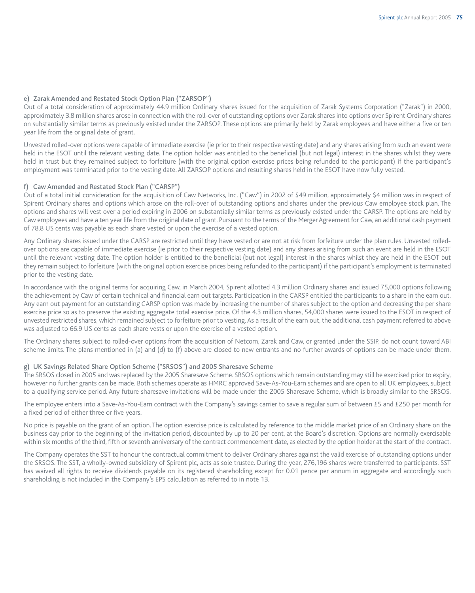## e) Zarak Amended and Restated Stock Option Plan ("ZARSOP")

Out of a total consideration of approximately 44.9 million Ordinary shares issued for the acquisition of Zarak Systems Corporation ("Zarak") in 2000, approximately 3.8 million shares arose in connection with the roll-over of outstanding options over Zarak shares into options over Spirent Ordinary shares on substantially similar terms as previously existed under the ZARSOP. These options are primarily held by Zarak employees and have either a five or ten year life from the original date of grant.

Unvested rolled-over options were capable of immediate exercise (ie prior to their respective vesting date) and any shares arising from such an event were held in the ESOT until the relevant vesting date. The option holder was entitled to the beneficial (but not legal) interest in the shares whilst they were held in trust but they remained subject to forfeiture (with the original option exercise prices being refunded to the participant) if the participant's employment was terminated prior to the vesting date. All ZARSOP options and resulting shares held in the ESOT have now fully vested.

## f) Caw Amended and Restated Stock Plan ("CARSP")

Out of a total initial consideration for the acquisition of Caw Networks, Inc. ("Caw") in 2002 of \$49 million, approximately \$4 million was in respect of Spirent Ordinary shares and options which arose on the roll-over of outstanding options and shares under the previous Caw employee stock plan. The options and shares will vest over a period expiring in 2006 on substantially similar terms as previously existed under the CARSP. The options are held by Caw employees and have a ten year life from the original date of grant. Pursuant to the terms of the Merger Agreement for Caw, an additional cash payment of 78.8 US cents was payable as each share vested or upon the exercise of a vested option.

Any Ordinary shares issued under the CARSP are restricted until they have vested or are not at risk from forfeiture under the plan rules. Unvested rolledover options are capable of immediate exercise (ie prior to their respective vesting date) and any shares arising from such an event are held in the ESOT until the relevant vesting date. The option holder is entitled to the beneficial (but not legal) interest in the shares whilst they are held in the ESOT but they remain subject to forfeiture (with the original option exercise prices being refunded to the participant) if the participant's employment is terminated prior to the vesting date.

In accordance with the original terms for acquiring Caw, in March 2004, Spirent allotted 4.3 million Ordinary shares and issued 75,000 options following the achievement by Caw of certain technical and financial earn out targets. Participation in the CARSP entitled the participants to a share in the earn out. Any earn out payment for an outstanding CARSP option was made by increasing the number of shares subject to the option and decreasing the per share exercise price so as to preserve the existing aggregate total exercise price. Of the 4.3 million shares, 54,000 shares were issued to the ESOT in respect of unvested restricted shares, which remained subject to forfeiture prior to vesting.As a result of the earn out, the additional cash payment referred to above was adjusted to 66.9 US cents as each share vests or upon the exercise of a vested option.

The Ordinary shares subject to rolled-over options from the acquisition of Netcom, Zarak and Caw, or granted under the SSIP, do not count toward ABI scheme limits. The plans mentioned in (a) and (d) to (f) above are closed to new entrants and no further awards of options can be made under them.

## g) UK Savings Related Share Option Scheme ("SRSOS") and 2005 Sharesave Scheme

The SRSOS closed in 2005 and was replaced by the 2005 Sharesave Scheme. SRSOS options which remain outstanding may still be exercised prior to expiry, however no further grants can be made. Both schemes operate as HMRC approved Save-As-You-Earn schemes and are open to all UK employees, subject to a qualifying service period. Any future sharesave invitations will be made under the 2005 Sharesave Scheme, which is broadly similar to the SRSOS.

The employee enters into a Save-As-You-Earn contract with the Company's savings carrier to save a regular sum of between £5 and £250 per month for a fixed period of either three or five years.

No price is payable on the grant of an option. The option exercise price is calculated by reference to the middle market price of an Ordinary share on the business day prior to the beginning of the invitation period, discounted by up to 20 per cent, at the Board's discretion. Options are normally exercisable within six months of the third, fifth or seventh anniversary of the contract commencement date, as elected by the option holder at the start of the contract.

The Company operates the SST to honour the contractual commitment to deliver Ordinary shares against the valid exercise of outstanding options under the SRSOS. The SST, a wholly-owned subsidiary of Spirent plc, acts as sole trustee. During the year, 276,196 shares were transferred to participants. SST has waived all rights to receive dividends payable on its registered shareholding except for 0.01 pence per annum in aggregate and accordingly such shareholding is not included in the Company's EPS calculation as referred to in note 13.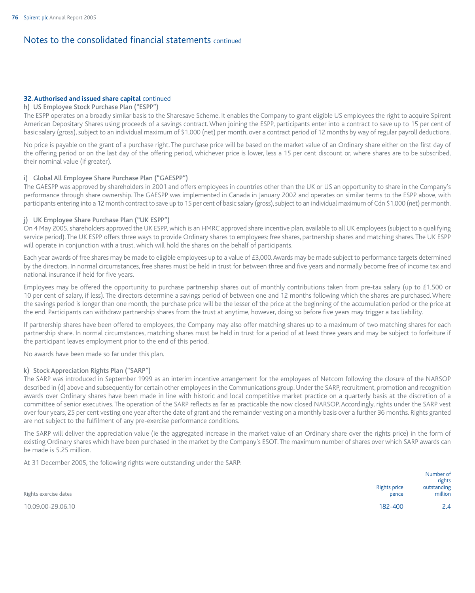## **32. Authorised and issued share capital** continued

## h) US Employee Stock Purchase Plan ("ESPP")

The ESPP operates on a broadly similar basis to the Sharesave Scheme. It enables the Company to grant eligible US employees the right to acquire Spirent American Depositary Shares using proceeds of a savings contract. When joining the ESPP, participants enter into a contract to save up to 15 per cent of basic salary (gross), subject to an individual maximum of \$1,000 (net) per month, over a contract period of 12 months by way of regular payroll deductions.

No price is payable on the grant of a purchase right. The purchase price will be based on the market value of an Ordinary share either on the first day of the offering period or on the last day of the offering period, whichever price is lower, less a 15 per cent discount or, where shares are to be subscribed, their nominal value (if greater).

## i) Global All Employee Share Purchase Plan ("GAESPP")

The GAESPP was approved by shareholders in 2001 and offers employees in countries other than the UK or US an opportunity to share in the Company's performance through share ownership. The GAESPP was implemented in Canada in January 2002 and operates on similar terms to the ESPP above, with participants entering into a 12 month contract to save up to 15 per cent of basic salary (gross), subject to an individual maximum of Cdn \$1,000 (net) per month.

## j) UK Employee Share Purchase Plan ("UK ESPP")

On 4 May 2005, shareholders approved the UK ESPP, which is an HMRC approved share incentive plan, available to all UK employees (subject to a qualifying service period).The UK ESPP offers three ways to provide Ordinary shares to employees: free shares, partnership shares and matching shares.The UK ESPP will operate in conjunction with a trust, which will hold the shares on the behalf of participants.

Each year awards of free shares may be made to eligible employees up to a value of £3,000. Awards may be made subject to performance targets determined by the directors. In normal circumstances, free shares must be held in trust for between three and five years and normally become free of income tax and national insurance if held for five years.

Employees may be offered the opportunity to purchase partnership shares out of monthly contributions taken from pre-tax salary (up to £1,500 or 10 per cent of salary, if less). The directors determine a savings period of between one and 12 months following which the shares are purchased. Where the savings period is longer than one month, the purchase price will be the lesser of the price at the beginning of the accumulation period or the price at the end. Participants can withdraw partnership shares from the trust at anytime, however, doing so before five years may trigger a tax liability.

If partnership shares have been offered to employees, the Company may also offer matching shares up to a maximum of two matching shares for each partnership share. In normal circumstances, matching shares must be held in trust for a period of at least three years and may be subject to forfeiture if the participant leaves employment prior to the end of this period.

No awards have been made so far under this plan.

## k) Stock Appreciation Rights Plan ("SARP")

The SARP was introduced in September 1999 as an interim incentive arrangement for the employees of Netcom following the closure of the NARSOP described in (d) above and subsequently for certain other employees in the Communications group. Under the SARP, recruitment, promotion and recognition awards over Ordinary shares have been made in line with historic and local competitive market practice on a quarterly basis at the discretion of a committee of senior executives. The operation of the SARP reflects as far as practicable the now closed NARSOP. Accordingly, rights under the SARP vest over four years, 25 per cent vesting one year after the date of grant and the remainder vesting on a monthly basis over a further 36 months. Rights granted are not subject to the fulfilment of any pre-exercise performance conditions.

The SARP will deliver the appreciation value (ie the aggregated increase in the market value of an Ordinary share over the rights price) in the form of existing Ordinary shares which have been purchased in the market by the Company's ESOT.The maximum number of shares over which SARP awards can be made is 5.25 million.

At 31 December 2005, the following rights were outstanding under the SARP:

|                       |                              | Number of<br>rights    |
|-----------------------|------------------------------|------------------------|
| Rights exercise dates | <b>Rights price</b><br>pence | outstanding<br>million |
| 10.09.00-29.06.10     | 182-400                      | 2.4                    |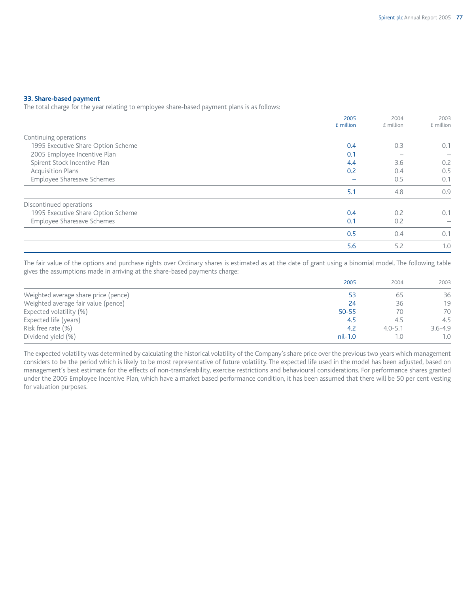#### **33. Share-based payment**

The total charge for the year relating to employee share-based payment plans is as follows:

|                                    | 2005<br>£ million | 2004<br>£ million | 2003<br>£ million |
|------------------------------------|-------------------|-------------------|-------------------|
|                                    |                   |                   |                   |
| Continuing operations              |                   |                   |                   |
| 1995 Executive Share Option Scheme | 0.4               | 0.3               | 0.1               |
| 2005 Employee Incentive Plan       | 0.1               |                   |                   |
| Spirent Stock Incentive Plan       | 4.4               | 3.6               | 0.2               |
| <b>Acquisition Plans</b>           | 0.2               | 0.4               | 0.5               |
| Employee Sharesave Schemes         |                   | 0.5               | 0.1               |
|                                    | 5.1               | 4.8               | 0.9               |
| Discontinued operations            |                   |                   |                   |
| 1995 Executive Share Option Scheme | 0.4               | 0.2               | 0.1               |
| Employee Sharesave Schemes         | 0.1               | 0.2               |                   |
|                                    | 0.5               | 0.4               | 0.1               |
|                                    | 5.6               | 5.2               | 1.0               |

The fair value of the options and purchase rights over Ordinary shares is estimated as at the date of grant using a binomial model. The following table gives the assumptions made in arriving at the share-based payments charge:

|                                      | 2005    | 2004        | 2003        |
|--------------------------------------|---------|-------------|-------------|
| Weighted average share price (pence) | 53      | 65          | 36          |
| Weighted average fair value (pence)  | 24      | 36          | 19          |
| Expected volatility (%)              | 50-55   | 70          | 70          |
| Expected life (years)                | 4.5     | 4.5         | 4.5         |
| Risk free rate (%)                   | 4.2     | $4.0 - 5.1$ | $3.6 - 4.9$ |
| Dividend yield (%)                   | nil-1.0 |             | 1.0         |

The expected volatility was determined by calculating the historical volatility of the Company's share price over the previous two years which management considers to be the period which is likely to be most representative of future volatility. The expected life used in the model has been adjusted, based on management's best estimate for the effects of non-transferability, exercise restrictions and behavioural considerations. For performance shares granted under the 2005 Employee Incentive Plan, which have a market based performance condition, it has been assumed that there will be 50 per cent vesting for valuation purposes.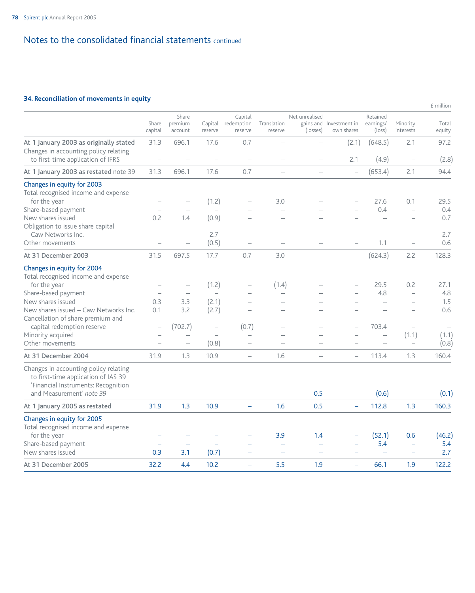# **34. Reconciliation of movements in equity**

|                                                                                                                     |                          |                             |                          |                                  |                          |                            |                                       |                                          |                          | £ million       |
|---------------------------------------------------------------------------------------------------------------------|--------------------------|-----------------------------|--------------------------|----------------------------------|--------------------------|----------------------------|---------------------------------------|------------------------------------------|--------------------------|-----------------|
|                                                                                                                     | Share<br>capital         | Share<br>premium<br>account | Capital<br>reserve       | Capital<br>redemption<br>reserve | Translation<br>reserve   | Net unrealised<br>(losses) | gains and Investment in<br>own shares | Retained<br>earnings/<br>$(\text{loss})$ | Minority<br>interests    | Total<br>equity |
| At 1 January 2003 as originally stated<br>Changes in accounting policy relating                                     | 31.3                     | 696.1                       | 17.6                     | 0.7                              |                          |                            | (2.1)                                 | (648.5)                                  | 2.1                      | 97.2            |
| to first-time application of IFRS                                                                                   |                          |                             |                          |                                  |                          |                            | 2.1                                   | (4.9)                                    | $\overline{\phantom{m}}$ | (2.8)           |
| At 1 January 2003 as restated note 39                                                                               | 31.3                     | 696.1                       | 17.6                     | 0.7                              | $\overline{\phantom{0}}$ | $\overline{\phantom{0}}$   | $\qquad \qquad -$                     | (653.4)                                  | 2.1                      | 94.4            |
| Changes in equity for 2003<br>Total recognised income and expense                                                   |                          |                             |                          |                                  |                          |                            |                                       |                                          |                          |                 |
| for the year                                                                                                        |                          |                             | (1.2)                    |                                  | 3.0                      |                            |                                       | 27.6                                     | 0.1                      | 29.5            |
| Share-based payment                                                                                                 |                          |                             | $\overline{\phantom{0}}$ |                                  | $\overline{\phantom{a}}$ |                            |                                       | 0.4                                      | $\overline{\phantom{a}}$ | 0.4             |
| New shares issued<br>Obligation to issue share capital                                                              | 0.2                      | 1.4                         | (0.9)                    |                                  |                          |                            |                                       | $\overline{\phantom{0}}$                 | $\overline{\phantom{0}}$ | 0.7             |
| Caw Networks Inc.                                                                                                   |                          |                             | 2.7                      | $\overline{\phantom{0}}$         |                          |                            |                                       |                                          |                          | 2.7             |
| Other movements                                                                                                     |                          | $\overline{\phantom{0}}$    | (0.5)                    | $\overline{\phantom{a}}$         | $\overline{\phantom{a}}$ |                            |                                       | 1.1                                      | $\overline{\phantom{0}}$ | 0.6             |
| At 31 December 2003                                                                                                 | 31.5                     | 697.5                       | 17.7                     | 0.7                              | 3.0                      |                            | $\qquad \qquad -$                     | (624.3)                                  | 2.2                      | 128.3           |
| Changes in equity for 2004<br>Total recognised income and expense                                                   |                          |                             |                          |                                  |                          |                            |                                       |                                          |                          |                 |
| for the year                                                                                                        |                          | -                           | (1.2)                    |                                  | (1.4)                    |                            |                                       | 29.5                                     | 0.2                      | 27.1            |
| Share-based payment                                                                                                 | $\overline{\phantom{0}}$ |                             | $\overline{\phantom{0}}$ |                                  | $\overline{\phantom{0}}$ |                            |                                       | 4.8                                      | $\overline{\phantom{0}}$ | 4.8             |
| New shares issued                                                                                                   | 0.3                      | 3.3                         | (2.1)                    |                                  |                          |                            |                                       |                                          |                          | 1.5             |
| New shares issued - Caw Networks Inc.<br>Cancellation of share premium and                                          | 0.1                      | 3.2                         | (2.7)                    |                                  |                          |                            |                                       |                                          |                          | 0.6             |
| capital redemption reserve                                                                                          |                          | (702.7)                     | $\overline{\phantom{0}}$ | (0.7)                            |                          |                            |                                       | 703.4                                    | $\overline{\phantom{0}}$ |                 |
| Minority acquired                                                                                                   |                          |                             |                          | $\overline{\phantom{0}}$         |                          |                            |                                       | $\overline{\phantom{0}}$                 | (1.1)                    | (1.1)           |
| Other movements                                                                                                     |                          | $\overline{\phantom{0}}$    | (0.8)                    | $\overline{\phantom{0}}$         |                          |                            |                                       |                                          | $\overline{\phantom{0}}$ | (0.8)           |
| At 31 December 2004                                                                                                 | 31.9                     | 1.3                         | 10.9                     | $\overline{\phantom{0}}$         | 1.6                      |                            | $\overline{\phantom{0}}$              | 113.4                                    | 1.3                      | 160.4           |
| Changes in accounting policy relating<br>to first-time application of IAS 39<br>'Financial Instruments: Recognition |                          |                             |                          |                                  |                          |                            |                                       |                                          |                          |                 |
| and Measurement' note 39                                                                                            |                          |                             |                          |                                  |                          | 0.5                        |                                       | (0.6)                                    |                          | (0.1)           |
| At 1 January 2005 as restated                                                                                       | 31.9                     | 1.3                         | 10.9                     | $\equiv$                         | 1.6                      | 0.5                        | $\overline{\phantom{0}}$              | 112.8                                    | 1.3                      | 160.3           |
| Changes in equity for 2005<br>Total recognised income and expense                                                   |                          |                             |                          |                                  |                          |                            |                                       |                                          |                          |                 |
| for the year                                                                                                        |                          |                             |                          |                                  | 3.9                      | 1.4                        |                                       | (52.1)                                   | 0.6                      | (46.2)          |
| Share-based payment                                                                                                 |                          |                             |                          | $\overline{\phantom{0}}$         | $\equiv$                 |                            | $\overline{\phantom{0}}$              | 5.4                                      | $\overline{\phantom{a}}$ | 5.4             |
| New shares issued                                                                                                   | 0.3                      | 3.1                         | (0.7)                    |                                  |                          |                            |                                       |                                          |                          | 2.7             |
| At 31 December 2005                                                                                                 | 32.2                     | 4.4                         | 10.2                     | $\equiv$                         | 5.5                      | 1.9                        | $\overline{\phantom{0}}$              | 66.1                                     | 1.9                      | 122.2           |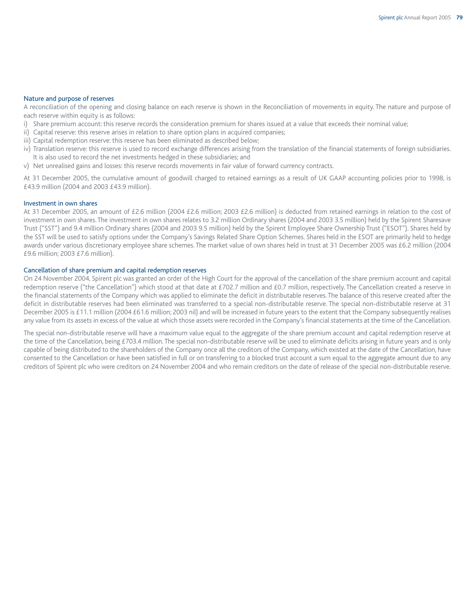#### Nature and purpose of reserves

A reconciliation of the opening and closing balance on each reserve is shown in the Reconciliation of movements in equity. The nature and purpose of each reserve within equity is as follows:

- i) Share premium account: this reserve records the consideration premium for shares issued at a value that exceeds their nominal value;
- ii) Capital reserve: this reserve arises in relation to share option plans in acquired companies;
- iii) Capital redemption reserve: this reserve has been eliminated as described below;
- iv) Translation reserve: this reserve is used to record exchange differences arising from the translation of the financial statements of foreign subsidiaries. It is also used to record the net investments hedged in these subsidiaries; and
- v) Net unrealised gains and losses: this reserve records movements in fair value of forward currency contracts.

At 31 December 2005, the cumulative amount of goodwill charged to retained earnings as a result of UK GAAP accounting policies prior to 1998, is £43.9 million (2004 and 2003 £43.9 million).

#### Investment in own shares

At 31 December 2005, an amount of £2.6 million (2004 £2.6 million; 2003 £2.6 million) is deducted from retained earnings in relation to the cost of investment in own shares.The investment in own shares relates to 3.2 million Ordinary shares (2004 and 2003 3.5 million) held by the Spirent Sharesave Trust ("SST") and 9.4 million Ordinary shares (2004 and 2003 9.5 million) held by the Spirent Employee Share Ownership Trust ("ESOT"). Shares held by the SST will be used to satisfy options under the Company's Savings Related Share Option Schemes. Shares held in the ESOT are primarily held to hedge awards under various discretionary employee share schemes. The market value of own shares held in trust at 31 December 2005 was £6.2 million (2004 £9.6 million; 2003 £7.6 million).

#### Cancellation of share premium and capital redemption reserves

On 24 November 2004, Spirent plc was granted an order of the High Court for the approval of the cancellation of the share premium account and capital redemption reserve ("the Cancellation") which stood at that date at £702.7 million and £0.7 million, respectively. The Cancellation created a reserve in the financial statements of the Company which was applied to eliminate the deficit in distributable reserves. The balance of this reserve created after the deficit in distributable reserves had been eliminated was transferred to a special non-distributable reserve. The special non-distributable reserve at 31 December 2005 is £11.1 million (2004 £61.6 million; 2003 nil) and will be increased in future years to the extent that the Company subsequently realises any value from its assets in excess of the value at which those assets were recorded in the Company's financial statements at the time of the Cancellation.

The special non-distributable reserve will have a maximum value equal to the aggregate of the share premium account and capital redemption reserve at the time of the Cancellation, being £703.4 million. The special non-distributable reserve will be used to eliminate deficits arising in future years and is only capable of being distributed to the shareholders of the Company once all the creditors of the Company, which existed at the date of the Cancellation, have consented to the Cancellation or have been satisfied in full or on transferring to a blocked trust account a sum equal to the aggregate amount due to any creditors of Spirent plc who were creditors on 24 November 2004 and who remain creditors on the date of release of the special non-distributable reserve.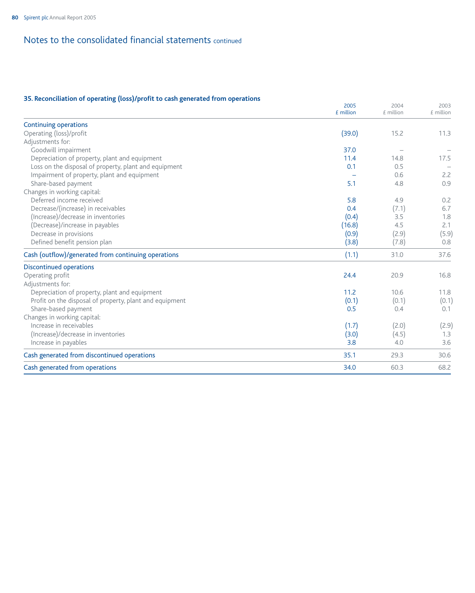## **35. Reconciliation of operating (loss)/profit to cash generated from operations**

| 33. Reconciliation or operating (toss)/pront to cash generated from operations | 2005<br>$E$ million | 2004<br>£ million | 2003<br>£ million |
|--------------------------------------------------------------------------------|---------------------|-------------------|-------------------|
| <b>Continuing operations</b>                                                   |                     |                   |                   |
| Operating (loss)/profit                                                        | (39.0)              | 15.2              | 11.3              |
| Adjustments for:                                                               |                     |                   |                   |
| Goodwill impairment                                                            | 37.0                |                   |                   |
| Depreciation of property, plant and equipment                                  | 11.4                | 14.8              | 17.5              |
| Loss on the disposal of property, plant and equipment                          | 0.1                 | 0.5               |                   |
| Impairment of property, plant and equipment                                    |                     | 0.6               | 2.2               |
| Share-based payment                                                            | 5.1                 | 4.8               | 0.9               |
| Changes in working capital:                                                    |                     |                   |                   |
| Deferred income received                                                       | 5.8                 | 4.9               | 0.2               |
| Decrease/(increase) in receivables                                             | 0.4                 | (7.1)             | 6.7               |
| (Increase)/decrease in inventories                                             | (0.4)               | 3.5               | 1.8               |
| (Decrease)/increase in payables                                                | (16.8)              | 4.5               | 2.1               |
| Decrease in provisions                                                         | (0.9)               | (2.9)             | (5.9)             |
| Defined benefit pension plan                                                   | (3.8)               | (7.8)             | 0.8               |
| Cash (outflow)/generated from continuing operations                            | (1.1)               | 31.0              | 37.6              |
| <b>Discontinued operations</b>                                                 |                     |                   |                   |
| Operating profit                                                               | 24.4                | 20.9              | 16.8              |
| Adjustments for:                                                               |                     |                   |                   |
| Depreciation of property, plant and equipment                                  | 11.2                | 10.6              | 11.8              |
| Profit on the disposal of property, plant and equipment                        | (0.1)               | (0.1)             | (0.1)             |
| Share-based payment                                                            | 0.5                 | 0.4               | 0.1               |
| Changes in working capital:                                                    |                     |                   |                   |
| Increase in receivables                                                        | (1.7)               | (2.0)             | (2.9)             |
| (Increase)/decrease in inventories                                             | (3.0)               | (4.5)             | 1.3               |
| Increase in payables                                                           | 3.8                 | 4.0               | 3.6               |
| Cash generated from discontinued operations                                    | 35.1                | 29.3              | 30.6              |
| Cash generated from operations                                                 | 34.0                | 60.3              | 68.2              |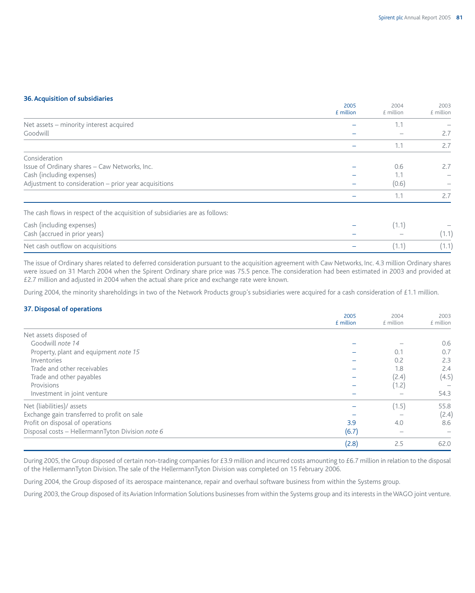### **36. Acquisition of subsidiaries**

| <b>30. Acquisition of subsidiaries</b>                                       | 2005<br>£ million | 2004<br>£ million | 2003<br>£ million |
|------------------------------------------------------------------------------|-------------------|-------------------|-------------------|
| Net assets – minority interest acquired                                      |                   | 1.1               |                   |
| Goodwill                                                                     |                   |                   | 2.7               |
|                                                                              |                   | 1.1               | 2.7               |
| Consideration                                                                |                   |                   |                   |
| Issue of Ordinary shares - Caw Networks, Inc.                                |                   | 0.6               | 2.7               |
| Cash (including expenses)                                                    |                   | 1.1               |                   |
| Adjustment to consideration – prior year acquisitions                        |                   | (0.6)             |                   |
|                                                                              |                   | 1.1               | 2.7               |
| The cash flows in respect of the acquisition of subsidiaries are as follows: |                   |                   |                   |
| Cash (including expenses)                                                    |                   | (1.1)             |                   |
| Cash (accrued in prior years)                                                |                   |                   | (1.1)             |
| Net cash outflow on acquisitions                                             |                   | (1.1)             | (1.1)             |

The issue of Ordinary shares related to deferred consideration pursuant to the acquisition agreement with Caw Networks, Inc. 4.3 million Ordinary shares were issued on 31 March 2004 when the Spirent Ordinary share price was 75.5 pence. The consideration had been estimated in 2003 and provided at £2.7 million and adjusted in 2004 when the actual share price and exchange rate were known.

During 2004, the minority shareholdings in two of the Network Products group's subsidiaries were acquired for a cash consideration of £1.1 million.

## **37. Disposal of operations**

|                                                  | 2005<br>$E$ million | 2004<br>£ million | 2003<br>£ million |
|--------------------------------------------------|---------------------|-------------------|-------------------|
| Net assets disposed of                           |                     |                   |                   |
| Goodwill note 14                                 |                     |                   | 0.6               |
| Property, plant and equipment note 15            |                     | 0.1               | 0.7               |
| Inventories                                      |                     | 0.2               | 2.3               |
| Trade and other receivables                      |                     | 1.8               | 2.4               |
| Trade and other payables                         |                     | (2.4)             | (4.5)             |
| Provisions                                       |                     | (1.2)             |                   |
| Investment in joint venture                      |                     |                   | 54.3              |
| Net (liabilities)/ assets                        |                     | (1.5)             | 55.8              |
| Exchange gain transferred to profit on sale      |                     |                   | (2.4)             |
| Profit on disposal of operations                 | 3.9                 | 4.0               | 8.6               |
| Disposal costs - HellermannTyton Division note 6 | (6.7)               |                   |                   |
|                                                  | (2.8)               | 2.5               | 62.0              |

During 2005, the Group disposed of certain non-trading companies for £3.9 million and incurred costs amounting to £6.7 million in relation to the disposal of the HellermannTyton Division. The sale of the HellermannTyton Division was completed on 15 February 2006.

During 2004, the Group disposed of its aerospace maintenance, repair and overhaul software business from within the Systems group.

During 2003, the Group disposed of its Aviation Information Solutions businesses from within the Systems group and its interests in the WAGO joint venture.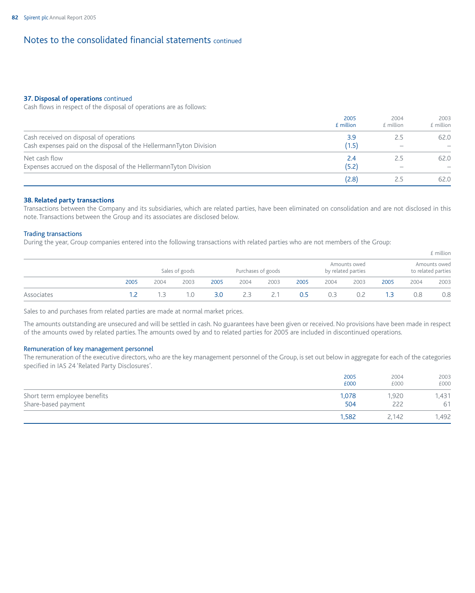## **37. Disposal of operations** continued

Cash flows in respect of the disposal of operations are as follows:

|                                                                    | 2005<br>£ million | 2004<br>$f$ million      | 2003<br>£ million |
|--------------------------------------------------------------------|-------------------|--------------------------|-------------------|
| Cash received on disposal of operations                            | 3.9               | 2.5                      | 62.0              |
| Cash expenses paid on the disposal of the HellermannTyton Division | (1.5)             |                          |                   |
| Net cash flow                                                      | 2.4               | 2.5                      | 62.0              |
| Expenses accrued on the disposal of the HellermannTyton Division   | (5.2)             | $\overline{\phantom{a}}$ |                   |
|                                                                    | (2.8)             |                          | 62.0              |

## **38. Related party transactions**

Transactions between the Company and its subsidiaries, which are related parties, have been eliminated on consolidation and are not disclosed in this note. Transactions between the Group and its associates are disclosed below.

## Trading transactions

During the year, Group companies entered into the following transactions with related parties who are not members of the Group:

|            |      | Sales of goods |      |      | Purchases of goods |      |      | Amounts owed<br>by related parties |      |      | £ million<br>Amounts owed<br>to related parties |      |
|------------|------|----------------|------|------|--------------------|------|------|------------------------------------|------|------|-------------------------------------------------|------|
|            | 2005 | 2004           | 2003 | 2005 | 2004               | 2003 | 2005 | 2004                               | 2003 | 2005 | 2004                                            | 2003 |
| Associates |      | 1.3            | 1.0  | 3.0  | 2.3                | 2.1  | 0.5  | 0.3                                | 0.2  | 1.3  | 0.8                                             | 0.8  |

Sales to and purchases from related parties are made at normal market prices.

The amounts outstanding are unsecured and will be settled in cash. No guarantees have been given or received. No provisions have been made in respect of the amounts owed by related parties. The amounts owed by and to related parties for 2005 are included in discontinued operations.

#### Remuneration of key management personnel

The remuneration of the executive directors, who are the key management personnel of the Group, is set out below in aggregate for each of the categories specified in IAS 24 'Related Party Disclosures'.

|                              | 2005<br>£000 | 2004<br>£000 | 2003<br>£000 |
|------------------------------|--------------|--------------|--------------|
| Short term employee benefits | 1.078        | .920         | 1,431        |
| Share-based payment          | 504          |              | 61           |
|                              | 1.582        | 2.142        | 1.492        |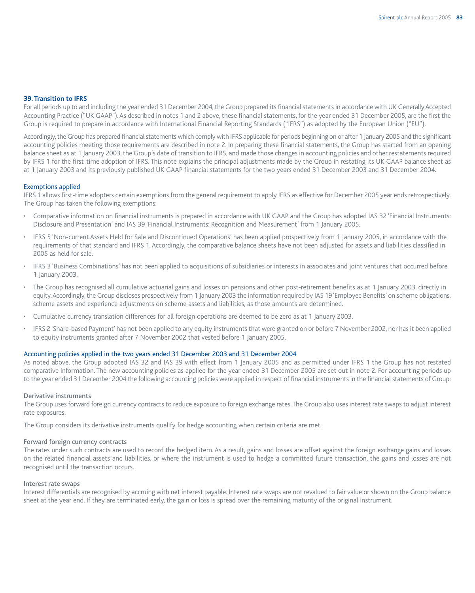### **39. Transition to IFRS**

For all periods up to and including the year ended 31 December 2004, the Group prepared its financial statements in accordance with UK Generally Accepted Accounting Practice ("UK GAAP").As described in notes 1 and 2 above, these financial statements, for the year ended 31 December 2005, are the first the Group is required to prepare in accordance with International Financial Reporting Standards ("IFRS") as adopted by the European Union ("EU").

Accordingly, the Group has prepared financial statements which comply with IFRS applicable for periods beginning on or after 1 January 2005 and the significant accounting policies meeting those requirements are described in note 2. In preparing these financial statements, the Group has started from an opening balance sheet as at 1 January 2003, the Group's date of transition to IFRS, and made those changes in accounting policies and other restatements required by IFRS 1 for the first-time adoption of IFRS. This note explains the principal adjustments made by the Group in restating its UK GAAP balance sheet as at 1 January 2003 and its previously published UK GAAP financial statements for the two years ended 31 December 2003 and 31 December 2004.

#### Exemptions applied

IFRS 1 allows first-time adopters certain exemptions from the general requirement to apply IFRS as effective for December 2005 year ends retrospectively. The Group has taken the following exemptions:

- Comparative information on financial instruments is prepared in accordance with UK GAAP and the Group has adopted IAS 32 'Financial Instruments: Disclosure and Presentation' and IAS 39 'Financial Instruments: Recognition and Measurement' from 1 January 2005.
- IFRS 5 'Non-current Assets Held for Sale and Discontinued Operations' has been applied prospectively from 1 January 2005, in accordance with the requirements of that standard and IFRS 1. Accordingly, the comparative balance sheets have not been adjusted for assets and liabilities classified in 2005 as held for sale.
- IFRS 3 'Business Combinations' has not been applied to acquisitions of subsidiaries or interests in associates and joint ventures that occurred before 1 January 2003.
- The Group has recognised all cumulative actuarial gains and losses on pensions and other post-retirement benefits as at 1 January 2003, directly in equity. Accordingly, the Group discloses prospectively from 1 January 2003 the information required by IAS 19 'Employee Benefits' on scheme obligations, scheme assets and experience adjustments on scheme assets and liabilities, as those amounts are determined.
- Cumulative currency translation differences for all foreign operations are deemed to be zero as at 1 January 2003.
- IFRS 2 'Share-based Payment' has not been applied to any equity instruments that were granted on or before 7 November 2002, nor has it been applied to equity instruments granted after 7 November 2002 that vested before 1 January 2005.

#### Accounting policies applied in the two years ended 31 December 2003 and 31 December 2004

As noted above, the Group adopted IAS 32 and IAS 39 with effect from 1 January 2005 and as permitted under IFRS 1 the Group has not restated comparative information. The new accounting policies as applied for the year ended 31 December 2005 are set out in note 2. For accounting periods up to the year ended 31 December 2004 the following accounting policies were applied in respect of financial instruments in the financial statements of Group:

#### Derivative instruments

The Group uses forward foreign currency contracts to reduce exposure to foreign exchange rates.The Group also uses interest rate swaps to adjust interest rate exposures.

The Group considers its derivative instruments qualify for hedge accounting when certain criteria are met.

#### Forward foreign currency contracts

The rates under such contracts are used to record the hedged item. As a result, gains and losses are offset against the foreign exchange gains and losses on the related financial assets and liabilities, or where the instrument is used to hedge a committed future transaction, the gains and losses are not recognised until the transaction occurs.

#### Interest rate swaps

Interest differentials are recognised by accruing with net interest payable. Interest rate swaps are not revalued to fair value or shown on the Group balance sheet at the year end. If they are terminated early, the gain or loss is spread over the remaining maturity of the original instrument.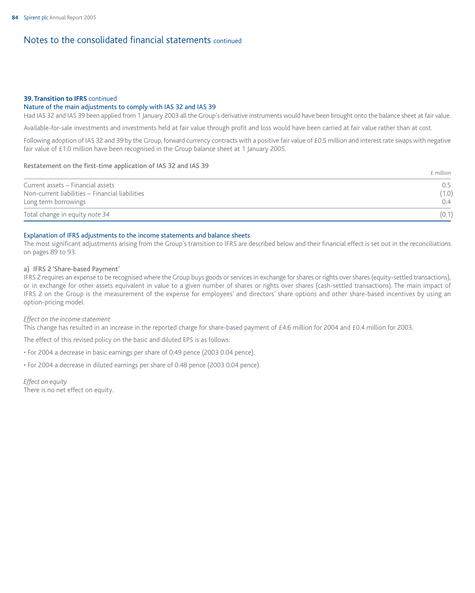## **39. Transition to IFRS** continued

### Nature of the main adjustments to comply with IAS 32 and IAS 39

Had IAS 32 and IAS 39 been applied from 1 January 2003 all the Group's derivative instruments would have been brought onto the balance sheet at fair value.

Available-for-sale investments and investments held at fair value through profit and loss would have been carried at fair value rather than at cost.

Following adoption of IAS 32 and 39 by the Group, forward currency contracts with a positive fair value of £0.5 million and interest rate swaps with negative fair value of £1.0 million have been recognised in the Group balance sheet at 1 January 2005.

#### Restatement on the first-time application of IAS 32 and IAS 39

|                                                 | £ million |
|-------------------------------------------------|-----------|
| Current assets - Financial assets               | 0.5       |
| Non-current liabilities - Financial liabilities | (1.0)     |
| Long term borrowings                            | 0.4       |
| Total change in equity note 34                  | (0.1)     |

#### Explanation of IFRS adjustments to the income statements and balance sheets

The most significant adjustments arising from the Group's transition to IFRS are described below and their financial effect is set out in the reconciliations on pages 89 to 93.

#### a) IFRS 2 'Share-based Payment'

IFRS 2 requires an expense to be recognised where the Group buys goods or services in exchange for shares or rights over shares (equity-settled transactions), or in exchange for other assets equivalent in value to a given number of shares or rights over shares (cash-settled transactions). The main impact of IFRS 2 on the Group is the measurement of the expense for employees' and directors' share options and other share-based incentives by using an option-pricing model.

#### *Effect on the income statement*

This change has resulted in an increase in the reported charge for share-based payment of £4.6 million for 2004 and £0.4 million for 2003.

The effect of this revised policy on the basic and diluted EPS is as follows:

• For 2004 a decrease in basic earnings per share of 0.49 pence (2003 0.04 pence).

• For 2004 a decrease in diluted earnings per share of 0.48 pence (2003 0.04 pence).

*Effect on equity* There is no net effect on equity.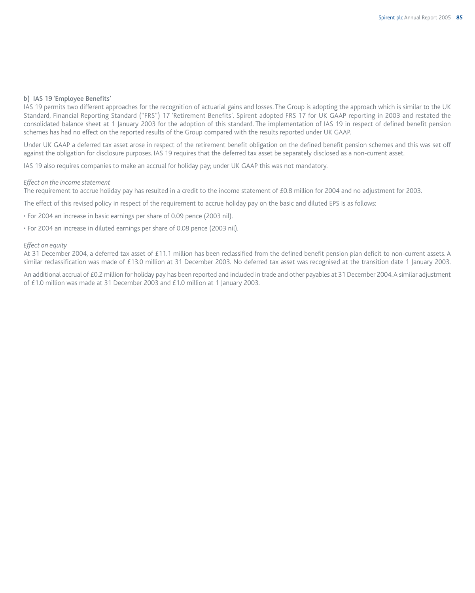#### b) IAS 19 'Employee Benefits'

IAS 19 permits two different approaches for the recognition of actuarial gains and losses. The Group is adopting the approach which is similar to the UK Standard, Financial Reporting Standard ("FRS") 17 'Retirement Benefits'. Spirent adopted FRS 17 for UK GAAP reporting in 2003 and restated the consolidated balance sheet at 1 January 2003 for the adoption of this standard. The implementation of IAS 19 in respect of defined benefit pension schemes has had no effect on the reported results of the Group compared with the results reported under UK GAAP.

Under UK GAAP a deferred tax asset arose in respect of the retirement benefit obligation on the defined benefit pension schemes and this was set off against the obligation for disclosure purposes. IAS 19 requires that the deferred tax asset be separately disclosed as a non-current asset.

IAS 19 also requires companies to make an accrual for holiday pay; under UK GAAP this was not mandatory.

#### *Effect on the income statement*

The requirement to accrue holiday pay has resulted in a credit to the income statement of £0.8 million for 2004 and no adjustment for 2003.

The effect of this revised policy in respect of the requirement to accrue holiday pay on the basic and diluted EPS is as follows:

• For 2004 an increase in basic earnings per share of 0.09 pence (2003 nil).

• For 2004 an increase in diluted earnings per share of 0.08 pence (2003 nil).

#### *Effect on equity*

At 31 December 2004, a deferred tax asset of £11.1 million has been reclassified from the defined benefit pension plan deficit to non-current assets. A similar reclassification was made of £13.0 million at 31 December 2003. No deferred tax asset was recognised at the transition date 1 January 2003.

An additional accrual of £0.2 million for holiday pay has been reported and included in trade and other payables at 31 December 2004.A similar adjustment of £1.0 million was made at 31 December 2003 and £1.0 million at 1 January 2003.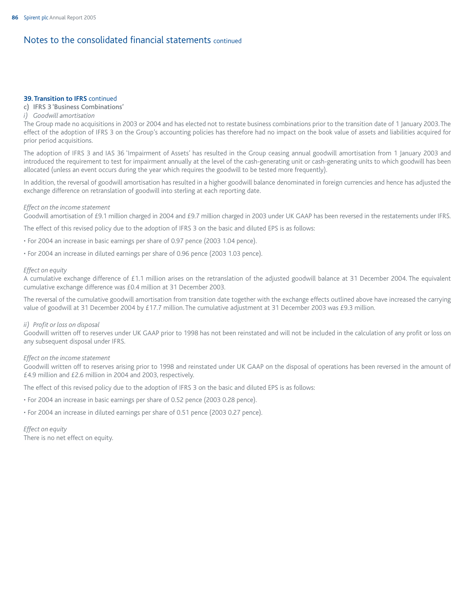## **39. Transition to IFRS** continued

#### c) IFRS 3 'Business Combinations'

## *i) Goodwill amortisation*

The Group made no acquisitions in 2003 or 2004 and has elected not to restate business combinations prior to the transition date of 1 January 2003.The effect of the adoption of IFRS 3 on the Group's accounting policies has therefore had no impact on the book value of assets and liabilities acquired for prior period acquisitions.

The adoption of IFRS 3 and IAS 36 'Impairment of Assets' has resulted in the Group ceasing annual goodwill amortisation from 1 January 2003 and introduced the requirement to test for impairment annually at the level of the cash-generating unit or cash-generating units to which goodwill has been allocated (unless an event occurs during the year which requires the goodwill to be tested more frequently).

In addition, the reversal of goodwill amortisation has resulted in a higher goodwill balance denominated in foreign currencies and hence has adjusted the exchange difference on retranslation of goodwill into sterling at each reporting date.

#### *Effect on the income statement*

Goodwill amortisation of £9.1 million charged in 2004 and £9.7 million charged in 2003 under UK GAAP has been reversed in the restatements under IFRS.

The effect of this revised policy due to the adoption of IFRS 3 on the basic and diluted EPS is as follows:

• For 2004 an increase in basic earnings per share of 0.97 pence (2003 1.04 pence).

• For 2004 an increase in diluted earnings per share of 0.96 pence (2003 1.03 pence).

#### *Effect on equity*

A cumulative exchange difference of £1.1 million arises on the retranslation of the adjusted goodwill balance at 31 December 2004. The equivalent cumulative exchange difference was £0.4 million at 31 December 2003.

The reversal of the cumulative goodwill amortisation from transition date together with the exchange effects outlined above have increased the carrying value of goodwill at 31 December 2004 by £17.7 million. The cumulative adjustment at 31 December 2003 was £9.3 million.

## *ii) Profit or loss on disposal*

Goodwill written off to reserves under UK GAAP prior to 1998 has not been reinstated and will not be included in the calculation of any profit or loss on any subsequent disposal under IFRS.

## *Effect on the income statement*

Goodwill written off to reserves arising prior to 1998 and reinstated under UK GAAP on the disposal of operations has been reversed in the amount of £4.9 million and £2.6 million in 2004 and 2003, respectively.

The effect of this revised policy due to the adoption of IFRS 3 on the basic and diluted EPS is as follows:

• For 2004 an increase in basic earnings per share of 0.52 pence (2003 0.28 pence).

• For 2004 an increase in diluted earnings per share of 0.51 pence (2003 0.27 pence).

*Effect on equity* There is no net effect on equity.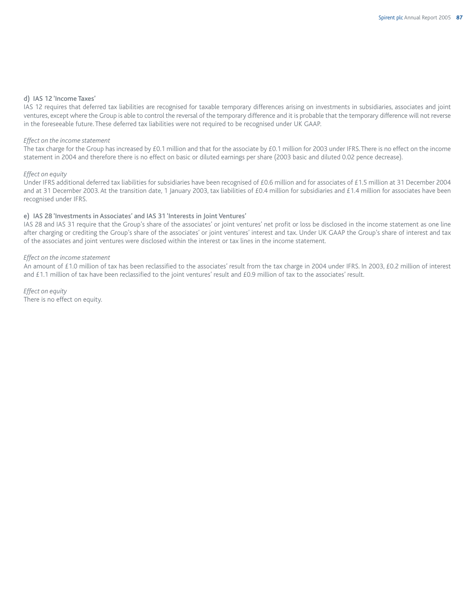## d) IAS 12 'Income Taxes'

IAS 12 requires that deferred tax liabilities are recognised for taxable temporary differences arising on investments in subsidiaries, associates and joint ventures, except where the Group is able to control the reversal of the temporary difference and it is probable that the temporary difference will not reverse in the foreseeable future. These deferred tax liabilities were not required to be recognised under UK GAAP.

## *Effect on the income statement*

The tax charge for the Group has increased by £0.1 million and that for the associate by £0.1 million for 2003 under IFRS.There is no effect on the income statement in 2004 and therefore there is no effect on basic or diluted earnings per share (2003 basic and diluted 0.02 pence decrease).

## *Effect on equity*

Under IFRS additional deferred tax liabilities for subsidiaries have been recognised of £0.6 million and for associates of £1.5 million at 31 December 2004 and at 31 December 2003. At the transition date, 1 January 2003, tax liabilities of £0.4 million for subsidiaries and £1.4 million for associates have been recognised under IFRS.

## e) IAS 28 'Investments in Associates' and IAS 31 'Interests in Joint Ventures'

IAS 28 and IAS 31 require that the Group's share of the associates' or joint ventures' net profit or loss be disclosed in the income statement as one line after charging or crediting the Group's share of the associates' or joint ventures' interest and tax. Under UK GAAP the Group's share of interest and tax of the associates and joint ventures were disclosed within the interest or tax lines in the income statement.

## *Effect on the income statement*

An amount of £1.0 million of tax has been reclassified to the associates' result from the tax charge in 2004 under IFRS. In 2003, £0.2 million of interest and £1.1 million of tax have been reclassified to the joint ventures' result and £0.9 million of tax to the associates' result.

*Effect on equity* There is no effect on equity.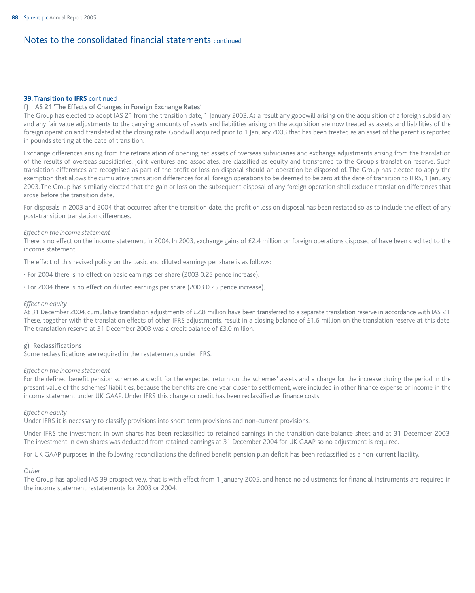## **39. Transition to IFRS** continued

### f) IAS 21 'The Effects of Changes in Foreign Exchange Rates'

The Group has elected to adopt IAS 21 from the transition date, 1 January 2003. As a result any goodwill arising on the acquisition of a foreign subsidiary and any fair value adjustments to the carrying amounts of assets and liabilities arising on the acquisition are now treated as assets and liabilities of the foreign operation and translated at the closing rate. Goodwill acquired prior to 1 January 2003 that has been treated as an asset of the parent is reported in pounds sterling at the date of transition.

Exchange differences arising from the retranslation of opening net assets of overseas subsidiaries and exchange adjustments arising from the translation of the results of overseas subsidiaries, joint ventures and associates, are classified as equity and transferred to the Group's translation reserve. Such translation differences are recognised as part of the profit or loss on disposal should an operation be disposed of. The Group has elected to apply the exemption that allows the cumulative translation differences for all foreign operations to be deemed to be zero at the date of transition to IFRS, 1 January 2003. The Group has similarly elected that the gain or loss on the subsequent disposal of any foreign operation shall exclude translation differences that arose before the transition date.

For disposals in 2003 and 2004 that occurred after the transition date, the profit or loss on disposal has been restated so as to include the effect of any post-transition translation differences.

#### *Effect on the income statement*

There is no effect on the income statement in 2004. In 2003, exchange gains of £2.4 million on foreign operations disposed of have been credited to the income statement.

The effect of this revised policy on the basic and diluted earnings per share is as follows:

• For 2004 there is no effect on basic earnings per share (2003 0.25 pence increase).

• For 2004 there is no effect on diluted earnings per share (2003 0.25 pence increase).

### *Effect on equity*

At 31 December 2004, cumulative translation adjustments of £2.8 million have been transferred to a separate translation reserve in accordance with IAS 21. These, together with the translation effects of other IFRS adjustments, result in a closing balance of £1.6 million on the translation reserve at this date. The translation reserve at 31 December 2003 was a credit balance of £3.0 million.

## g) Reclassifications

Some reclassifications are required in the restatements under IFRS.

#### *Effect on the income statement*

For the defined benefit pension schemes a credit for the expected return on the schemes' assets and a charge for the increase during the period in the present value of the schemes' liabilities, because the benefits are one year closer to settlement, were included in other finance expense or income in the income statement under UK GAAP. Under IFRS this charge or credit has been reclassified as finance costs.

## *Effect on equity*

Under IFRS it is necessary to classify provisions into short term provisions and non-current provisions.

Under IFRS the investment in own shares has been reclassified to retained earnings in the transition date balance sheet and at 31 December 2003. The investment in own shares was deducted from retained earnings at 31 December 2004 for UK GAAP so no adjustment is required.

For UK GAAP purposes in the following reconciliations the defined benefit pension plan deficit has been reclassified as a non-current liability.

#### *Other*

The Group has applied IAS 39 prospectively, that is with effect from 1 January 2005, and hence no adjustments for financial instruments are required in the income statement restatements for 2003 or 2004.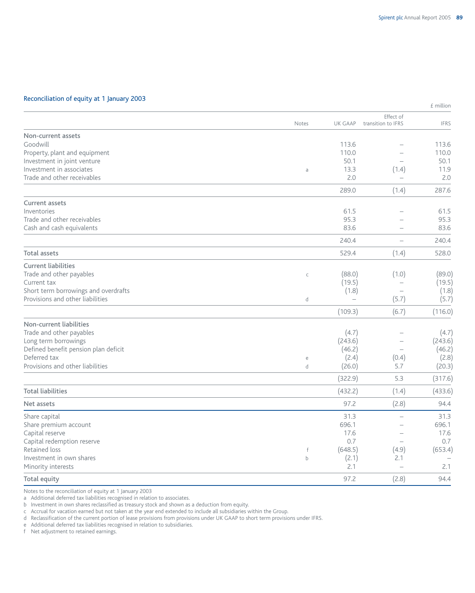$\mathcal{L} = 0.01$ 

## Reconciliation of equity at 1 January 2003

|                                      |               |                          |                                         | <b>E</b> <i>ITIILION</i> |
|--------------------------------------|---------------|--------------------------|-----------------------------------------|--------------------------|
|                                      | Notes         |                          | Effect of<br>UK GAAP transition to IFRS | <b>IFRS</b>              |
| Non-current assets                   |               |                          |                                         |                          |
| Goodwill                             |               | 113.6                    |                                         | 113.6                    |
| Property, plant and equipment        |               | 110.0                    |                                         | 110.0                    |
| Investment in joint venture          |               | 50.1                     |                                         | 50.1                     |
| Investment in associates             | $\rm{a}$      | 13.3                     | (1.4)                                   | 11.9                     |
| Trade and other receivables          |               | 2.0                      | $\overline{\phantom{0}}$                | 2.0                      |
|                                      |               | 289.0                    | (1.4)                                   | 287.6                    |
| Current assets                       |               |                          |                                         |                          |
| Inventories                          |               | 61.5                     |                                         | 61.5                     |
| Trade and other receivables          |               | 95.3                     |                                         | 95.3                     |
| Cash and cash equivalents            |               | 83.6                     | $\overline{\phantom{0}}$                | 83.6                     |
|                                      |               | 240.4                    | $\overline{\phantom{0}}$                | 240.4                    |
| <b>Total assets</b>                  |               | 529.4                    | (1.4)                                   | 528.0                    |
| <b>Current liabilities</b>           |               |                          |                                         |                          |
| Trade and other payables             | $\mathsf C$   | (88.0)                   | (1.0)                                   | (89.0)                   |
| Current tax                          |               | (19.5)                   |                                         | (19.5)                   |
| Short term borrowings and overdrafts |               | (1.8)                    |                                         | (1.8)                    |
| Provisions and other liabilities     | d             | $\overline{\phantom{0}}$ | (5.7)                                   | (5.7)                    |
|                                      |               | (109.3)                  | (6.7)                                   | (116.0)                  |
| Non-current liabilities              |               |                          |                                         |                          |
| Trade and other payables             |               | (4.7)                    |                                         | (4.7)                    |
| Long term borrowings                 |               | (243.6)                  |                                         | (243.6)                  |
| Defined benefit pension plan deficit |               | (46.2)                   |                                         | (46.2)                   |
| Deferred tax                         | e             | (2.4)                    | (0.4)                                   | (2.8)                    |
| Provisions and other liabilities     | d             | (26.0)                   | 5.7                                     | (20.3)                   |
|                                      |               | (322.9)                  | 5.3                                     | (317.6)                  |
| <b>Total liabilities</b>             |               | (432.2)                  | (1.4)                                   | (433.6)                  |
| Net assets                           |               | 97.2                     | (2.8)                                   | 94.4                     |
| Share capital                        |               | 31.3                     |                                         | 31.3                     |
| Share premium account                |               | 696.1                    | $\overline{\phantom{0}}$                | 696.1                    |
| Capital reserve                      |               | 17.6                     |                                         | 17.6                     |
| Capital redemption reserve           |               | 0.7                      | $\overline{\phantom{a}}$                | 0.7                      |
| Retained loss                        | $^\mathrm{f}$ | (648.5)                  | (4.9)                                   | (653.4)                  |
| Investment in own shares             | $\mathsf b$   | (2.1)                    | 2.1                                     |                          |
| Minority interests                   |               | 2.1                      | $\overline{\phantom{a}}$                | 2.1                      |
| Total equity                         |               | 97.2                     | (2.8)                                   | 94.4                     |

Notes to the reconciliation of equity at 1 January 2003

a Additional deferred tax liabilities recognised in relation to associates.

b Investment in own shares reclassified as treasury stock and shown as a deduction from equity.

c Accrual for vacation earned but not taken at the year end extended to include all subsidiaries within the Group.

d Reclassification of the current portion of lease provisions from provisions under UK GAAP to short term provisions under IFRS.

e Additional deferred tax liabilities recognised in relation to subsidiaries.

f Net adjustment to retained earnings.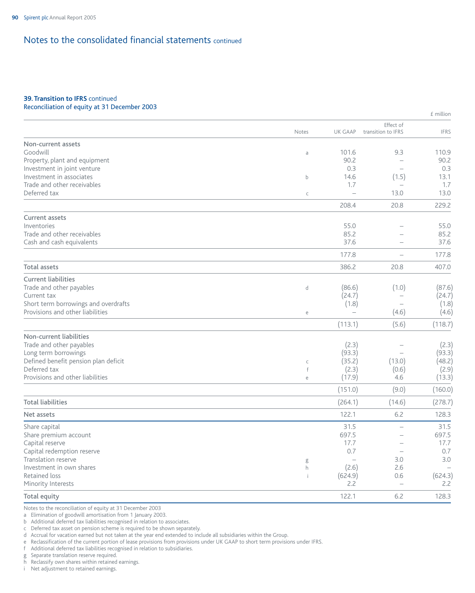## **39. Transition to IFRS** continued Reconciliation of equity at 31 December 2003

| reconciliation or equity at 5 r Becomber 20 |             |                          |                                 | £ million   |
|---------------------------------------------|-------------|--------------------------|---------------------------------|-------------|
|                                             | Notes       | <b>UK GAAP</b>           | Effect of<br>transition to IFRS | <b>IFRS</b> |
| Non-current assets                          |             |                          |                                 |             |
| Goodwill                                    | a           | 101.6                    | 9.3                             | 110.9       |
| Property, plant and equipment               |             | 90.2                     |                                 | 90.2        |
| Investment in joint venture                 |             | 0.3                      |                                 | 0.3         |
| Investment in associates                    | b           | 14.6                     | (1.5)                           | 13.1        |
| Trade and other receivables                 |             | 1.7                      |                                 | 1.7         |
| Deferred tax                                | $\mathsf C$ | ÷                        | 13.0                            | 13.0        |
|                                             |             | 208.4                    | 20.8                            | 229.2       |
| Current assets                              |             |                          |                                 |             |
| Inventories                                 |             | 55.0                     |                                 | 55.0        |
| Trade and other receivables                 |             | 85.2                     |                                 | 85.2        |
| Cash and cash equivalents                   |             | 37.6                     |                                 | 37.6        |
|                                             |             | 177.8                    |                                 | 177.8       |
| Total assets                                |             | 386.2                    | 20.8                            | 407.0       |
| <b>Current liabilities</b>                  |             |                          |                                 |             |
| Trade and other payables                    | d           | (86.6)                   | (1.0)                           | (87.6)      |
| Current tax                                 |             | (24.7)                   |                                 | (24.7)      |
| Short term borrowings and overdrafts        |             | (1.8)                    |                                 | (1.8)       |
| Provisions and other liabilities            | e           |                          | (4.6)                           | (4.6)       |
|                                             |             | (113.1)                  | (5.6)                           | (118.7)     |
| Non-current liabilities                     |             |                          |                                 |             |
| Trade and other payables                    |             | (2.3)                    |                                 | (2.3)       |
| Long term borrowings                        |             | (93.3)                   |                                 | (93.3)      |
| Defined benefit pension plan deficit        | $\mathsf C$ | (35.2)                   | (13.0)                          | (48.2)      |
| Deferred tax                                | f           | (2.3)                    | (0.6)                           | (2.9)       |
| Provisions and other liabilities            | e           | (17.9)                   | 4.6                             | (13.3)      |
|                                             |             | (151.0)                  | (9.0)                           | (160.0)     |
| <b>Total liabilities</b>                    |             | (264.1)                  | (14.6)                          | (278.7)     |
| Net assets                                  |             | 122.1                    | 6.2                             | 128.3       |
| Share capital                               |             | 31.5                     | $\overline{\phantom{0}}$        | 31.5        |
| Share premium account                       |             | 697.5                    |                                 | 697.5       |
| Capital reserve                             |             | 17.7                     |                                 | 17.7        |
| Capital redemption reserve                  |             | 0.7                      | $\overline{\phantom{a}}$        | 0.7         |
| Translation reserve                         | g           | $\overline{\phantom{0}}$ | 3.0                             | 3.0         |
| Investment in own shares                    | h           | (2.6)                    | 2.6                             |             |
| Retained loss                               | Ť           | (624.9)                  | 0.6                             | (624.3)     |
| Minority Interests                          |             | 2.2                      | $\overline{\phantom{0}}$        | 2.2         |
| Total equity                                |             | 122.1                    | 6.2                             | 128.3       |

Notes to the reconciliation of equity at 31 December 2003

a Elimination of goodwill amortisation from 1 January 2003.

b Additional deferred tax liabilities recognised in relation to associates.

c Deferred tax asset on pension scheme is required to be shown separately.

d Accrual for vacation earned but not taken at the year end extended to include all subsidiaries within the Group.

e Reclassification of the current portion of lease provisions from provisions under UK GAAP to short term provisions under IFRS.

f Additional deferred tax liabilities recognised in relation to subsidiaries.

g Separate translation reserve required.

h Reclassify own shares within retained earnings.

i Net adjustment to retained earnings.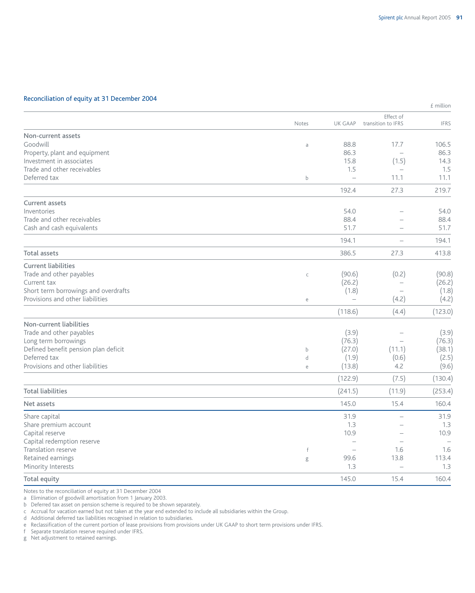## Reconciliation of equity at 31 December 2004

|                                      |               |                          |                                 | £ million   |
|--------------------------------------|---------------|--------------------------|---------------------------------|-------------|
|                                      | Notes         | <b>UK GAAP</b>           | Effect of<br>transition to IFRS | <b>IFRS</b> |
| Non-current assets                   |               |                          |                                 |             |
| Goodwill                             | $\rm{a}$      | 88.8                     | 17.7                            | 106.5       |
| Property, plant and equipment        |               | 86.3                     |                                 | 86.3        |
| Investment in associates             |               | 15.8                     | (1.5)                           | 14.3        |
| Trade and other receivables          |               | 1.5                      |                                 | 1.5         |
| Deferred tax                         | $\mathsf b$   | $\overline{\phantom{a}}$ | 11.1                            | 11.1        |
|                                      |               | 192.4                    | 27.3                            | 219.7       |
| <b>Current assets</b>                |               |                          |                                 |             |
| Inventories                          |               | 54.0                     |                                 | 54.0        |
| Trade and other receivables          |               | 88.4                     |                                 | 88.4        |
| Cash and cash equivalents            |               | 51.7                     |                                 | 51.7        |
|                                      |               | 194.1                    | $\overline{\phantom{0}}$        | 194.1       |
| Total assets                         |               | 386.5                    | 27.3                            | 413.8       |
| <b>Current liabilities</b>           |               |                          |                                 |             |
| Trade and other payables             | C             | (90.6)                   | (0.2)                           | (90.8)      |
| Current tax                          |               | (26.2)                   |                                 | (26.2)      |
| Short term borrowings and overdrafts |               | (1.8)                    |                                 | (1.8)       |
| Provisions and other liabilities     | e             |                          | (4.2)                           | (4.2)       |
|                                      |               | (118.6)                  | (4.4)                           | (123.0)     |
| Non-current liabilities              |               |                          |                                 |             |
| Trade and other payables             |               | (3.9)                    |                                 | (3.9)       |
| Long term borrowings                 |               | (76.3)                   |                                 | (76.3)      |
| Defined benefit pension plan deficit | $\mathsf b$   | (27.0)                   | (11.1)                          | (38.1)      |
| Deferred tax                         | $\mathsf{d}$  | (1.9)                    | (0.6)                           | (2.5)       |
| Provisions and other liabilities     | e             | (13.8)                   | 4.2                             | (9.6)       |
|                                      |               | (122.9)                  | (7.5)                           | (130.4)     |
| <b>Total liabilities</b>             |               | (241.5)                  | (11.9)                          | (253.4)     |
| Net assets                           |               | 145.0                    | 15.4                            | 160.4       |
| Share capital                        |               | 31.9                     | $\overline{\phantom{0}}$        | 31.9        |
| Share premium account                |               | 1.3                      |                                 | 1.3         |
| Capital reserve                      |               | 10.9                     |                                 | 10.9        |
| Capital redemption reserve           |               | $\overline{\phantom{0}}$ |                                 |             |
| Translation reserve                  | $^\mathrm{f}$ |                          | 1.6                             | 1.6         |
| Retained earnings                    | g             | 99.6                     | 13.8                            | 113.4       |
| Minority Interests                   |               | 1.3                      | $\overline{\phantom{0}}$        | 1.3         |
| Total equity                         |               | 145.0                    | 15.4                            | 160.4       |

Notes to the reconciliation of equity at 31 December 2004

a Elimination of goodwill amortisation from 1 January 2003.

b Deferred tax asset on pension scheme is required to be shown separately.

c Accrual for vacation earned but not taken at the year end extended to include all subsidiaries within the Group.

d Additional deferred tax liabilities recognised in relation to subsidiaries.

e Reclassification of the current portion of lease provisions from provisions under UK GAAP to short term provisions under IFRS.

f Separate translation reserve required under IFRS.

g Net adjustment to retained earnings.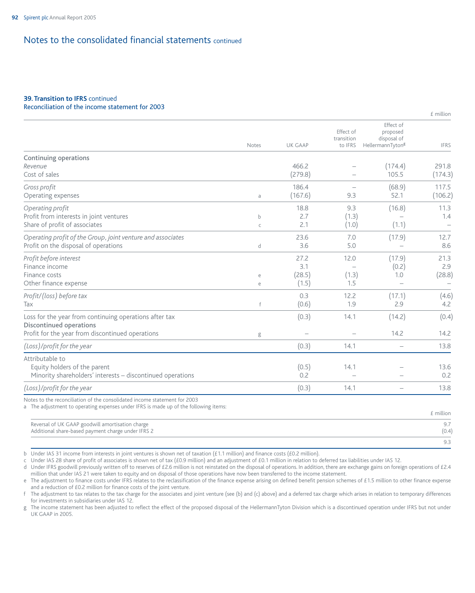#### **39. Transition to IFRS** continued Reconciliation of the income statement for 2003

|                                                                                                                                                                   |                   |                  |                                    |                                                                      | £ million        |
|-------------------------------------------------------------------------------------------------------------------------------------------------------------------|-------------------|------------------|------------------------------------|----------------------------------------------------------------------|------------------|
|                                                                                                                                                                   | Notes             | UK GAAP          | Effect of<br>transition<br>to IFRS | Effect of<br>proposed<br>disposal of<br>HellermannTyton <sup>8</sup> | <b>IFRS</b>      |
| Continuing operations<br>Revenue                                                                                                                                  |                   | 466.2            |                                    | (174.4)                                                              | 291.8            |
| Cost of sales                                                                                                                                                     |                   | (279.8)          |                                    | 105.5                                                                | (174.3)          |
| Gross profit<br>Operating expenses                                                                                                                                | $\rm{a}$          | 186.4<br>(167.6) | 9.3                                | (68.9)<br>52.1                                                       | 117.5<br>(106.2) |
| Operating profit                                                                                                                                                  |                   | 18.8             | 9.3                                | (16.8)                                                               | 11.3             |
| Profit from interests in joint ventures<br>Share of profit of associates                                                                                          | b<br>$\mathsf{C}$ | 2.7<br>2.1       | (1.3)<br>(1.0)                     | (1.1)                                                                | 1.4              |
| Operating profit of the Group, joint venture and associates<br>Profit on the disposal of operations                                                               | d                 | 23.6<br>3.6      | 7.0<br>5.0                         | (17.9)                                                               | 12.7<br>8.6      |
| Profit before interest<br>Finance income                                                                                                                          |                   | 27.2<br>3.1      | 12.0                               | (17.9)<br>(0.2)                                                      | 21.3<br>2.9      |
| Finance costs<br>Other finance expense                                                                                                                            | e<br>e            | (28.5)<br>(1.5)  | (1.3)<br>1.5                       | 1.0                                                                  | (28.8)           |
| Profit/(loss) before tax<br>Tax                                                                                                                                   | f                 | 0.3<br>(0.6)     | 12.2<br>1.9                        | (17.1)<br>2.9                                                        | (4.6)<br>4.2     |
| Loss for the year from continuing operations after tax<br>Discontinued operations                                                                                 |                   | (0.3)            | 14.1                               | (14.2)                                                               | (0.4)            |
| Profit for the year from discontinued operations                                                                                                                  | g                 |                  |                                    | 14.2                                                                 | 14.2             |
| (Loss)/profit for the year                                                                                                                                        |                   | (0.3)            | 14.1                               | $\overline{\phantom{0}}$                                             | 13.8             |
| Attributable to<br>Equity holders of the parent                                                                                                                   |                   |                  | 14.1                               |                                                                      | 13.6             |
| Minority shareholders' interests - discontinued operations                                                                                                        |                   | (0.5)<br>0.2     |                                    |                                                                      | 0.2              |
| (Loss)/profit for the year                                                                                                                                        |                   | (0.3)            | 14.1                               | $\overline{\phantom{0}}$                                             | 13.8             |
| Notes to the reconciliation of the consolidated income statement for 2003<br>a The adjustment to operating expenses under IFRS is made up of the following items: |                   |                  |                                    |                                                                      |                  |

|                                                                                                        | £ million |
|--------------------------------------------------------------------------------------------------------|-----------|
| Reversal of UK GAAP goodwill amortisation charge<br>Additional share-based payment charge under IFRS 2 | (0.4)     |
|                                                                                                        |           |

b Under IAS 31 income from interests in joint ventures is shown net of taxation (£1.1 million) and finance costs (£0.2 million).

c Under IAS 28 share of profit of associates is shown net of tax (£0.9 million) and an adjustment of £0.1 million in relation to deferred tax liabilities under IAS 12.

d Under IFRS goodwill previously written off to reserves of £2.6 million is not reinstated on the disposal of operations. In addition, there are exchange gains on foreign operations of £2.4 million that under IAS 21 were taken to equity and on disposal of those operations have now been transferred to the income statement.

e The adjustment to finance costs under IFRS relates to the reclassification of the finance expense arising on defined benefit pension schemes of £1.5 million to other finance expense and a reduction of £0.2 million for finance costs of the joint venture.

f The adjustment to tax relates to the tax charge for the associates and joint venture (see (b) and (c) above) and a deferred tax charge which arises in relation to temporary differences for investments in subsidiaries under IAS 12.

g The income statement has been adjusted to reflect the effect of the proposed disposal of the HellermannTyton Division which is a discontinued operation under IFRS but not under UK GAAP in 2005.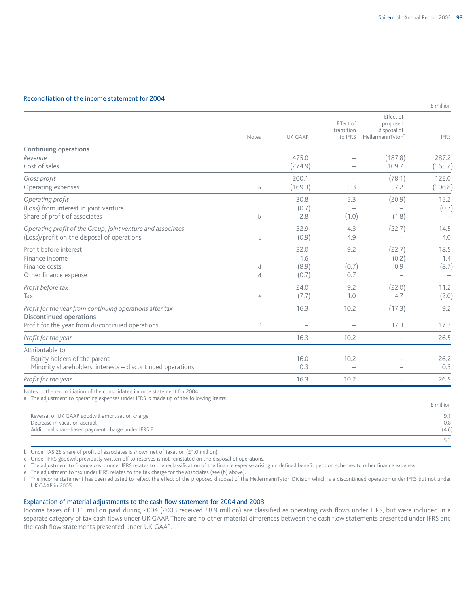## Reconciliation of the income statement for 2004

|                                                                                                                                                                                                                                   |           |                               |                                    |                                                                      | £ million            |
|-----------------------------------------------------------------------------------------------------------------------------------------------------------------------------------------------------------------------------------|-----------|-------------------------------|------------------------------------|----------------------------------------------------------------------|----------------------|
|                                                                                                                                                                                                                                   | Notes     | UK GAAP                       | Effect of<br>transition<br>to IFRS | Effect of<br>proposed<br>disposal of<br>HellermannTyton <sup>f</sup> | <b>IFRS</b>          |
| Continuing operations<br>Revenue<br>Cost of sales                                                                                                                                                                                 |           | 475.0<br>(274.9)              |                                    | (187.8)<br>109.7                                                     | 287.2<br>(165.2)     |
| Gross profit<br>Operating expenses                                                                                                                                                                                                | a         | 200.1<br>(169.3)              | 5.3                                | (78.1)<br>57.2                                                       | 122.0<br>(106.8)     |
| Operating profit<br>(Loss) from interest in joint venture<br>Share of profit of associates                                                                                                                                        | b         | 30.8<br>(0.7)<br>2.8          | 5.3<br>(1.0)                       | (20.9)<br>(1.8)                                                      | 15.2<br>(0.7)        |
| Operating profit of the Group, joint venture and associates<br>(Loss)/profit on the disposal of operations                                                                                                                        | $\subset$ | 32.9<br>(0.9)                 | 4.3<br>4.9                         | (22.7)                                                               | 14.5<br>4.0          |
| Profit before interest<br>Finance income<br>Finance costs<br>Other finance expense                                                                                                                                                | d<br>d    | 32.0<br>1.6<br>(8.9)<br>(0.7) | 9.2<br>(0.7)<br>0.7                | (22.7)<br>(0.2)<br>0.9                                               | 18.5<br>1.4<br>(8.7) |
| Profit before tax<br>Tax                                                                                                                                                                                                          | e         | 24.0<br>(7.7)                 | 9.2<br>1.0                         | (22.0)<br>4.7                                                        | 11.2<br>(2.0)        |
| Profit for the year from continuing operations after tax<br>Discontinued operations<br>Profit for the year from discontinued operations                                                                                           | f         | 16.3                          | 10.2                               | (17.3)<br>17.3                                                       | 9.2<br>17.3          |
| Profit for the year                                                                                                                                                                                                               |           | 16.3                          | 10.2                               | $\overline{\phantom{0}}$                                             | 26.5                 |
| Attributable to<br>Equity holders of the parent<br>Minority shareholders' interests - discontinued operations                                                                                                                     |           | 16.0<br>0.3                   | 10.2                               |                                                                      | 26.2<br>0.3          |
| Profit for the year                                                                                                                                                                                                               |           | 16.3                          | 10.2                               | $\overline{\phantom{0}}$                                             | 26.5                 |
| Notes to the reconciliation of the consolidated income statement for 2004<br>a The adjustment to operating expenses under IFRS is made up of the following items:                                                                 |           |                               |                                    |                                                                      | £ million            |
| $\mathbf{r}$ . The contract of the contract of the contract of the contract of the contract of the contract of the contract of the contract of the contract of the contract of the contract of the contract of the contract of th |           |                               |                                    |                                                                      |                      |

| Reversal of UK GAAP goodwill amortisation charge   |       |
|----------------------------------------------------|-------|
| Decrease in vacation accrual                       |       |
| Additional share-based payment charge under IFRS 2 | (4.6) |
|                                                    |       |

b Under IAS 28 share of profit of associates is shown net of taxation (£1.0 million).

c Under IFRS goodwill previously written off to reserves is not reinstated on the disposal of operations.

d The adjustment to finance costs under IFRS relates to the reclassification of the finance expense arising on defined benefit pension schemes to other finance expense.

e The adjustment to tax under IFRS relates to the tax charge for the associates (see (b) above).

f The income statement has been adjusted to reflect the effect of the proposed disposal of the HellermannTyton Division which is a discontinued operation under IFRS but not under UK GAAP in 2005.

## Explanation of material adjustments to the cash flow statement for 2004 and 2003

Income taxes of £3.1 million paid during 2004 (2003 received £8.9 million) are classified as operating cash flows under IFRS, but were included in a separate category of tax cash flows under UK GAAP. There are no other material differences between the cash flow statements presented under IFRS and the cash flow statements presented under UK GAAP.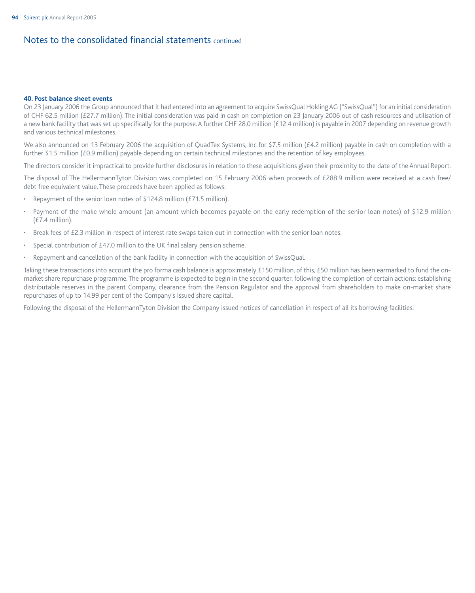#### **40. Post balance sheet events**

On 23 January 2006 the Group announced that it had entered into an agreement to acquire SwissQual Holding AG ("SwissQual") for an initial consideration of CHF 62.5 million (£27.7 million). The initial consideration was paid in cash on completion on 23 January 2006 out of cash resources and utilisation of a new bank facility that was set up specifically for the purpose. A further CHF 28.0 million (£12.4 million) is payable in 2007 depending on revenue growth and various technical milestones.

We also announced on 13 February 2006 the acquisition of QuadTex Systems, Inc for \$7.5 million (£4.2 million) payable in cash on completion with a further \$1.5 million (£0.9 million) payable depending on certain technical milestones and the retention of key employees.

The directors consider it impractical to provide further disclosures in relation to these acquisitions given their proximity to the date of the Annual Report.

The disposal of The HellermannTyton Division was completed on 15 February 2006 when proceeds of £288.9 million were received at a cash free/ debt free equivalent value. These proceeds have been applied as follows:

- Repayment of the senior loan notes of \$124.8 million (£71.5 million).
- Payment of the make whole amount (an amount which becomes payable on the early redemption of the senior loan notes) of \$12.9 million (£7.4 million).
- Break fees of £2.3 million in respect of interest rate swaps taken out in connection with the senior loan notes.
- Special contribution of £47.0 million to the UK final salary pension scheme.
- Repayment and cancellation of the bank facility in connection with the acquisition of SwissQual.

Taking these transactions into account the pro forma cash balance is approximately £150 million, of this, £50 million has been earmarked to fund the onmarket share repurchase programme.The programme is expected to begin in the second quarter, following the completion of certain actions: establishing distributable reserves in the parent Company, clearance from the Pension Regulator and the approval from shareholders to make on-market share repurchases of up to 14.99 per cent of the Company's issued share capital.

Following the disposal of the HellermannTyton Division the Company issued notices of cancellation in respect of all its borrowing facilities.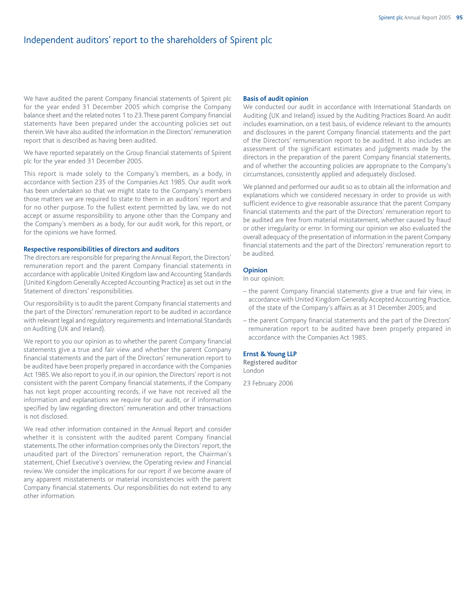# Independent auditors' report to the shareholders of Spirent plc

We have audited the parent Company financial statements of Spirent plc for the year ended 31 December 2005 which comprise the Company balance sheet and the related notes 1 to 23.These parent Company financial statements have been prepared under the accounting policies set out therein.We have also audited the information in the Directors' remuneration report that is described as having been audited.

We have reported separately on the Group financial statements of Spirent plc for the year ended 31 December 2005.

This report is made solely to the Company's members, as a body, in accordance with Section 235 of the Companies Act 1985. Our audit work has been undertaken so that we might state to the Company's members those matters we are required to state to them in an auditors' report and for no other purpose. To the fullest extent permitted by law, we do not accept or assume responsibility to anyone other than the Company and the Company's members as a body, for our audit work, for this report, or for the opinions we have formed.

#### **Respective responsibilities of directors and auditors**

The directors are responsible for preparing the Annual Report, the Directors' remuneration report and the parent Company financial statements in accordance with applicable United Kingdom law and Accounting Standards (United Kingdom Generally Accepted Accounting Practice) as set out in the Statement of directors' responsibilities.

Our responsibility is to audit the parent Company financial statements and the part of the Directors' remuneration report to be audited in accordance with relevant legal and regulatory requirements and International Standards on Auditing (UK and Ireland).

We report to you our opinion as to whether the parent Company financial statements give a true and fair view and whether the parent Company financial statements and the part of the Directors' remuneration report to be audited have been properly prepared in accordance with the Companies Act 1985.We also report to you if, in our opinion, the Directors' report is not consistent with the parent Company financial statements, if the Company has not kept proper accounting records, if we have not received all the information and explanations we require for our audit, or if information specified by law regarding directors' remuneration and other transactions is not disclosed.

We read other information contained in the Annual Report and consider whether it is consistent with the audited parent Company financial statements.The other information comprises only the Directors' report, the unaudited part of the Directors' remuneration report, the Chairman's statement, Chief Executive's overview, the Operating review and Financial review. We consider the implications for our report if we become aware of any apparent misstatements or material inconsistencies with the parent Company financial statements. Our responsibilities do not extend to any other information.

#### **Basis of audit opinion**

We conducted our audit in accordance with International Standards on Auditing (UK and Ireland) issued by the Auditing Practices Board. An audit includes examination, on a test basis, of evidence relevant to the amounts and disclosures in the parent Company financial statements and the part of the Directors' remuneration report to be audited. It also includes an assessment of the significant estimates and judgments made by the directors in the preparation of the parent Company financial statements, and of whether the accounting policies are appropriate to the Company's circumstances, consistently applied and adequately disclosed.

We planned and performed our audit so as to obtain all the information and explanations which we considered necessary in order to provide us with sufficient evidence to give reasonable assurance that the parent Company financial statements and the part of the Directors' remuneration report to be audited are free from material misstatement, whether caused by fraud or other irregularity or error. In forming our opinion we also evaluated the overall adequacy of the presentation of information in the parent Company financial statements and the part of the Directors' remuneration report to be audited.

#### **Opinion**

In our opinion:

- the parent Company financial statements give a true and fair view, in accordance with United Kingdom Generally Accepted Accounting Practice, of the state of the Company's affairs as at 31 December 2005; and
- the parent Company financial statements and the part of the Directors' remuneration report to be audited have been properly prepared in accordance with the Companies Act 1985.

#### **Ernst & Young LLP**

Registered auditor London

23 February 2006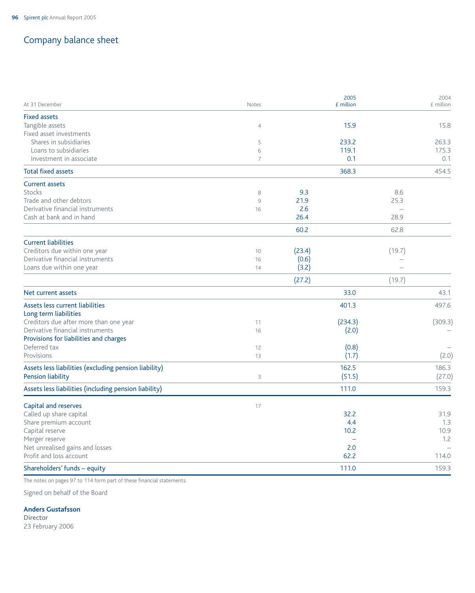# Company balance sheet

| At 31 December                                        | Notes          |        | 2005<br>£ million | 2004<br>£ million        |
|-------------------------------------------------------|----------------|--------|-------------------|--------------------------|
| <b>Fixed assets</b>                                   |                |        |                   |                          |
| Tangible assets                                       | $\overline{4}$ |        | 15.9              | 15.8                     |
| Fixed asset investments                               |                |        |                   |                          |
| Shares in subsidiaries                                | 5              |        | 233.2             | 263.3                    |
| Loans to subsidiaries                                 | 6              |        | 119.1             | 175.3                    |
| Investment in associate                               | $\overline{7}$ |        | 0.1               | 0.1                      |
| <b>Total fixed assets</b>                             |                |        | 368.3             | 454.5                    |
| <b>Current assets</b>                                 |                |        |                   |                          |
| <b>Stocks</b>                                         | 8              | 9.3    |                   | 8.6                      |
| Trade and other debtors                               | $\mathsf{9}$   | 21.9   |                   | 25.3                     |
| Derivative financial instruments                      | 16             | 2.6    |                   | $\overline{\phantom{a}}$ |
| Cash at bank and in hand                              |                | 26.4   |                   | 28.9                     |
|                                                       |                | 60.2   |                   | 62.8                     |
| <b>Current liabilities</b>                            |                |        |                   |                          |
| Creditors due within one year                         | 10             | (23.4) |                   | (19.7)                   |
| Derivative financial instruments                      | 16             | (0.6)  |                   |                          |
| Loans due within one year                             | 14             | (3.2)  |                   |                          |
|                                                       |                | (27.2) |                   | (19.7)                   |
| Net current assets                                    |                |        | 33.0              | 43.1                     |
| Assets less current liabilities                       |                |        | 401.3             | 497.6                    |
| Long term liabilities                                 |                |        |                   |                          |
| Creditors due after more than one year                | 11             |        | (234.3)           | (309.3)                  |
| Derivative financial instruments                      | 16             |        | (2.0)             |                          |
| Provisions for liabilities and charges                |                |        |                   |                          |
| Deferred tax                                          | 12             |        | (0.8)             |                          |
| Provisions                                            | 13             |        | (1.7)             | (2.0)                    |
| Assets less liabilities (excluding pension liability) |                |        | 162.5             | 186.3                    |
| Pension liability                                     | 3              |        | (51.5)            | (27.0)                   |
| Assets less liabilities (including pension liability) |                |        | 111.0             | 159.3                    |
| Capital and reserves                                  | 17             |        |                   |                          |
| Called up share capital                               |                |        | 32.2              | 31.9                     |
| Share premium account                                 |                |        | 4.4               | 1.3                      |
| Capital reserve                                       |                |        | 10.2              | 10.9                     |
| Merger reserve                                        |                |        |                   | 1.2                      |
| Net unrealised gains and losses                       |                |        | 2.0               |                          |
| Profit and loss account                               |                |        | 62.2              | 114.0                    |
| Shareholders' funds - equity                          |                |        | 111.0             | 159.3                    |

The notes on pages 97 to 114 form part of these financial statements.

Signed on behalf of the Board

## **Anders Gustafsson**

Director 23 February 2006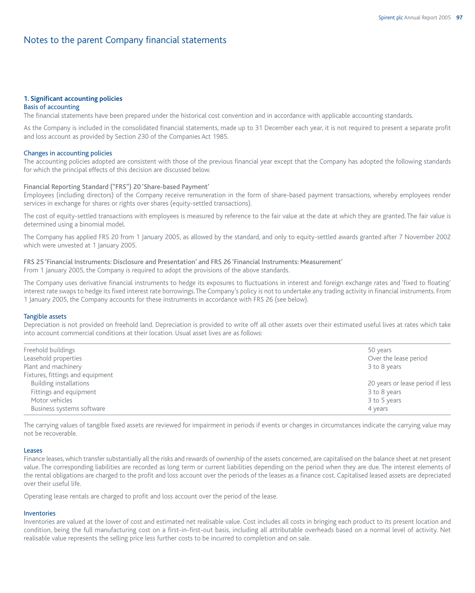## Notes to the parent Company financial statements

## **1. Significant accounting policies**

## Basis of accounting

The financial statements have been prepared under the historical cost convention and in accordance with applicable accounting standards.

As the Company is included in the consolidated financial statements, made up to 31 December each year, it is not required to present a separate profit and loss account as provided by Section 230 of the Companies Act 1985.

### Changes in accounting policies

The accounting policies adopted are consistent with those of the previous financial year except that the Company has adopted the following standards for which the principal effects of this decision are discussed below.

## Financial Reporting Standard ("FRS") 20 'Share-based Payment'

Employees (including directors) of the Company receive remuneration in the form of share-based payment transactions, whereby employees render services in exchange for shares or rights over shares (equity-settled transactions).

The cost of equity-settled transactions with employees is measured by reference to the fair value at the date at which they are granted. The fair value is determined using a binomial model.

The Company has applied FRS 20 from 1 January 2005, as allowed by the standard, and only to equity-settled awards granted after 7 November 2002 which were unvested at 1 January 2005.

## FRS 25 'Financial Instruments: Disclosure and Presentation' and FRS 26 'Financial Instruments: Measurement'

From 1 January 2005, the Company is required to adopt the provisions of the above standards.

The Company uses derivative financial instruments to hedge its exposures to fluctuations in interest and foreign exchange rates and 'fixed to floating' interest rate swaps to hedge its fixed interest rate borrowings.The Company's policy is not to undertake any trading activity in financial instruments. From 1 January 2005, the Company accounts for these instruments in accordance with FRS 26 (see below).

#### Tangible assets

Depreciation is not provided on freehold land. Depreciation is provided to write off all other assets over their estimated useful lives at rates which take into account commercial conditions at their location. Usual asset lives are as follows:

| Freehold buildings               | 50 years                         |
|----------------------------------|----------------------------------|
| Leasehold properties             | Over the lease period            |
| Plant and machinery              | 3 to 8 years                     |
| Fixtures, fittings and equipment |                                  |
| <b>Building installations</b>    | 20 years or lease period if less |
| Fittings and equipment           | 3 to 8 years                     |
| Motor vehicles                   | 3 to 5 years                     |
| Business systems software        | 4 years                          |

The carrying values of tangible fixed assets are reviewed for impairment in periods if events or changes in circumstances indicate the carrying value may not be recoverable.

#### Leases

Finance leases, which transfer substantially all the risks and rewards of ownership of the assets concerned, are capitalised on the balance sheet at net present value. The corresponding liabilities are recorded as long term or current liabilities depending on the period when they are due. The interest elements of the rental obligations are charged to the profit and loss account over the periods of the leases as a finance cost. Capitalised leased assets are depreciated over their useful life.

Operating lease rentals are charged to profit and loss account over the period of the lease.

#### Inventories

Inventories are valued at the lower of cost and estimated net realisable value. Cost includes all costs in bringing each product to its present location and condition, being the full manufacturing cost on a first-in-first-out basis, including all attributable overheads based on a normal level of activity. Net realisable value represents the selling price less further costs to be incurred to completion and on sale.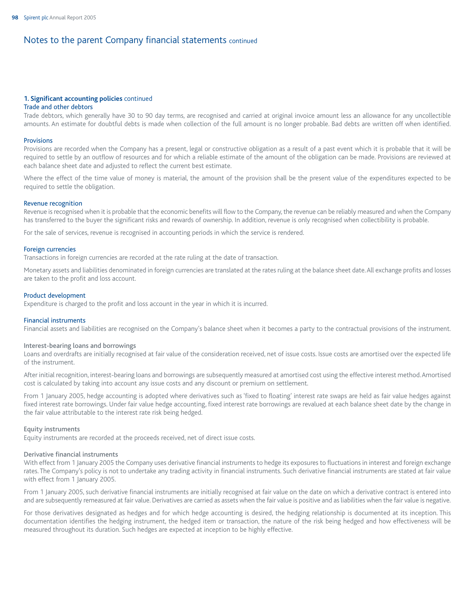## Notes to the parent Company financial statements continued

#### **1. Significant accounting policies** continued Trade and other debtors

Trade debtors, which generally have 30 to 90 day terms, are recognised and carried at original invoice amount less an allowance for any uncollectible amounts. An estimate for doubtful debts is made when collection of the full amount is no longer probable. Bad debts are written off when identified.

#### **Provisions**

Provisions are recorded when the Company has a present, legal or constructive obligation as a result of a past event which it is probable that it will be required to settle by an outflow of resources and for which a reliable estimate of the amount of the obligation can be made. Provisions are reviewed at each balance sheet date and adjusted to reflect the current best estimate.

Where the effect of the time value of money is material, the amount of the provision shall be the present value of the expenditures expected to be required to settle the obligation.

#### Revenue recognition

Revenue is recognised when it is probable that the economic benefits will flow to the Company, the revenue can be reliably measured and when the Company has transferred to the buyer the significant risks and rewards of ownership. In addition, revenue is only recognised when collectibility is probable.

For the sale of services, revenue is recognised in accounting periods in which the service is rendered.

#### Foreign currencies

Transactions in foreign currencies are recorded at the rate ruling at the date of transaction.

Monetary assets and liabilities denominated in foreign currencies are translated at the rates ruling at the balance sheet date.All exchange profits and losses are taken to the profit and loss account.

#### Product development

Expenditure is charged to the profit and loss account in the year in which it is incurred.

#### Financial instruments

Financial assets and liabilities are recognised on the Company's balance sheet when it becomes a party to the contractual provisions of the instrument.

#### Interest-bearing loans and borrowings

Loans and overdrafts are initially recognised at fair value of the consideration received, net of issue costs. Issue costs are amortised over the expected life of the instrument.

After initial recognition, interest-bearing loans and borrowings are subsequently measured at amortised cost using the effective interest method.Amortised cost is calculated by taking into account any issue costs and any discount or premium on settlement.

From 1 January 2005, hedge accounting is adopted where derivatives such as 'fixed to floating' interest rate swaps are held as fair value hedges against fixed interest rate borrowings. Under fair value hedge accounting, fixed interest rate borrowings are revalued at each balance sheet date by the change in the fair value attributable to the interest rate risk being hedged.

#### Equity instruments

Equity instruments are recorded at the proceeds received, net of direct issue costs.

#### Derivative financial instruments

With effect from 1 January 2005 the Company uses derivative financial instruments to hedge its exposures to fluctuations in interest and foreign exchange rates. The Company's policy is not to undertake any trading activity in financial instruments. Such derivative financial instruments are stated at fair value with effect from 1 January 2005.

From 1 January 2005, such derivative financial instruments are initially recognised at fair value on the date on which a derivative contract is entered into and are subsequently remeasured at fair value. Derivatives are carried as assets when the fair value is positive and as liabilities when the fair value is negative.

For those derivatives designated as hedges and for which hedge accounting is desired, the hedging relationship is documented at its inception. This documentation identifies the hedging instrument, the hedged item or transaction, the nature of the risk being hedged and how effectiveness will be measured throughout its duration. Such hedges are expected at inception to be highly effective.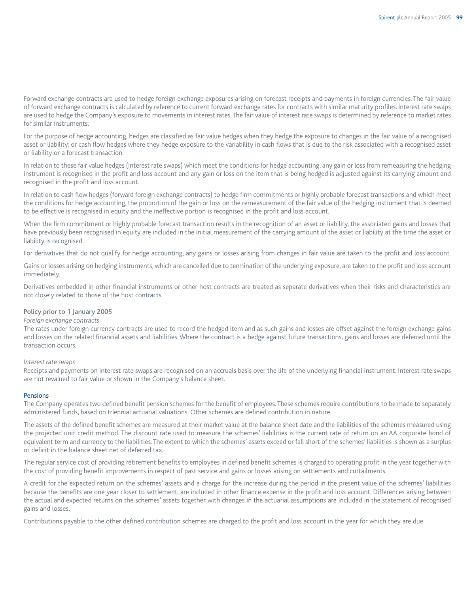Forward exchange contracts are used to hedge foreign exchange exposures arising on forecast receipts and payments in foreign currencies. The fair value of forward exchange contracts is calculated by reference to current forward exchange rates for contracts with similar maturity profiles. Interest rate swaps are used to hedge the Company's exposure to movements in interest rates.The fair value of interest rate swaps is determined by reference to market rates for similar instruments.

For the purpose of hedge accounting, hedges are classified as fair value hedges when they hedge the exposure to changes in the fair value of a recognised asset or liability; or cash flow hedges where they hedge exposure to the variability in cash flows that is due to the risk associated with a recognised asset or liability or a forecast transaction.

In relation to these fair value hedges (interest rate swaps) which meet the conditions for hedge accounting, any gain or loss from remeasuring the hedging instrument is recognised in the profit and loss account and any gain or loss on the item that is being hedged is adjusted against its carrying amount and recognised in the profit and loss account.

In relation to cash flow hedges (forward foreign exchange contracts) to hedge firm commitments or highly probable forecast transactions and which meet the conditions for hedge accounting, the proportion of the gain or loss on the remeasurement of the fair value of the hedging instrument that is deemed to be effective is recognised in equity and the ineffective portion is recognised in the profit and loss account.

When the firm commitment or highly probable forecast transaction results in the recognition of an asset or liability, the associated gains and losses that have previously been recognised in equity are included in the initial measurement of the carrying amount of the asset or liability at the time the asset or liability is recognised.

For derivatives that do not qualify for hedge accounting, any gains or losses arising from changes in fair value are taken to the profit and loss account.

Gains or losses arising on hedging instruments, which are cancelled due to termination of the underlying exposure, are taken to the profit and loss account immediately.

Derivatives embedded in other financial instruments or other host contracts are treated as separate derivatives when their risks and characteristics are not closely related to those of the host contracts.

## Policy prior to 1 January 2005

#### *Foreign exchange contracts*

The rates under foreign currency contracts are used to record the hedged item and as such gains and losses are offset against the foreign exchange gains and losses on the related financial assets and liabilities. Where the contract is a hedge against future transactions, gains and losses are deferred until the transaction occurs.

#### *Interest rate swaps*

Receipts and payments on interest rate swaps are recognised on an accruals basis over the life of the underlying financial instrument. Interest rate swaps are not revalued to fair value or shown in the Company's balance sheet.

#### Pensions

The Company operates two defined benefit pension schemes for the benefit of employees.These schemes require contributions to be made to separately administered funds, based on triennial actuarial valuations. Other schemes are defined contribution in nature.

The assets of the defined benefit schemes are measured at their market value at the balance sheet date and the liabilities of the schemes measured using the projected unit credit method. The discount rate used to measure the schemes' liabilities is the current rate of return on an AA corporate bond of equivalent term and currency to the liabilities.The extent to which the schemes' assets exceed or fall short of the schemes' liabilities is shown as a surplus or deficit in the balance sheet net of deferred tax.

The regular service cost of providing retirement benefits to employees in defined benefit schemes is charged to operating profit in the year together with the cost of providing benefit improvements in respect of past service and gains or losses arising on settlements and curtailments.

A credit for the expected return on the schemes' assets and a charge for the increase during the period in the present value of the schemes' liabilities because the benefits are one year closer to settlement, are included in other finance expense in the profit and loss account. Differences arising between the actual and expected returns on the schemes' assets together with changes in the actuarial assumptions are included in the statement of recognised gains and losses.

Contributions payable to the other defined contribution schemes are charged to the profit and loss account in the year for which they are due.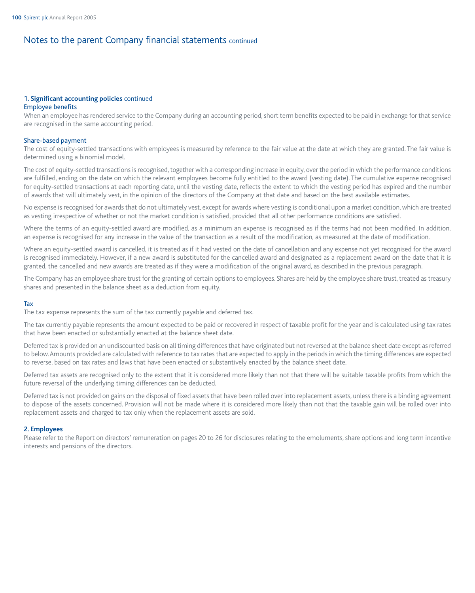## Notes to the parent Company financial statements continued

#### **1. Significant accounting policies** continued Employee benefits

When an employee has rendered service to the Company during an accounting period, short term benefits expected to be paid in exchange for that service are recognised in the same accounting period.

#### Share-based payment

The cost of equity-settled transactions with employees is measured by reference to the fair value at the date at which they are granted. The fair value is determined using a binomial model.

The cost of equity-settled transactions is recognised, together with a corresponding increase in equity, over the period in which the performance conditions are fulfilled, ending on the date on which the relevant employees become fully entitled to the award (vesting date). The cumulative expense recognised for equity-settled transactions at each reporting date, until the vesting date, reflects the extent to which the vesting period has expired and the number of awards that will ultimately vest, in the opinion of the directors of the Company at that date and based on the best available estimates.

No expense is recognised for awards that do not ultimately vest, except for awards where vesting is conditional upon a market condition, which are treated as vesting irrespective of whether or not the market condition is satisfied, provided that all other performance conditions are satisfied.

Where the terms of an equity-settled award are modified, as a minimum an expense is recognised as if the terms had not been modified. In addition, an expense is recognised for any increase in the value of the transaction as a result of the modification, as measured at the date of modification.

Where an equity-settled award is cancelled, it is treated as if it had vested on the date of cancellation and any expense not yet recognised for the award is recognised immediately. However, if a new award is substituted for the cancelled award and designated as a replacement award on the date that it is granted, the cancelled and new awards are treated as if they were a modification of the original award, as described in the previous paragraph.

The Company has an employee share trust for the granting of certain options to employees. Shares are held by the employee share trust, treated as treasury shares and presented in the balance sheet as a deduction from equity.

## Tax

The tax expense represents the sum of the tax currently payable and deferred tax.

The tax currently payable represents the amount expected to be paid or recovered in respect of taxable profit for the year and is calculated using tax rates that have been enacted or substantially enacted at the balance sheet date.

Deferred tax is provided on an undiscounted basis on all timing differences that have originated but not reversed at the balance sheet date except as referred to below.Amounts provided are calculated with reference to tax rates that are expected to apply in the periods in which the timing differences are expected to reverse, based on tax rates and laws that have been enacted or substantively enacted by the balance sheet date.

Deferred tax assets are recognised only to the extent that it is considered more likely than not that there will be suitable taxable profits from which the future reversal of the underlying timing differences can be deducted.

Deferred tax is not provided on gains on the disposal of fixed assets that have been rolled over into replacement assets, unless there is a binding agreement to dispose of the assets concerned. Provision will not be made where it is considered more likely than not that the taxable gain will be rolled over into replacement assets and charged to tax only when the replacement assets are sold.

## **2. Employees**

Please refer to the Report on directors' remuneration on pages 20 to 26 for disclosures relating to the emoluments, share options and long term incentive interests and pensions of the directors.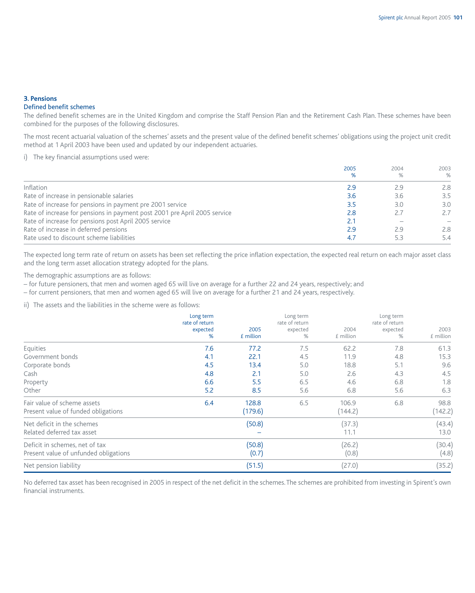## **3. Pensions** Defined benefit schemes

The defined benefit schemes are in the United Kingdom and comprise the Staff Pension Plan and the Retirement Cash Plan. These schemes have been combined for the purposes of the following disclosures.

The most recent actuarial valuation of the schemes' assets and the present value of the defined benefit schemes' obligations using the project unit credit method at 1 April 2003 have been used and updated by our independent actuaries.

i) The key financial assumptions used were:

|                                                                           | 2005 | 2004<br>$\%$ | 2003<br>$\%$ |
|---------------------------------------------------------------------------|------|--------------|--------------|
|                                                                           |      |              |              |
| Inflation                                                                 | 2.9  | 2.9          | 2.8          |
| Rate of increase in pensionable salaries                                  | 3.6  | 3.6          | 3.5          |
| Rate of increase for pensions in payment pre 2001 service                 | 3.5  | 3.0          | 3.0          |
| Rate of increase for pensions in payment post 2001 pre April 2005 service | 2.8  | 27           | 2.7          |
| Rate of increase for pensions post April 2005 service                     | 2.1  |              |              |
| Rate of increase in deferred pensions                                     | 2.9  | 2.9          | 2.8          |
| Rate used to discount scheme liabilities                                  |      | 53           | 5.4          |

The expected long term rate of return on assets has been set reflecting the price inflation expectation, the expected real return on each major asset class and the long term asset allocation strategy adopted for the plans.

The demographic assumptions are as follows:

– for future pensioners, that men and women aged 65 will live on average for a further 22 and 24 years, respectively; and

– for current pensioners, that men and women aged 65 will live on average for a further 21 and 24 years, respectively.

ii) The assets and the liabilities in the scheme were as follows:

|                                                                         | Long term<br>rate of return<br>expected<br>% | 2005<br>£ million | Long term<br>rate of return<br>expected<br>% | 2004<br>£ million | Long term<br>rate of return<br>expected<br>% | 2003<br>£ million |
|-------------------------------------------------------------------------|----------------------------------------------|-------------------|----------------------------------------------|-------------------|----------------------------------------------|-------------------|
| Equities                                                                | 7.6                                          | 77.2              | 7.5                                          | 62.2              | 7.8                                          | 61.3              |
| Government bonds                                                        | 4.1                                          | 22.1              | 4.5                                          | 11.9              | 4.8                                          | 15.3              |
| Corporate bonds                                                         | 4.5                                          | 13.4              | 5.0                                          | 18.8              | 5.1                                          | 9.6               |
| Cash                                                                    | 4.8                                          | 2.1               | 5.0                                          | 2.6               | 4.3                                          | 4.5               |
| Property                                                                | 6.6                                          | 5.5               | 6.5                                          | 4.6               | 6.8                                          | 1.8               |
| Other                                                                   | 5.2                                          | 8.5               | 5.6                                          | 6.8               | 5.6                                          | 6.3               |
| Fair value of scheme assets<br>Present value of funded obligations      | 6.4                                          | 128.8<br>(179.6)  | 6.5                                          | 106.9<br>(144.2)  | 6.8                                          | 98.8<br>142.2)    |
| Net deficit in the schemes<br>Related deferred tax asset                |                                              | (50.8)            |                                              | (37.3)<br>11.1    |                                              | (43.4)<br>13.0    |
| Deficit in schemes, net of tax<br>Present value of unfunded obligations |                                              | (50.8)<br>(0.7)   |                                              | (26.2)<br>(0.8)   |                                              | (30.4)<br>(4.8)   |
| Net pension liability                                                   |                                              | (51.5)            |                                              | (27.0)            |                                              | (35.2)            |

No deferred tax asset has been recognised in 2005 in respect of the net deficit in the schemes.The schemes are prohibited from investing in Spirent's own financial instruments.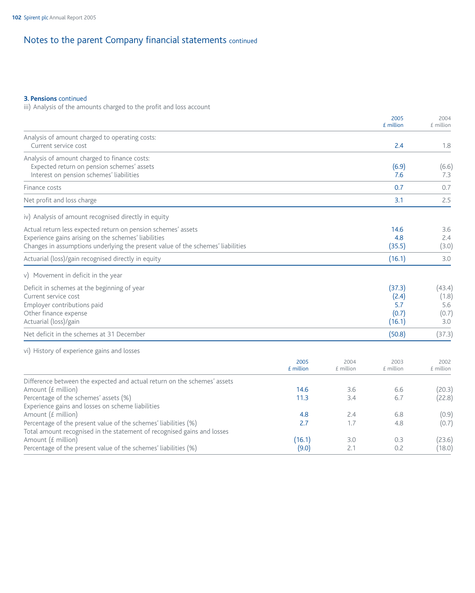# Notes to the parent Company financial statements continued

## **3. Pensions** continued

iii) Analysis of the amounts charged to the profit and loss account

|                                                                                                                                                                                                          |                      |                   | 2005<br>£ million                         | 2004<br>£ million                      |
|----------------------------------------------------------------------------------------------------------------------------------------------------------------------------------------------------------|----------------------|-------------------|-------------------------------------------|----------------------------------------|
| Analysis of amount charged to operating costs:<br>Current service cost                                                                                                                                   |                      |                   | 2.4                                       | 1.8                                    |
| Analysis of amount charged to finance costs:<br>Expected return on pension schemes' assets<br>Interest on pension schemes' liabilities                                                                   |                      |                   | (6.9)<br>7.6                              | (6.6)<br>7.3                           |
| Finance costs                                                                                                                                                                                            |                      |                   | 0.7                                       | 0.7                                    |
| Net profit and loss charge                                                                                                                                                                               |                      |                   | 3.1                                       | 2.5                                    |
| iv) Analysis of amount recognised directly in equity                                                                                                                                                     |                      |                   |                                           |                                        |
| Actual return less expected return on pension schemes' assets<br>Experience gains arising on the schemes' liabilities<br>Changes in assumptions underlying the present value of the schemes' liabilities |                      |                   | 14.6<br>4.8<br>(35.5)                     | 3.6<br>2.4<br>(3.0)                    |
| Actuarial (loss)/gain recognised directly in equity                                                                                                                                                      |                      |                   | (16.1)                                    | 3.0                                    |
| v) Movement in deficit in the year                                                                                                                                                                       |                      |                   |                                           |                                        |
| Deficit in schemes at the beginning of year<br>Current service cost<br>Employer contributions paid<br>Other finance expense<br>Actuarial (loss)/gain                                                     |                      |                   | (37.3)<br>(2.4)<br>5.7<br>(0.7)<br>(16.1) | (43.4)<br>(1.8)<br>5.6<br>(0.7)<br>3.0 |
| Net deficit in the schemes at 31 December                                                                                                                                                                |                      |                   | (50.8)                                    | (37.3)                                 |
| vi) History of experience gains and losses                                                                                                                                                               | 2005<br>£ million    | 2004<br>£ million | 2003<br>£ million                         | 2002<br>£ million                      |
| Difference between the expected and actual return on the schemes' assets<br>Amount (£ million)<br>Percentage of the schemes' assets (%)<br>Experience gains and losses on scheme liabilities             | 14.6<br>11.3         | 3.6<br>3.4        | 6.6<br>6.7                                | (20.3)<br>(22.8)                       |
| Amount (£ million)<br>Percentage of the present value of the schemes' liabilities (%)<br>Total amount recognised in the statement of recognised gains and losses<br>Amount (£ million)                   | 4.8<br>2.7<br>(16.1) | 2.4<br>1.7<br>3.0 | 6.8<br>4.8<br>0.3                         | (0.9)<br>(0.7)<br>(23.6)               |
| Percentage of the present value of the schemes' liabilities (%)                                                                                                                                          | (9.0)                | 2.1               | 0.2                                       | (18.0)                                 |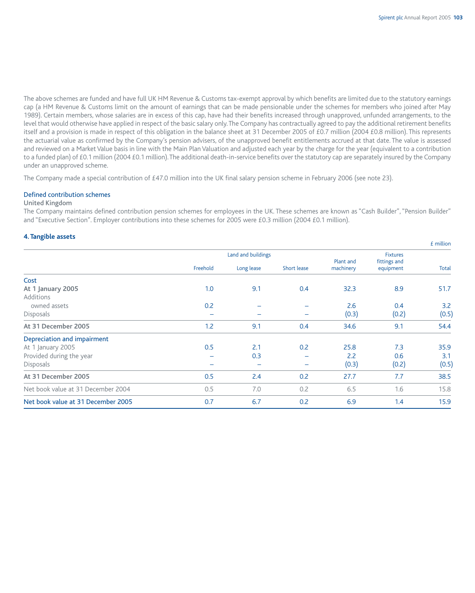£ million

The above schemes are funded and have full UK HM Revenue & Customs tax-exempt approval by which benefits are limited due to the statutory earnings cap (a HM Revenue & Customs limit on the amount of earnings that can be made pensionable under the schemes for members who joined after May 1989). Certain members, whose salaries are in excess of this cap, have had their benefits increased through unapproved, unfunded arrangements, to the level that would otherwise have applied in respect of the basic salary only.The Company has contractually agreed to pay the additional retirement benefits itself and a provision is made in respect of this obligation in the balance sheet at 31 December 2005 of £0.7 million (2004 £0.8 million). This represents the actuarial value as confirmed by the Company's pension advisers, of the unapproved benefit entitlements accrued at that date. The value is assessed and reviewed on a Market Value basis in line with the Main Plan Valuation and adjusted each year by the charge for the year (equivalent to a contribution to a funded plan) of £0.1 million (2004 £0.1 million).The additional death-in-service benefits over the statutory cap are separately insured by the Company under an unapproved scheme.

The Company made a special contribution of £47.0 million into the UK final salary pension scheme in February 2006 (see note 23).

## Defined contribution schemes

#### United Kingdom

The Company maintains defined contribution pension schemes for employees in the UK. These schemes are known as "Cash Builder", "Pension Builder" and "Executive Section". Employer contributions into these schemes for 2005 were £0.3 million (2004 £0.1 million).

## **4. Tangible assets**

|                                    |          |                    |                          |                        |                           | L IIIIIIIUII |
|------------------------------------|----------|--------------------|--------------------------|------------------------|---------------------------|--------------|
|                                    |          | Land and buildings |                          |                        | <b>Fixtures</b>           |              |
|                                    | Freehold | Long lease         | Short lease              | Plant and<br>machinery | fittings and<br>equipment | <b>Total</b> |
| Cost                               |          |                    |                          |                        |                           |              |
| At 1 January 2005                  | 1.0      | 9.1                | 0.4                      | 32.3                   | 8.9                       | 51.7         |
| Additions                          |          |                    |                          |                        |                           |              |
| owned assets                       | 0.2      |                    |                          | 2.6                    | 0.4                       | 3.2          |
| <b>Disposals</b>                   |          |                    |                          | (0.3)                  | (0.2)                     | (0.5)        |
| At 31 December 2005                | 1.2      | 9.1                | 0.4                      | 34.6                   | 9.1                       | 54.4         |
| Depreciation and impairment        |          |                    |                          |                        |                           |              |
| At 1 January 2005                  | 0.5      | 2.1                | 0.2                      | 25.8                   | 7.3                       | 35.9         |
| Provided during the year           |          | 0.3                |                          | 2.2                    | 0.6                       | 3.1          |
| <b>Disposals</b>                   |          |                    | $\overline{\phantom{0}}$ | (0.3)                  | (0.2)                     | (0.5)        |
| At 31 December 2005                | 0.5      | 2.4                | 0.2                      | 27.7                   | 7.7                       | 38.5         |
| Net book value at 31 December 2004 | 0.5      | 7.0                | 0.2                      | 6.5                    | 1.6                       | 15.8         |
| Net book value at 31 December 2005 | 0.7      | 6.7                | 0.2                      | 6.9                    | 1.4                       | 15.9         |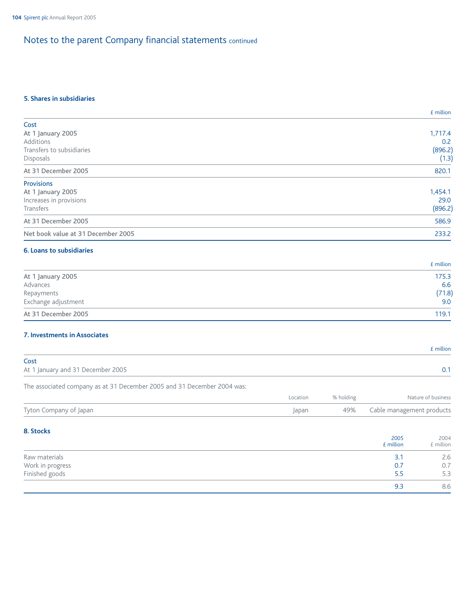# Notes to the parent Company financial statements continued

## **5. Shares in subsidiaries**

|                                    | £ million |
|------------------------------------|-----------|
| Cost                               |           |
| At 1 January 2005                  | 1,717.4   |
| Additions                          | 0.2       |
| Transfers to subsidiaries          | (896.2)   |
| Disposals                          | (1.3)     |
| At 31 December 2005                | 820.1     |
| <b>Provisions</b>                  |           |
| At 1 January 2005                  | 1,454.1   |
| Increases in provisions            | 29.0      |
| Transfers                          | (896.2)   |
| At 31 December 2005                | 586.9     |
| Net book value at 31 December 2005 | 233.2     |

## **6. Loans to subsidiaries**

|                     | £ million |
|---------------------|-----------|
| At 1 January 2005   | 175.3     |
| Advances            | 6.6       |
| Repayments          | (71.8)    |
| Exchange adjustment | 9.0       |
| At 31 December 2005 | 119.1     |

## **7. Investments in Associates**

|                                   | million |
|-----------------------------------|---------|
| Cost                              |         |
| At 1 January and 31 December 2005 |         |

The associated company as at 31 December 2005 and 31 December 2004 was:

|                        | .ocation | % holding | Nature of business        |
|------------------------|----------|-----------|---------------------------|
| Tyton Company of Japan | lapan    | 49%       | Cable management products |

## **8. Stocks**

|                  | 2005<br>£ million | 2004<br>£ million |
|------------------|-------------------|-------------------|
| Raw materials    | 3.1               | 2.6               |
| Work in progress | 0.7               | 0.7               |
| Finished goods   | 5.5               | 5.3               |
|                  | 9.3               | 8.6               |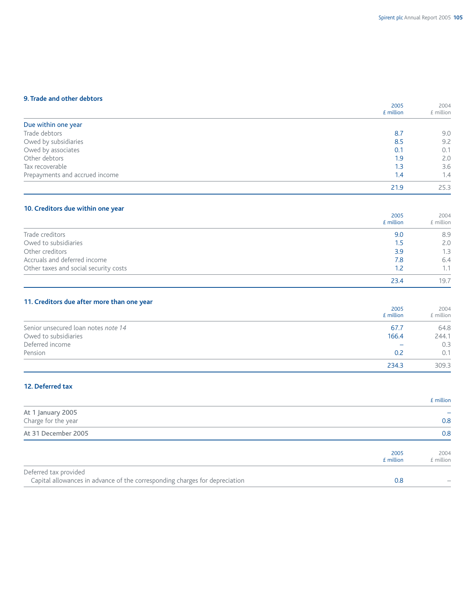## **9. Trade and other debtors**

| 3. Have and Other deptois      | 2005<br>£ million | 2004<br>£ million |
|--------------------------------|-------------------|-------------------|
| Due within one year            |                   |                   |
| Trade debtors                  | 8.7               | 9.0               |
| Owed by subsidiaries           | 8.5               | 9.2               |
| Owed by associates             | 0.1               | 0.1               |
| Other debtors                  | 1.9               | 2.0               |
| Tax recoverable                | 1.3               | 3.6               |
| Prepayments and accrued income | 1.4               | 1.4               |
|                                | 21.9              | 25.3              |

# **10. Creditors due within one year**

| <b>10. Creditors due within one year</b> | 2005<br>£ million | 2004<br>£ million |
|------------------------------------------|-------------------|-------------------|
| Trade creditors                          | 9.0               | 8.9               |
| Owed to subsidiaries                     | 1.5               | 2.0               |
| Other creditors                          | 3.9               | 1.3               |
| Accruals and deferred income             | 7.8               | 6.4               |
| Other taxes and social security costs    | 1.2               | 1.1               |
|                                          | 23.4              | 19.7              |

# **11. Creditors due after more than one year**

|                                     | 2005<br>£ million | 2004<br>£ million |
|-------------------------------------|-------------------|-------------------|
| Senior unsecured loan notes note 14 | 67.7              | 64.8              |
| Owed to subsidiaries                | 166.4             | 244.1             |
| Deferred income                     |                   | 0.3               |
| Pension                             | 0.2               | 0.1               |
|                                     | 234.3             | 309.3             |

## **12. Deferred tax**

|                                                                                                      |                   | £ million           |
|------------------------------------------------------------------------------------------------------|-------------------|---------------------|
| At 1 January 2005                                                                                    |                   |                     |
| Charge for the year                                                                                  |                   | 0.8                 |
| At 31 December 2005                                                                                  |                   | 0.8                 |
|                                                                                                      | 2005<br>£ million | 2004<br>$E$ million |
| Deferred tax provided<br>Capital allowances in advance of the corresponding charges for depreciation | 0.8               |                     |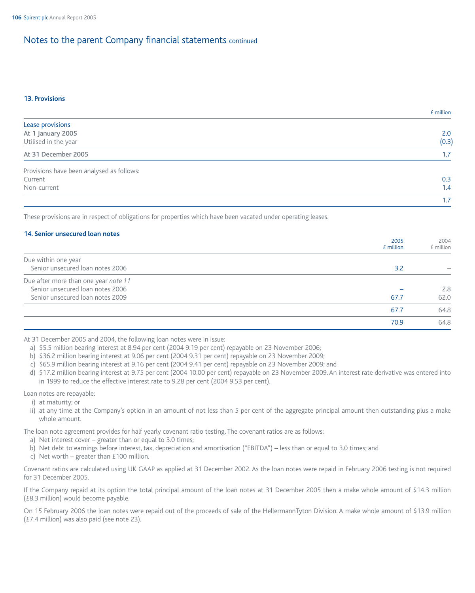## Notes to the parent Company financial statements continued

## **13. Provisions**

|                                           | £ million |
|-------------------------------------------|-----------|
| Lease provisions<br>At 1 January 2005     | 2.0       |
| Utilised in the year                      | (0.3)     |
| At 31 December 2005                       | 1.7       |
| Provisions have been analysed as follows: |           |
| Current                                   | 0.3       |
| Non-current                               | 1.4       |
|                                           | 1.7       |

These provisions are in respect of obligations for properties which have been vacated under operating leases.

## **14. Senior unsecured loan notes**

|                                                         | 2005<br>£ million | 2004<br>£ million |
|---------------------------------------------------------|-------------------|-------------------|
| Due within one year<br>Senior unsecured loan notes 2006 | 3.2               |                   |
| Due after more than one year note 11                    |                   |                   |
| Senior unsecured loan notes 2006                        |                   | 2.8               |
| Senior unsecured loan notes 2009                        | 67.7              | 62.0              |
|                                                         | 67.7              | 64.8              |
|                                                         | 70.9              | 64.8              |

At 31 December 2005 and 2004, the following loan notes were in issue:

a) \$5.5 million bearing interest at 8.94 per cent (2004 9.19 per cent) repayable on 23 November 2006;

b) \$36.2 million bearing interest at 9.06 per cent (2004 9.31 per cent) repayable on 23 November 2009;

c) \$65.9 million bearing interest at 9.16 per cent (2004 9.41 per cent) repayable on 23 November 2009; and

d) \$17.2 million bearing interest at 9.75 per cent (2004 10.00 per cent) repayable on 23 November 2009. An interest rate derivative was entered into in 1999 to reduce the effective interest rate to 9.28 per cent (2004 9.53 per cent).

Loan notes are repayable:

- i) at maturity; or
- ii) at any time at the Company's option in an amount of not less than 5 per cent of the aggregate principal amount then outstanding plus a make whole amount.

The loan note agreement provides for half yearly covenant ratio testing. The covenant ratios are as follows:

- a) Net interest cover greater than or equal to 3.0 times;
- b) Net debt to earnings before interest, tax, depreciation and amortisation ("EBITDA") less than or equal to 3.0 times; and
- c) Net worth greater than  $£100$  million.

Covenant ratios are calculated using UK GAAP as applied at 31 December 2002. As the loan notes were repaid in February 2006 testing is not required for 31 December 2005.

If the Company repaid at its option the total principal amount of the loan notes at 31 December 2005 then a make whole amount of \$14.3 million (£8.3 million) would become payable.

On 15 February 2006 the loan notes were repaid out of the proceeds of sale of the HellermannTyton Division. A make whole amount of \$13.9 million (£7.4 million) was also paid (see note 23).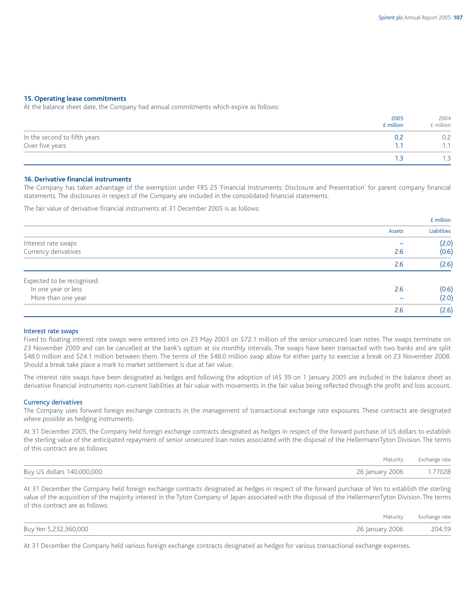#### **15. Operating lease commitments**

At the balance sheet date, the Company had annual commitments which expire as follows:

|                              | 2005<br>£ million | 2004<br>£ million |
|------------------------------|-------------------|-------------------|
| In the second to fifth years | U.Z               | 0.2               |
| Over five years              |                   | 11<br>.           |
|                              |                   | 1.3               |

#### **16. Derivative financial instruments**

The Company has taken advantage of the exemption under FRS 25 'Financial Instruments: Disclosure and Presentation' for parent company financial statements. The disclosures in respect of the Company are included in the consolidated financial statements.

The fair value of derivative financial instruments at 31 December 2005 is as follows:

|                            |        | £ million          |
|----------------------------|--------|--------------------|
|                            | Assets | <b>Liabilities</b> |
| Interest rate swaps        |        | (2.0)              |
| Currency derivatives       | 2.6    | (0.6)              |
|                            | 2.6    | (2.6)              |
| Expected to be recognised: |        |                    |
| In one year or less        | 2.6    |                    |
| More than one year         |        | $(0.6)$<br>$(2.0)$ |
|                            | 2.6    | (2.6)              |

#### Interest rate swaps

Fixed to floating interest rate swaps were entered into on 23 May 2003 on \$72.1 million of the senior unsecured loan notes. The swaps terminate on 23 November 2009 and can be cancelled at the bank's option at six monthly intervals. The swaps have been transacted with two banks and are split \$48.0 million and \$24.1 million between them. The terms of the \$48.0 million swap allow for either party to exercise a break on 23 November 2008. Should a break take place a mark to market settlement is due at fair value.

The interest rate swaps have been designated as hedges and following the adoption of IAS 39 on 1 January 2005 are included in the balance sheet as derivative financial instruments non-current liabilities at fair value with movements in the fair value being reflected through the profit and loss account.

#### Currency derivatives

The Company uses forward foreign exchange contracts in the management of transactional exchange rate exposures. These contracts are designated where possible as hedging instruments.

At 31 December 2005, the Company held foreign exchange contracts designated as hedges in respect of the forward purchase of US dollars to establish the sterling value of the anticipated repayment of senior unsecured loan notes associated with the disposal of the HellermannTyton Division. The terms of this contract are as follows:

|                            | Maturity        | Exchange rate |
|----------------------------|-----------------|---------------|
| Buy US dollars 140,000,000 | 26 January 2006 | 1.77028       |

At 31 December the Company held foreign exchange contracts designated as hedges in respect of the forward purchase of Yen to establish the sterling value of the acquisition of the majority interest in the Tyton Company of Japan associated with the disposal of the HellermannTyton Division. The terms of this contract are as follows:

|                       | Maturity        | Exchange rate |
|-----------------------|-----------------|---------------|
| Buy Yen 5,232,360,000 | 26 January 2006 | 204.59        |

At 31 December the Company held various foreign exchange contracts designated as hedges for various transactional exchange expenses.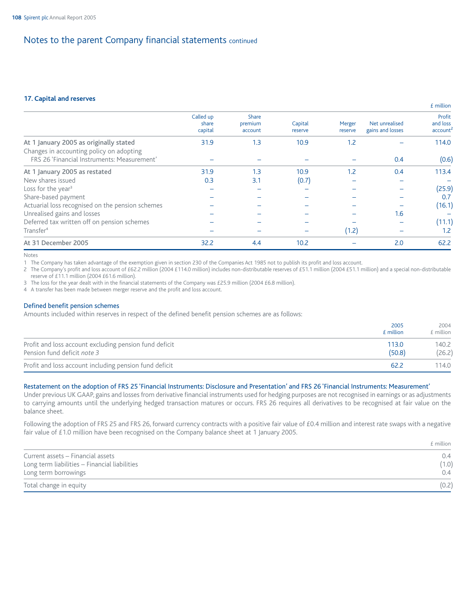# Notes to the parent Company financial statements continued

#### **17. Capital and reserves**

|                                                                                         |                               |                             |                    |                   |                                    | £ million                                  |
|-----------------------------------------------------------------------------------------|-------------------------------|-----------------------------|--------------------|-------------------|------------------------------------|--------------------------------------------|
|                                                                                         | Called up<br>share<br>capital | Share<br>premium<br>account | Capital<br>reserve | Merger<br>reserve | Net unrealised<br>gains and losses | Profit<br>and loss<br>account <sup>2</sup> |
| At 1 January 2005 as originally stated                                                  | 31.9                          | 1.3                         | 10.9               | 1.2               |                                    | 114.0                                      |
| Changes in accounting policy on adopting<br>FRS 26 'Financial Instruments: Measurement' |                               |                             |                    |                   | 0.4                                | (0.6)                                      |
| At 1 January 2005 as restated                                                           | 31.9                          | 1.3                         | 10.9               | 1.2               | 0.4                                | 113.4                                      |
| New shares issued                                                                       | 0.3                           | 3.1                         | (0.7)              |                   |                                    |                                            |
| Loss for the year $3$                                                                   |                               |                             |                    |                   |                                    | (25.9)                                     |
| Share-based payment                                                                     |                               |                             |                    |                   |                                    | 0.7                                        |
| Actuarial loss recognised on the pension schemes                                        |                               |                             |                    |                   |                                    | (16.1)                                     |
| Unrealised gains and losses                                                             |                               |                             |                    |                   | 1.6                                |                                            |
| Deferred tax written off on pension schemes                                             |                               |                             |                    |                   |                                    | (11.1)                                     |
| Transfer <sup>4</sup>                                                                   |                               |                             |                    | (1.2)             |                                    | 1.2                                        |
| At 31 December 2005                                                                     | 32.2                          | 4.4                         | 10.2               |                   | 2.0                                | 62.2                                       |

Notes

1 The Company has taken advantage of the exemption given in section 230 of the Companies Act 1985 not to publish its profit and loss account.

2 The Company's profit and loss account of £62.2 million (2004 £114.0 million) includes non-distributable reserves of £51.1 million (2004 £51.1 million) and a special non-distributable reserve of £11.1 million (2004 £61.6 million).

3 The loss for the year dealt with in the financial statements of the Company was £25.9 million (2004 £6.8 million).

4 A transfer has been made between merger reserve and the profit and loss account.

#### Defined benefit pension schemes

Amounts included within reserves in respect of the defined benefit pension schemes are as follows:

|                                                                                       | 2005<br>£ million | 2004<br>£ million |
|---------------------------------------------------------------------------------------|-------------------|-------------------|
| Profit and loss account excluding pension fund deficit<br>Pension fund deficit note 3 | 113.0<br>(50.8)   | 140.2<br>(26.2)   |
| Profit and loss account including pension fund deficit                                | 62.2              | 114.0             |

#### Restatement on the adoption of FRS 25 'Financial Instruments: Disclosure and Presentation' and FRS 26 'Financial Instruments: Measurement'

Under previous UK GAAP, gains and losses from derivative financial instruments used for hedging purposes are not recognised in earnings or as adjustments to carrying amounts until the underlying hedged transaction matures or occurs. FRS 26 requires all derivatives to be recognised at fair value on the balance sheet.

Following the adoption of FRS 25 and FRS 26, forward currency contracts with a positive fair value of £0.4 million and interest rate swaps with a negative fair value of £1.0 million have been recognised on the Company balance sheet at 1 January 2005.

|                                               | £ million |
|-----------------------------------------------|-----------|
| Current assets - Financial assets             | 0.4       |
| Long term liabilities - Financial liabilities | (1.0)     |
| Long term borrowings                          | 0.4       |
| Total change in equity                        | (0.2)     |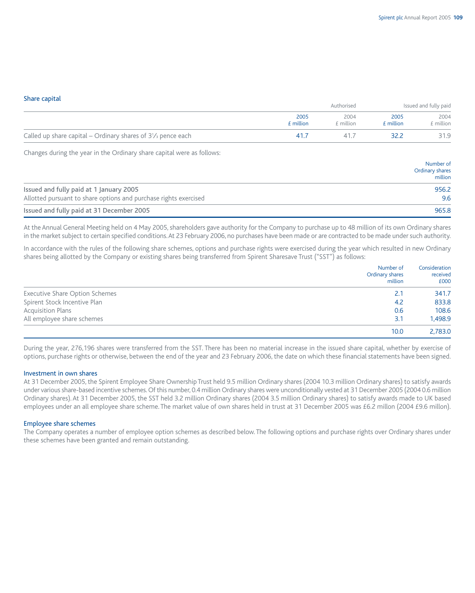#### Share capital

|                                                                        |                   | Authorised        | Issued and fully paid |                   |  |
|------------------------------------------------------------------------|-------------------|-------------------|-----------------------|-------------------|--|
|                                                                        | 2005<br>£ million | 2004<br>£ million | 2005<br>£ million     | 2004<br>E million |  |
| Called up share capital – Ordinary shares of $3\frac{1}{3}$ pence each |                   | Δ.                |                       | 31.9              |  |

Changes during the year in the Ordinary share capital were as follows:

|                                                                  | Number of<br>Ordinary shares<br>million |
|------------------------------------------------------------------|-----------------------------------------|
| Issued and fully paid at 1 January 2005                          | 956.2                                   |
| Allotted pursuant to share options and purchase rights exercised | 9.6                                     |
| Issued and fully paid at 31 December 2005                        | 965.8                                   |

At the Annual General Meeting held on 4 May 2005, shareholders gave authority for the Company to purchase up to 48 million of its own Ordinary shares in the market subject to certain specified conditions.At 23 February 2006, no purchases have been made or are contracted to be made under such authority.

In accordance with the rules of the following share schemes, options and purchase rights were exercised during the year which resulted in new Ordinary shares being allotted by the Company or existing shares being transferred from Spirent Sharesave Trust ("SST") as follows:

|                                | Number of<br>Ordinary shares<br>million | Consideration<br>received<br>£000 |
|--------------------------------|-----------------------------------------|-----------------------------------|
| Executive Share Option Schemes | 2.1                                     | 341.7                             |
| Spirent Stock Incentive Plan   | 4.2                                     | 833.8                             |
| <b>Acquisition Plans</b>       | 0.6                                     | 108.6                             |
| All employee share schemes     | 3.1                                     | 1,498.9                           |
|                                | 10.0                                    | 2,783.0                           |

During the year, 276,196 shares were transferred from the SST. There has been no material increase in the issued share capital, whether by exercise of options, purchase rights or otherwise, between the end of the year and 23 February 2006, the date on which these financial statements have been signed.

#### Investment in own shares

At 31 December 2005, the Spirent Employee Share Ownership Trust held 9.5 million Ordinary shares (2004 10.3 million Ordinary shares) to satisfy awards under various share-based incentive schemes. Of this number, 0.4 million Ordinary shares were unconditionally vested at 31 December 2005 (2004 0.6 million Ordinary shares). At 31 December 2005, the SST held 3.2 million Ordinary shares (2004 3.5 million Ordinary shares) to satisfy awards made to UK based employees under an all employee share scheme. The market value of own shares held in trust at 31 December 2005 was £6.2 millon (2004 £9.6 millon).

#### Employee share schemes

The Company operates a number of employee option schemes as described below. The following options and purchase rights over Ordinary shares under these schemes have been granted and remain outstanding.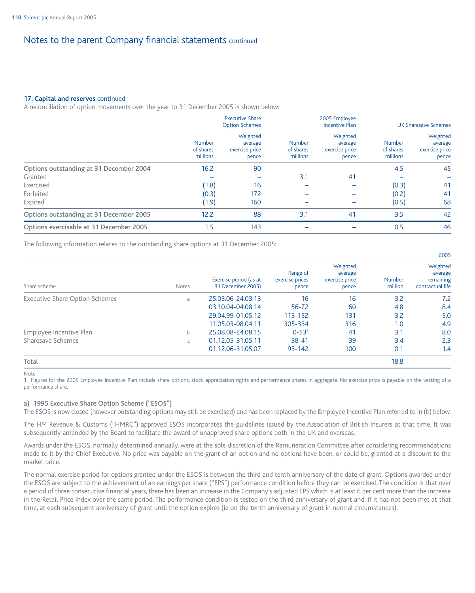## Notes to the parent Company financial statements continued

#### **17. Capital and reserves** continued

A reconciliation of option movements over the year to 31 December 2005 is shown below:

|                                         | <b>Executive Share</b><br><b>Option Schemes</b> |                                                |                                        | 2005 Employee<br><b>Incentive Plan</b>         |                                        | <b>UK Sharesave Schemes</b>                    |  |
|-----------------------------------------|-------------------------------------------------|------------------------------------------------|----------------------------------------|------------------------------------------------|----------------------------------------|------------------------------------------------|--|
|                                         | Number<br>of shares<br>millions                 | Weighted<br>average<br>exercise price<br>pence | <b>Number</b><br>of shares<br>millions | Weighted<br>average<br>exercise price<br>pence | <b>Number</b><br>of shares<br>millions | Weighted<br>average<br>exercise price<br>pence |  |
| Options outstanding at 31 December 2004 | 16.2                                            | 90                                             |                                        |                                                | 4.5                                    | 45                                             |  |
| Granted                                 |                                                 |                                                | 3.1                                    | 41                                             |                                        |                                                |  |
| Exercised                               | (1.8)                                           | 16                                             |                                        |                                                | (0.3)                                  | 41                                             |  |
| Forfeited                               | (0.3)                                           | 172                                            |                                        |                                                | (0.2)                                  | 41                                             |  |
| Expired                                 | (1.9)                                           | 160                                            |                                        |                                                | (0.5)                                  | 68                                             |  |
| Options outstanding at 31 December 2005 | 12.2                                            | 88                                             | 3.1                                    | 41                                             | 3.5                                    | 42                                             |  |
| Options exercisable at 31 December 2005 | 1.5                                             | 143                                            |                                        |                                                | 0.5                                    | 46                                             |  |

The following information relates to the outstanding share options at 31 December 2005:

|                                       |       |                                             |                                      |                                                |                          | <b>LUUS</b>                                          |
|---------------------------------------|-------|---------------------------------------------|--------------------------------------|------------------------------------------------|--------------------------|------------------------------------------------------|
| Share scheme                          | Notes | Exercise period (as at<br>31 December 2005) | Range of<br>exercise prices<br>pence | Weighted<br>average<br>exercise price<br>pence | <b>Number</b><br>million | Weighted<br>average<br>remaining<br>contractual life |
| <b>Executive Share Option Schemes</b> | a     | 25.03.06-24.03.13                           | 16                                   | 16                                             | 3.2                      | 7.2                                                  |
|                                       |       | 03.10.04-04.08.14                           | 56-72                                | 60                                             | 4.8                      | 8.4                                                  |
|                                       |       | 29.04.99-01.05.12                           | 113-152                              | 131                                            | 3.2                      | 5.0                                                  |
|                                       |       | 11.05.03-08.04.11                           | 305-334                              | 316                                            | 1.0                      | 4.9                                                  |
| Employee Incentive Plan               | b.    | 25.08.08-24.08.15                           | $0 - 53$ <sup>1</sup>                | 41                                             | 3.1                      | 8.0                                                  |
| Sharesave Schemes                     |       | 01.12.05-31.05.11                           | $38 - 41$                            | 39                                             | 3.4                      | 2.3                                                  |
|                                       |       | 01.12.06-31.05.07                           | 93-142                               | 100                                            | 0.1                      | 1.4                                                  |
| Total                                 |       |                                             |                                      |                                                | 18.8                     |                                                      |

Note

1 Figures for the 2005 Employee Incentive Plan include share options, stock appreciation rights and performance shares in aggregate. No exercise price is payable on the vesting of a performance share.

#### a) 1995 Executive Share Option Scheme ("ESOS")

The ESOS is now closed (however outstanding options may still be exercised) and has been replaced by the Employee Incentive Plan referred to in (b) below.

The HM Revenue & Customs ("HMRC") approved ESOS incorporates the guidelines issued by the Association of British Insurers at that time. It was subsequently amended by the Board to facilitate the award of unapproved share options both in the UK and overseas.

Awards under the ESOS, normally determined annually, were at the sole discretion of the Remuneration Committee after considering recommendations made to it by the Chief Executive. No price was payable on the grant of an option and no options have been, or could be, granted at a discount to the market price.

The normal exercise period for options granted under the ESOS is between the third and tenth anniversary of the date of grant. Options awarded under the ESOS are subject to the achievement of an earnings per share ("EPS") performance condition before they can be exercised. The condition is that over a period of three consecutive financial years, there has been an increase in the Company's adjusted EPS which is at least 6 per cent more than the increase in the Retail Price Index over the same period. The performance condition is tested on the third anniversary of grant and, if it has not been met at that time, at each subsequent anniversary of grant until the option expires (ie on the tenth anniversary of grant in normal circumstances).

2005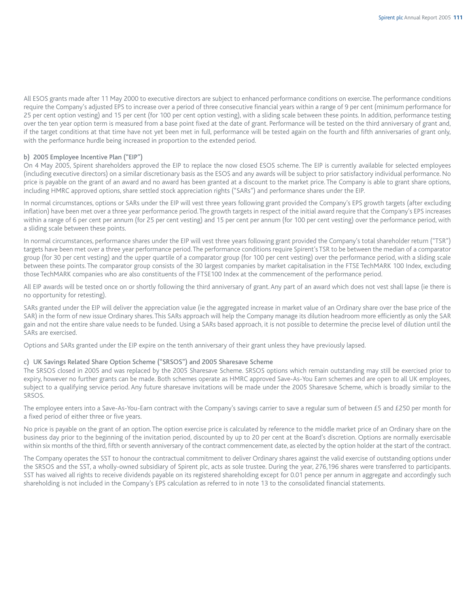All ESOS grants made after 11 May 2000 to executive directors are subject to enhanced performance conditions on exercise.The performance conditions require the Company's adjusted EPS to increase over a period of three consecutive financial years within a range of 9 per cent (minimum performance for 25 per cent option vesting) and 15 per cent (for 100 per cent option vesting), with a sliding scale between these points. In addition, performance testing over the ten year option term is measured from a base point fixed at the date of grant. Performance will be tested on the third anniversary of grant and, if the target conditions at that time have not yet been met in full, performance will be tested again on the fourth and fifth anniversaries of grant only, with the performance hurdle being increased in proportion to the extended period.

#### b) 2005 Employee Incentive Plan ("EIP")

On 4 May 2005, Spirent shareholders approved the EIP to replace the now closed ESOS scheme. The EIP is currently available for selected employees (including executive directors) on a similar discretionary basis as the ESOS and any awards will be subject to prior satisfactory individual performance. No price is payable on the grant of an award and no award has been granted at a discount to the market price. The Company is able to grant share options, including HMRC approved options, share settled stock appreciation rights ("SARs") and performance shares under the EIP.

In normal circumstances, options or SARs under the EIP will vest three years following grant provided the Company's EPS growth targets (after excluding inflation) have been met over a three year performance period.The growth targets in respect of the initial award require that the Company's EPS increases within a range of 6 per cent per annum (for 25 per cent vesting) and 15 per cent per annum (for 100 per cent vesting) over the performance period, with a sliding scale between these points.

In normal circumstances, performance shares under the EIP will vest three years following grant provided the Company's total shareholder return ("TSR") targets have been met over a three year performance period.The performance conditions require Spirent's TSR to be between the median of a comparator group (for 30 per cent vesting) and the upper quartile of a comparator group (for 100 per cent vesting) over the performance period, with a sliding scale between these points. The comparator group consists of the 30 largest companies by market capitalisation in the FTSE TechMARK 100 Index, excluding those TechMARK companies who are also constituents of the FTSE100 Index at the commencement of the performance period.

All EIP awards will be tested once on or shortly following the third anniversary of grant. Any part of an award which does not vest shall lapse (ie there is no opportunity for retesting).

SARs granted under the EIP will deliver the appreciation value (ie the aggregated increase in market value of an Ordinary share over the base price of the SAR) in the form of new issue Ordinary shares.This SARs approach will help the Company manage its dilution headroom more efficiently as only the SAR gain and not the entire share value needs to be funded. Using a SARs based approach, it is not possible to determine the precise level of dilution until the SARs are exercised.

Options and SARs granted under the EIP expire on the tenth anniversary of their grant unless they have previously lapsed.

#### c) UK Savings Related Share Option Scheme ("SRSOS") and 2005 Sharesave Scheme

The SRSOS closed in 2005 and was replaced by the 2005 Sharesave Scheme. SRSOS options which remain outstanding may still be exercised prior to expiry, however no further grants can be made. Both schemes operate as HMRC approved Save-As-You Earn schemes and are open to all UK employees, subject to a qualifying service period. Any future sharesave invitations will be made under the 2005 Sharesave Scheme, which is broadly similar to the SRSOS.

The employee enters into a Save-As-You-Earn contract with the Company's savings carrier to save a regular sum of between £5 and £250 per month for a fixed period of either three or five years.

No price is payable on the grant of an option. The option exercise price is calculated by reference to the middle market price of an Ordinary share on the business day prior to the beginning of the invitation period, discounted by up to 20 per cent at the Board's discretion. Options are normally exercisable within six months of the third, fifth or seventh anniversary of the contract commencement date, as elected by the option holder at the start of the contract.

The Company operates the SST to honour the contractual commitment to deliver Ordinary shares against the valid exercise of outstanding options under the SRSOS and the SST, a wholly-owned subsidiary of Spirent plc, acts as sole trustee. During the year, 276,196 shares were transferred to participants. SST has waived all rights to receive dividends payable on its registered shareholding except for 0.01 pence per annum in aggregate and accordingly such shareholding is not included in the Company's EPS calculation as referred to in note 13 to the consolidated financial statements.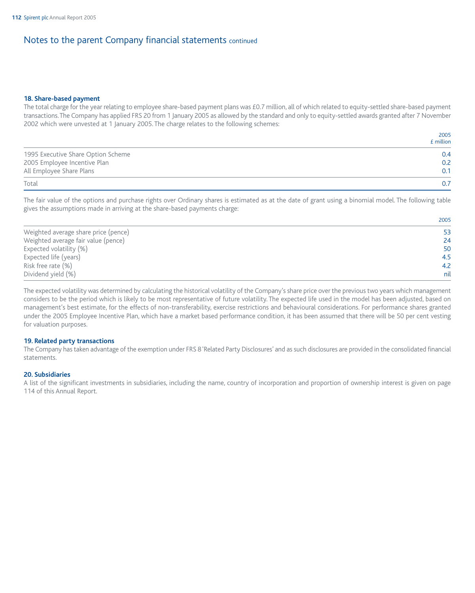# Notes to the parent Company financial statements continued

#### **18. Share-based payment**

The total charge for the year relating to employee share-based payment plans was £0.7 million, all of which related to equity-settled share-based payment transactions.The Company has applied FRS 20 from 1 January 2005 as allowed by the standard and only to equity-settled awards granted after 7 November 2002 which were unvested at 1 January 2005. The charge relates to the following schemes:

|                                    | 2005<br>£ million |
|------------------------------------|-------------------|
| 1995 Executive Share Option Scheme | 0.4               |
| 2005 Employee Incentive Plan       | 0.2               |
| All Employee Share Plans           | 0.1               |
| Total                              | 0.7               |

The fair value of the options and purchase rights over Ordinary shares is estimated as at the date of grant using a binomial model. The following table gives the assumptions made in arriving at the share-based payments charge:

|                                      | 2005 |
|--------------------------------------|------|
| Weighted average share price (pence) | 53   |
| Weighted average fair value (pence)  | 24   |
| Expected volatility (%)              | 50   |
| Expected life (years)                | 4.5  |
| Risk free rate (%)                   | 4.2  |
| Dividend yield (%)                   | nil  |

The expected volatility was determined by calculating the historical volatility of the Company's share price over the previous two years which management considers to be the period which is likely to be most representative of future volatility. The expected life used in the model has been adjusted, based on management's best estimate, for the effects of non-transferability, exercise restrictions and behavioural considerations. For performance shares granted under the 2005 Employee Incentive Plan, which have a market based performance condition, it has been assumed that there will be 50 per cent vesting for valuation purposes.

#### **19. Related party transactions**

The Company has taken advantage of the exemption under FRS 8 'Related Party Disclosures' and as such disclosures are provided in the consolidated financial statements.

#### **20. Subsidiaries**

A list of the significant investments in subsidiaries, including the name, country of incorporation and proportion of ownership interest is given on page 114 of this Annual Report.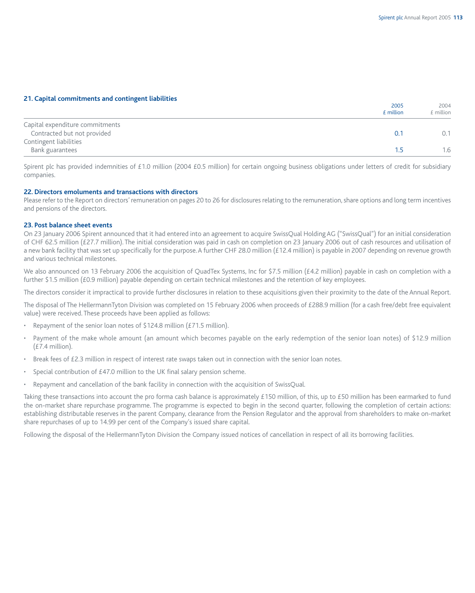#### **21. Capital commitments and contingent liabilities**

|                                 | 2005<br>£ million | 2004<br>£ million |
|---------------------------------|-------------------|-------------------|
| Capital expenditure commitments |                   |                   |
| Contracted but not provided     |                   |                   |
| Contingent liabilities          |                   |                   |
| Bank guarantees                 |                   | 1.6               |

Spirent plc has provided indemnities of £1.0 million (2004 £0.5 million) for certain ongoing business obligations under letters of credit for subsidiary companies.

#### **22. Directors emoluments and transactions with directors**

Please refer to the Report on directors' remuneration on pages 20 to 26 for disclosures relating to the remuneration, share options and long term incentives and pensions of the directors.

#### **23. Post balance sheet events**

On 23 January 2006 Spirent announced that it had entered into an agreement to acquire SwissQual Holding AG ("SwissQual") for an initial consideration of CHF 62.5 million (£27.7 million). The initial consideration was paid in cash on completion on 23 January 2006 out of cash resources and utilisation of a new bank facility that was set up specifically for the purpose. A further CHF 28.0 million (£12.4 million) is payable in 2007 depending on revenue growth and various technical milestones.

We also announced on 13 February 2006 the acquisition of QuadTex Systems, Inc for \$7.5 million (£4.2 million) payable in cash on completion with a further \$1.5 million (£0.9 million) payable depending on certain technical milestones and the retention of key employees.

The directors consider it impractical to provide further disclosures in relation to these acquisitions given their proximity to the date of the Annual Report.

The disposal of The HellermannTyton Division was completed on 15 February 2006 when proceeds of £288.9 million (for a cash free/debt free equivalent value) were received. These proceeds have been applied as follows:

- Repayment of the senior loan notes of \$124.8 million (£71.5 million).
- Payment of the make whole amount (an amount which becomes payable on the early redemption of the senior loan notes) of \$12.9 million (£7.4 million).
- Break fees of £2.3 million in respect of interest rate swaps taken out in connection with the senior loan notes.
- Special contribution of £47.0 million to the UK final salary pension scheme.
- Repayment and cancellation of the bank facility in connection with the acquisition of SwissQual.

Taking these transactions into account the pro forma cash balance is approximately £150 million, of this, up to £50 million has been earmarked to fund the on-market share repurchase programme. The programme is expected to begin in the second quarter, following the completion of certain actions: establishing distributable reserves in the parent Company, clearance from the Pension Regulator and the approval from shareholders to make on-market share repurchases of up to 14.99 per cent of the Company's issued share capital.

Following the disposal of the HellermannTyton Division the Company issued notices of cancellation in respect of all its borrowing facilities.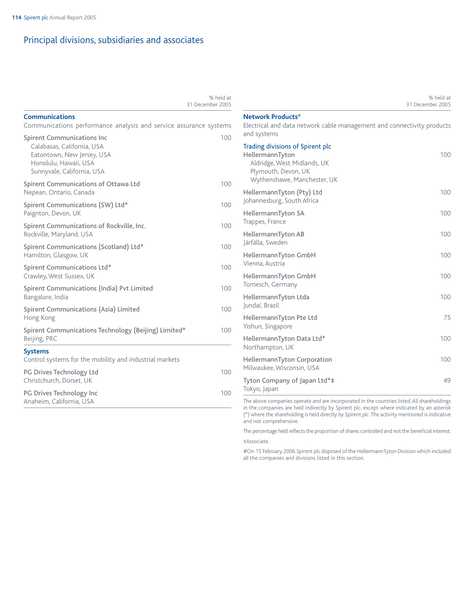# Principal divisions, subsidiaries and associates

|                                                                                                                 | % held at<br>31 December 2005 |
|-----------------------------------------------------------------------------------------------------------------|-------------------------------|
| <b>Communications</b>                                                                                           |                               |
| Communications performance analysis and service assurance systems<br><b>Spirent Communications Inc</b>          | 100                           |
| Calabasas, California, USA<br>Eatontown, New Jersey, USA<br>Honolulu, Hawaii, USA<br>Sunnyvale, California, USA |                               |
| Spirent Communications of Ottawa Ltd<br>Nepean, Ontario, Canada                                                 | 100                           |
| Spirent Communications (SW) Ltd*<br>Paignton, Devon, UK                                                         | 100                           |
| Spirent Communications of Rockville, Inc.<br>Rockville, Maryland, USA                                           | 100                           |
| Spirent Communications (Scotland) Ltd*<br>Hamilton, Glasgow, UK                                                 | 100                           |
| Spirent Communications Ltd*<br>Crawley, West Sussex, UK                                                         | 100                           |
| Spirent Communications (India) Pvt Limited<br>Bangalore, India                                                  | 100                           |
| Spirent Communications (Asia) Limited<br>Hong Kong                                                              | 100                           |
| Spirent Communications Technology (Beijing) Limited*<br>Beijing, PRC                                            | 100                           |
| <b>Systems</b><br>Control systems for the mobility and industrial markets                                       |                               |
| PG Drives Technology Ltd<br>Christchurch, Dorset, UK                                                            | 100                           |
| PG Drives Technology Inc<br>Anaheim, California, USA                                                            | 100                           |
|                                                                                                                 |                               |

| % held at        |  |
|------------------|--|
| 31 December 2005 |  |

#### **Network Products#**

Electrical and data network cable management and connectivity products and systems

| Trading divisions of Spirent plc<br>HellermannTyton<br>Aldridge, West Midlands, UK<br>Plymouth, Devon, UK<br>Wythenshawe, Manchester, UK | 100 |
|------------------------------------------------------------------------------------------------------------------------------------------|-----|
| HellermannTyton (Pty) Ltd<br>Johannesburg, South Africa                                                                                  | 100 |
| HellermannTyton SA<br>Trappes, France                                                                                                    | 100 |
| HellermannTyton AB<br>Järfälla, Sweden                                                                                                   | 100 |
| HellermannTyton GmbH<br>Vienna, Austria                                                                                                  | 100 |
| HellermannTyton GmbH<br>Tornesch, Germany                                                                                                | 100 |
| HellermannTyton Ltda<br>Jundaí, Brazil                                                                                                   | 100 |
| HellermannTyton Pte Ltd<br>Yishun, Singapore                                                                                             | 75  |
| HellermannTyton Data Ltd*<br>Northampton, UK                                                                                             | 100 |
| <b>HellermannTyton Corporation</b><br>Milwaukee, Wisconsin, USA                                                                          | 100 |
| Tyton Company of Japan Ltd*‡<br>Tokyo, Japan                                                                                             | 49  |

The above companies operate and are incorporated in the countries listed.All shareholdings in the companies are held indirectly by Spirent plc, except where indicated by an asterisk (\*) where the shareholding is held directly by Spirent plc.The activity mentioned is indicative and not comprehensive.

The percentage held reflects the proportion of shares controlled and not the beneficial interest. ‡Associate.

#On 15 February 2006 Spirent plc disposed of the HellermannTyton Division which included all the companies and divisions listed in this section.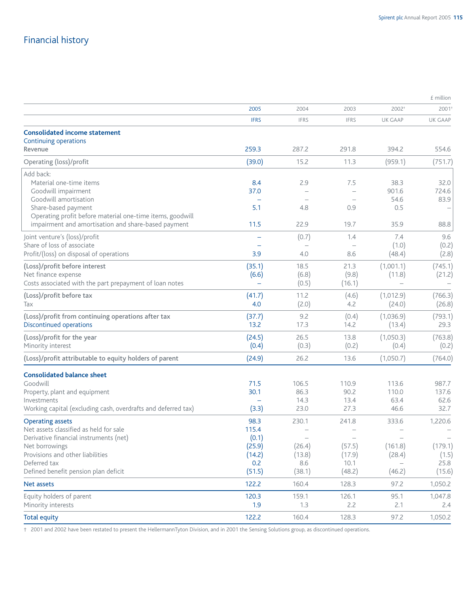|                                                                                  |               |                          |                          |                | £ million      |
|----------------------------------------------------------------------------------|---------------|--------------------------|--------------------------|----------------|----------------|
|                                                                                  | 2005          | 2004                     | 2003                     | 2002+          | 2001           |
|                                                                                  | <b>IFRS</b>   | <b>IFRS</b>              | <b>IFRS</b>              | <b>UK GAAP</b> | <b>UK GAAP</b> |
| <b>Consolidated income statement</b>                                             |               |                          |                          |                |                |
| <b>Continuing operations</b>                                                     |               |                          |                          |                |                |
| Revenue                                                                          | 259.3         | 287.2                    | 291.8                    | 394.2          | 554.6          |
| Operating (loss)/profit                                                          | (39.0)        | 15.2                     | 11.3                     | (959.1)        | (751.7)        |
| Add back:                                                                        |               |                          |                          |                |                |
| Material one-time items                                                          | 8.4           | 2.9                      | 7.5                      | 38.3           | 32.0           |
| Goodwill impairment                                                              | 37.0          |                          | $\overline{\phantom{0}}$ | 901.6          | 724.6          |
| Goodwill amortisation                                                            |               | $\overline{\phantom{0}}$ | $\overline{\phantom{0}}$ | 54.6<br>0.5    | 83.9           |
| Share-based payment<br>Operating profit before material one-time items, goodwill | 5.1           | 4.8                      | 0.9                      |                |                |
| impairment and amortisation and share-based payment                              | 11.5          | 22.9                     | 19.7                     | 35.9           | 88.8           |
| Joint venture's (loss)/profit                                                    |               | (0.7)                    | 1.4                      | 7.4            | 9.6            |
| Share of loss of associate                                                       |               |                          | $\overline{\phantom{a}}$ | (1.0)          | (0.2)          |
| Profit/(loss) on disposal of operations                                          | 3.9           | 4.0                      | 8.6                      | (48.4)         | (2.8)          |
| (Loss)/profit before interest                                                    | (35.1)        | 18.5                     | 21.3                     | (1,001.1)      | (745.1)        |
| Net finance expense                                                              | (6.6)         | (6.8)                    | (9.8)                    | (11.8)         | (21.2)         |
| Costs associated with the part prepayment of loan notes                          |               | (0.5)                    | (16.1)                   |                |                |
| (Loss)/profit before tax                                                         | (41.7)        | 11.2                     | (4.6)                    | (1,012.9)      | (766.3)        |
| Tax                                                                              | 4.0           | (2.0)                    | 4.2                      | (24.0)         | (26.8)         |
| (Loss)/profit from continuing operations after tax                               | (37.7)        | 9.2                      | (0.4)                    | (1,036.9)      | (793.1)        |
| <b>Discontinued operations</b>                                                   | 13.2          | 17.3                     | 14.2                     | (13.4)         | 29.3           |
| (Loss)/profit for the year                                                       | (24.5)        | 26.5                     | 13.8                     | (1,050.3)      | (763.8)        |
| Minority interest                                                                | (0.4)         | (0.3)                    | (0.2)                    | (0.4)          | (0.2)          |
| (Loss)/profit attributable to equity holders of parent                           | (24.9)        | 26.2                     | 13.6                     | (1,050.7)      | (764.0)        |
| <b>Consolidated balance sheet</b>                                                |               |                          |                          |                |                |
| Goodwill                                                                         | 71.5          | 106.5                    | 110.9                    | 113.6          | 987.7          |
| Property, plant and equipment                                                    | 30.1          | 86.3                     | 90.2                     | 110.0          | 137.6          |
| Investments                                                                      |               | 14.3                     | 13.4                     | 63.4           | 62.6           |
| Working capital (excluding cash, overdrafts and deferred tax)                    | (3.3)         | 23.0                     | 27.3                     | 46.6           | 32.7           |
| <b>Operating assets</b>                                                          | 98.3          | 230.1                    | 241.8                    | 333.6          | 1,220.6        |
| Net assets classified as held for sale                                           | 115.4         |                          |                          |                |                |
| Derivative financial instruments (net)                                           | (0.1)         |                          |                          |                |                |
| Net borrowings<br>Provisions and other liabilities                               | (25.9)        | (26.4)                   | (57.5)                   | (161.8)        | (179.1)        |
| Deferred tax                                                                     | (14.2)<br>0.2 | (13.8)<br>8.6            | (17.9)<br>10.1           | (28.4)         | (1.5)<br>25.8  |
| Defined benefit pension plan deficit                                             | (51.5)        | (38.1)                   | (48.2)                   | (46.2)         | (15.6)         |
| <b>Net assets</b>                                                                | 122.2         | 160.4                    | 128.3                    | 97.2           | 1,050.2        |
| Equity holders of parent                                                         | 120.3         | 159.1                    | 126.1                    | 95.1           | 1.047.8        |
| Minority interests                                                               | 1.9           | 1.3                      | 2.2                      | 2.1            | 2.4            |
| <b>Total equity</b>                                                              | 122.2         | 160.4                    | 128.3                    | 97.2           | 1,050.2        |

† 2001 and 2002 have been restated to present the HellermannTyton Division, and in 2001 the Sensing Solutions group, as discontinued operations.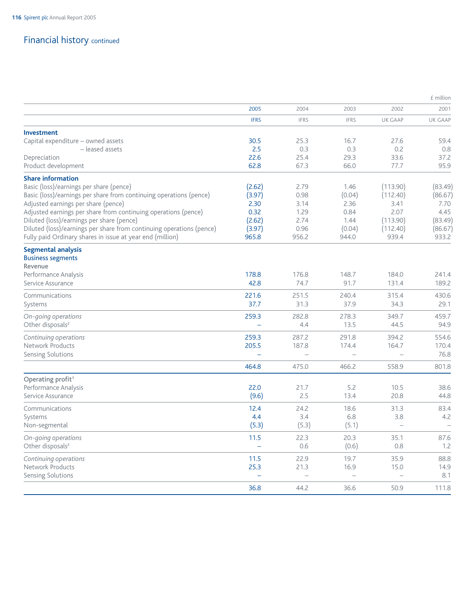# Financial history continued

|                                                                                          |             |                          |                          |                | £ million      |
|------------------------------------------------------------------------------------------|-------------|--------------------------|--------------------------|----------------|----------------|
|                                                                                          | 2005        | 2004                     | 2003                     | 2002           | 2001           |
|                                                                                          | <b>IFRS</b> | <b>IFRS</b>              | <b>IFRS</b>              | <b>UK GAAP</b> | <b>UK GAAP</b> |
| <b>Investment</b>                                                                        |             |                          |                          |                |                |
| Capital expenditure - owned assets                                                       | 30.5        | 25.3                     | 16.7                     | 27.6           | 59.4           |
| - leased assets                                                                          | 2.5         | 0.3                      | 0.3                      | 0.2            | 0.8            |
| Depreciation                                                                             | 22.6        | 25.4                     | 29.3                     | 33.6           | 37.2           |
| Product development                                                                      | 62.8        | 67.3                     | 66.0                     | 77.7           | 95.9           |
| <b>Share information</b>                                                                 |             |                          |                          |                |                |
| Basic (loss)/earnings per share (pence)                                                  | (2.62)      | 2.79                     | 1.46                     | (113.90)       | (83.49)        |
| Basic (loss)/earnings per share from continuing operations (pence)                       | (3.97)      | 0.98                     | (0.04)                   | (112.40)       | (86.67)        |
| Adjusted earnings per share (pence)                                                      | 2.30        | 3.14                     | 2.36                     | 3.41           | 7.70           |
| Adjusted earnings per share from continuing operations (pence)                           | 0.32        | 1.29                     | 0.84                     | 2.07           | 4.45           |
| Diluted (loss)/earnings per share (pence)                                                | (2.62)      | 2.74                     | 1.44                     | (113.90)       | (83.49)        |
| Diluted (loss)/earnings per share from continuing operations (pence)                     | (3.97)      | 0.96                     | (0.04)                   | (112.40)       | (86.67)        |
| Fully paid Ordinary shares in issue at year end (million)                                | 965.8       | 956.2                    | 944.0                    | 939.4          | 933.2          |
| <b>Segmental analysis</b><br><b>Business segments</b><br>Revenue<br>Performance Analysis | 178.8       | 176.8                    | 148.7                    | 184.0          | 241.4          |
| Service Assurance                                                                        | 42.8        | 74.7                     | 91.7                     | 131.4          | 189.2          |
| Communications                                                                           | 221.6       | 251.5                    | 240.4                    | 315.4          | 430.6          |
| Systems                                                                                  | 37.7        | 31.3                     | 37.9                     | 34.3           | 29.1           |
| On-going operations                                                                      | 259.3       | 282.8                    | 278.3                    | 349.7          | 459.7          |
| Other disposals <sup>2</sup>                                                             |             | 4.4                      | 13.5                     | 44.5           | 94.9           |
| Continuing operations                                                                    | 259.3       | 287.2                    | 291.8                    | 394.2          | 554.6          |
| Network Products                                                                         | 205.5       | 187.8                    | 174.4                    | 164.7          | 170.4          |
| Sensing Solutions                                                                        | $\equiv$    | $\overline{\phantom{0}}$ | $\overline{\phantom{0}}$ | $\overline{a}$ | 76.8           |
|                                                                                          | 464.8       | 475.0                    | 466.2                    | 558.9          | 801.8          |
| Operating profit <sup>1</sup>                                                            |             |                          |                          |                |                |
| Performance Analysis                                                                     | 22.0        | 21.7                     | 5.2                      | 10.5           | 38.6           |
| Service Assurance                                                                        | (9.6)       | 2.5                      | 13.4                     | 20.8           | 44.8           |
| Communications                                                                           | 12.4        | 24.2                     | 18.6                     | 31.3           | 83.4           |
| Systems                                                                                  | 4.4         | 3.4                      | 6.8                      | 3.8            | 4.2            |
| Non-segmental                                                                            | (5.3)       | (5.3)                    | (5.1)                    |                |                |
| On-going operations                                                                      | 11.5        | 22.3                     | 20.3                     | 35.1           | 87.6           |
| Other disposals <sup>2</sup>                                                             |             | 0.6                      | (0.6)                    | 0.8            | 1.2            |
| Continuing operations                                                                    | 11.5        | 22.9                     | 19.7                     | 35.9           | 88.8           |
| <b>Network Products</b>                                                                  | 25.3        | 21.3                     | 16.9                     | 15.0           | 14.9           |
| Sensing Solutions                                                                        |             |                          | $\overline{\phantom{0}}$ |                | 8.1            |
|                                                                                          | 36.8        | 44.2                     | 36.6                     | 50.9           | 111.8          |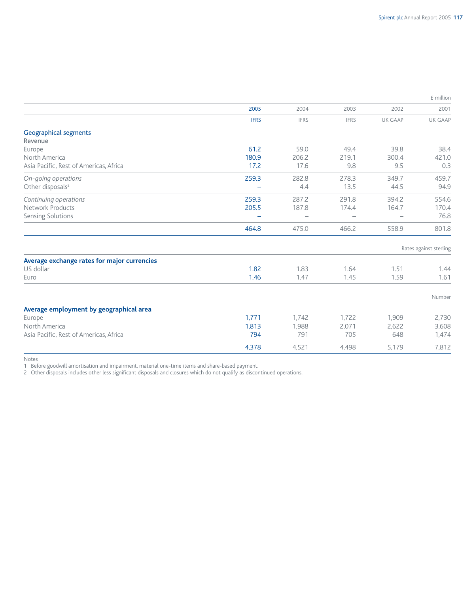|                                             |             |             |             |                | £ million              |
|---------------------------------------------|-------------|-------------|-------------|----------------|------------------------|
|                                             | 2005        | 2004        | 2003        | 2002           | 2001                   |
|                                             | <b>IFRS</b> | <b>IFRS</b> | <b>IFRS</b> | <b>UK GAAP</b> | <b>UK GAAP</b>         |
| Geographical segments<br>Revenue            |             |             |             |                |                        |
| Europe                                      | 61.2        | 59.0        | 49.4        | 39.8           | 38.4                   |
| North America                               | 180.9       | 206.2       | 219.1       | 300.4          | 421.0                  |
| Asia Pacific, Rest of Americas, Africa      | 17.2        | 17.6        | 9.8         | 9.5            | 0.3                    |
| On-going operations                         | 259.3       | 282.8       | 278.3       | 349.7          | 459.7                  |
| Other disposals <sup>2</sup>                |             | 4.4         | 13.5        | 44.5           | 94.9                   |
| Continuing operations                       | 259.3       | 287.2       | 291.8       | 394.2          | 554.6                  |
| <b>Network Products</b>                     | 205.5       | 187.8       | 174.4       | 164.7          | 170.4                  |
| Sensing Solutions                           |             |             |             |                | 76.8                   |
|                                             | 464.8       | 475.0       | 466.2       | 558.9          | 801.8                  |
|                                             |             |             |             |                | Rates against sterling |
| Average exchange rates for major currencies |             |             |             |                |                        |
| US dollar                                   | 1.82        | 1.83        | 1.64        | 1.51           | 1.44                   |
| Euro                                        | 1.46        | 1.47        | 1.45        | 1.59           | 1.61                   |
|                                             |             |             |             |                | Number                 |
| Average employment by geographical area     |             |             |             |                |                        |
| Europe                                      | 1,771       | 1,742       | 1,722       | 1,909          | 2,730                  |
| North America                               | 1,813       | 1,988       | 2,071       | 2,622          | 3,608                  |
| Asia Pacific, Rest of Americas, Africa      | 794         | 791         | 705         | 648            | 1,474                  |
|                                             | 4,378       | 4,521       | 4,498       | 5,179          | 7,812                  |

Notes

1 Before goodwill amortisation and impairment, material one-time items and share-based payment.

2 Other disposals includes other less significant disposals and closures which do not qualify as discontinued operations.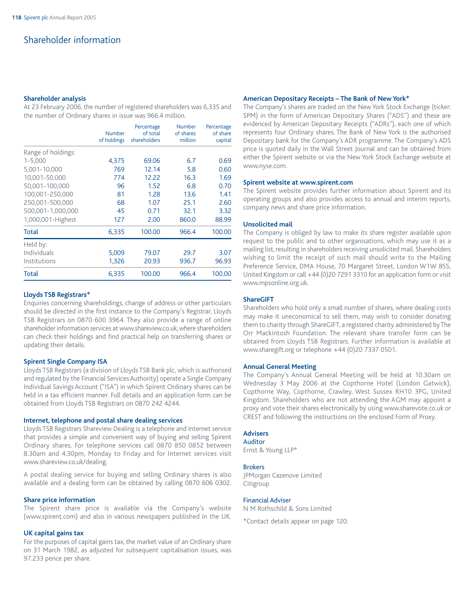# Shareholder information

#### **Shareholder analysis**

At 23 February 2006, the number of registered shareholders was 6,335 and the number of Ordinary shares in issue was 966.4 million.

|                    | Number<br>of holdings | Percentage<br>of total<br>shareholders | <b>Number</b><br>of shares<br>million | Percentage<br>of share<br>capital |
|--------------------|-----------------------|----------------------------------------|---------------------------------------|-----------------------------------|
| Range of holdings: |                       |                                        |                                       |                                   |
| $1 - 5,000$        | 4,375                 | 69.06                                  | 6.7                                   | 0.69                              |
| 5.001-10.000       | 769                   | 12.14                                  | 5.8                                   | 0.60                              |
| 10,001-50,000      | 774                   | 12.22                                  | 16.3                                  | 1.69                              |
| 50,001-100,000     | 96                    | 1.52                                   | 6.8                                   | 0.70                              |
| 100.001-250.000    | 81                    | 1.28                                   | 13.6                                  | 1.41                              |
| 250,001-500,000    | 68                    | 1.07                                   | 25.1                                  | 2.60                              |
| 500,001-1,000,000  | 45                    | 0.71                                   | 32.1                                  | 3.32                              |
| 1,000,001-Highest  | 127                   | 2.00                                   | 860.0                                 | 88.99                             |
| <b>Total</b>       | 6,335                 | 100.00                                 | 966.4                                 | 100.00                            |
| Held by:           |                       |                                        |                                       |                                   |
| Individuals        | 5,009                 | 79.07                                  | 29.7                                  | 3.07                              |
| Institutions       | 1,326                 | 20.93                                  | 936.7                                 | 96.93                             |
| Total              | 6,335                 | 100.00                                 | 966.4                                 | 100.00                            |

#### **Lloyds TSB Registrars\***

Enquiries concerning shareholdings, change of address or other particulars should be directed in the first instance to the Company's Registrar, Lloyds TSB Registrars on 0870 600 3964. They also provide a range of online shareholder information services at www.shareview.co.uk, where shareholders can check their holdings and find practical help on transferring shares or updating their details.

#### **Spirent Single Company ISA**

Lloyds TSB Registrars (a division of Lloyds TSB Bank plc, which is authorised and regulated by the Financial Services Authority) operate a Single Company Individual Savings Account ("ISA") in which Spirent Ordinary shares can be held in a tax efficient manner. Full details and an application form can be obtained from Lloyds TSB Registrars on 0870 242 4244.

#### **Internet, telephone and postal share dealing services**

Lloyds TSB Registrars Shareview Dealing is a telephone and Internet service that provides a simple and convenient way of buying and selling Spirent Ordinary shares. For telephone services call 0870 850 0852 between 8.30am and 4.30pm, Monday to Friday and for Internet services visit www.shareview.co.uk/dealing.

A postal dealing service for buying and selling Ordinary shares is also available and a dealing form can be obtained by calling 0870 606 0302.

#### **Share price information**

The Spirent share price is available via the Company's website (www.spirent.com) and also in various newspapers published in the UK.

#### **UK capital gains tax**

For the purposes of capital gains tax, the market value of an Ordinary share on 31 March 1982, as adjusted for subsequent capitalisation issues, was 97.233 pence per share.

#### **American Depositary Receipts – The Bank of New York\***

The Company's shares are traded on the New York Stock Exchange (ticker: SPM) in the form of American Depositary Shares ("ADS") and these are evidenced by American Depositary Receipts ("ADRs"), each one of which represents four Ordinary shares. The Bank of New York is the authorised Depositary bank for the Company's ADR programme. The Company's ADS price is quoted daily in the Wall Street Journal and can be obtained from either the Spirent website or via the New York Stock Exchange website at www.nyse.com.

#### **Spirent website at www.spirent.com**

The Spirent website provides further information about Spirent and its operating groups and also provides access to annual and interim reports, company news and share price information.

#### **Unsolicited mail**

The Company is obliged by law to make its share register available upon request to the public and to other organisations, which may use it as a mailing list, resulting in shareholders receiving unsolicited mail. Shareholders wishing to limit the receipt of such mail should write to the Mailing Preference Service, DMA House, 70 Margaret Street, London W1W 8SS, United Kingdom or call +44 (0)20 7291 3310 for an application form or visit www.mpsonline.org.uk.

#### **ShareGIFT**

Shareholders who hold only a small number of shares, where dealing costs may make it uneconomical to sell them, may wish to consider donating them to charity through ShareGIFT, a registered charity administered by The Orr Mackintosh Foundation. The relevant share transfer form can be obtained from Lloyds TSB Registrars. Further information is available at www.sharegift.org or telephone +44 (0)20 7337 0501.

#### **Annual General Meeting**

The Company's Annual General Meeting will be held at 10.30am on Wednesday 3 May 2006 at the Copthorne Hotel (London Gatwick), Copthorne Way, Copthorne, Crawley, West Sussex RH10 3PG, United Kingdom. Shareholders who are not attending the AGM may appoint a proxy and vote their shares electronically by using www.sharevote.co.uk or CREST and following the instructions on the enclosed Form of Proxy.

#### **Advisers**

#### Auditor

Ernst & Young LLP\*

#### **Brokers**

JPMorgan Cazenove Limited Citigroup

#### Financial Adviser

N M Rothschild & Sons Limited

\*Contact details appear on page 120.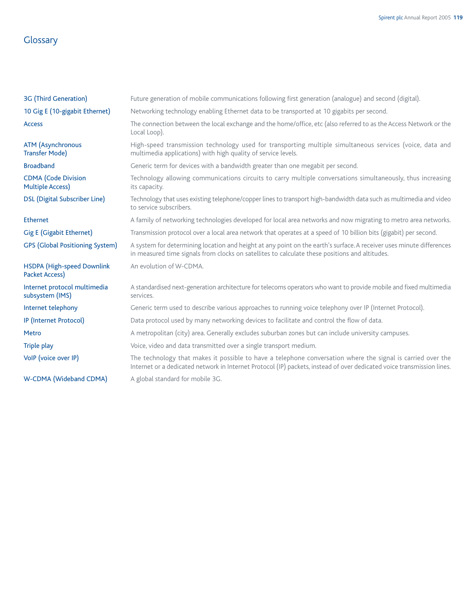# Glossary

| 3G (Third Generation)                                 | Future generation of mobile communications following first generation (analogue) and second (digital).                                                                                                                                |
|-------------------------------------------------------|---------------------------------------------------------------------------------------------------------------------------------------------------------------------------------------------------------------------------------------|
| 10 Gig E (10-gigabit Ethernet)                        | Networking technology enabling Ethernet data to be transported at 10 gigabits per second.                                                                                                                                             |
| <b>Access</b>                                         | The connection between the local exchange and the home/office, etc (also referred to as the Access Network or the<br>Local Loop).                                                                                                     |
| <b>ATM</b> (Asynchronous<br><b>Transfer Mode)</b>     | High-speed transmission technology used for transporting multiple simultaneous services (voice, data and<br>multimedia applications) with high quality of service levels.                                                             |
| <b>Broadband</b>                                      | Generic term for devices with a bandwidth greater than one megabit per second.                                                                                                                                                        |
| <b>CDMA</b> (Code Division<br><b>Multiple Access)</b> | Technology allowing communications circuits to carry multiple conversations simultaneously, thus increasing<br>its capacity.                                                                                                          |
| <b>DSL</b> (Digital Subscriber Line)                  | Technology that uses existing telephone/copper lines to transport high-bandwidth data such as multimedia and video<br>to service subscribers.                                                                                         |
| Ethernet                                              | A family of networking technologies developed for local area networks and now migrating to metro area networks.                                                                                                                       |
| Gig E (Gigabit Ethernet)                              | Transmission protocol over a local area network that operates at a speed of 10 billion bits (gigabit) per second.                                                                                                                     |
| <b>GPS (Global Positioning System)</b>                | A system for determining location and height at any point on the earth's surface. A receiver uses minute differences<br>in measured time signals from clocks on satellites to calculate these positions and altitudes.                |
| <b>HSDPA (High-speed Downlink</b><br>Packet Access)   | An evolution of W-CDMA.                                                                                                                                                                                                               |
| Internet protocol multimedia<br>subsystem (IMS)       | A standardised next-generation architecture for telecoms operators who want to provide mobile and fixed multimedia<br>services.                                                                                                       |
| Internet telephony                                    | Generic term used to describe various approaches to running voice telephony over IP (Internet Protocol).                                                                                                                              |
| IP (Internet Protocol)                                | Data protocol used by many networking devices to facilitate and control the flow of data.                                                                                                                                             |
| Metro                                                 | A metropolitan (city) area. Generally excludes suburban zones but can include university campuses.                                                                                                                                    |
| Triple play                                           | Voice, video and data transmitted over a single transport medium.                                                                                                                                                                     |
| VolP (voice over IP)                                  | The technology that makes it possible to have a telephone conversation where the signal is carried over the<br>Internet or a dedicated network in Internet Protocol (IP) packets, instead of over dedicated voice transmission lines. |
| W-CDMA (Wideband CDMA)                                | A global standard for mobile 3G.                                                                                                                                                                                                      |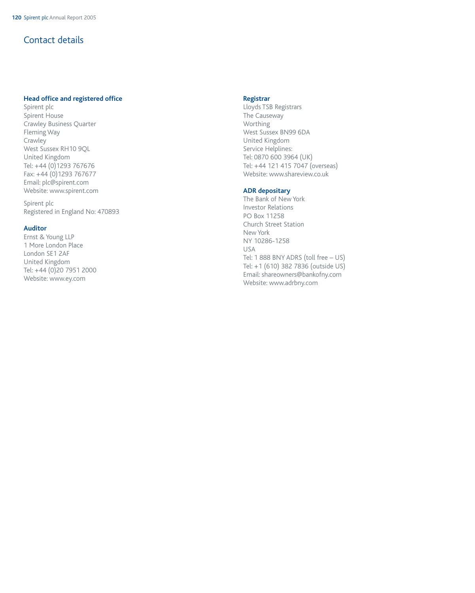## Contact details

#### **Head office and registered office**

Spirent plc Spirent House Crawley Business Quarter Fleming Way Crawley West Sussex RH10 9QL United Kingdom Tel: +44 (0)1293 767676 Fax: +44 (0)1293 767677 Email: plc@spirent.com Website: www.spirent.com

Spirent plc Registered in England No: 470893

#### **Auditor**

Ernst & Young LLP 1 More London Place London SE1 2AF United Kingdom Tel: +44 (0)20 7951 2000 Website: www.ey.com

#### **Registrar**

Lloyds TSB Registrars The Causeway Worthing West Sussex BN99 6DA United Kingdom Service Helplines: Tel: 0870 600 3964 (UK) Tel: +44 121 415 7047 (overseas) Website: www.shareview.co.uk

#### **ADR depositary**

The Bank of New York Investor Relations PO Box 11258 Church Street Station New York NY 10286-1258 USA Tel: 1 888 BNY ADRS (toll free – US) Tel: +1 (610) 382 7836 (outside US) Email: shareowners@bankofny.com Website: www.adrbny.com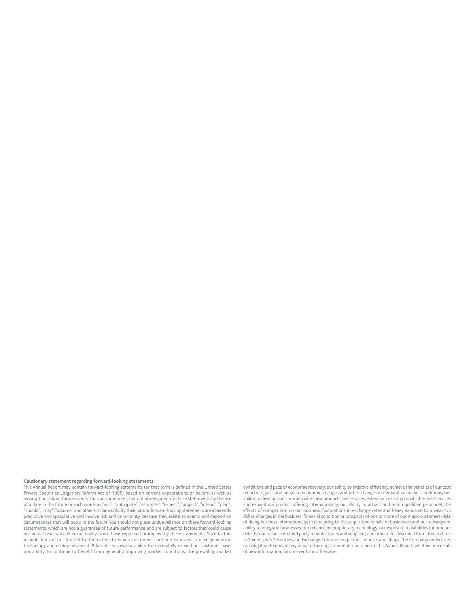#### **Cautionary statement regarding forward-looking statements**

This Annual Report may contain forward-looking statements (as that term is defined in the United States Private Securities Litigation Reform Act of 1995) based on current expectations or beliefs, as well as assumptions about future events.You can sometimes, but not always, identify these statements by the use of a date in the future or such words as "will", "anticipate", "estimate", "expect", "project", "intend", "plan", "should","may","assume" and other similar words. By their nature, forward-looking statements are inherently predictive and speculative and involve risk and uncertainty because they relate to events and depend on circumstances that will occur in the future. You should not place undue reliance on these forward-looking statements, which are not a guarantee of future performance and are subject to factors that could cause our actual results to differ materially from those expressed or implied by these statements. Such factors include, but are not limited to: the extent to which customers continue to invest in next-generation technology and deploy advanced IP-based services; our ability to successfully expand our customer base; our ability to continue to benefit from generally improving market conditions; the prevailing market

conditions and pace of economic recovery; our ability to improve efficiency, achieve the benefits of our cost reduction goals and adapt to economic changes and other changes in demand or market conditions; our ability to develop and commercialise new products and services, extend our existing capabilities in IP services and expand our product offering internationally; our ability to attract and retain qualified personnel; the effects of competition on our business; fluctuations in exchange rates and heavy exposure to a weak US dollar; changes in the business, financial condition or prospects of one or more of our major customers; risks of doing business internationally; risks relating to the acquisition or sale of businesses and our subsequent ability to integrate businesses; our reliance on proprietary technology; our exposure to liabilities for product defects; our reliance on third party manufacturers and suppliers; and other risks described from time to time in Spirent plc's Securities and Exchange Commission periodic reports and filings. The Company undertakes no obligation to update any forward-looking statements contained in this Annual Report, whether as a result of new information, future events or otherwise.